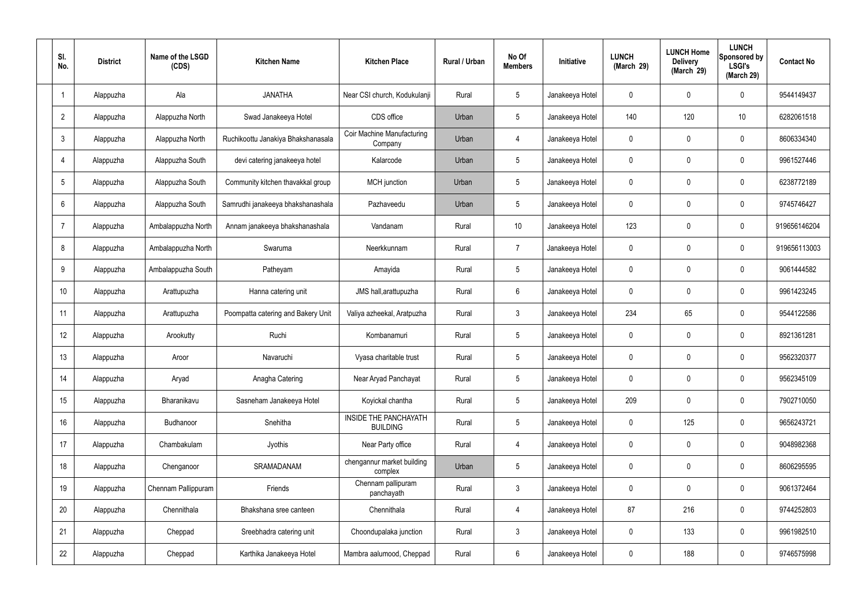| SI.<br>No.      | <b>District</b> | Name of the LSGD<br>(CDS) | <b>Kitchen Name</b>                | <b>Kitchen Place</b>                            | Rural / Urban | No Of<br><b>Members</b> | <b>Initiative</b> | <b>LUNCH</b><br>(March 29) | <b>LUNCH Home</b><br><b>Delivery</b><br>(March 29) | <b>LUNCH</b><br>Sponsored by<br><b>LSGI's</b><br>(March 29) | <b>Contact No</b> |
|-----------------|-----------------|---------------------------|------------------------------------|-------------------------------------------------|---------------|-------------------------|-------------------|----------------------------|----------------------------------------------------|-------------------------------------------------------------|-------------------|
|                 | Alappuzha       | Ala                       | <b>JANATHA</b>                     | Near CSI church, Kodukulanji                    | Rural         | $5\phantom{.0}$         | Janakeeya Hotel   | $\mathbf 0$                | 0                                                  | $\mathbf 0$                                                 | 9544149437        |
| $\overline{2}$  | Alappuzha       | Alappuzha North           | Swad Janakeeya Hotel               | CDS office                                      | Urban         | $5\phantom{.0}$         | Janakeeya Hotel   | 140                        | 120                                                | 10                                                          | 6282061518        |
| $\mathbf{3}$    | Alappuzha       | Alappuzha North           | Ruchikoottu Janakiya Bhakshanasala | Coir Machine Manufacturing<br>Company           | Urban         | 4                       | Janakeeya Hotel   | $\mathbf 0$                | 0                                                  | $\mathbf 0$                                                 | 8606334340        |
| $\overline{4}$  | Alappuzha       | Alappuzha South           | devi catering janakeeya hotel      | Kalarcode                                       | Urban         | $5\phantom{.0}$         | Janakeeya Hotel   | $\mathbf 0$                | 0                                                  | $\mathbf 0$                                                 | 9961527446        |
| $5\overline{)}$ | Alappuzha       | Alappuzha South           | Community kitchen thavakkal group  | MCH junction                                    | Urban         | $5\phantom{.0}$         | Janakeeya Hotel   | $\mathbf 0$                | 0                                                  | $\mathbf 0$                                                 | 6238772189        |
| 6               | Alappuzha       | Alappuzha South           | Samrudhi janakeeya bhakshanashala  | Pazhaveedu                                      | Urban         | $5\phantom{.0}$         | Janakeeya Hotel   | $\mathbf 0$                | 0                                                  | $\mathbf 0$                                                 | 9745746427        |
| $\overline{7}$  | Alappuzha       | Ambalappuzha North        | Annam janakeeya bhakshanashala     | Vandanam                                        | Rural         | 10 <sup>°</sup>         | Janakeeya Hotel   | 123                        | $\mathbf 0$                                        | $\mathbf 0$                                                 | 919656146204      |
| 8               | Alappuzha       | Ambalappuzha North        | Swaruma                            | Neerkkunnam                                     | Rural         | $\overline{7}$          | Janakeeya Hotel   | $\mathbf 0$                | 0                                                  | $\mathbf 0$                                                 | 919656113003      |
| 9               | Alappuzha       | Ambalappuzha South        | Patheyam                           | Amayida                                         | Rural         | $5\phantom{.0}$         | Janakeeya Hotel   | $\mathbf 0$                | 0                                                  | $\mathbf 0$                                                 | 9061444582        |
| 10              | Alappuzha       | Arattupuzha               | Hanna catering unit                | JMS hall, arattupuzha                           | Rural         | $6\phantom{.}6$         | Janakeeya Hotel   | $\mathbf 0$                | 0                                                  | $\mathbf 0$                                                 | 9961423245        |
| 11              | Alappuzha       | Arattupuzha               | Poompatta catering and Bakery Unit | Valiya azheekal, Aratpuzha                      | Rural         | $\mathbf{3}$            | Janakeeya Hotel   | 234                        | 65                                                 | $\mathbf 0$                                                 | 9544122586        |
| 12              | Alappuzha       | Arookutty                 | Ruchi                              | Kombanamuri                                     | Rural         | $5\phantom{.0}$         | Janakeeya Hotel   | $\mathbf 0$                | 0                                                  | $\mathbf 0$                                                 | 8921361281        |
| 13              | Alappuzha       | Aroor                     | Navaruchi                          | Vyasa charitable trust                          | Rural         | $5\phantom{.0}$         | Janakeeya Hotel   | $\mathbf 0$                | 0                                                  | 0                                                           | 9562320377        |
| 14              | Alappuzha       | Aryad                     | Anagha Catering                    | Near Aryad Panchayat                            | Rural         | $5\phantom{.0}$         | Janakeeya Hotel   | $\mathbf 0$                | $\mathbf 0$                                        | $\mathbf 0$                                                 | 9562345109        |
| 15              | Alappuzha       | Bharanikavu               | Sasneham Janakeeya Hotel           | Koyickal chantha                                | Rural         | $5\phantom{.0}$         | Janakeeya Hotel   | 209                        | $\mathbf 0$                                        | $\mathbf 0$                                                 | 7902710050        |
| 16              | Alappuzha       | <b>Budhanoor</b>          | Snehitha                           | <b>INSIDE THE PANCHAYATH</b><br><b>BUILDING</b> | Rural         | $5\phantom{.0}$         | Janakeeya Hotel   | $\mathbf 0$                | 125                                                | $\mathbf 0$                                                 | 9656243721        |
| 17              | Alappuzha       | Chambakulam               | Jyothis                            | Near Party office                               | Rural         | $\overline{4}$          | Janakeeya Hotel   | $\mathbf 0$                | $\mathbf 0$                                        | $\mathbf 0$                                                 | 9048982368        |
| 18              | Alappuzha       | Chenganoor                | SRAMADANAM                         | chengannur market building<br>complex           | Urban         | $5\phantom{.0}$         | Janakeeya Hotel   | $\mathbf 0$                | $\mathbf 0$                                        | $\mathbf 0$                                                 | 8606295595        |
| 19              | Alappuzha       | Chennam Pallippuram       | Friends                            | Chennam pallipuram<br>panchayath                | Rural         | $\mathbf{3}$            | Janakeeya Hotel   | $\mathbf 0$                | 0                                                  | $\mathbf 0$                                                 | 9061372464        |
| 20              | Alappuzha       | Chennithala               | Bhakshana sree canteen             | Chennithala                                     | Rural         | $\overline{4}$          | Janakeeya Hotel   | 87                         | 216                                                | $\mathbf 0$                                                 | 9744252803        |
| 21              | Alappuzha       | Cheppad                   | Sreebhadra catering unit           | Choondupalaka junction                          | Rural         | $\mathbf{3}$            | Janakeeya Hotel   | $\mathbf 0$                | 133                                                | $\mathbf 0$                                                 | 9961982510        |
| 22              | Alappuzha       | Cheppad                   | Karthika Janakeeya Hotel           | Mambra aalumood, Cheppad                        | Rural         | $6\overline{6}$         | Janakeeya Hotel   | 0                          | 188                                                | $\mathbf 0$                                                 | 9746575998        |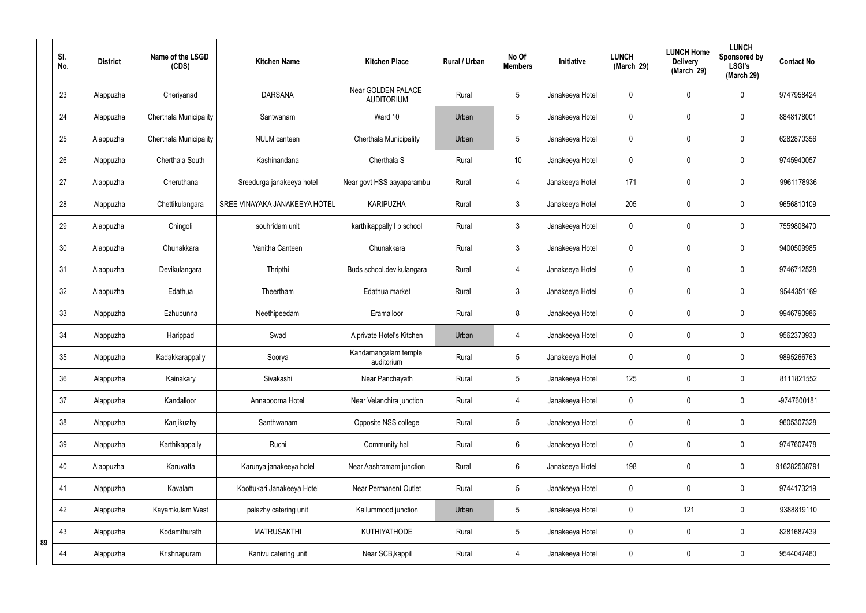|    | SI.<br>No. | <b>District</b> | Name of the LSGD<br>(CDS) | <b>Kitchen Name</b>           | <b>Kitchen Place</b>                    | <b>Rural / Urban</b> | No Of<br><b>Members</b> | Initiative      | <b>LUNCH</b><br>(March 29) | <b>LUNCH Home</b><br><b>Delivery</b><br>(March 29) | <b>LUNCH</b><br>Sponsored by<br><b>LSGI's</b><br>(March 29) | <b>Contact No</b> |
|----|------------|-----------------|---------------------------|-------------------------------|-----------------------------------------|----------------------|-------------------------|-----------------|----------------------------|----------------------------------------------------|-------------------------------------------------------------|-------------------|
|    | 23         | Alappuzha       | Cheriyanad                | <b>DARSANA</b>                | Near GOLDEN PALACE<br><b>AUDITORIUM</b> | Rural                | 5                       | Janakeeya Hotel | 0                          | $\mathbf 0$                                        | $\mathbf 0$                                                 | 9747958424        |
|    | 24         | Alappuzha       | Cherthala Municipality    | Santwanam                     | Ward 10                                 | Urban                | 5                       | Janakeeya Hotel | $\mathbf 0$                | $\mathbf 0$                                        | $\mathbf 0$                                                 | 8848178001        |
|    | 25         | Alappuzha       | Cherthala Municipality    | <b>NULM</b> canteen           | Cherthala Municipality                  | Urban                | 5                       | Janakeeya Hotel | 0                          | $\mathbf 0$                                        | $\mathbf 0$                                                 | 6282870356        |
|    | 26         | Alappuzha       | Cherthala South           | Kashinandana                  | Cherthala S                             | Rural                | 10                      | Janakeeya Hotel | 0                          | $\mathbf 0$                                        | $\pmb{0}$                                                   | 9745940057        |
|    | 27         | Alappuzha       | Cheruthana                | Sreedurga janakeeya hotel     | Near govt HSS aayaparambu               | Rural                | $\overline{4}$          | Janakeeya Hotel | 171                        | $\boldsymbol{0}$                                   | $\mathbf 0$                                                 | 9961178936        |
|    | 28         | Alappuzha       | Chettikulangara           | SREE VINAYAKA JANAKEEYA HOTEL | <b>KARIPUZHA</b>                        | Rural                | $\mathfrak{Z}$          | Janakeeya Hotel | 205                        | $\mathbf 0$                                        | $\pmb{0}$                                                   | 9656810109        |
|    | 29         | Alappuzha       | Chingoli                  | souhridam unit                | karthikappally I p school               | Rural                | $\mathbf{3}$            | Janakeeya Hotel | 0                          | $\boldsymbol{0}$                                   | $\mathbf 0$                                                 | 7559808470        |
|    | 30         | Alappuzha       | Chunakkara                | Vanitha Canteen               | Chunakkara                              | Rural                | $\mathfrak{Z}$          | Janakeeya Hotel | $\mathbf 0$                | $\mathbf 0$                                        | $\mathbf 0$                                                 | 9400509985        |
|    | 31         | Alappuzha       | Devikulangara             | Thripthi                      | Buds school, devikulangara              | Rural                | $\overline{4}$          | Janakeeya Hotel | 0                          | $\mathbf 0$                                        | $\mathbf 0$                                                 | 9746712528        |
|    | 32         | Alappuzha       | Edathua                   | Theertham                     | Edathua market                          | Rural                | 3                       | Janakeeya Hotel | 0                          | $\mathbf 0$                                        | $\mathbf 0$                                                 | 9544351169        |
|    | 33         | Alappuzha       | Ezhupunna                 | Neethipeedam                  | Eramalloor                              | Rural                | 8                       | Janakeeya Hotel | 0                          | $\boldsymbol{0}$                                   | $\mathbf 0$                                                 | 9946790986        |
|    | 34         | Alappuzha       | Harippad                  | Swad                          | A private Hotel's Kitchen               | Urban                | $\overline{4}$          | Janakeeya Hotel | 0                          | 0                                                  | $\mathbf 0$                                                 | 9562373933        |
|    | 35         | Alappuzha       | Kadakkarappally           | Soorya                        | Kandamangalam temple<br>auditorium      | Rural                | 5                       | Janakeeya Hotel | 0                          | $\mathbf 0$                                        | $\mathbf 0$                                                 | 9895266763        |
|    | 36         | Alappuzha       | Kainakary                 | Sivakashi                     | Near Panchayath                         | Rural                | 5                       | Janakeeya Hotel | 125                        | $\mathbf 0$                                        | $\mathbf 0$                                                 | 8111821552        |
|    | 37         | Alappuzha       | Kandalloor                | Annapoorna Hotel              | Near Velanchira junction                | Rural                | $\overline{4}$          | Janakeeya Hotel | 0                          | $\mathbf 0$                                        | $\pmb{0}$                                                   | -9747600181       |
|    | 38         | Alappuzha       | Kanjikuzhy                | Santhwanam                    | Opposite NSS college                    | Rural                | 5                       | Janakeeya Hotel | 0                          | $\mathbf 0$                                        | $\pmb{0}$                                                   | 9605307328        |
|    | 39         | Alappuzha       | Karthikappally            | Ruchi                         | Community hall                          | Rural                | $6\phantom{.}6$         | Janakeeya Hotel | 0                          | $\mathbf 0$                                        | $\pmb{0}$                                                   | 9747607478        |
|    | 40         | Alappuzha       | Karuvatta                 | Karunya janakeeya hotel       | Near Aashramam junction                 | Rural                | 6                       | Janakeeya Hotel | 198                        | $\pmb{0}$                                          | $\pmb{0}$                                                   | 916282508791      |
|    | 41         | Alappuzha       | Kavalam                   | Koottukari Janakeeya Hotel    | <b>Near Permanent Outlet</b>            | Rural                | 5                       | Janakeeya Hotel | 0                          | $\mathbf 0$                                        | $\pmb{0}$                                                   | 9744173219        |
|    | 42         | Alappuzha       | Kayamkulam West           | palazhy catering unit         | Kallummood junction                     | Urban                | 5                       | Janakeeya Hotel | $\mathbf 0$                | 121                                                | $\mathbf 0$                                                 | 9388819110        |
| 89 | 43         | Alappuzha       | Kodamthurath              | <b>MATRUSAKTHI</b>            | <b>KUTHIYATHODE</b>                     | Rural                | 5                       | Janakeeya Hotel | $\mathbf 0$                | $\mathbf 0$                                        | $\pmb{0}$                                                   | 8281687439        |
|    | 44         | Alappuzha       | Krishnapuram              | Kanivu catering unit          | Near SCB, kappil                        | Rural                | $\overline{4}$          | Janakeeya Hotel | 0                          | $\boldsymbol{0}$                                   | $\pmb{0}$                                                   | 9544047480        |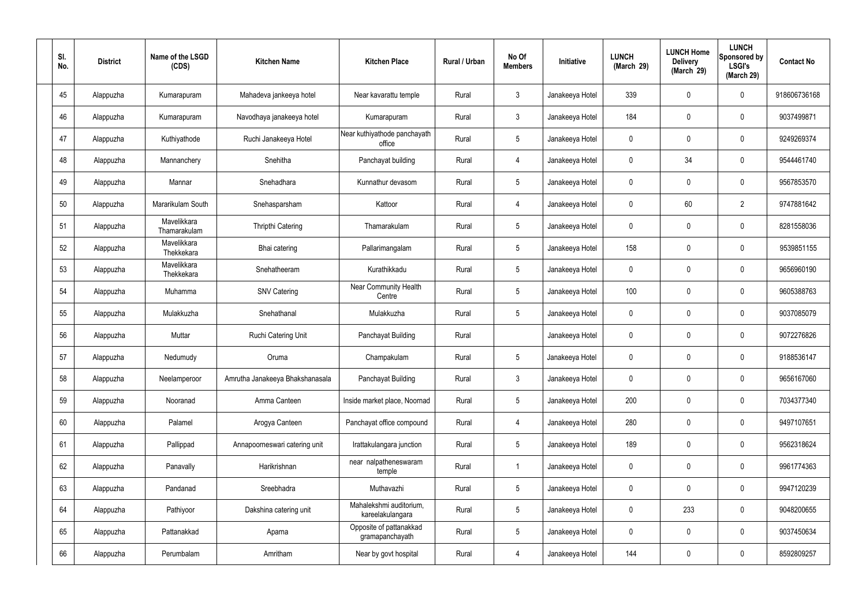| SI.<br>No. | <b>District</b> | Name of the LSGD<br>(CDS)   | <b>Kitchen Name</b>             | <b>Kitchen Place</b>                        | Rural / Urban | No Of<br><b>Members</b> | Initiative      | <b>LUNCH</b><br>(March 29) | <b>LUNCH Home</b><br><b>Delivery</b><br>(March 29) | <b>LUNCH</b><br>Sponsored by<br><b>LSGI's</b><br>(March 29) | <b>Contact No</b> |
|------------|-----------------|-----------------------------|---------------------------------|---------------------------------------------|---------------|-------------------------|-----------------|----------------------------|----------------------------------------------------|-------------------------------------------------------------|-------------------|
| 45         | Alappuzha       | Kumarapuram                 | Mahadeva jankeeya hotel         | Near kavarattu temple                       | Rural         | $\mathfrak{Z}$          | Janakeeya Hotel | 339                        | 0                                                  | $\mathbf 0$                                                 | 918606736168      |
| 46         | Alappuzha       | Kumarapuram                 | Navodhaya janakeeya hotel       | Kumarapuram                                 | Rural         | $\mathbf{3}$            | Janakeeya Hotel | 184                        | 0                                                  | $\mathbf 0$                                                 | 9037499871        |
| 47         | Alappuzha       | Kuthiyathode                | Ruchi Janakeeya Hotel           | Near kuthiyathode panchayath<br>office      | Rural         | $5\phantom{.0}$         | Janakeeya Hotel | 0                          | 0                                                  | $\mathbf 0$                                                 | 9249269374        |
| 48         | Alappuzha       | Mannanchery                 | Snehitha                        | Panchayat building                          | Rural         | $\overline{4}$          | Janakeeya Hotel | $\mathbf 0$                | 34                                                 | $\mathbf 0$                                                 | 9544461740        |
| 49         | Alappuzha       | Mannar                      | Snehadhara                      | Kunnathur devasom                           | Rural         | $5\phantom{.0}$         | Janakeeya Hotel | 0                          | 0                                                  | $\mathbf 0$                                                 | 9567853570        |
| 50         | Alappuzha       | Mararikulam South           | Snehasparsham                   | Kattoor                                     | Rural         | $\overline{4}$          | Janakeeya Hotel | $\mathbf 0$                | 60                                                 | $\overline{2}$                                              | 9747881642        |
| 51         | Alappuzha       | Mavelikkara<br>Thamarakulam | Thripthi Catering               | Thamarakulam                                | Rural         | $5\phantom{.0}$         | Janakeeya Hotel | 0                          | 0                                                  | $\mathbf 0$                                                 | 8281558036        |
| 52         | Alappuzha       | Mavelikkara<br>Thekkekara   | Bhai catering                   | Pallarimangalam                             | Rural         | $\sqrt{5}$              | Janakeeya Hotel | 158                        | 0                                                  | $\mathbf 0$                                                 | 9539851155        |
| 53         | Alappuzha       | Mavelikkara<br>Thekkekara   | Snehatheeram                    | Kurathikkadu                                | Rural         | $5\phantom{.0}$         | Janakeeya Hotel | 0                          | 0                                                  | $\mathbf 0$                                                 | 9656960190        |
| 54         | Alappuzha       | Muhamma                     | <b>SNV Catering</b>             | <b>Near Community Health</b><br>Centre      | Rural         | $5\phantom{.0}$         | Janakeeya Hotel | 100                        | 0                                                  | $\boldsymbol{0}$                                            | 9605388763        |
| 55         | Alappuzha       | Mulakkuzha                  | Snehathanal                     | Mulakkuzha                                  | Rural         | $5\phantom{.0}$         | Janakeeya Hotel | 0                          | 0                                                  | $\boldsymbol{0}$                                            | 9037085079        |
| 56         | Alappuzha       | Muttar                      | Ruchi Catering Unit             | Panchayat Building                          | Rural         |                         | Janakeeya Hotel | 0                          | 0                                                  | $\boldsymbol{0}$                                            | 9072276826        |
| 57         | Alappuzha       | Nedumudy                    | Oruma                           | Champakulam                                 | Rural         | $5\phantom{.0}$         | Janakeeya Hotel | 0                          | 0                                                  | 0                                                           | 9188536147        |
| 58         | Alappuzha       | Neelamperoor                | Amrutha Janakeeya Bhakshanasala | Panchayat Building                          | Rural         | $\mathbf{3}$            | Janakeeya Hotel | $\mathbf 0$                | 0                                                  | $\mathbf 0$                                                 | 9656167060        |
| 59         | Alappuzha       | Nooranad                    | Amma Canteen                    | Inside market place, Noornad                | Rural         | $5\phantom{.0}$         | Janakeeya Hotel | 200                        | $\mathsf{0}$                                       | $\mathbf 0$                                                 | 7034377340        |
| 60         | Alappuzha       | Palamel                     | Arogya Canteen                  | Panchayat office compound                   | Rural         | 4                       | Janakeeya Hotel | 280                        | $\mathbf 0$                                        | $\mathbf 0$                                                 | 9497107651        |
| 61         | Alappuzha       | Pallippad                   | Annapoorneswari catering unit   | Irattakulangara junction                    | Rural         | $5\phantom{.0}$         | Janakeeya Hotel | 189                        | $\mathsf{0}$                                       | $\mathbf 0$                                                 | 9562318624        |
| 62         | Alappuzha       | Panavally                   | Harikrishnan                    | near nalpatheneswaram<br>temple             | Rural         | $\overline{1}$          | Janakeeya Hotel | $\mathbf 0$                | 0                                                  | $\mathbf 0$                                                 | 9961774363        |
| 63         | Alappuzha       | Pandanad                    | Sreebhadra                      | Muthavazhi                                  | Rural         | $5\phantom{.0}$         | Janakeeya Hotel | $\mathbf 0$                | $\mathbf 0$                                        | $\mathbf 0$                                                 | 9947120239        |
| 64         | Alappuzha       | Pathiyoor                   | Dakshina catering unit          | Mahalekshmi auditorium,<br>kareelakulangara | Rural         | $5\phantom{.0}$         | Janakeeya Hotel | $\mathbf 0$                | 233                                                | $\mathbf 0$                                                 | 9048200655        |
| 65         | Alappuzha       | Pattanakkad                 | Aparna                          | Opposite of pattanakkad<br>gramapanchayath  | Rural         | $5\phantom{.0}$         | Janakeeya Hotel | $\mathbf 0$                | 0                                                  | $\mathbf 0$                                                 | 9037450634        |
| 66         | Alappuzha       | Perumbalam                  | Amritham                        | Near by govt hospital                       | Rural         | 4                       | Janakeeya Hotel | 144                        | $\pmb{0}$                                          | $\boldsymbol{0}$                                            | 8592809257        |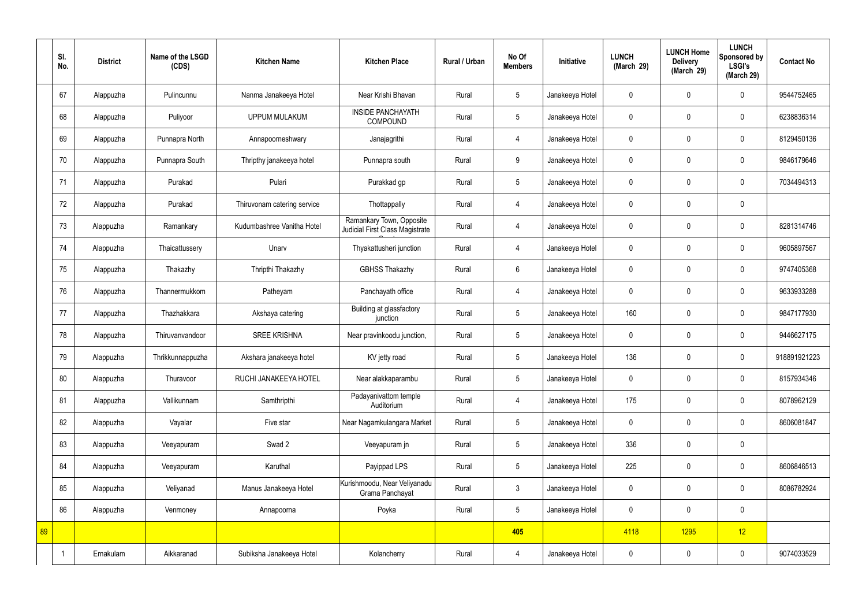|    | SI.<br>No. | <b>District</b> | Name of the LSGD<br>(CDS) | <b>Kitchen Name</b>         | <b>Kitchen Place</b>                                        | Rural / Urban | No Of<br><b>Members</b> | Initiative      | <b>LUNCH</b><br>(March 29) | <b>LUNCH Home</b><br><b>Delivery</b><br>(March 29) | <b>LUNCH</b><br>Sponsored by<br><b>LSGI's</b><br>(March 29) | <b>Contact No</b> |
|----|------------|-----------------|---------------------------|-----------------------------|-------------------------------------------------------------|---------------|-------------------------|-----------------|----------------------------|----------------------------------------------------|-------------------------------------------------------------|-------------------|
|    | 67         | Alappuzha       | Pulincunnu                | Nanma Janakeeya Hotel       | Near Krishi Bhavan                                          | Rural         | $5\phantom{.0}$         | Janakeeya Hotel | $\mathbf 0$                | $\mathbf 0$                                        | $\mathbf 0$                                                 | 9544752465        |
|    | 68         | Alappuzha       | Puliyoor                  | <b>UPPUM MULAKUM</b>        | <b>INSIDE PANCHAYATH</b><br><b>COMPOUND</b>                 | Rural         | $5\overline{)}$         | Janakeeya Hotel | $\mathbf 0$                | $\mathbf 0$                                        | $\mathbf 0$                                                 | 6238836314        |
|    | 69         | Alappuzha       | Punnapra North            | Annapoorneshwary            | Janajagrithi                                                | Rural         | $\overline{4}$          | Janakeeya Hotel | $\mathbf 0$                | $\mathbf 0$                                        | $\mathbf 0$                                                 | 8129450136        |
|    | 70         | Alappuzha       | Punnapra South            | Thripthy janakeeya hotel    | Punnapra south                                              | Rural         | 9                       | Janakeeya Hotel | $\mathbf 0$                | $\mathbf 0$                                        | $\mathbf 0$                                                 | 9846179646        |
|    | 71         | Alappuzha       | Purakad                   | Pulari                      | Purakkad gp                                                 | Rural         | $5\overline{)}$         | Janakeeya Hotel | $\mathbf 0$                | $\mathbf 0$                                        | $\mathbf 0$                                                 | 7034494313        |
|    | 72         | Alappuzha       | Purakad                   | Thiruvonam catering service | Thottappally                                                | Rural         | $\overline{4}$          | Janakeeya Hotel | $\mathbf 0$                | $\mathbf 0$                                        | $\mathbf 0$                                                 |                   |
|    | 73         | Alappuzha       | Ramankary                 | Kudumbashree Vanitha Hotel  | Ramankary Town, Opposite<br>Judicial First Class Magistrate | Rural         | $\overline{4}$          | Janakeeya Hotel | $\mathbf 0$                | $\mathbf 0$                                        | $\mathbf 0$                                                 | 8281314746        |
|    | 74         | Alappuzha       | Thaicattussery            | Unarv                       | Thyakattusheri junction                                     | Rural         | $\overline{4}$          | Janakeeya Hotel | $\mathbf 0$                | $\mathbf 0$                                        | $\mathbf 0$                                                 | 9605897567        |
|    | 75         | Alappuzha       | Thakazhy                  | Thripthi Thakazhy           | <b>GBHSS Thakazhy</b>                                       | Rural         | $6\overline{6}$         | Janakeeya Hotel | $\mathbf 0$                | $\mathbf 0$                                        | $\mathbf 0$                                                 | 9747405368        |
|    | 76         | Alappuzha       | Thannermukkom             | Patheyam                    | Panchayath office                                           | Rural         | 4                       | Janakeeya Hotel | $\mathbf 0$                | $\mathbf 0$                                        | $\mathbf 0$                                                 | 9633933288        |
|    | 77         | Alappuzha       | Thazhakkara               | Akshaya catering            | Building at glassfactory<br>junction                        | Rural         | $5\phantom{.0}$         | Janakeeya Hotel | 160                        | $\mathbf 0$                                        | $\mathbf 0$                                                 | 9847177930        |
|    | 78         | Alappuzha       | Thiruvanvandoor           | <b>SREE KRISHNA</b>         | Near pravinkoodu junction,                                  | Rural         | $5\phantom{.0}$         | Janakeeya Hotel | $\mathbf 0$                | $\mathbf 0$                                        | $\mathbf 0$                                                 | 9446627175        |
|    | 79         | Alappuzha       | Thrikkunnappuzha          | Akshara janakeeya hotel     | KV jetty road                                               | Rural         | 5                       | Janakeeya Hotel | 136                        | $\mathbf 0$                                        | $\mathbf 0$                                                 | 918891921223      |
|    | 80         | Alappuzha       | Thuravoor                 | RUCHI JANAKEEYA HOTEL       | Near alakkaparambu                                          | Rural         | $5\phantom{.0}$         | Janakeeya Hotel | $\mathbf 0$                | $\mathbf 0$                                        | $\mathbf 0$                                                 | 8157934346        |
|    | 81         | Alappuzha       | Vallikunnam               | Samthripthi                 | Padayanivattom temple<br>Auditorium                         | Rural         | $\overline{4}$          | Janakeeya Hotel | 175                        | $\mathbf 0$                                        | $\mathbf 0$                                                 | 8078962129        |
|    | 82         | Alappuzha       | Vayalar                   | Five star                   | Near Nagamkulangara Market                                  | Rural         | $5\overline{)}$         | Janakeeya Hotel | $\pmb{0}$                  | $\mathbf 0$                                        | $\mathbf 0$                                                 | 8606081847        |
|    | 83         | Alappuzha       | Veeyapuram                | Swad 2                      | Veeyapuram jn                                               | Rural         | $5\overline{)}$         | Janakeeya Hotel | 336                        | $\mathbf 0$                                        | $\mathbf 0$                                                 |                   |
|    | 84         | Alappuzha       | Veeyapuram                | Karuthal                    | Payippad LPS                                                | Rural         | $5\overline{)}$         | Janakeeya Hotel | 225                        | $\mathbf 0$                                        | $\mathbf 0$                                                 | 8606846513        |
|    | 85         | Alappuzha       | Veliyanad                 | Manus Janakeeya Hotel       | Kurishmoodu, Near Veliyanadu<br>Grama Panchayat             | Rural         | $\mathbf{3}$            | Janakeeya Hotel | $\pmb{0}$                  | $\pmb{0}$                                          | $\mathbf 0$                                                 | 8086782924        |
|    | 86         | Alappuzha       | Venmoney                  | Annapoorna                  | Poyka                                                       | Rural         | $5\overline{)}$         | Janakeeya Hotel | $\pmb{0}$                  | $\pmb{0}$                                          | $\mathbf 0$                                                 |                   |
| 89 |            |                 |                           |                             |                                                             |               | 405                     |                 | 4118                       | 1295                                               | 12                                                          |                   |
|    |            | Ernakulam       | Aikkaranad                | Subiksha Janakeeya Hotel    | Kolancherry                                                 | Rural         | 4                       | Janakeeya Hotel | $\pmb{0}$                  | $\pmb{0}$                                          | $\boldsymbol{0}$                                            | 9074033529        |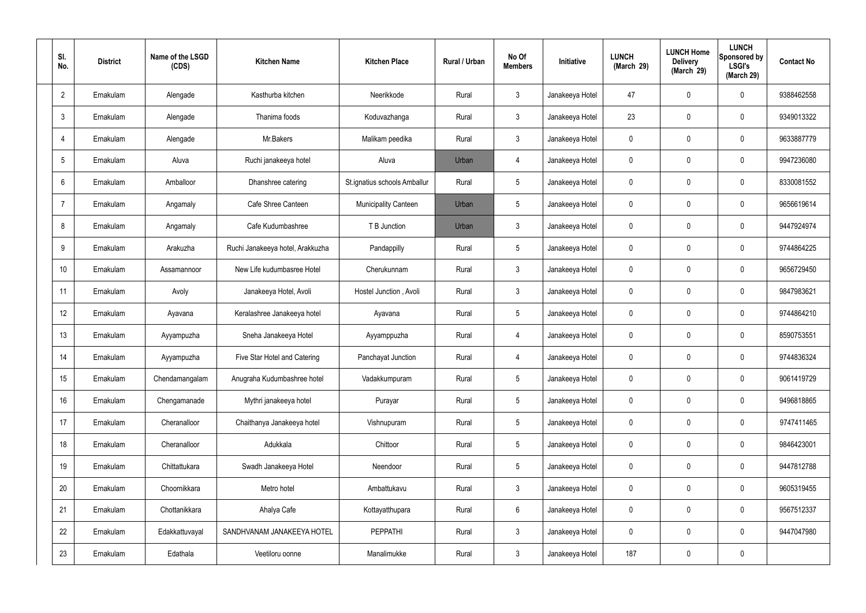| SI.<br>No.      | <b>District</b> | Name of the LSGD<br>(CDS) | <b>Kitchen Name</b>              | <b>Kitchen Place</b>         | Rural / Urban | No Of<br><b>Members</b> | Initiative      | <b>LUNCH</b><br>(March 29) | <b>LUNCH Home</b><br><b>Delivery</b><br>(March 29) | <b>LUNCH</b><br>Sponsored by<br><b>LSGI's</b><br>(March 29) | <b>Contact No</b> |
|-----------------|-----------------|---------------------------|----------------------------------|------------------------------|---------------|-------------------------|-----------------|----------------------------|----------------------------------------------------|-------------------------------------------------------------|-------------------|
| $\overline{2}$  | Ernakulam       | Alengade                  | Kasthurba kitchen                | Neerikkode                   | Rural         | $\mathbf{3}$            | Janakeeya Hotel | 47                         | $\mathbf 0$                                        | 0                                                           | 9388462558        |
| $\mathbf{3}$    | Ernakulam       | Alengade                  | Thanima foods                    | Koduvazhanga                 | Rural         | $\mathbf{3}$            | Janakeeya Hotel | 23                         | $\mathbf 0$                                        | 0                                                           | 9349013322        |
| $\overline{4}$  | Ernakulam       | Alengade                  | Mr.Bakers                        | Malikam peedika              | Rural         | $\mathbf{3}$            | Janakeeya Hotel | 0                          | $\mathbf 0$                                        | 0                                                           | 9633887779        |
| $5\overline{)}$ | Ernakulam       | Aluva                     | Ruchi janakeeya hotel            | Aluva                        | Urban         | $\overline{4}$          | Janakeeya Hotel | $\mathbf 0$                | $\mathbf 0$                                        | 0                                                           | 9947236080        |
| 6               | Ernakulam       | Amballoor                 | Dhanshree catering               | St.ignatius schools Amballur | Rural         | $5\phantom{.0}$         | Janakeeya Hotel | $\mathbf 0$                | $\mathbf 0$                                        | 0                                                           | 8330081552        |
| $\overline{7}$  | Ernakulam       | Angamaly                  | Cafe Shree Canteen               | <b>Municipality Canteen</b>  | Urban         | $5\phantom{.0}$         | Janakeeya Hotel | $\mathbf 0$                | $\mathbf 0$                                        | 0                                                           | 9656619614        |
| 8               | Ernakulam       | Angamaly                  | Cafe Kudumbashree                | T B Junction                 | Urban         | $\mathbf{3}$            | Janakeeya Hotel | 0                          | $\mathbf 0$                                        | 0                                                           | 9447924974        |
| 9               | Ernakulam       | Arakuzha                  | Ruchi Janakeeya hotel, Arakkuzha | Pandappilly                  | Rural         | $5\phantom{.0}$         | Janakeeya Hotel | $\mathbf 0$                | $\mathbf 0$                                        | 0                                                           | 9744864225        |
| 10              | Ernakulam       | Assamannoor               | New Life kudumbasree Hotel       | Cherukunnam                  | Rural         | $\mathbf{3}$            | Janakeeya Hotel | $\mathbf 0$                | $\mathbf 0$                                        | 0                                                           | 9656729450        |
| 11              | Ernakulam       | Avoly                     | Janakeeya Hotel, Avoli           | Hostel Junction, Avoli       | Rural         | $\mathbf{3}$            | Janakeeya Hotel | $\mathbf 0$                | $\mathbf 0$                                        | 0                                                           | 9847983621        |
| 12              | Ernakulam       | Ayavana                   | Keralashree Janakeeya hotel      | Ayavana                      | Rural         | $5\phantom{.0}$         | Janakeeya Hotel | 0                          | 0                                                  | 0                                                           | 9744864210        |
| 13              | Ernakulam       | Ayyampuzha                | Sneha Janakeeya Hotel            | Ayyamppuzha                  | Rural         | $\overline{4}$          | Janakeeya Hotel | $\mathbf 0$                | 0                                                  | 0                                                           | 8590753551        |
| 14              | Ernakulam       | Ayyampuzha                | Five Star Hotel and Catering     | Panchayat Junction           | Rural         | $\overline{4}$          | Janakeeya Hotel | 0                          | $\mathbf 0$                                        | 0                                                           | 9744836324        |
| 15              | Ernakulam       | Chendamangalam            | Anugraha Kudumbashree hotel      | Vadakkumpuram                | Rural         | $5\phantom{.0}$         | Janakeeya Hotel | $\mathbf 0$                | $\mathbf 0$                                        | 0                                                           | 9061419729        |
| 16              | Ernakulam       | Chengamanade              | Mythri janakeeya hotel           | Purayar                      | Rural         | $5\phantom{.0}$         | Janakeeya Hotel | $\mathbf 0$                | $\mathbf 0$                                        | 0                                                           | 9496818865        |
| 17              | Ernakulam       | Cheranalloor              | Chaithanya Janakeeya hotel       | Vishnupuram                  | Rural         | $5\phantom{.0}$         | Janakeeya Hotel | $\mathbf 0$                | $\mathbf 0$                                        | 0                                                           | 9747411465        |
| 18              | Ernakulam       | Cheranalloor              | Adukkala                         | Chittoor                     | Rural         | $5\phantom{.0}$         | Janakeeya Hotel | $\mathbf 0$                | $\pmb{0}$                                          | 0                                                           | 9846423001        |
| 19              | Ernakulam       | Chittattukara             | Swadh Janakeeya Hotel            | Neendoor                     | Rural         | $5\phantom{.0}$         | Janakeeya Hotel | $\mathbf 0$                | $\mathbf 0$                                        | 0                                                           | 9447812788        |
| 20              | Ernakulam       | Choornikkara              | Metro hotel                      | Ambattukavu                  | Rural         | $\mathbf{3}$            | Janakeeya Hotel | $\mathbf 0$                | $\mathbf 0$                                        | 0                                                           | 9605319455        |
| 21              | Ernakulam       | Chottanikkara             | Ahalya Cafe                      | Kottayatthupara              | Rural         | $6\overline{6}$         | Janakeeya Hotel | $\mathbf 0$                | $\mathbf 0$                                        | 0                                                           | 9567512337        |
| 22              | Ernakulam       | Edakkattuvayal            | SANDHVANAM JANAKEEYA HOTEL       | <b>PEPPATHI</b>              | Rural         | $\mathbf{3}$            | Janakeeya Hotel | $\mathbf 0$                | $\mathbf 0$                                        | $\mathbf 0$                                                 | 9447047980        |
| 23              | Ernakulam       | Edathala                  | Veetiloru oonne                  | Manalimukke                  | Rural         | $\mathbf{3}$            | Janakeeya Hotel | 187                        | $\pmb{0}$                                          | 0                                                           |                   |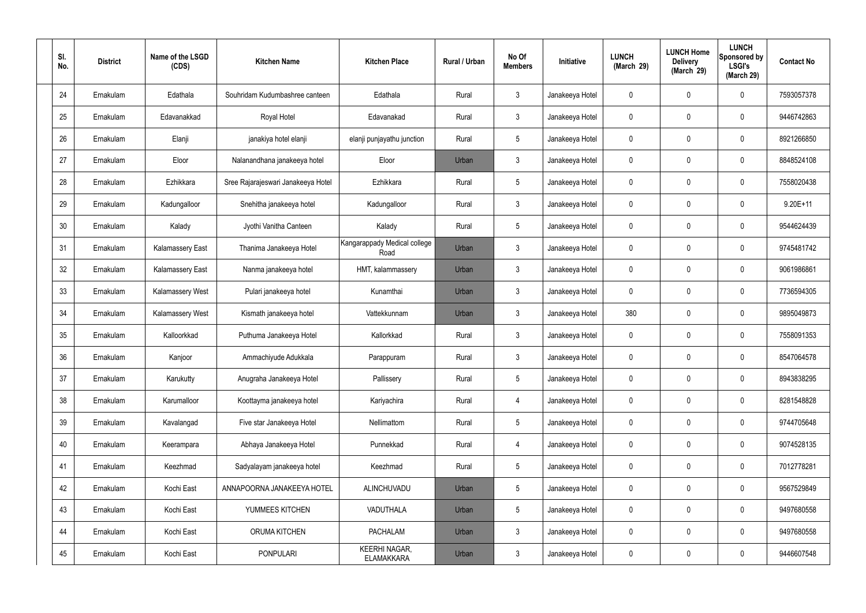| SI.<br>No. | <b>District</b> | Name of the LSGD<br>(CDS) | <b>Kitchen Name</b>                | <b>Kitchen Place</b>                      | Rural / Urban | No Of<br><b>Members</b> | Initiative      | <b>LUNCH</b><br>(March 29) | <b>LUNCH Home</b><br><b>Delivery</b><br>(March 29) | <b>LUNCH</b><br>Sponsored by<br><b>LSGI's</b><br>(March 29) | <b>Contact No</b> |
|------------|-----------------|---------------------------|------------------------------------|-------------------------------------------|---------------|-------------------------|-----------------|----------------------------|----------------------------------------------------|-------------------------------------------------------------|-------------------|
| 24         | Ernakulam       | Edathala                  | Souhridam Kudumbashree canteen     | Edathala                                  | Rural         | $\mathbf{3}$            | Janakeeya Hotel | 0                          | 0                                                  | $\mathbf 0$                                                 | 7593057378        |
| 25         | Ernakulam       | Edavanakkad               | Royal Hotel                        | Edavanakad                                | Rural         | $\mathbf{3}$            | Janakeeya Hotel | $\mathbf 0$                | 0                                                  | $\mathbf 0$                                                 | 9446742863        |
| 26         | Ernakulam       | Elanji                    | janakiya hotel elanji              | elanji punjayathu junction                | Rural         | $5\phantom{.0}$         | Janakeeya Hotel | 0                          | 0                                                  | $\mathbf 0$                                                 | 8921266850        |
| 27         | Ernakulam       | Eloor                     | Nalanandhana janakeeya hotel       | Eloor                                     | Urban         | $\mathbf{3}$            | Janakeeya Hotel | $\mathbf 0$                | 0                                                  | $\mathbf 0$                                                 | 8848524108        |
| 28         | Ernakulam       | Ezhikkara                 | Sree Rajarajeswari Janakeeya Hotel | Ezhikkara                                 | Rural         | $5\phantom{.0}$         | Janakeeya Hotel | 0                          | 0                                                  | $\mathbf 0$                                                 | 7558020438        |
| 29         | Ernakulam       | Kadungalloor              | Snehitha janakeeya hotel           | Kadungalloor                              | Rural         | $\mathfrak{Z}$          | Janakeeya Hotel | $\mathbf 0$                | 0                                                  | $\mathbf 0$                                                 | $9.20E + 11$      |
| 30         | Ernakulam       | Kalady                    | Jyothi Vanitha Canteen             | Kalady                                    | Rural         | $5\phantom{.0}$         | Janakeeya Hotel | $\mathbf 0$                | 0                                                  | $\mathbf 0$                                                 | 9544624439        |
| 31         | Ernakulam       | <b>Kalamassery East</b>   | Thanima Janakeeya Hotel            | Kangarappady Medical college<br>Road      | Urban         | $\mathbf{3}$            | Janakeeya Hotel | $\mathbf 0$                | 0                                                  | $\mathbf 0$                                                 | 9745481742        |
| 32         | Ernakulam       | <b>Kalamassery East</b>   | Nanma janakeeya hotel              | HMT, kalammassery                         | Urban         | $\mathbf{3}$            | Janakeeya Hotel | $\mathbf 0$                | 0                                                  | $\mathbf 0$                                                 | 9061986861        |
| 33         | Ernakulam       | Kalamassery West          | Pulari janakeeya hotel             | Kunamthai                                 | Urban         | $\mathbf{3}$            | Janakeeya Hotel | 0                          | 0                                                  | $\boldsymbol{0}$                                            | 7736594305        |
| 34         | Ernakulam       | Kalamassery West          | Kismath janakeeya hotel            | Vattekkunnam                              | Urban         | $\mathbf{3}$            | Janakeeya Hotel | 380                        | 0                                                  | $\mathbf 0$                                                 | 9895049873        |
| 35         | Ernakulam       | Kalloorkkad               | Puthuma Janakeeya Hotel            | Kallorkkad                                | Rural         | $\mathfrak{Z}$          | Janakeeya Hotel | $\mathbf 0$                | 0                                                  | $\boldsymbol{0}$                                            | 7558091353        |
| 36         | Ernakulam       | Kanjoor                   | Ammachiyude Adukkala               | Parappuram                                | Rural         | $\mathbf{3}$            | Janakeeya Hotel | 0                          | 0                                                  | 0                                                           | 8547064578        |
| 37         | Ernakulam       | Karukutty                 | Anugraha Janakeeya Hotel           | Pallissery                                | Rural         | $5\phantom{.0}$         | Janakeeya Hotel | $\mathbf 0$                | 0                                                  | $\mathbf 0$                                                 | 8943838295        |
| 38         | Ernakulam       | Karumalloor               | Koottayma janakeeya hotel          | Kariyachira                               | Rural         | $\overline{4}$          | Janakeeya Hotel | $\mathbf 0$                | $\mathsf{0}$                                       | $\mathbf 0$                                                 | 8281548828        |
| 39         | Ernakulam       | Kavalangad                | Five star Janakeeya Hotel          | Nellimattom                               | Rural         | $5\phantom{.0}$         | Janakeeya Hotel | $\mathbf 0$                | $\mathbf 0$                                        | $\mathbf 0$                                                 | 9744705648        |
| 40         | Ernakulam       | Keerampara                | Abhaya Janakeeya Hotel             | Punnekkad                                 | Rural         | $\overline{4}$          | Janakeeya Hotel | $\mathbf 0$                | $\mathsf{0}$                                       | $\mathbf 0$                                                 | 9074528135        |
| 41         | Ernakulam       | Keezhmad                  | Sadyalayam janakeeya hotel         | Keezhmad                                  | Rural         | $5\phantom{.0}$         | Janakeeya Hotel | $\mathbf 0$                | $\mathbf 0$                                        | $\mathbf 0$                                                 | 7012778281        |
| 42         | Ernakulam       | Kochi East                | ANNAPOORNA JANAKEEYA HOTEL         | ALINCHUVADU                               | Urban         | $5\phantom{.0}$         | Janakeeya Hotel | $\mathbf 0$                | $\mathbf 0$                                        | $\mathbf 0$                                                 | 9567529849        |
| 43         | Ernakulam       | Kochi East                | YUMMEES KITCHEN                    | VADUTHALA                                 | Urban         | $5\phantom{.0}$         | Janakeeya Hotel | $\mathbf 0$                | $\mathbf 0$                                        | $\mathbf 0$                                                 | 9497680558        |
| 44         | Ernakulam       | Kochi East                | ORUMA KITCHEN                      | <b>PACHALAM</b>                           | Urban         | $\mathfrak{Z}$          | Janakeeya Hotel | $\pmb{0}$                  | 0                                                  | $\mathbf 0$                                                 | 9497680558        |
| 45         | Ernakulam       | Kochi East                | <b>PONPULARI</b>                   | <b>KEERHI NAGAR,</b><br><b>ELAMAKKARA</b> | Urban         | $\mathbf{3}$            | Janakeeya Hotel | 0                          | 0                                                  | $\boldsymbol{0}$                                            | 9446607548        |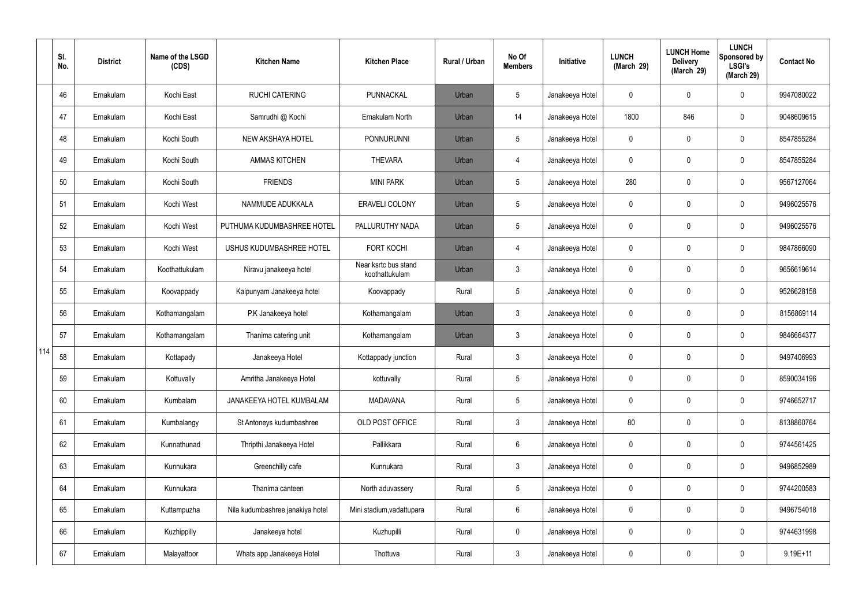|     | SI.<br>No. | <b>District</b> | Name of the LSGD<br>(CDS) | <b>Kitchen Name</b>              | <b>Kitchen Place</b>                   | <b>Rural / Urban</b> | No Of<br><b>Members</b> | Initiative      | <b>LUNCH</b><br>(March 29) | <b>LUNCH Home</b><br><b>Delivery</b><br>(March 29) | <b>LUNCH</b><br>Sponsored by<br><b>LSGI's</b><br>(March 29) | <b>Contact No</b> |
|-----|------------|-----------------|---------------------------|----------------------------------|----------------------------------------|----------------------|-------------------------|-----------------|----------------------------|----------------------------------------------------|-------------------------------------------------------------|-------------------|
|     | 46         | Ernakulam       | Kochi East                | <b>RUCHI CATERING</b>            | PUNNACKAL                              | Urban                | 5                       | Janakeeya Hotel | 0                          | 0                                                  | $\mathbf 0$                                                 | 9947080022        |
|     | 47         | Ernakulam       | Kochi East                | Samrudhi @ Kochi                 | Ernakulam North                        | Urban                | 14                      | Janakeeya Hotel | 1800                       | 846                                                | $\boldsymbol{0}$                                            | 9048609615        |
|     | 48         | Ernakulam       | Kochi South               | NEW AKSHAYA HOTEL                | <b>PONNURUNNI</b>                      | Urban                | 5                       | Janakeeya Hotel | 0                          | 0                                                  | $\mathbf 0$                                                 | 8547855284        |
|     | 49         | Ernakulam       | Kochi South               | <b>AMMAS KITCHEN</b>             | <b>THEVARA</b>                         | Urban                | $\overline{4}$          | Janakeeya Hotel | 0                          | 0                                                  | $\boldsymbol{0}$                                            | 8547855284        |
|     | 50         | Ernakulam       | Kochi South               | <b>FRIENDS</b>                   | <b>MINI PARK</b>                       | Urban                | 5                       | Janakeeya Hotel | 280                        | 0                                                  | $\mathbf 0$                                                 | 9567127064        |
|     | 51         | Ernakulam       | Kochi West                | NAMMUDE ADUKKALA                 | <b>ERAVELI COLONY</b>                  | Urban                | 5                       | Janakeeya Hotel | 0                          | 0                                                  | $\mathbf 0$                                                 | 9496025576        |
|     | 52         | Ernakulam       | Kochi West                | PUTHUMA KUDUMBASHREE HOTEL       | PALLURUTHY NADA                        | Urban                | 5                       | Janakeeya Hotel | 0                          | 0                                                  | $\mathbf 0$                                                 | 9496025576        |
|     | 53         | Ernakulam       | Kochi West                | USHUS KUDUMBASHREE HOTEL         | <b>FORT KOCHI</b>                      | Urban                | $\overline{4}$          | Janakeeya Hotel | 0                          | 0                                                  | $\mathbf 0$                                                 | 9847866090        |
|     | 54         | Ernakulam       | Koothattukulam            | Niravu janakeeya hotel           | Near ksrtc bus stand<br>koothattukulam | Urban                | $\mathbf{3}$            | Janakeeya Hotel | 0                          | 0                                                  | $\mathbf 0$                                                 | 9656619614        |
|     | 55         | Ernakulam       | Koovappady                | Kaipunyam Janakeeya hotel        | Koovappady                             | Rural                | 5                       | Janakeeya Hotel | 0                          | 0                                                  | $\pmb{0}$                                                   | 9526628158        |
|     | 56         | Ernakulam       | Kothamangalam             | P.K Janakeeya hotel              | Kothamangalam                          | Urban                | $\mathbf{3}$            | Janakeeya Hotel | 0                          | 0                                                  | $\boldsymbol{0}$                                            | 8156869114        |
|     | 57         | Ernakulam       | Kothamangalam             | Thanima catering unit            | Kothamangalam                          | Urban                | $\mathbf{3}$            | Janakeeya Hotel | 0                          | 0                                                  | $\boldsymbol{0}$                                            | 9846664377        |
| 114 | 58         | Ernakulam       | Kottapady                 | Janakeeya Hotel                  | Kottappady junction                    | Rural                | $\mathbf{3}$            | Janakeeya Hotel | 0                          | 0                                                  | $\mathbf 0$                                                 | 9497406993        |
|     | 59         | Ernakulam       | Kottuvally                | Amritha Janakeeya Hotel          | kottuvally                             | Rural                | 5                       | Janakeeya Hotel | 0                          | 0                                                  | $\mathbf 0$                                                 | 8590034196        |
|     | 60         | Ernakulam       | Kumbalam                  | JANAKEEYA HOTEL KUMBALAM         | <b>MADAVANA</b>                        | Rural                | 5                       | Janakeeya Hotel | 0                          | 0                                                  | $\mathbf 0$                                                 | 9746652717        |
|     | 61         | Ernakulam       | Kumbalangy                | St Antoneys kudumbashree         | OLD POST OFFICE                        | Rural                | $\mathbf{3}$            | Janakeeya Hotel | 80                         | 0                                                  | $\mathbf 0$                                                 | 8138860764        |
|     | 62         | Ernakulam       | Kunnathunad               | Thripthi Janakeeya Hotel         | Pallikkara                             | Rural                | 6                       | Janakeeya Hotel | 0                          | 0                                                  | $\pmb{0}$                                                   | 9744561425        |
|     | 63         | Ernakulam       | Kunnukara                 | Greenchilly cafe                 | Kunnukara                              | Rural                | $\mathbf{3}$            | Janakeeya Hotel | 0                          | 0                                                  | $\mathbf 0$                                                 | 9496852989        |
|     | 64         | Ernakulam       | Kunnukara                 | Thanima canteen                  | North aduvassery                       | Rural                | 5                       | Janakeeya Hotel | 0                          | 0                                                  | $\pmb{0}$                                                   | 9744200583        |
|     | 65         | Ernakulam       | Kuttampuzha               | Nila kudumbashree janakiya hotel | Mini stadium, vadattupara              | Rural                | $6\phantom{.}6$         | Janakeeya Hotel | 0                          | 0                                                  | $\pmb{0}$                                                   | 9496754018        |
|     | 66         | Ernakulam       | Kuzhippilly               | Janakeeya hotel                  | Kuzhupilli                             | Rural                | $\mathbf 0$             | Janakeeya Hotel | 0                          | 0                                                  | $\mathbf 0$                                                 | 9744631998        |
|     | 67         | Ernakulam       | Malayattoor               | Whats app Janakeeya Hotel        | Thottuva                               | Rural                | $\mathfrak{Z}$          | Janakeeya Hotel | 0                          | 0                                                  | $\pmb{0}$                                                   | $9.19E + 11$      |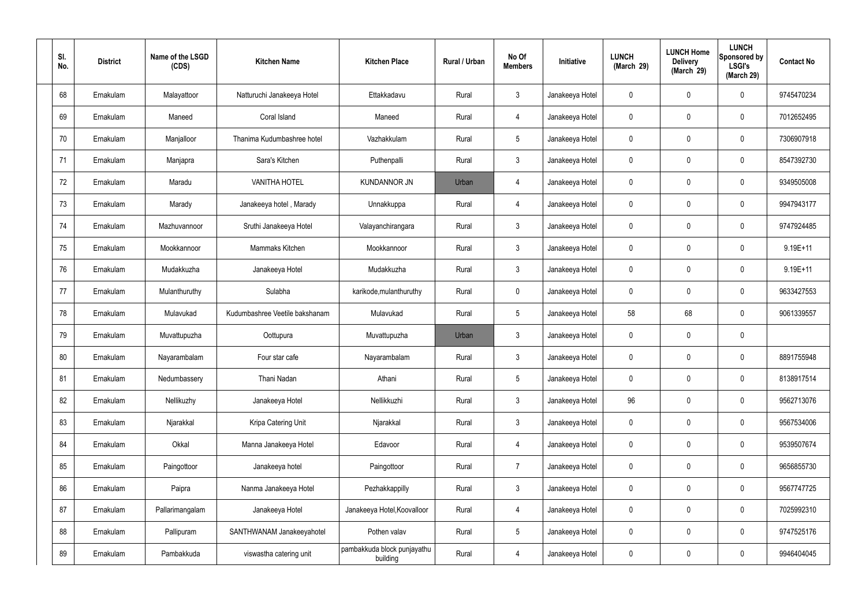| SI.<br>No. | <b>District</b> | Name of the LSGD<br>(CDS) | <b>Kitchen Name</b>            | <b>Kitchen Place</b>                    | Rural / Urban | No Of<br><b>Members</b> | Initiative      | <b>LUNCH</b><br>(March 29) | <b>LUNCH Home</b><br><b>Delivery</b><br>(March 29) | <b>LUNCH</b><br>Sponsored by<br><b>LSGI's</b><br>(March 29) | <b>Contact No</b> |
|------------|-----------------|---------------------------|--------------------------------|-----------------------------------------|---------------|-------------------------|-----------------|----------------------------|----------------------------------------------------|-------------------------------------------------------------|-------------------|
| 68         | Ernakulam       | Malayattoor               | Natturuchi Janakeeya Hotel     | Ettakkadavu                             | Rural         | $\mathbf{3}$            | Janakeeya Hotel | 0                          | 0                                                  | $\mathbf 0$                                                 | 9745470234        |
| 69         | Ernakulam       | Maneed                    | Coral Island                   | Maneed                                  | Rural         | $\overline{4}$          | Janakeeya Hotel | $\mathbf 0$                | 0                                                  | $\mathbf 0$                                                 | 7012652495        |
| 70         | Ernakulam       | Manjalloor                | Thanima Kudumbashree hotel     | Vazhakkulam                             | Rural         | $5\phantom{.0}$         | Janakeeya Hotel | 0                          | 0                                                  | $\mathbf 0$                                                 | 7306907918        |
| 71         | Ernakulam       | Manjapra                  | Sara's Kitchen                 | Puthenpalli                             | Rural         | $\mathbf{3}$            | Janakeeya Hotel | 0                          | 0                                                  | $\mathbf 0$                                                 | 8547392730        |
| 72         | Ernakulam       | Maradu                    | <b>VANITHA HOTEL</b>           | <b>KUNDANNOR JN</b>                     | Urban         | $\overline{4}$          | Janakeeya Hotel | 0                          | 0                                                  | $\mathbf 0$                                                 | 9349505008        |
| 73         | Ernakulam       | Marady                    | Janakeeya hotel, Marady        | Unnakkuppa                              | Rural         | $\overline{4}$          | Janakeeya Hotel | $\mathbf 0$                | 0                                                  | $\boldsymbol{0}$                                            | 9947943177        |
| 74         | Ernakulam       | Mazhuvannoor              | Sruthi Janakeeya Hotel         | Valayanchirangara                       | Rural         | $\mathbf{3}$            | Janakeeya Hotel | 0                          | 0                                                  | $\mathbf 0$                                                 | 9747924485        |
| 75         | Ernakulam       | Mookkannoor               | Mammaks Kitchen                | Mookkannoor                             | Rural         | $\mathbf{3}$            | Janakeeya Hotel | $\mathbf 0$                | 0                                                  | $\boldsymbol{0}$                                            | 9.19E+11          |
| 76         | Ernakulam       | Mudakkuzha                | Janakeeya Hotel                | Mudakkuzha                              | Rural         | $\mathbf{3}$            | Janakeeya Hotel | $\mathbf 0$                | 0                                                  | $\mathbf 0$                                                 | $9.19E + 11$      |
| 77         | Ernakulam       | Mulanthuruthy             | Sulabha                        | karikode, mulanthuruthy                 | Rural         | $\mathbf 0$             | Janakeeya Hotel | $\mathbf 0$                | 0                                                  | $\mathbf 0$                                                 | 9633427553        |
| 78         | Ernakulam       | Mulavukad                 | Kudumbashree Veetile bakshanam | Mulavukad                               | Rural         | $5\phantom{.0}$         | Janakeeya Hotel | 58                         | 68                                                 | $\mathbf 0$                                                 | 9061339557        |
| 79         | Ernakulam       | Muvattupuzha              | Oottupura                      | Muvattupuzha                            | Urban         | $\mathbf{3}$            | Janakeeya Hotel | $\mathbf 0$                | 0                                                  | $\mathbf 0$                                                 |                   |
| 80         | Ernakulam       | Nayarambalam              | Four star cafe                 | Nayarambalam                            | Rural         | $\mathbf{3}$            | Janakeeya Hotel | 0                          | 0                                                  | 0                                                           | 8891755948        |
| 81         | Ernakulam       | Nedumbassery              | Thani Nadan                    | Athani                                  | Rural         | $\sqrt{5}$              | Janakeeya Hotel | $\mathbf 0$                | $\mathbf 0$                                        | $\mathbf 0$                                                 | 8138917514        |
| 82         | Ernakulam       | Nellikuzhy                | Janakeeya Hotel                | Nellikkuzhi                             | Rural         | 3 <sup>1</sup>          | Janakeeya Hotel | 96                         | 0                                                  | $\mathbf 0$                                                 | 9562713076        |
| 83         | Ernakulam       | Njarakkal                 | Kripa Catering Unit            | Njarakkal                               | Rural         | $\mathbf{3}$            | Janakeeya Hotel | $\pmb{0}$                  | 0                                                  | $\mathbf 0$                                                 | 9567534006        |
| 84         | Ernakulam       | Okkal                     | Manna Janakeeya Hotel          | Edavoor                                 | Rural         | $\overline{4}$          | Janakeeya Hotel | $\pmb{0}$                  | 0                                                  | $\mathbf 0$                                                 | 9539507674        |
| 85         | Ernakulam       | Paingottoor               | Janakeeya hotel                | Paingottoor                             | Rural         | $\overline{7}$          | Janakeeya Hotel | 0                          | 0                                                  | $\mathbf 0$                                                 | 9656855730        |
| 86         | Ernakulam       | Paipra                    | Nanma Janakeeya Hotel          | Pezhakkappilly                          | Rural         | $\mathfrak{Z}$          | Janakeeya Hotel | $\pmb{0}$                  | 0                                                  | $\mathbf 0$                                                 | 9567747725        |
| 87         | Ernakulam       | Pallarimangalam           | Janakeeya Hotel                | Janakeeya Hotel, Koovalloor             | Rural         | $\overline{4}$          | Janakeeya Hotel | 0                          | 0                                                  | $\mathbf 0$                                                 | 7025992310        |
| 88         | Ernakulam       | Pallipuram                | SANTHWANAM Janakeeyahotel      | Pothen valav                            | Rural         | $5\,$                   | Janakeeya Hotel | $\mathbf 0$                | 0                                                  | $\mathbf 0$                                                 | 9747525176        |
| 89         | Ernakulam       | Pambakkuda                | viswastha catering unit        | pambakkuda block punjayathu<br>building | Rural         | 4                       | Janakeeya Hotel | 0                          | 0                                                  | $\mathbf 0$                                                 | 9946404045        |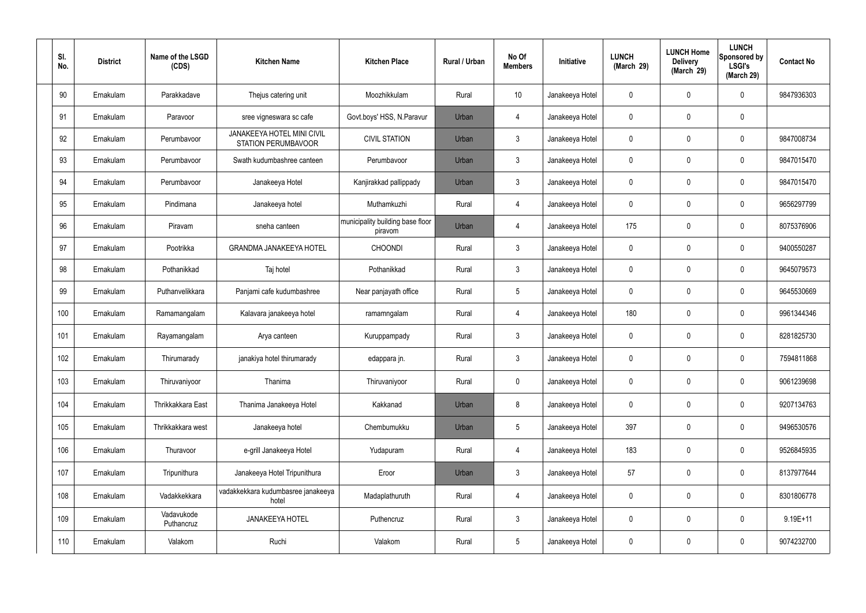| SI.<br>No. | <b>District</b> | Name of the LSGD<br>(CDS) | <b>Kitchen Name</b>                                      | <b>Kitchen Place</b>                        | Rural / Urban | No Of<br><b>Members</b> | Initiative      | <b>LUNCH</b><br>(March 29) | <b>LUNCH Home</b><br><b>Delivery</b><br>(March 29) | <b>LUNCH</b><br>Sponsored by<br><b>LSGI's</b><br>(March 29) | <b>Contact No</b> |
|------------|-----------------|---------------------------|----------------------------------------------------------|---------------------------------------------|---------------|-------------------------|-----------------|----------------------------|----------------------------------------------------|-------------------------------------------------------------|-------------------|
| 90         | Ernakulam       | Parakkadave               | Thejus catering unit                                     | Moozhikkulam                                | Rural         | 10                      | Janakeeya Hotel | $\mathbf 0$                | $\mathbf 0$                                        | 0                                                           | 9847936303        |
| 91         | Ernakulam       | Paravoor                  | sree vigneswara sc cafe                                  | Govt.boys' HSS, N.Paravur                   | Urban         | 4                       | Janakeeya Hotel | $\mathbf 0$                | $\mathbf 0$                                        | 0                                                           |                   |
| 92         | Ernakulam       | Perumbavoor               | <b>JANAKEEYA HOTEL MINI CIVIL</b><br>STATION PERUMBAVOOR | <b>CIVIL STATION</b>                        | Urban         | $\mathbf{3}$            | Janakeeya Hotel | $\mathbf 0$                | $\mathbf 0$                                        | 0                                                           | 9847008734        |
| 93         | Ernakulam       | Perumbavoor               | Swath kudumbashree canteen                               | Perumbavoor                                 | Urban         | $\mathbf{3}$            | Janakeeya Hotel | $\mathbf 0$                | $\mathbf 0$                                        | 0                                                           | 9847015470        |
| 94         | Ernakulam       | Perumbavoor               | Janakeeya Hotel                                          | Kanjirakkad pallippady                      | Urban         | $\mathbf{3}$            | Janakeeya Hotel | 0                          | $\mathbf 0$                                        | 0                                                           | 9847015470        |
| 95         | Ernakulam       | Pindimana                 | Janakeeya hotel                                          | Muthamkuzhi                                 | Rural         | $\overline{4}$          | Janakeeya Hotel | $\mathbf 0$                | $\mathbf 0$                                        | 0                                                           | 9656297799        |
| 96         | Ernakulam       | Piravam                   | sneha canteen                                            | municipality building base floor<br>piravom | Urban         | $\overline{4}$          | Janakeeya Hotel | 175                        | 0                                                  | 0                                                           | 8075376906        |
| 97         | Ernakulam       | Pootrikka                 | <b>GRANDMA JANAKEEYA HOTEL</b>                           | <b>CHOONDI</b>                              | Rural         | $\mathbf{3}$            | Janakeeya Hotel | $\mathbf 0$                | $\mathbf 0$                                        | 0                                                           | 9400550287        |
| 98         | Ernakulam       | Pothanikkad               | Taj hotel                                                | Pothanikkad                                 | Rural         | $\mathbf{3}$            | Janakeeya Hotel | $\mathbf 0$                | $\mathbf 0$                                        | 0                                                           | 9645079573        |
| 99         | Ernakulam       | Puthanvelikkara           | Panjami cafe kudumbashree                                | Near panjayath office                       | Rural         | $5\phantom{.0}$         | Janakeeya Hotel | $\mathbf 0$                | $\mathbf 0$                                        | 0                                                           | 9645530669        |
| 100        | Ernakulam       | Ramamangalam              | Kalavara janakeeya hotel                                 | ramamngalam                                 | Rural         | $\overline{4}$          | Janakeeya Hotel | 180                        | $\boldsymbol{0}$                                   | 0                                                           | 9961344346        |
| 101        | Ernakulam       | Rayamangalam              | Arya canteen                                             | Kuruppampady                                | Rural         | $\mathbf{3}$            | Janakeeya Hotel | $\mathbf 0$                | $\mathbf 0$                                        | 0                                                           | 8281825730        |
| 102        | Ernakulam       | Thirumarady               | janakiya hotel thirumarady                               | edappara jn.                                | Rural         | $\mathbf{3}$            | Janakeeya Hotel | 0                          | $\mathbf 0$                                        | 0                                                           | 7594811868        |
| 103        | Ernakulam       | Thiruvaniyoor             | Thanima                                                  | Thiruvaniyoor                               | Rural         | $\pmb{0}$               | Janakeeya Hotel | $\mathbf 0$                | $\pmb{0}$                                          | 0                                                           | 9061239698        |
| 104        | Ernakulam       | Thrikkakkara East         | Thanima Janakeeya Hotel                                  | Kakkanad                                    | Urban         | 8                       | Janakeeya Hotel | $\mathbf 0$                | $\boldsymbol{0}$                                   | 0                                                           | 9207134763        |
| 105        | Ernakulam       | Thrikkakkara west         | Janakeeya hotel                                          | Chembumukku                                 | Urban         | $5\phantom{.0}$         | Janakeeya Hotel | 397                        | $\pmb{0}$                                          | 0                                                           | 9496530576        |
| 106        | Ernakulam       | Thuravoor                 | e-grill Janakeeya Hotel                                  | Yudapuram                                   | Rural         | $\overline{4}$          | Janakeeya Hotel | 183                        | $\pmb{0}$                                          | 0                                                           | 9526845935        |
| 107        | Ernakulam       | Tripunithura              | Janakeeya Hotel Tripunithura                             | Eroor                                       | Urban         | $\mathbf{3}$            | Janakeeya Hotel | 57                         | $\mathbf 0$                                        | 0                                                           | 8137977644        |
| 108        | Ernakulam       | Vadakkekkara              | vadakkekkara kudumbasree janakeeya<br>hotel              | Madaplathuruth                              | Rural         | $\overline{4}$          | Janakeeya Hotel | $\mathbf 0$                | $\pmb{0}$                                          | 0                                                           | 8301806778        |
| 109        | Ernakulam       | Vadavukode<br>Puthancruz  | JANAKEEYA HOTEL                                          | Puthencruz                                  | Rural         | $\mathbf{3}$            | Janakeeya Hotel | $\mathbf 0$                | $\boldsymbol{0}$                                   | 0                                                           | $9.19E + 11$      |
| 110        | Ernakulam       | Valakom                   | Ruchi                                                    | Valakom                                     | Rural         | $\overline{5}$          | Janakeeya Hotel | $\overline{0}$             | $\boldsymbol{0}$                                   | 0                                                           | 9074232700        |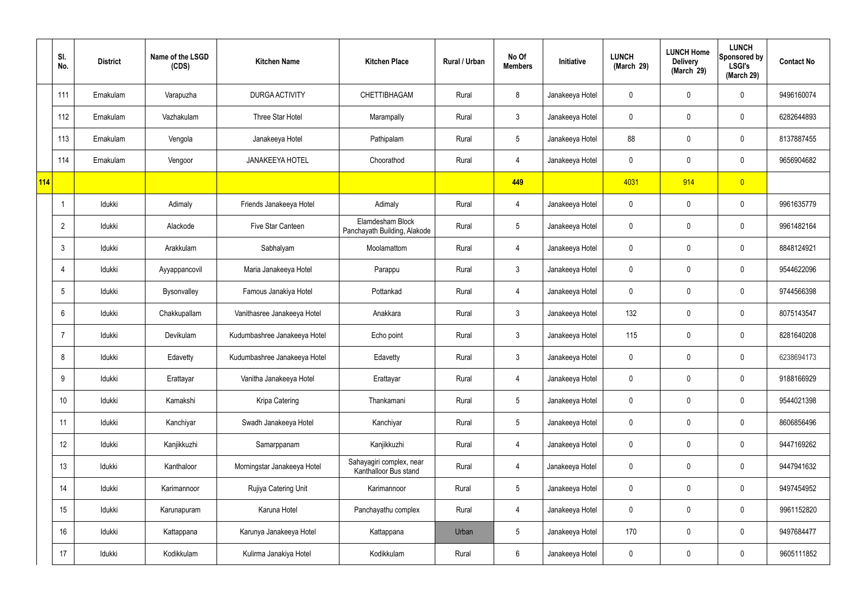|     | SI.<br>No.     | <b>District</b> | Name of the LSGD<br>(CDS) | <b>Kitchen Name</b>          | <b>Kitchen Place</b>                              | Rural / Urban | No Of<br><b>Members</b> | Initiative      | <b>LUNCH</b><br>(March 29) | <b>LUNCH Home</b><br><b>Delivery</b><br>(March 29) | <b>LUNCH</b><br>Sponsored by<br><b>LSGI's</b><br>(March 29) | <b>Contact No</b> |
|-----|----------------|-----------------|---------------------------|------------------------------|---------------------------------------------------|---------------|-------------------------|-----------------|----------------------------|----------------------------------------------------|-------------------------------------------------------------|-------------------|
|     | 111            | Ernakulam       | Varapuzha                 | DURGA ACTIVITY               | CHETTIBHAGAM                                      | Rural         | 8                       | Janakeeya Hotel | 0                          | $\mathbf 0$                                        | $\mathbf 0$                                                 | 9496160074        |
|     | 112            | Ernakulam       | Vazhakulam                | Three Star Hotel             | Marampally                                        | Rural         | $\mathbf{3}$            | Janakeeya Hotel | 0                          | $\mathbf 0$                                        | $\mathbf 0$                                                 | 6282644893        |
|     | 113            | Ernakulam       | Vengola                   | Janakeeya Hotel              | Pathipalam                                        | Rural         | $5\overline{)}$         | Janakeeya Hotel | 88                         | $\mathbf 0$                                        | $\mathbf 0$                                                 | 8137887455        |
|     | 114            | Ernakulam       | Vengoor                   | <b>JANAKEEYA HOTEL</b>       | Choorathod                                        | Rural         | $\overline{4}$          | Janakeeya Hotel | 0                          | $\mathbf 0$                                        | $\mathbf 0$                                                 | 9656904682        |
| 114 |                |                 |                           |                              |                                                   |               | 449                     |                 | 4031                       | 914                                                | $\overline{0}$                                              |                   |
|     |                | Idukki          | Adimaly                   | Friends Janakeeya Hotel      | Adimaly                                           | Rural         | $\overline{4}$          | Janakeeya Hotel | 0                          | $\mathbf 0$                                        | $\mathbf 0$                                                 | 9961635779        |
|     | $\overline{2}$ | Idukki          | Alackode                  | Five Star Canteen            | Elamdesham Block<br>Panchayath Building, Alakode  | Rural         | $5\overline{)}$         | Janakeeya Hotel | 0                          | $\mathbf 0$                                        | $\mathbf 0$                                                 | 9961482164        |
|     | 3              | Idukki          | Arakkulam                 | Sabhalyam                    | Moolamattom                                       | Rural         | $\overline{4}$          | Janakeeya Hotel | 0                          | $\mathbf 0$                                        | $\mathbf 0$                                                 | 8848124921        |
|     | $\overline{4}$ | Idukki          | Ayyappancovil             | Maria Janakeeya Hotel        | Parappu                                           | Rural         | $\mathbf{3}$            | Janakeeya Hotel | 0                          | $\mathbf 0$                                        | $\mathbf 0$                                                 | 9544622096        |
|     | 5              | Idukki          | Bysonvalley               | Famous Janakiya Hotel        | Pottankad                                         | Rural         | 4                       | Janakeeya Hotel | 0                          | 0                                                  | $\mathbf 0$                                                 | 9744566398        |
|     | 6              | Idukki          | Chakkupallam              | Vanithasree Janakeeya Hotel  | Anakkara                                          | Rural         | $\mathbf{3}$            | Janakeeya Hotel | 132                        | 0                                                  | $\mathbf 0$                                                 | 8075143547        |
|     |                | Idukki          | Devikulam                 | Kudumbashree Janakeeya Hotel | Echo point                                        | Rural         | $\mathbf{3}$            | Janakeeya Hotel | 115                        | $\mathbf 0$                                        | $\mathbf 0$                                                 | 8281640208        |
|     | 8              | Idukki          | Edavetty                  | Kudumbashree Janakeeya Hotel | Edavetty                                          | Rural         | $\mathbf{3}$            | Janakeeya Hotel | 0                          | 0                                                  | $\mathbf 0$                                                 | 6238694173        |
|     | 9              | Idukki          | Erattayar                 | Vanitha Janakeeya Hotel      | Erattayar                                         | Rural         | $\overline{4}$          | Janakeeya Hotel | 0                          | $\mathbf 0$                                        | $\mathbf 0$                                                 | 9188166929        |
|     | 10             | Idukki          | Kamakshi                  | Kripa Catering               | Thankamani                                        | Rural         | $5\phantom{.0}$         | Janakeeya Hotel | $\mathbf 0$                | $\mathbf 0$                                        | $\mathbf 0$                                                 | 9544021398        |
|     | 11             | Idukki          | Kanchiyar                 | Swadh Janakeeya Hotel        | Kanchiyar                                         | Rural         | $5\phantom{.0}$         | Janakeeya Hotel | 0                          | $\mathbf 0$                                        | $\mathbf 0$                                                 | 8606856496        |
|     | 12             | Idukki          | Kanjikkuzhi               | Samarppanam                  | Kanjikkuzhi                                       | Rural         | $\overline{4}$          | Janakeeya Hotel | $\mathbf 0$                | 0                                                  | $\mathbf 0$                                                 | 9447169262        |
|     | 13             | Idukki          | Kanthaloor                | Morningstar Janakeeya Hotel  | Sahayagiri complex, near<br>Kanthalloor Bus stand | Rural         | $\overline{4}$          | Janakeeya Hotel | 0                          | 0                                                  | $\mathbf 0$                                                 | 9447941632        |
|     | 14             | Idukki          | Karimannoor               | Rujiya Catering Unit         | Karimannoor                                       | Rural         | $5\overline{)}$         | Janakeeya Hotel | $\mathbf 0$                | 0                                                  | $\mathbf 0$                                                 | 9497454952        |
|     | 15             | Idukki          | Karunapuram               | Karuna Hotel                 | Panchayathu complex                               | Rural         | $\overline{4}$          | Janakeeya Hotel | 0                          | 0                                                  | $\mathbf 0$                                                 | 9961152820        |
|     | 16             | Idukki          | Kattappana                | Karunya Janakeeya Hotel      | Kattappana                                        | Urban         | $5\phantom{.0}$         | Janakeeya Hotel | 170                        | 0                                                  | $\mathbf 0$                                                 | 9497684477        |
|     | 17             | Idukki          | Kodikkulam                | Kulirma Janakiya Hotel       | Kodikkulam                                        | Rural         | $6\phantom{.}6$         | Janakeeya Hotel | 0                          | 0                                                  | $\overline{0}$                                              | 9605111852        |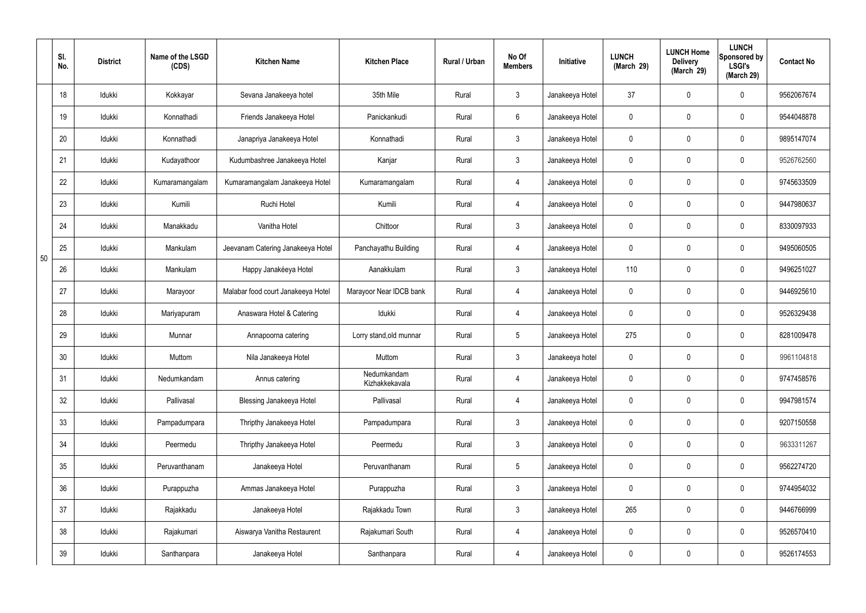|    | SI.<br>No. | <b>District</b> | Name of the LSGD<br>(CDS) | <b>Kitchen Name</b>                | <b>Kitchen Place</b>          | Rural / Urban | No Of<br><b>Members</b> | Initiative      | <b>LUNCH</b><br>(March 29) | <b>LUNCH Home</b><br><b>Delivery</b><br>(March 29) | <b>LUNCH</b><br>Sponsored by<br><b>LSGI's</b><br>(March 29) | <b>Contact No</b> |
|----|------------|-----------------|---------------------------|------------------------------------|-------------------------------|---------------|-------------------------|-----------------|----------------------------|----------------------------------------------------|-------------------------------------------------------------|-------------------|
|    | 18         | Idukki          | Kokkayar                  | Sevana Janakeeya hotel             | 35th Mile                     | Rural         | $\mathbf{3}$            | Janakeeya Hotel | 37                         | $\mathbf 0$                                        | $\mathbf 0$                                                 | 9562067674        |
|    | 19         | Idukki          | Konnathadi                | Friends Janakeeya Hotel            | Panickankudi                  | Rural         | $6\overline{6}$         | Janakeeya Hotel | 0                          | $\mathbf 0$                                        | $\mathbf 0$                                                 | 9544048878        |
|    | 20         | Idukki          | Konnathadi                | Janapriya Janakeeya Hotel          | Konnathadi                    | Rural         | $\mathbf{3}$            | Janakeeya Hotel | 0                          | $\mathbf 0$                                        | $\mathbf 0$                                                 | 9895147074        |
|    | 21         | Idukki          | Kudayathoor               | Kudumbashree Janakeeya Hotel       | Kanjar                        | Rural         | $\mathbf{3}$            | Janakeeya Hotel | 0                          | $\mathbf 0$                                        | $\mathbf 0$                                                 | 9526762560        |
|    | 22         | Idukki          | Kumaramangalam            | Kumaramangalam Janakeeya Hotel     | Kumaramangalam                | Rural         | $\overline{4}$          | Janakeeya Hotel | 0                          | $\mathbf 0$                                        | $\mathbf 0$                                                 | 9745633509        |
|    | 23         | Idukki          | Kumili                    | Ruchi Hotel                        | Kumili                        | Rural         | $\overline{4}$          | Janakeeya Hotel | 0                          | $\mathbf 0$                                        | $\mathbf 0$                                                 | 9447980637        |
|    | 24         | Idukki          | Manakkadu                 | Vanitha Hotel                      | Chittoor                      | Rural         | $\mathbf{3}$            | Janakeeya Hotel | 0                          | $\mathbf 0$                                        | $\mathbf 0$                                                 | 8330097933        |
| 50 | 25         | Idukki          | Mankulam                  | Jeevanam Catering Janakeeya Hotel  | Panchayathu Building          | Rural         | $\overline{4}$          | Janakeeya Hotel | 0                          | $\mathbf 0$                                        | $\mathbf 0$                                                 | 9495060505        |
|    | 26         | Idukki          | Mankulam                  | Happy Janakéeya Hotel              | Aanakkulam                    | Rural         | $\mathbf{3}$            | Janakeeya Hotel | 110                        | $\mathbf 0$                                        | $\mathbf 0$                                                 | 9496251027        |
|    | 27         | Idukki          | Marayoor                  | Malabar food court Janakeeya Hotel | Marayoor Near IDCB bank       | Rural         | 4                       | Janakeeya Hotel | 0                          | $\mathbf 0$                                        | $\mathbf 0$                                                 | 9446925610        |
|    | 28         | Idukki          | Mariyapuram               | Anaswara Hotel & Catering          | Idukki                        | Rural         | 4                       | Janakeeya Hotel | 0                          | 0                                                  | $\mathbf 0$                                                 | 9526329438        |
|    | 29         | Idukki          | Munnar                    | Annapoorna catering                | Lorry stand, old munnar       | Rural         | $5\phantom{.0}$         | Janakeeya Hotel | 275                        | $\mathbf 0$                                        | $\mathbf 0$                                                 | 8281009478        |
|    | 30         | Idukki          | Muttom                    | Nila Janakeeya Hotel               | Muttom                        | Rural         | $\mathbf{3}$            | Janakeeya hotel | 0                          | 0                                                  | $\mathbf 0$                                                 | 9961104818        |
|    | 31         | Idukki          | Nedumkandam               | Annus catering                     | Nedumkandam<br>Kizhakkekavala | Rural         | $\overline{4}$          | Janakeeya Hotel | 0                          | $\mathsf{0}$                                       | $\mathbf 0$                                                 | 9747458576        |
|    | 32         | Idukki          | Pallivasal                | <b>Blessing Janakeeya Hotel</b>    | Pallivasal                    | Rural         | $\overline{4}$          | Janakeeya Hotel | 0                          | $\mathsf{0}$                                       | $\mathbf 0$                                                 | 9947981574        |
|    | 33         | Idukki          | Pampadumpara              | Thripthy Janakeeya Hotel           | Pampadumpara                  | Rural         | $\mathbf{3}$            | Janakeeya Hotel | 0                          | $\mathbf 0$                                        | $\mathbf 0$                                                 | 9207150558        |
|    | 34         | Idukki          | Peermedu                  | Thripthy Janakeeya Hotel           | Peermedu                      | Rural         | $\mathbf{3}$            | Janakeeya Hotel | 0                          | 0                                                  | $\mathbf 0$                                                 | 9633311267        |
|    | 35         | Idukki          | Peruvanthanam             | Janakeeya Hotel                    | Peruvanthanam                 | Rural         | $5\overline{)}$         | Janakeeya Hotel | 0                          | 0                                                  | $\mathbf 0$                                                 | 9562274720        |
|    | 36         | Idukki          | Purappuzha                | Ammas Janakeeya Hotel              | Purappuzha                    | Rural         | $\mathbf{3}$            | Janakeeya Hotel | 0                          | 0                                                  | $\mathbf 0$                                                 | 9744954032        |
|    | 37         | Idukki          | Rajakkadu                 | Janakeeya Hotel                    | Rajakkadu Town                | Rural         | $\mathbf{3}$            | Janakeeya Hotel | 265                        | 0                                                  | $\mathbf 0$                                                 | 9446766999        |
|    | 38         | Idukki          | Rajakumari                | Aiswarya Vanitha Restaurent        | Rajakumari South              | Rural         | $\overline{4}$          | Janakeeya Hotel | $\mathbf 0$                | 0                                                  | $\mathbf 0$                                                 | 9526570410        |
|    | 39         | Idukki          | Santhanpara               | Janakeeya Hotel                    | Santhanpara                   | Rural         | 4                       | Janakeeya Hotel | 0                          | 0                                                  | $\boldsymbol{0}$                                            | 9526174553        |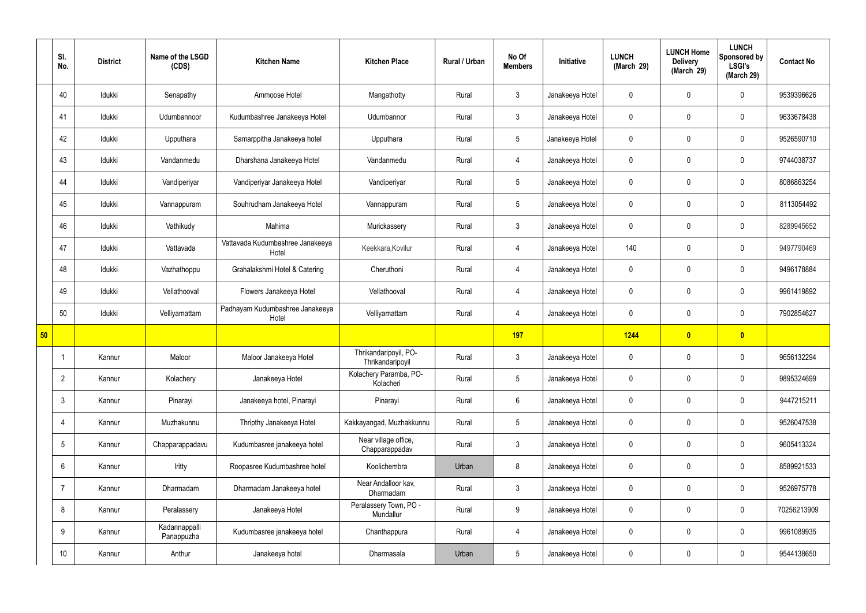|    | SI.<br>No.      | <b>District</b> | Name of the LSGD<br>(CDS)   | <b>Kitchen Name</b>                       | <b>Kitchen Place</b>                      | Rural / Urban | No Of<br><b>Members</b> | Initiative      | <b>LUNCH</b><br>(March 29) | <b>LUNCH Home</b><br><b>Delivery</b><br>(March 29) | <b>LUNCH</b><br>Sponsored by<br><b>LSGI's</b><br>(March 29) | <b>Contact No</b> |
|----|-----------------|-----------------|-----------------------------|-------------------------------------------|-------------------------------------------|---------------|-------------------------|-----------------|----------------------------|----------------------------------------------------|-------------------------------------------------------------|-------------------|
|    | 40              | Idukki          | Senapathy                   | Ammoose Hotel                             | Mangathotty                               | Rural         | 3                       | Janakeeya Hotel | $\mathbf 0$                | $\mathbf 0$                                        | $\mathbf 0$                                                 | 9539396626        |
|    | 41              | Idukki          | Udumbannoor                 | Kudumbashree Janakeeya Hotel              | Udumbannor                                | Rural         | $\mathbf{3}$            | Janakeeya Hotel | $\mathbf 0$                | $\mathbf 0$                                        | $\mathbf 0$                                                 | 9633678438        |
|    | 42              | Idukki          | Upputhara                   | Samarppitha Janakeeya hotel               | Upputhara                                 | Rural         | $5\phantom{.0}$         | Janakeeya Hotel | $\mathbf 0$                | $\mathbf 0$                                        | $\mathbf 0$                                                 | 9526590710        |
|    | 43              | Idukki          | Vandanmedu                  | Dharshana Janakeeya Hotel                 | Vandanmedu                                | Rural         | $\overline{4}$          | Janakeeya Hotel | $\mathbf 0$                | $\mathbf 0$                                        | $\mathbf 0$                                                 | 9744038737        |
|    | 44              | Idukki          | Vandiperiyar                | Vandiperiyar Janakeeya Hotel              | Vandiperiyar                              | Rural         | $5\overline{)}$         | Janakeeya Hotel | $\mathbf 0$                | $\mathbf 0$                                        | $\mathbf 0$                                                 | 8086863254        |
|    | 45              | Idukki          | Vannappuram                 | Souhrudham Janakeeya Hotel                | Vannappuram                               | Rural         | $5\overline{)}$         | Janakeeya Hotel | $\mathbf 0$                | $\mathbf 0$                                        | $\mathbf 0$                                                 | 8113054492        |
|    | 46              | Idukki          | Vathikudy                   | Mahima                                    | Murickassery                              | Rural         | $\mathbf{3}$            | Janakeeya Hotel | $\mathbf 0$                | $\mathbf 0$                                        | $\mathbf 0$                                                 | 8289945652        |
|    | 47              | Idukki          | Vattavada                   | Vattavada Kudumbashree Janakeeya<br>Hotel | Keekkara, Kovilur                         | Rural         | $\overline{4}$          | Janakeeya Hotel | 140                        | $\mathbf 0$                                        | $\mathbf 0$                                                 | 9497790469        |
|    | 48              | Idukki          | Vazhathoppu                 | Grahalakshmi Hotel & Catering             | Cheruthoni                                | Rural         | $\overline{4}$          | Janakeeya Hotel | $\mathbf 0$                | $\mathbf 0$                                        | $\mathbf 0$                                                 | 9496178884        |
|    | 49              | Idukki          | Vellathooval                | Flowers Janakeeya Hotel                   | Vellathooval                              | Rural         | $\overline{4}$          | Janakeeya Hotel | $\mathbf 0$                | $\mathbf 0$                                        | $\mathbf 0$                                                 | 9961419892        |
|    | 50              | Idukki          | Velliyamattam               | Padhayam Kudumbashree Janakeeya<br>Hotel  | Velliyamattam                             | Rural         | $\overline{4}$          | Janakeeya Hotel | $\mathbf 0$                | $\mathbf 0$                                        | $\mathbf 0$                                                 | 7902854627        |
| 50 |                 |                 |                             |                                           |                                           |               | 197                     |                 | 1244                       | $\bullet$                                          | $\overline{\mathbf{0}}$                                     |                   |
|    |                 | Kannur          | Maloor                      | Maloor Janakeeya Hotel                    | Thrikandaripoyil, PO-<br>Thrikandaripoyil | Rural         | $\mathbf{3}$            | Janakeeya Hotel | $\mathbf 0$                | 0                                                  | $\mathbf 0$                                                 | 9656132294        |
|    | $\overline{2}$  | Kannur          | Kolachery                   | Janakeeya Hotel                           | Kolachery Paramba, PO-<br>Kolacheri       | Rural         | $5\phantom{.0}$         | Janakeeya Hotel | $\mathbf 0$                | 0                                                  | $\mathbf 0$                                                 | 9895324699        |
|    | $\mathbf{3}$    | Kannur          | Pinarayi                    | Janakeeya hotel, Pinarayi                 | Pinarayi                                  | Rural         | $6\overline{6}$         | Janakeeya Hotel | $\pmb{0}$                  | $\pmb{0}$                                          | $\mathbf 0$                                                 | 9447215211        |
|    | 4               | Kannur          | Muzhakunnu                  | Thripthy Janakeeya Hotel                  | Kakkayangad, Muzhakkunnu                  | Rural         | $5\overline{)}$         | Janakeeya Hotel | $\pmb{0}$                  | $\mathbf 0$                                        | $\mathbf 0$                                                 | 9526047538        |
|    | $5\phantom{.0}$ | Kannur          | Chapparappadavu             | Kudumbasree janakeeya hotel               | Near village office,<br>Chapparappadav    | Rural         | $\mathbf{3}$            | Janakeeya Hotel | $\pmb{0}$                  | $\pmb{0}$                                          | $\mathbf 0$                                                 | 9605413324        |
|    | 6               | Kannur          | Iritty                      | Roopasree Kudumbashree hotel              | Koolichembra                              | Urban         | 8                       | Janakeeya Hotel | $\pmb{0}$                  | $\mathbf 0$                                        | $\mathbf 0$                                                 | 8589921533        |
|    | $\overline{7}$  | Kannur          | Dharmadam                   | Dharmadam Janakeeya hotel                 | Near Andalloor kav,<br>Dharmadam          | Rural         | $\mathbf{3}$            | Janakeeya Hotel | $\pmb{0}$                  | $\pmb{0}$                                          | $\mathbf 0$                                                 | 9526975778        |
|    | 8               | Kannur          | Peralassery                 | Janakeeya Hotel                           | Peralassery Town, PO -<br>Mundallur       | Rural         | $\boldsymbol{9}$        | Janakeeya Hotel | $\pmb{0}$                  | $\pmb{0}$                                          | $\mathbf 0$                                                 | 70256213909       |
|    | 9               | Kannur          | Kadannappalli<br>Panappuzha | Kudumbasree janakeeya hotel               | Chanthappura                              | Rural         | $\overline{4}$          | Janakeeya Hotel | $\pmb{0}$                  | $\pmb{0}$                                          | $\mathbf 0$                                                 | 9961089935        |
|    | 10 <sup>°</sup> | Kannur          | Anthur                      | Janakeeya hotel                           | Dharmasala                                | Urban         | $5\phantom{.0}$         | Janakeeya Hotel | 0                          | $\pmb{0}$                                          | $\boldsymbol{0}$                                            | 9544138650        |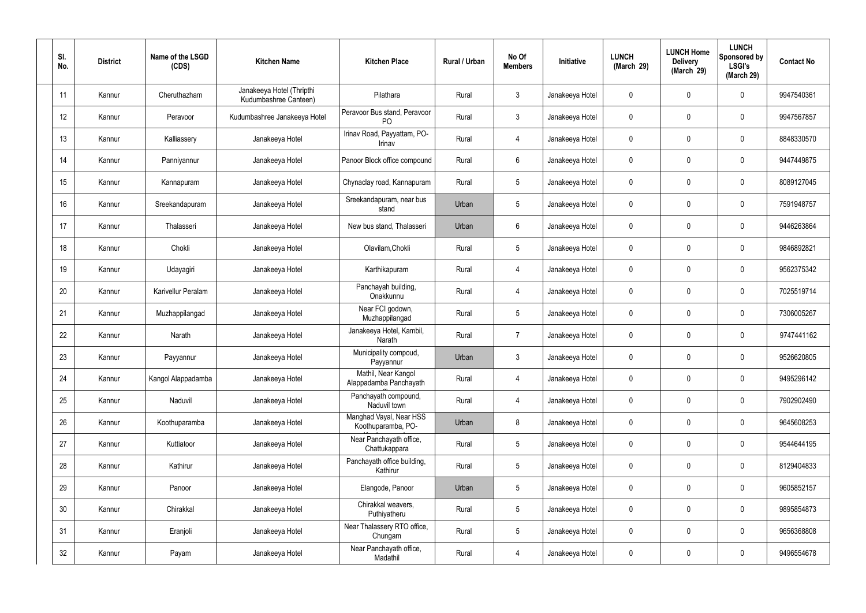| SI.<br>No. | <b>District</b> | Name of the LSGD<br>(CDS) | <b>Kitchen Name</b>                                | <b>Kitchen Place</b>                           | Rural / Urban | No Of<br><b>Members</b> | Initiative      | <b>LUNCH</b><br>(March 29) | <b>LUNCH Home</b><br><b>Delivery</b><br>(March 29) | <b>LUNCH</b><br>Sponsored by<br><b>LSGI's</b><br>(March 29) | <b>Contact No</b> |
|------------|-----------------|---------------------------|----------------------------------------------------|------------------------------------------------|---------------|-------------------------|-----------------|----------------------------|----------------------------------------------------|-------------------------------------------------------------|-------------------|
| 11         | Kannur          | Cheruthazham              | Janakeeya Hotel (Thripthi<br>Kudumbashree Canteen) | Pilathara                                      | Rural         | $\mathbf{3}$            | Janakeeya Hotel | $\mathbf 0$                | 0                                                  | $\mathbf 0$                                                 | 9947540361        |
| 12         | Kannur          | Peravoor                  | Kudumbashree Janakeeya Hotel                       | Peravoor Bus stand, Peravoor<br>P <sub>O</sub> | Rural         | $\mathbf{3}$            | Janakeeya Hotel | $\mathbf 0$                | $\mathbf 0$                                        | $\mathbf 0$                                                 | 9947567857        |
| 13         | Kannur          | Kalliassery               | Janakeeya Hotel                                    | Irinav Road, Payyattam, PO-<br>Irinav          | Rural         | 4                       | Janakeeya Hotel | $\mathbf 0$                | 0                                                  | $\mathbf 0$                                                 | 8848330570        |
| 14         | Kannur          | Panniyannur               | Janakeeya Hotel                                    | Panoor Block office compound                   | Rural         | $6\overline{6}$         | Janakeeya Hotel | $\mathbf 0$                | $\mathbf 0$                                        | $\mathbf 0$                                                 | 9447449875        |
| 15         | Kannur          | Kannapuram                | Janakeeya Hotel                                    | Chynaclay road, Kannapuram                     | Rural         | $5\overline{)}$         | Janakeeya Hotel | $\mathbf 0$                | $\mathbf 0$                                        | $\mathbf 0$                                                 | 8089127045        |
| 16         | Kannur          | Sreekandapuram            | Janakeeya Hotel                                    | Sreekandapuram, near bus<br>stand              | Urban         | $5\phantom{.0}$         | Janakeeya Hotel | $\mathbf 0$                | $\mathbf 0$                                        | $\mathbf 0$                                                 | 7591948757        |
| 17         | Kannur          | Thalasseri                | Janakeeya Hotel                                    | New bus stand, Thalasseri                      | Urban         | $6\overline{6}$         | Janakeeya Hotel | $\mathbf 0$                | $\mathbf 0$                                        | $\mathbf 0$                                                 | 9446263864        |
| 18         | Kannur          | Chokli                    | Janakeeya Hotel                                    | Olavilam, Chokli                               | Rural         | $5\overline{)}$         | Janakeeya Hotel | $\mathbf 0$                | $\mathbf 0$                                        | $\mathbf 0$                                                 | 9846892821        |
| 19         | Kannur          | Udayagiri                 | Janakeeya Hotel                                    | Karthikapuram                                  | Rural         | 4                       | Janakeeya Hotel | $\mathbf 0$                | $\mathbf 0$                                        | $\mathbf 0$                                                 | 9562375342        |
| 20         | Kannur          | Karivellur Peralam        | Janakeeya Hotel                                    | Panchayah building,<br>Onakkunnu               | Rural         | $\overline{4}$          | Janakeeya Hotel | $\mathbf 0$                | $\mathbf 0$                                        | $\mathbf 0$                                                 | 7025519714        |
| 21         | Kannur          | Muzhappilangad            | Janakeeya Hotel                                    | Near FCI godown,<br>Muzhappilangad             | Rural         | $5\overline{)}$         | Janakeeya Hotel | $\mathbf 0$                | $\mathbf 0$                                        | $\mathbf 0$                                                 | 7306005267        |
| 22         | Kannur          | Narath                    | Janakeeya Hotel                                    | Janakeeya Hotel, Kambil,<br>Narath             | Rural         | $\overline{7}$          | Janakeeya Hotel | $\mathbf 0$                | 0                                                  | $\mathbf 0$                                                 | 9747441162        |
| 23         | Kannur          | Payyannur                 | Janakeeya Hotel                                    | Municipality compoud,<br>Payyannur             | Urban         | $\mathbf{3}$            | Janakeeya Hotel | $\mathbf 0$                | $\mathbf 0$                                        | $\mathbf 0$                                                 | 9526620805        |
| 24         | Kannur          | Kangol Alappadamba        | Janakeeya Hotel                                    | Mathil, Near Kangol<br>Alappadamba Panchayath  | Rural         | $\overline{4}$          | Janakeeya Hotel | $\mathbf 0$                | $\pmb{0}$                                          | $\mathbf 0$                                                 | 9495296142        |
| 25         | Kannur          | Naduvil                   | Janakeeya Hotel                                    | Panchayath compound,<br>Naduvil town           | Rural         | $\overline{4}$          | Janakeeya Hotel | $\mathbf 0$                | $\pmb{0}$                                          | $\mathbf 0$                                                 | 7902902490        |
| 26         | Kannur          | Koothuparamba             | Janakeeya Hotel                                    | Manghad Vayal, Near HSS<br>Koothuparamba, PO-  | Urban         | 8                       | Janakeeya Hotel | $\mathbf 0$                | $\mathbf 0$                                        | $\mathbf 0$                                                 | 9645608253        |
| 27         | Kannur          | Kuttiatoor                | Janakeeya Hotel                                    | Near Panchayath office,<br>Chattukappara       | Rural         | $5\overline{)}$         | Janakeeya Hotel | $\mathbf 0$                | $\pmb{0}$                                          | $\mathbf 0$                                                 | 9544644195        |
| 28         | Kannur          | Kathirur                  | Janakeeya Hotel                                    | Panchayath office building,<br>Kathirur        | Rural         | $5\overline{)}$         | Janakeeya Hotel | $\mathbf 0$                | $\pmb{0}$                                          | $\mathbf 0$                                                 | 8129404833        |
| 29         | Kannur          | Panoor                    | Janakeeya Hotel                                    | Elangode, Panoor                               | Urban         | $5\phantom{.0}$         | Janakeeya Hotel | $\mathbf 0$                | $\pmb{0}$                                          | $\mathbf 0$                                                 | 9605852157        |
| 30         | Kannur          | Chirakkal                 | Janakeeya Hotel                                    | Chirakkal weavers,<br>Puthiyatheru             | Rural         | 5 <sup>5</sup>          | Janakeeya Hotel | $\mathbf 0$                | $\pmb{0}$                                          | $\mathbf 0$                                                 | 9895854873        |
| 31         | Kannur          | Eranjoli                  | Janakeeya Hotel                                    | Near Thalassery RTO office,<br>Chungam         | Rural         | $5\phantom{.0}$         | Janakeeya Hotel | $\mathbf 0$                | $\pmb{0}$                                          | $\mathbf 0$                                                 | 9656368808        |
| 32         | Kannur          | Payam                     | Janakeeya Hotel                                    | Near Panchayath office,<br>Madathil            | Rural         | $\overline{4}$          | Janakeeya Hotel | $\pmb{0}$                  | 0                                                  | $\mathbf 0$                                                 | 9496554678        |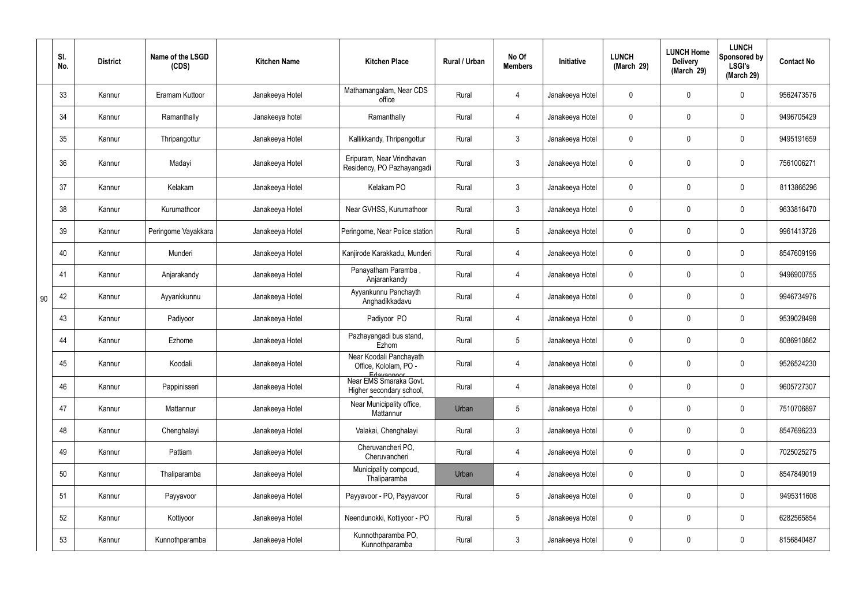|    | SI.<br>No. | <b>District</b> | Name of the LSGD<br>(CDS) | <b>Kitchen Name</b> | <b>Kitchen Place</b>                                           | Rural / Urban | No Of<br><b>Members</b> | Initiative      | <b>LUNCH</b><br>(March 29) | <b>LUNCH Home</b><br><b>Delivery</b><br>(March 29) | <b>LUNCH</b><br>Sponsored by<br><b>LSGI's</b><br>(March 29) | <b>Contact No</b> |
|----|------------|-----------------|---------------------------|---------------------|----------------------------------------------------------------|---------------|-------------------------|-----------------|----------------------------|----------------------------------------------------|-------------------------------------------------------------|-------------------|
|    | 33         | Kannur          | Eramam Kuttoor            | Janakeeya Hotel     | Mathamangalam, Near CDS<br>office                              | Rural         | 4                       | Janakeeya Hotel | $\mathbf 0$                | $\mathbf 0$                                        | $\mathbf 0$                                                 | 9562473576        |
|    | 34         | Kannur          | Ramanthally               | Janakeeya hotel     | Ramanthally                                                    | Rural         | 4                       | Janakeeya Hotel | $\mathbf 0$                | $\mathbf 0$                                        | $\overline{0}$                                              | 9496705429        |
|    | 35         | Kannur          | Thripangottur             | Janakeeya Hotel     | Kallikkandy, Thripangottur                                     | Rural         | $\mathbf{3}$            | Janakeeya Hotel | $\mathbf 0$                | 0                                                  | $\mathbf 0$                                                 | 9495191659        |
|    | 36         | Kannur          | Madayi                    | Janakeeya Hotel     | Eripuram, Near Vrindhavan<br>Residency, PO Pazhayangadi        | Rural         | $\mathbf{3}$            | Janakeeya Hotel | $\mathbf 0$                | 0                                                  | $\mathbf 0$                                                 | 7561006271        |
|    | 37         | Kannur          | Kelakam                   | Janakeeya Hotel     | Kelakam PO                                                     | Rural         | $\mathbf{3}$            | Janakeeya Hotel | $\mathbf 0$                | 0                                                  | $\mathbf 0$                                                 | 8113866296        |
|    | 38         | Kannur          | Kurumathoor               | Janakeeya Hotel     | Near GVHSS, Kurumathoor                                        | Rural         | $\mathbf{3}$            | Janakeeya Hotel | $\pmb{0}$                  | 0                                                  | $\mathbf 0$                                                 | 9633816470        |
|    | 39         | Kannur          | Peringome Vayakkara       | Janakeeya Hotel     | Peringome, Near Police station                                 | Rural         | $5\phantom{.0}$         | Janakeeya Hotel | $\mathbf 0$                | 0                                                  | $\mathbf 0$                                                 | 9961413726        |
|    | 40         | Kannur          | Munderi                   | Janakeeya Hotel     | Kanjirode Karakkadu, Munderi                                   | Rural         | $\overline{4}$          | Janakeeya Hotel | $\pmb{0}$                  | 0                                                  | $\mathbf 0$                                                 | 8547609196        |
|    | 41         | Kannur          | Anjarakandy               | Janakeeya Hotel     | Panayatham Paramba,<br>Anjarankandy                            | Rural         | 4                       | Janakeeya Hotel | $\mathbf 0$                | 0                                                  | $\mathbf 0$                                                 | 9496900755        |
| 90 | 42         | Kannur          | Ayyankkunnu               | Janakeeya Hotel     | Ayyankunnu Panchayth<br>Anghadikkadavu                         | Rural         | $\overline{4}$          | Janakeeya Hotel | $\pmb{0}$                  | 0                                                  | $\mathbf 0$                                                 | 9946734976        |
|    | 43         | Kannur          | Padiyoor                  | Janakeeya Hotel     | Padiyoor PO                                                    | Rural         | 4                       | Janakeeya Hotel | $\mathbf 0$                | 0                                                  | $\mathbf 0$                                                 | 9539028498        |
|    | 44         | Kannur          | Ezhome                    | Janakeeya Hotel     | Pazhayangadi bus stand,<br>Ezhom                               | Rural         | $5\phantom{.0}$         | Janakeeya Hotel | $\pmb{0}$                  | 0                                                  | $\mathbf 0$                                                 | 8086910862        |
|    | 45         | Kannur          | Koodali                   | Janakeeya Hotel     | Near Koodali Panchayath<br>Office, Kololam, PO -<br>Edavannoor | Rural         |                         | Janakeeya Hotel | $\boldsymbol{0}$           | $\mathbf 0$                                        | 0                                                           | 9526524230        |
|    | 46         | Kannur          | Pappinisseri              | Janakeeya Hotel     | Near EMS Smaraka Govt.<br>Higher secondary school,             | Rural         | $\overline{4}$          | Janakeeya Hotel | $\pmb{0}$                  | $\pmb{0}$                                          | $\mathbf 0$                                                 | 9605727307        |
|    | 47         | Kannur          | Mattannur                 | Janakeeya Hotel     | Near Municipality office,<br>Mattannur                         | Urban         | $5\phantom{.0}$         | Janakeeya Hotel | $\pmb{0}$                  | $\pmb{0}$                                          | $\mathbf 0$                                                 | 7510706897        |
|    | 48         | Kannur          | Chenghalayi               | Janakeeya Hotel     | Valakai, Chenghalayi                                           | Rural         | $\mathbf{3}$            | Janakeeya Hotel | $\mathbf 0$                | $\pmb{0}$                                          | $\mathbf 0$                                                 | 8547696233        |
|    | 49         | Kannur          | Pattiam                   | Janakeeya Hotel     | Cheruvancheri PO,<br>Cheruvancheri                             | Rural         | $\overline{4}$          | Janakeeya Hotel | $\pmb{0}$                  | $\pmb{0}$                                          | $\mathbf 0$                                                 | 7025025275        |
|    | 50         | Kannur          | Thaliparamba              | Janakeeya Hotel     | Municipality compoud,<br>Thaliparamba                          | Urban         | $\overline{4}$          | Janakeeya Hotel | $\mathbf 0$                | $\pmb{0}$                                          | $\mathbf 0$                                                 | 8547849019        |
|    | 51         | Kannur          | Payyavoor                 | Janakeeya Hotel     | Payyavoor - PO, Payyavoor                                      | Rural         | $5\phantom{.0}$         | Janakeeya Hotel | $\mathbf 0$                | $\pmb{0}$                                          | $\mathbf 0$                                                 | 9495311608        |
|    | 52         | Kannur          | Kottiyoor                 | Janakeeya Hotel     | Neendunokki, Kottiyoor - PO                                    | Rural         | $5\overline{)}$         | Janakeeya Hotel | $\mathbf 0$                | $\pmb{0}$                                          | $\mathbf 0$                                                 | 6282565854        |
|    | 53         | Kannur          | Kunnothparamba            | Janakeeya Hotel     | Kunnothparamba PO,<br>Kunnothparamba                           | Rural         | 3 <sup>5</sup>          | Janakeeya Hotel | $\mathbf 0$                | 0                                                  | $\boldsymbol{0}$                                            | 8156840487        |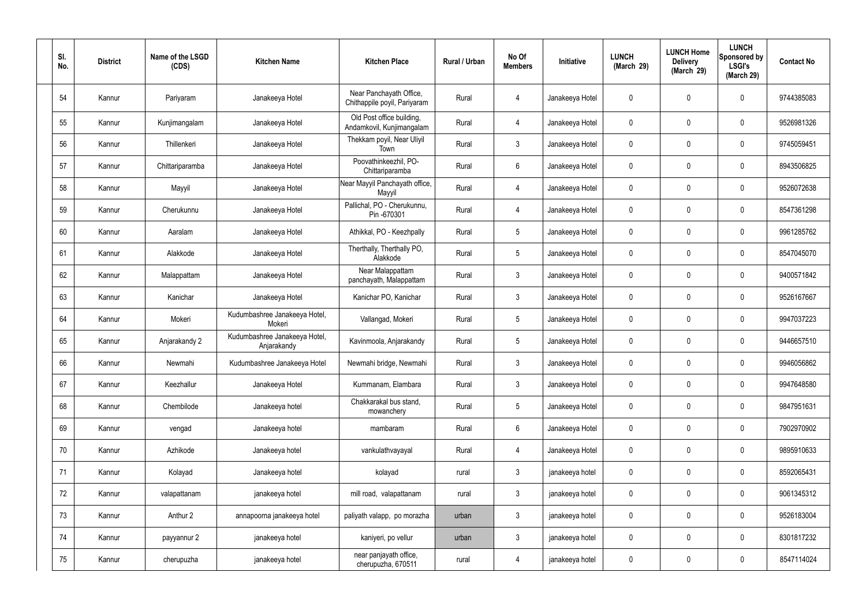| SI.<br>No. | <b>District</b> | Name of the LSGD<br>(CDS) | <b>Kitchen Name</b>                          | <b>Kitchen Place</b>                                    | Rural / Urban | No Of<br><b>Members</b> | Initiative      | <b>LUNCH</b><br>(March 29) | <b>LUNCH Home</b><br><b>Delivery</b><br>(March 29) | <b>LUNCH</b><br>Sponsored by<br><b>LSGI's</b><br>(March 29) | <b>Contact No</b> |
|------------|-----------------|---------------------------|----------------------------------------------|---------------------------------------------------------|---------------|-------------------------|-----------------|----------------------------|----------------------------------------------------|-------------------------------------------------------------|-------------------|
| 54         | Kannur          | Pariyaram                 | Janakeeya Hotel                              | Near Panchayath Office,<br>Chithappile poyil, Pariyaram | Rural         | 4                       | Janakeeya Hotel | $\mathbf 0$                | 0                                                  | $\mathbf 0$                                                 | 9744385083        |
| 55         | Kannur          | Kunjimangalam             | Janakeeya Hotel                              | Old Post office building,<br>Andamkovil, Kunjimangalam  | Rural         | $\overline{4}$          | Janakeeya Hotel | $\mathbf 0$                | 0                                                  | $\mathbf 0$                                                 | 9526981326        |
| 56         | Kannur          | Thillenkeri               | Janakeeya Hotel                              | Thekkam poyil, Near Uliyil<br>Town                      | Rural         | $\mathbf{3}$            | Janakeeya Hotel | $\mathbf 0$                | 0                                                  | $\mathbf 0$                                                 | 9745059451        |
| 57         | Kannur          | Chittariparamba           | Janakeeya Hotel                              | Poovathinkeezhil, PO-<br>Chittariparamba                | Rural         | $6\phantom{.}6$         | Janakeeya Hotel | $\mathbf 0$                | 0                                                  | $\mathbf 0$                                                 | 8943506825        |
| 58         | Kannur          | Mayyil                    | Janakeeya Hotel                              | Near Mayyil Panchayath office,<br>Mayyil                | Rural         | 4                       | Janakeeya Hotel | $\mathbf 0$                | 0                                                  | $\mathbf 0$                                                 | 9526072638        |
| 59         | Kannur          | Cherukunnu                | Janakeeya Hotel                              | Pallichal, PO - Cherukunnu,<br>Pin -670301              | Rural         | $\overline{4}$          | Janakeeya Hotel | $\mathbf 0$                | $\mathbf 0$                                        | $\mathbf 0$                                                 | 8547361298        |
| 60         | Kannur          | Aaralam                   | Janakeeya Hotel                              | Athikkal, PO - Keezhpally                               | Rural         | $5\phantom{.0}$         | Janakeeya Hotel | $\mathbf 0$                | $\mathbf 0$                                        | $\mathbf 0$                                                 | 9961285762        |
| 61         | Kannur          | Alakkode                  | Janakeeya Hotel                              | Therthally, Therthally PO,<br>Alakkode                  | Rural         | $5\overline{)}$         | Janakeeya Hotel | $\mathbf 0$                | $\mathbf 0$                                        | $\mathbf 0$                                                 | 8547045070        |
| 62         | Kannur          | Malappattam               | Janakeeya Hotel                              | Near Malappattam<br>panchayath, Malappattam             | Rural         | $\mathbf{3}$            | Janakeeya Hotel | $\mathbf 0$                | $\mathbf 0$                                        | $\mathbf 0$                                                 | 9400571842        |
| 63         | Kannur          | Kanichar                  | Janakeeya Hotel                              | Kanichar PO, Kanichar                                   | Rural         | $\mathbf{3}$            | Janakeeya Hotel | $\mathbf 0$                | 0                                                  | $\pmb{0}$                                                   | 9526167667        |
| 64         | Kannur          | Mokeri                    | Kudumbashree Janakeeya Hotel,<br>Mokeri      | Vallangad, Mokeri                                       | Rural         | $5\overline{)}$         | Janakeeya Hotel | $\mathbf 0$                | 0                                                  | $\mathbf 0$                                                 | 9947037223        |
| 65         | Kannur          | Anjarakandy 2             | Kudumbashree Janakeeya Hotel,<br>Anjarakandy | Kavinmoola, Anjarakandy                                 | Rural         | $5\phantom{.0}$         | Janakeeya Hotel | $\mathbf 0$                | 0                                                  | $\mathbf 0$                                                 | 9446657510        |
| 66         | Kannur          | Newmahi                   | Kudumbashree Janakeeya Hotel                 | Newmahi bridge, Newmahi                                 | Rural         | 3                       | Janakeeya Hotel | $\mathbf 0$                | $\mathbf 0$                                        | 0                                                           | 9946056862        |
| 67         | Kannur          | Keezhallur                | Janakeeya Hotel                              | Kummanam, Elambara                                      | Rural         | 3                       | Janakeeya Hotel | $\pmb{0}$                  | 0                                                  | $\mathbf 0$                                                 | 9947648580        |
| 68         | Kannur          | Chembilode                | Janakeeya hotel                              | Chakkarakal bus stand,<br>mowanchery                    | Rural         | 5 <sub>5</sub>          | Janakeeya Hotel | $\mathbf 0$                | 0                                                  | $\overline{0}$                                              | 9847951631        |
| 69         | Kannur          | vengad                    | Janakeeya hotel                              | mambaram                                                | Rural         | 6                       | Janakeeya Hotel | $\mathbf 0$                | 0                                                  | $\overline{0}$                                              | 7902970902        |
| 70         | Kannur          | Azhikode                  | Janakeeya hotel                              | vankulathvayayal                                        | Rural         | 4                       | Janakeeya Hotel | $\mathbf 0$                | 0                                                  | $\overline{0}$                                              | 9895910633        |
| 71         | Kannur          | Kolayad                   | Janakeeya hotel                              | kolayad                                                 | rural         | $\mathbf{3}$            | janakeeya hotel | $\mathbf 0$                | 0                                                  | $\mathbf 0$                                                 | 8592065431        |
| 72         | Kannur          | valapattanam              | janakeeya hotel                              | mill road, valapattanam                                 | rural         | $\mathbf{3}$            | janakeeya hotel | $\mathbf 0$                | 0                                                  | $\mathbf 0$                                                 | 9061345312        |
| 73         | Kannur          | Anthur 2                  | annapoorna janakeeya hotel                   | paliyath valapp, po morazha                             | urban         | $\mathbf{3}$            | janakeeya hotel | $\pmb{0}$                  | 0                                                  | $\mathbf 0$                                                 | 9526183004        |
| 74         | Kannur          | payyannur 2               | janakeeya hotel                              | kaniyeri, po vellur                                     | urban         | 3                       | janakeeya hotel | $\mathbf 0$                | 0                                                  | $\overline{0}$                                              | 8301817232        |
| 75         | Kannur          | cherupuzha                | janakeeya hotel                              | near panjayath office,<br>cherupuzha, 670511            | rural         | $\overline{4}$          | janakeeya hotel | $\pmb{0}$                  | 0                                                  | $\overline{0}$                                              | 8547114024        |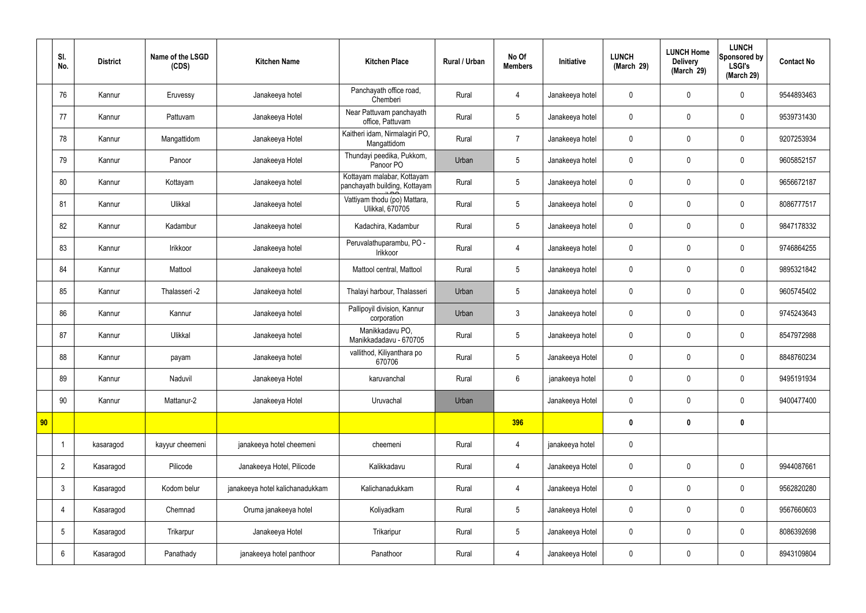|    | SI.<br>No.      | <b>District</b> | Name of the LSGD<br>(CDS) | <b>Kitchen Name</b>             | <b>Kitchen Place</b>                                        | <b>Rural / Urban</b> | No Of<br><b>Members</b> | Initiative      | <b>LUNCH</b><br>(March 29) | <b>LUNCH Home</b><br><b>Delivery</b><br>(March 29) | <b>LUNCH</b><br>Sponsored by<br><b>LSGI's</b><br>(March 29) | <b>Contact No</b> |
|----|-----------------|-----------------|---------------------------|---------------------------------|-------------------------------------------------------------|----------------------|-------------------------|-----------------|----------------------------|----------------------------------------------------|-------------------------------------------------------------|-------------------|
|    | 76              | Kannur          | Eruvessy                  | Janakeeya hotel                 | Panchayath office road,<br>Chemberi                         | Rural                | 4                       | Janakeeya hotel | $\mathbf 0$                | $\mathbf 0$                                        | $\mathbf 0$                                                 | 9544893463        |
|    | 77              | Kannur          | Pattuvam                  | Janakeeya Hotel                 | Near Pattuvam panchayath<br>office, Pattuvam                | Rural                | 5                       | Janakeeya hotel | $\mathbf 0$                | $\mathbf 0$                                        | $\mathbf 0$                                                 | 9539731430        |
|    | 78              | Kannur          | Mangattidom               | Janakeeya Hotel                 | Kaitheri idam, Nirmalagiri PO,<br>Mangattidom               | Rural                | $\overline{7}$          | Janakeeya hotel | $\mathbf 0$                | $\mathbf 0$                                        | $\mathbf 0$                                                 | 9207253934        |
|    | 79              | Kannur          | Panoor                    | Janakeeya Hotel                 | Thundayi peedika, Pukkom,<br>Panoor PO                      | Urban                | 5                       | Janakeeya hotel | $\mathbf 0$                | $\mathbf 0$                                        | $\mathbf 0$                                                 | 9605852157        |
|    | 80              | Kannur          | Kottayam                  | Janakeeya hotel                 | Kottayam malabar, Kottayam<br>panchayath building, Kottayam | Rural                | 5                       | Janakeeya hotel | $\mathbf 0$                | $\mathbf 0$                                        | $\mathbf 0$                                                 | 9656672187        |
|    | 81              | Kannur          | Ulikkal                   | Janakeeya hotel                 | Vattiyam thodu (po) Mattara,<br><b>Ulikkal, 670705</b>      | Rural                | 5                       | Janakeeya hotel | $\mathbf 0$                | $\mathbf 0$                                        | $\mathbf 0$                                                 | 8086777517        |
|    | 82              | Kannur          | Kadambur                  | Janakeeya hotel                 | Kadachira, Kadambur                                         | Rural                | 5                       | Janakeeya hotel | $\mathbf 0$                | $\mathbf 0$                                        | $\mathbf 0$                                                 | 9847178332        |
|    | 83              | Kannur          | Irikkoor                  | Janakeeya hotel                 | Peruvalathuparambu, PO -<br>Irikkoor                        | Rural                | 4                       | Janakeeya hotel | $\mathbf 0$                | $\mathbf 0$                                        | $\mathbf 0$                                                 | 9746864255        |
|    | 84              | Kannur          | Mattool                   | Janakeeya hotel                 | Mattool central, Mattool                                    | Rural                | 5                       | Janakeeya hotel | $\mathbf 0$                | $\mathbf 0$                                        | $\mathbf 0$                                                 | 9895321842        |
|    | 85              | Kannur          | Thalasseri -2             | Janakeeya hotel                 | Thalayi harbour, Thalasseri                                 | Urban                | 5                       | Janakeeya hotel | $\mathbf 0$                | $\mathbf 0$                                        | $\mathbf 0$                                                 | 9605745402        |
|    | 86              | Kannur          | Kannur                    | Janakeeya hotel                 | Pallipoyil division, Kannur<br>corporation                  | Urban                | $\mathbf{3}$            | Janakeeya hotel | $\mathbf 0$                | $\pmb{0}$                                          | $\mathbf 0$                                                 | 9745243643        |
|    | 87              | Kannur          | Ulikkal                   | Janakeeya hotel                 | Manikkadavu PO,<br>Manikkadadavu - 670705                   | Rural                | 5                       | Janakeeya hotel | $\mathbf 0$                | $\mathbf 0$                                        | $\mathbf 0$                                                 | 8547972988        |
|    | 88              | Kannur          | payam                     | Janakeeya hotel                 | vallithod, Kiliyanthara po<br>670706                        | Rural                | 5                       | Janakeeya Hotel | $\mathbf 0$                | $\mathbf 0$                                        | $\mathbf 0$                                                 | 8848760234        |
|    | 89              | Kannur          | Naduvil                   | Janakeeya Hotel                 | karuvanchal                                                 | Rural                | $6\overline{6}$         | janakeeya hotel | $\boldsymbol{0}$           | $\pmb{0}$                                          | $\mathbf 0$                                                 | 9495191934        |
|    | 90              | Kannur          | Mattanur-2                | Janakeeya Hotel                 | Uruvachal                                                   | Urban                |                         | Janakeeya Hotel | $\pmb{0}$                  | $\pmb{0}$                                          | $\mathbf 0$                                                 | 9400477400        |
| 90 |                 |                 |                           |                                 |                                                             |                      | 396                     |                 | $\bm{0}$                   | $\pmb{0}$                                          | $\mathbf 0$                                                 |                   |
|    | -1              | kasaragod       | kayyur cheemeni           | janakeeya hotel cheemeni        | cheemeni                                                    | Rural                | $\overline{4}$          | janakeeya hotel | $\pmb{0}$                  |                                                    |                                                             |                   |
|    | $\overline{2}$  | Kasaragod       | Pilicode                  | Janakeeya Hotel, Pilicode       | Kalikkadavu                                                 | Rural                | $\overline{4}$          | Janakeeya Hotel | $\pmb{0}$                  | $\pmb{0}$                                          | $\mathbf 0$                                                 | 9944087661        |
|    | $\mathbf{3}$    | Kasaragod       | Kodom belur               | janakeeya hotel kalichanadukkam | Kalichanadukkam                                             | Rural                | $\overline{4}$          | Janakeeya Hotel | $\pmb{0}$                  | $\pmb{0}$                                          | $\mathbf 0$                                                 | 9562820280        |
|    | 4               | Kasaragod       | Chemnad                   | Oruma janakeeya hotel           | Koliyadkam                                                  | Rural                | 5                       | Janakeeya Hotel | $\pmb{0}$                  | $\pmb{0}$                                          | $\mathbf 0$                                                 | 9567660603        |
|    | $5\phantom{.0}$ | Kasaragod       | Trikarpur                 | Janakeeya Hotel                 | Trikaripur                                                  | Rural                | $5\phantom{.0}$         | Janakeeya Hotel | $\pmb{0}$                  | $\pmb{0}$                                          | $\mathbf 0$                                                 | 8086392698        |
|    | $6\phantom{.}6$ | Kasaragod       | Panathady                 | janakeeya hotel panthoor        | Panathoor                                                   | Rural                | 4                       | Janakeeya Hotel | $\pmb{0}$                  | $\pmb{0}$                                          | $\mathbf 0$                                                 | 8943109804        |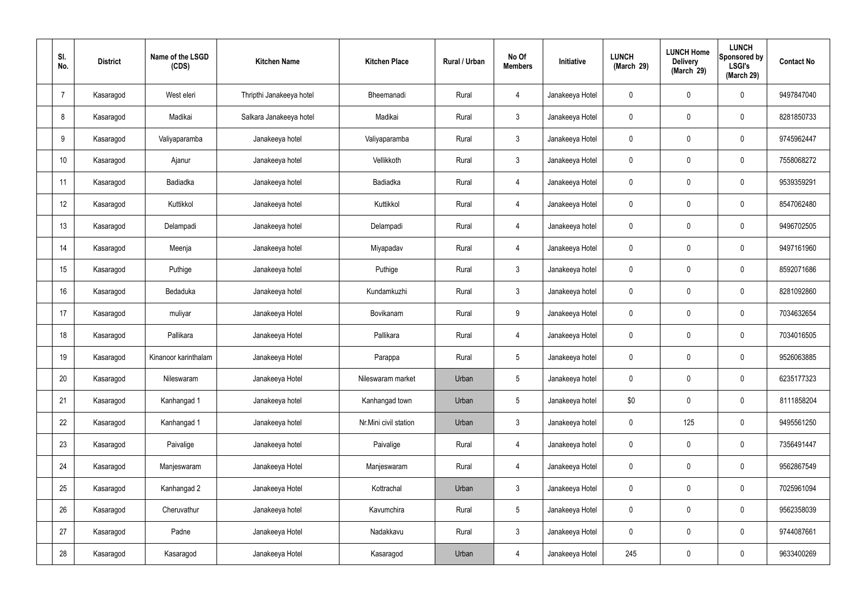| SI.<br>No.      | <b>District</b> | Name of the LSGD<br>(CDS) | <b>Kitchen Name</b>      | <b>Kitchen Place</b>  | <b>Rural / Urban</b> | No Of<br><b>Members</b> | Initiative      | <b>LUNCH</b><br>(March 29) | <b>LUNCH Home</b><br><b>Delivery</b><br>(March 29) | <b>LUNCH</b><br>Sponsored by<br><b>LSGI's</b><br>(March 29) | <b>Contact No</b> |
|-----------------|-----------------|---------------------------|--------------------------|-----------------------|----------------------|-------------------------|-----------------|----------------------------|----------------------------------------------------|-------------------------------------------------------------|-------------------|
| $\overline{7}$  | Kasaragod       | West eleri                | Thripthi Janakeeya hotel | Bheemanadi            | Rural                | 4                       | Janakeeya Hotel | 0                          | $\mathbf 0$                                        | $\mathbf 0$                                                 | 9497847040        |
| 8               | Kasaragod       | Madikai                   | Salkara Janakeeya hotel  | Madikai               | Rural                | $\mathbf{3}$            | Janakeeya Hotel | $\mathbf 0$                | $\mathbf 0$                                        | $\mathbf 0$                                                 | 8281850733        |
| 9               | Kasaragod       | Valiyaparamba             | Janakeeya hotel          | Valiyaparamba         | Rural                | $\mathbf{3}$            | Janakeeya Hotel | 0                          | $\mathbf 0$                                        | $\mathbf 0$                                                 | 9745962447        |
| 10 <sup>°</sup> | Kasaragod       | Ajanur                    | Janakeeya hotel          | Vellikkoth            | Rural                | $\mathbf{3}$            | Janakeeya Hotel | $\mathbf 0$                | $\mathbf 0$                                        | $\mathbf 0$                                                 | 7558068272        |
| 11              | Kasaragod       | Badiadka                  | Janakeeya hotel          | Badiadka              | Rural                | $\overline{4}$          | Janakeeya Hotel | 0                          | $\mathbf 0$                                        | $\mathbf 0$                                                 | 9539359291        |
| 12              | Kasaragod       | Kuttikkol                 | Janakeeya hotel          | Kuttikkol             | Rural                | $\overline{4}$          | Janakeeya Hotel | $\mathbf 0$                | $\pmb{0}$                                          | $\mathbf 0$                                                 | 8547062480        |
| 13              | Kasaragod       | Delampadi                 | Janakeeya hotel          | Delampadi             | Rural                | $\overline{4}$          | Janakeeya hotel | 0                          | $\mathbf 0$                                        | $\mathbf 0$                                                 | 9496702505        |
| 14              | Kasaragod       | Meenja                    | Janakeeya hotel          | Miyapadav             | Rural                | $\overline{4}$          | Janakeeya Hotel | $\mathbf 0$                | $\mathbf 0$                                        | $\mathbf 0$                                                 | 9497161960        |
| 15              | Kasaragod       | Puthige                   | Janakeeya hotel          | Puthige               | Rural                | $\mathbf{3}$            | Janakeeya hotel | $\mathbf 0$                | $\mathbf 0$                                        | $\mathbf 0$                                                 | 8592071686        |
| 16              | Kasaragod       | Bedaduka                  | Janakeeya hotel          | Kundamkuzhi           | Rural                | $\mathbf{3}$            | Janakeeya hotel | $\mathbf 0$                | $\mathbf 0$                                        | $\mathbf 0$                                                 | 8281092860        |
| 17              | Kasaragod       | muliyar                   | Janakeeya Hotel          | Bovikanam             | Rural                | 9                       | Janakeeya Hotel | $\mathbf 0$                | $\pmb{0}$                                          | $\mathbf 0$                                                 | 7034632654        |
| 18              | Kasaragod       | Pallikara                 | Janakeeya Hotel          | Pallikara             | Rural                | 4                       | Janakeeya Hotel | $\mathbf 0$                | $\mathbf 0$                                        | $\mathbf 0$                                                 | 7034016505        |
| 19              | Kasaragod       | Kinanoor karinthalam      | Janakeeya Hotel          | Parappa               | Rural                | 5                       | Janakeeya hotel | 0                          | $\mathbf 0$                                        | $\mathbf 0$                                                 | 9526063885        |
| 20              | Kasaragod       | Nileswaram                | Janakeeya Hotel          | Nileswaram market     | Urban                | 5                       | Janakeeya hotel | $\mathbf 0$                | $\pmb{0}$                                          | $\mathbf 0$                                                 | 6235177323        |
| 21              | Kasaragod       | Kanhangad 1               | Janakeeya hotel          | Kanhangad town        | Urban                | 5                       | Janakeeya hotel | \$0                        | $\pmb{0}$                                          | $\mathbf 0$                                                 | 8111858204        |
| 22              | Kasaragod       | Kanhangad 1               | Janakeeya hotel          | Nr.Mini civil station | Urban                | $\mathfrak{Z}$          | Janakeeya hotel | $\pmb{0}$                  | 125                                                | $\mathbf 0$                                                 | 9495561250        |
| 23              | Kasaragod       | Paivalige                 | Janakeeya hotel          | Paivalige             | Rural                | $\overline{4}$          | Janakeeya hotel | $\mathbf 0$                | $\pmb{0}$                                          | $\mathbf 0$                                                 | 7356491447        |
| 24              | Kasaragod       | Manjeswaram               | Janakeeya Hotel          | Manjeswaram           | Rural                | $\overline{4}$          | Janakeeya Hotel | $\pmb{0}$                  | $\pmb{0}$                                          | $\mathbf 0$                                                 | 9562867549        |
| 25              | Kasaragod       | Kanhangad 2               | Janakeeya Hotel          | Kottrachal            | Urban                | $\mathbf{3}$            | Janakeeya Hotel | $\mathbf 0$                | $\pmb{0}$                                          | $\mathbf 0$                                                 | 7025961094        |
| 26              | Kasaragod       | Cheruvathur               | Janakeeya hotel          | Kavumchira            | Rural                | $5\phantom{.0}$         | Janakeeya Hotel | $\pmb{0}$                  | $\pmb{0}$                                          | $\mathbf 0$                                                 | 9562358039        |
| 27              | Kasaragod       | Padne                     | Janakeeya Hotel          | Nadakkavu             | Rural                | $\mathfrak{Z}$          | Janakeeya Hotel | $\pmb{0}$                  | $\pmb{0}$                                          | $\mathbf 0$                                                 | 9744087661        |
| 28              | Kasaragod       | Kasaragod                 | Janakeeya Hotel          | Kasaragod             | Urban                | 4                       | Janakeeya Hotel | 245                        | $\pmb{0}$                                          | $\mathbf 0$                                                 | 9633400269        |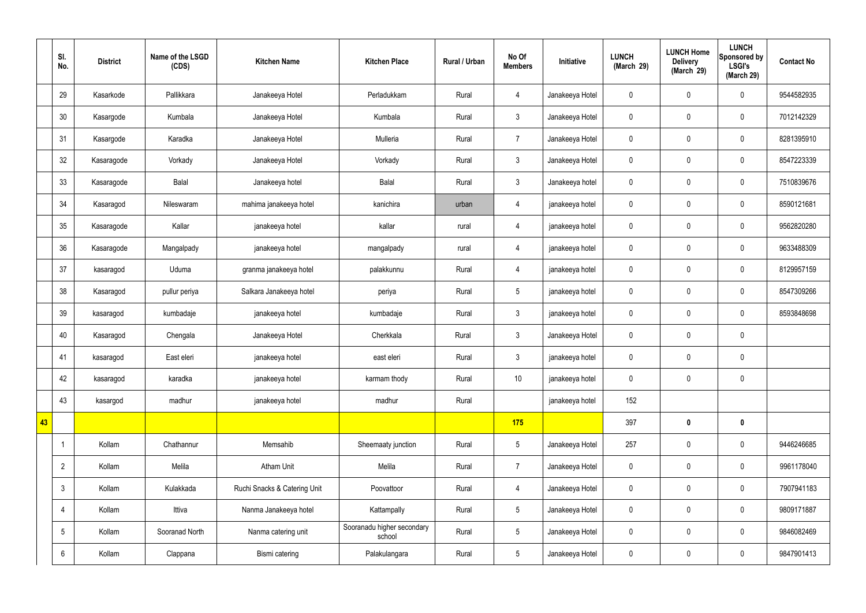|    | SI.<br>No.      | <b>District</b> | Name of the LSGD<br>(CDS) | <b>Kitchen Name</b>          | <b>Kitchen Place</b>                 | Rural / Urban | No Of<br><b>Members</b> | Initiative      | <b>LUNCH</b><br>(March 29) | <b>LUNCH Home</b><br><b>Delivery</b><br>(March 29) | <b>LUNCH</b><br>Sponsored by<br><b>LSGI's</b><br>(March 29) | <b>Contact No</b> |
|----|-----------------|-----------------|---------------------------|------------------------------|--------------------------------------|---------------|-------------------------|-----------------|----------------------------|----------------------------------------------------|-------------------------------------------------------------|-------------------|
|    | 29              | Kasarkode       | Pallikkara                | Janakeeya Hotel              | Perladukkam                          | Rural         | $\overline{4}$          | Janakeeya Hotel | $\mathbf 0$                | $\mathbf 0$                                        | $\mathbf 0$                                                 | 9544582935        |
|    | 30              | Kasargode       | Kumbala                   | Janakeeya Hotel              | Kumbala                              | Rural         | $\mathbf{3}$            | Janakeeya Hotel | $\mathbf 0$                | $\mathbf 0$                                        | $\mathbf 0$                                                 | 7012142329        |
|    | 31              | Kasargode       | Karadka                   | Janakeeya Hotel              | Mulleria                             | Rural         | $\overline{7}$          | Janakeeya Hotel | $\mathbf 0$                | $\mathbf 0$                                        | $\mathbf 0$                                                 | 8281395910        |
|    | 32              | Kasaragode      | Vorkady                   | Janakeeya Hotel              | Vorkady                              | Rural         | $\mathbf{3}$            | Janakeeya Hotel | $\mathbf 0$                | $\pmb{0}$                                          | $\mathbf 0$                                                 | 8547223339        |
|    | 33              | Kasaragode      | Balal                     | Janakeeya hotel              | Balal                                | Rural         | $\mathbf{3}$            | Janakeeya hotel | $\mathbf 0$                | $\mathbf 0$                                        | $\mathbf 0$                                                 | 7510839676        |
|    | 34              | Kasaragod       | Nileswaram                | mahima janakeeya hotel       | kanichira                            | urban         | $\overline{4}$          | janakeeya hotel | $\mathbf 0$                | $\pmb{0}$                                          | $\mathbf 0$                                                 | 8590121681        |
|    | 35              | Kasaragode      | Kallar                    | janakeeya hotel              | kallar                               | rural         | $\overline{4}$          | janakeeya hotel | $\mathbf 0$                | $\mathbf 0$                                        | $\mathbf 0$                                                 | 9562820280        |
|    | 36              | Kasaragode      | Mangalpady                | janakeeya hotel              | mangalpady                           | rural         | $\overline{4}$          | janakeeya hotel | $\mathbf 0$                | $\mathbf 0$                                        | $\mathbf 0$                                                 | 9633488309        |
|    | 37              | kasaragod       | Uduma                     | granma janakeeya hotel       | palakkunnu                           | Rural         | $\overline{4}$          | janakeeya hotel | $\mathbf 0$                | $\mathbf 0$                                        | $\mathbf 0$                                                 | 8129957159        |
|    | 38              | Kasaragod       | pullur periya             | Salkara Janakeeya hotel      | periya                               | Rural         | $5\,$                   | janakeeya hotel | $\mathbf 0$                | $\pmb{0}$                                          | $\mathbf 0$                                                 | 8547309266        |
|    | 39              | kasaragod       | kumbadaje                 | janakeeya hotel              | kumbadaje                            | Rural         | $\mathbf{3}$            | janakeeya hotel | $\boldsymbol{0}$           | $\pmb{0}$                                          | $\mathbf 0$                                                 | 8593848698        |
|    | 40              | Kasaragod       | Chengala                  | Janakeeya Hotel              | Cherkkala                            | Rural         | $\mathbf{3}$            | Janakeeya Hotel | $\mathbf 0$                | $\pmb{0}$                                          | $\mathbf 0$                                                 |                   |
|    | 41              | kasaragod       | East eleri                | janakeeya hotel              | east eleri                           | Rural         | $\mathbf{3}$            | janakeeya hotel | $\mathbf 0$                | $\mathbf 0$                                        | $\mathbf 0$                                                 |                   |
|    | 42              | kasaragod       | karadka                   | janakeeya hotel              | karmam thody                         | Rural         | $10$                    | janakeeya hotel | $\mathbf 0$                | $\pmb{0}$                                          | $\mathbf 0$                                                 |                   |
|    | 43              | kasargod        | madhur                    | janakeeya hotel              | madhur                               | Rural         |                         | janakeeya hotel | 152                        |                                                    |                                                             |                   |
| 43 |                 |                 |                           |                              |                                      |               | 175                     |                 | 397                        | $\pmb{0}$                                          | $\mathbf 0$                                                 |                   |
|    |                 | Kollam          | Chathannur                | Memsahib                     | Sheemaaty junction                   | Rural         | $5\phantom{.0}$         | Janakeeya Hotel | 257                        | $\pmb{0}$                                          | $\mathbf 0$                                                 | 9446246685        |
|    | $\overline{2}$  | Kollam          | Melila                    | Atham Unit                   | Melila                               | Rural         | $\overline{7}$          | Janakeeya Hotel | $\pmb{0}$                  | $\pmb{0}$                                          | $\mathbf 0$                                                 | 9961178040        |
|    | $\mathfrak{Z}$  | Kollam          | Kulakkada                 | Ruchi Snacks & Catering Unit | Poovattoor                           | Rural         | $\overline{4}$          | Janakeeya Hotel | $\mathbf 0$                | $\pmb{0}$                                          | $\mathbf 0$                                                 | 7907941183        |
|    | 4               | Kollam          | Ittiva                    | Nanma Janakeeya hotel        | Kattampally                          | Rural         | $5\overline{)}$         | Janakeeya Hotel | $\boldsymbol{0}$           | $\pmb{0}$                                          | $\mathbf 0$                                                 | 9809171887        |
|    | $5\phantom{.0}$ | Kollam          | Sooranad North            | Nanma catering unit          | Sooranadu higher secondary<br>school | Rural         | $5\phantom{.0}$         | Janakeeya Hotel | $\mathbf 0$                | $\pmb{0}$                                          | $\mathbf 0$                                                 | 9846082469        |
|    | 6               | Kollam          | Clappana                  | Bismi catering               | Palakulangara                        | Rural         | $5\overline{)}$         | Janakeeya Hotel | $\pmb{0}$                  | $\pmb{0}$                                          | $\boldsymbol{0}$                                            | 9847901413        |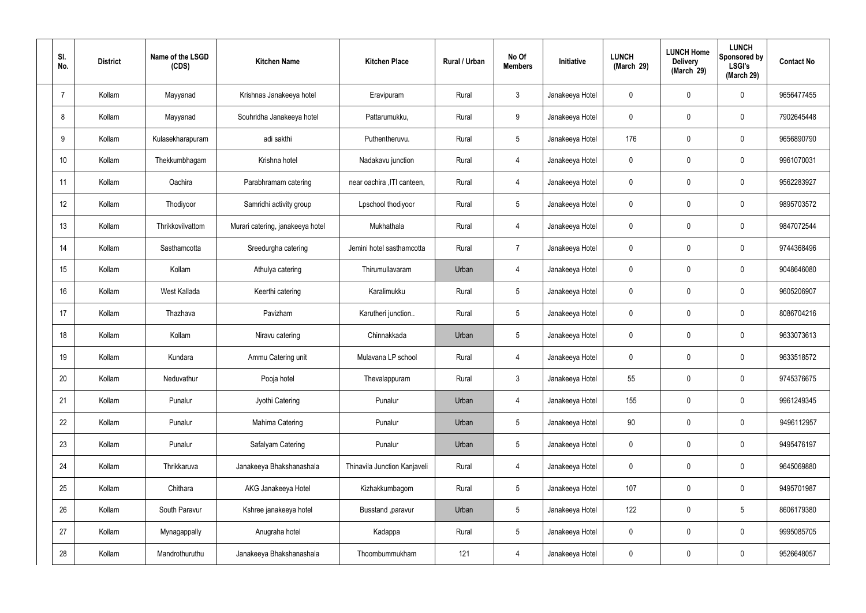| SI.<br>No.     | <b>District</b> | Name of the LSGD<br>(CDS) | <b>Kitchen Name</b>              | <b>Kitchen Place</b>         | Rural / Urban | No Of<br><b>Members</b> | Initiative      | <b>LUNCH</b><br>(March 29) | <b>LUNCH Home</b><br><b>Delivery</b><br>(March 29) | <b>LUNCH</b><br>Sponsored by<br><b>LSGI's</b><br>(March 29) | <b>Contact No</b> |
|----------------|-----------------|---------------------------|----------------------------------|------------------------------|---------------|-------------------------|-----------------|----------------------------|----------------------------------------------------|-------------------------------------------------------------|-------------------|
| $\overline{7}$ | Kollam          | Mayyanad                  | Krishnas Janakeeya hotel         | Eravipuram                   | Rural         | $\mathbf{3}$            | Janakeeya Hotel | 0                          | $\mathbf 0$                                        | $\mathbf 0$                                                 | 9656477455        |
| 8              | Kollam          | Mayyanad                  | Souhridha Janakeeya hotel        | Pattarumukku,                | Rural         | 9                       | Janakeeya Hotel | 0                          | $\mathbf 0$                                        | $\mathbf 0$                                                 | 7902645448        |
| 9              | Kollam          | Kulasekharapuram          | adi sakthi                       | Puthentheruvu.               | Rural         | $5\overline{)}$         | Janakeeya Hotel | 176                        | $\mathbf 0$                                        | $\mathbf 0$                                                 | 9656890790        |
| 10             | Kollam          | Thekkumbhagam             | Krishna hotel                    | Nadakavu junction            | Rural         | $\overline{4}$          | Janakeeya Hotel | 0                          | $\mathbf 0$                                        | $\mathbf 0$                                                 | 9961070031        |
| 11             | Kollam          | Oachira                   | Parabhramam catering             | near oachira , ITI canteen,  | Rural         | $\overline{4}$          | Janakeeya Hotel | 0                          | $\mathbf 0$                                        | $\mathbf 0$                                                 | 9562283927        |
| 12             | Kollam          | Thodiyoor                 | Samridhi activity group          | Lpschool thodiyoor           | Rural         | $5\overline{)}$         | Janakeeya Hotel | 0                          | $\mathbf 0$                                        | $\mathbf 0$                                                 | 9895703572        |
| 13             | Kollam          | Thrikkovilvattom          | Murari catering, janakeeya hotel | Mukhathala                   | Rural         | $\overline{4}$          | Janakeeya Hotel | 0                          | $\mathbf 0$                                        | $\mathbf 0$                                                 | 9847072544        |
| 14             | Kollam          | Sasthamcotta              | Sreedurgha catering              | Jemini hotel sasthamcotta    | Rural         | $\overline{7}$          | Janakeeya Hotel | 0                          | $\mathbf 0$                                        | $\mathbf 0$                                                 | 9744368496        |
| 15             | Kollam          | Kollam                    | Athulya catering                 | Thirumullavaram              | Urban         | 4                       | Janakeeya Hotel | 0                          | $\mathbf 0$                                        | $\mathbf 0$                                                 | 9048646080        |
| 16             | Kollam          | West Kallada              | Keerthi catering                 | Karalimukku                  | Rural         | $5\phantom{.0}$         | Janakeeya Hotel | 0                          | 0                                                  | $\mathbf 0$                                                 | 9605206907        |
| 17             | Kollam          | Thazhava                  | Pavizham                         | Karutheri junction           | Rural         | $5\overline{)}$         | Janakeeya Hotel | 0                          | 0                                                  | $\mathbf 0$                                                 | 8086704216        |
| 18             | Kollam          | Kollam                    | Niravu catering                  | Chinnakkada                  | Urban         | $5\phantom{.0}$         | Janakeeya Hotel | 0                          | 0                                                  | $\mathbf 0$                                                 | 9633073613        |
| 19             | Kollam          | Kundara                   | Ammu Catering unit               | Mulavana LP school           | Rural         | 4                       | Janakeeya Hotel | 0                          | 0                                                  | $\mathbf 0$                                                 | 9633518572        |
| 20             | Kollam          | Neduvathur                | Pooja hotel                      | Thevalappuram                | Rural         | $\mathbf{3}$            | Janakeeya Hotel | 55                         | $\mathbf 0$                                        | $\mathbf 0$                                                 | 9745376675        |
| 21             | Kollam          | Punalur                   | Jyothi Catering                  | Punalur                      | Urban         | $\overline{4}$          | Janakeeya Hotel | 155                        | 0                                                  | $\mathbf 0$                                                 | 9961249345        |
| 22             | Kollam          | Punalur                   | Mahima Catering                  | Punalur                      | Urban         | $5\overline{)}$         | Janakeeya Hotel | 90                         | 0                                                  | $\mathbf 0$                                                 | 9496112957        |
| 23             | Kollam          | Punalur                   | Safalyam Catering                | Punalur                      | Urban         | $5\phantom{.0}$         | Janakeeya Hotel | $\mathbf 0$                | 0                                                  | $\mathbf 0$                                                 | 9495476197        |
| 24             | Kollam          | Thrikkaruva               | Janakeeya Bhakshanashala         | Thinavila Junction Kanjaveli | Rural         | $\overline{4}$          | Janakeeya Hotel | 0                          | 0                                                  | $\mathbf 0$                                                 | 9645069880        |
| 25             | Kollam          | Chithara                  | AKG Janakeeya Hotel              | Kizhakkumbagom               | Rural         | $5\overline{)}$         | Janakeeya Hotel | 107                        | 0                                                  | $\mathbf 0$                                                 | 9495701987        |
| 26             | Kollam          | South Paravur             | Kshree janakeeya hotel           | Busstand , paravur           | Urban         | $5\phantom{.0}$         | Janakeeya Hotel | 122                        | 0                                                  | $5\phantom{.0}$                                             | 8606179380        |
| 27             | Kollam          | Mynagappally              | Anugraha hotel                   | Kadappa                      | Rural         | $5\phantom{.0}$         | Janakeeya Hotel | $\mathbf 0$                | 0                                                  | $\mathbf 0$                                                 | 9995085705        |
| 28             | Kollam          | Mandrothuruthu            | Janakeeya Bhakshanashala         | Thoombummukham               | 121           | 4                       | Janakeeya Hotel | 0                          | 0                                                  | $\overline{0}$                                              | 9526648057        |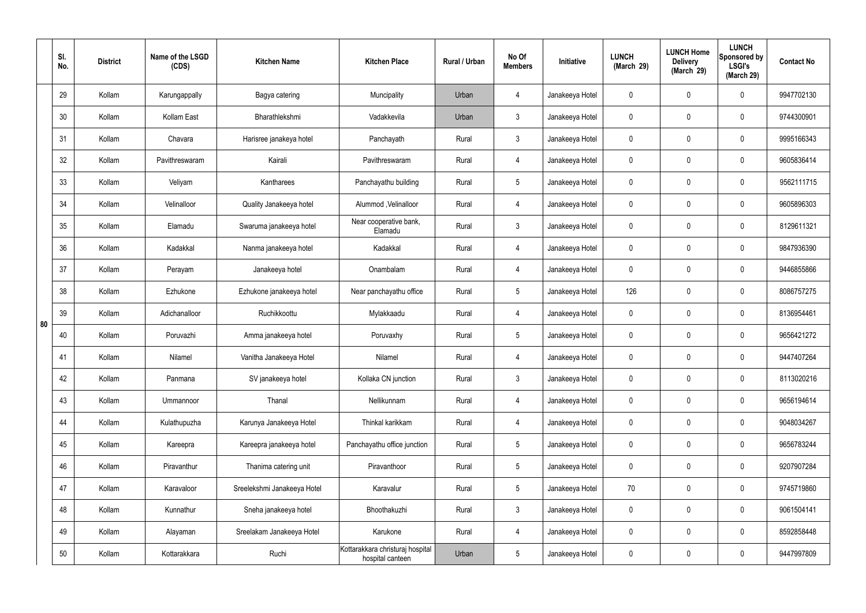|    | SI.<br>No. | <b>District</b> | Name of the LSGD<br>(CDS) | <b>Kitchen Name</b>         | <b>Kitchen Place</b>                                 | Rural / Urban | No Of<br><b>Members</b> | Initiative      | <b>LUNCH</b><br>(March 29) | <b>LUNCH Home</b><br><b>Delivery</b><br>(March 29) | <b>LUNCH</b><br>Sponsored by<br><b>LSGI's</b><br>(March 29) | <b>Contact No</b> |
|----|------------|-----------------|---------------------------|-----------------------------|------------------------------------------------------|---------------|-------------------------|-----------------|----------------------------|----------------------------------------------------|-------------------------------------------------------------|-------------------|
|    | 29         | Kollam          | Karungappally             | Bagya catering              | Muncipality                                          | Urban         | $\overline{4}$          | Janakeeya Hotel | $\mathbf 0$                | 0                                                  | $\mathbf 0$                                                 | 9947702130        |
|    | 30         | Kollam          | Kollam East               | Bharathlekshmi              | Vadakkevila                                          | Urban         | $\mathbf{3}$            | Janakeeya Hotel | $\mathbf 0$                | 0                                                  | $\mathbf 0$                                                 | 9744300901        |
|    | 31         | Kollam          | Chavara                   | Harisree janakeya hotel     | Panchayath                                           | Rural         | $\mathbf{3}$            | Janakeeya Hotel | $\mathbf 0$                | 0                                                  | $\mathbf 0$                                                 | 9995166343        |
|    | 32         | Kollam          | Pavithreswaram            | Kairali                     | Pavithreswaram                                       | Rural         | $\overline{4}$          | Janakeeya Hotel | $\mathbf 0$                | 0                                                  | $\mathbf 0$                                                 | 9605836414        |
|    | 33         | Kollam          | Veliyam                   | Kantharees                  | Panchayathu building                                 | Rural         | $5\phantom{.0}$         | Janakeeya Hotel | $\mathbf 0$                | 0                                                  | $\mathbf 0$                                                 | 9562111715        |
|    | 34         | Kollam          | Velinalloor               | Quality Janakeeya hotel     | Alummod, Velinalloor                                 | Rural         | $\overline{4}$          | Janakeeya Hotel | $\mathbf 0$                | 0                                                  | $\mathbf 0$                                                 | 9605896303        |
|    | 35         | Kollam          | Elamadu                   | Swaruma janakeeya hotel     | Near cooperative bank,<br>Elamadu                    | Rural         | $\mathbf{3}$            | Janakeeya Hotel | $\mathbf 0$                | 0                                                  | $\mathbf 0$                                                 | 8129611321        |
|    | 36         | Kollam          | Kadakkal                  | Nanma janakeeya hotel       | Kadakkal                                             | Rural         | $\overline{4}$          | Janakeeya Hotel | $\mathbf 0$                | 0                                                  | $\mathbf 0$                                                 | 9847936390        |
|    | 37         | Kollam          | Perayam                   | Janakeeya hotel             | Onambalam                                            | Rural         | $\overline{4}$          | Janakeeya Hotel | $\mathbf 0$                | 0                                                  | $\mathbf 0$                                                 | 9446855866        |
|    | 38         | Kollam          | Ezhukone                  | Ezhukone janakeeya hotel    | Near panchayathu office                              | Rural         | $5\phantom{.0}$         | Janakeeya Hotel | 126                        | 0                                                  | $\mathbf 0$                                                 | 8086757275        |
| 80 | 39         | Kollam          | Adichanalloor             | Ruchikkoottu                | Mylakkaadu                                           | Rural         | 4                       | Janakeeya Hotel | $\mathbf 0$                | 0                                                  | $\mathbf 0$                                                 | 8136954461        |
|    | 40         | Kollam          | Poruvazhi                 | Amma janakeeya hotel        | Poruvaxhy                                            | Rural         | $5\phantom{.0}$         | Janakeeya Hotel | $\mathbf 0$                | 0                                                  | $\mathbf 0$                                                 | 9656421272        |
|    | 41         | Kollam          | Nilamel                   | Vanitha Janakeeya Hotel     | Nilamel                                              | Rural         | 4                       | Janakeeya Hotel | $\mathbf 0$                | 0                                                  | $\mathbf 0$                                                 | 9447407264        |
|    | 42         | Kollam          | Panmana                   | SV janakeeya hotel          | Kollaka CN junction                                  | Rural         | $\mathbf{3}$            | Janakeeya Hotel | $\mathbf 0$                | $\mathbf 0$                                        | $\mathbf 0$                                                 | 8113020216        |
|    | 43         | Kollam          | Ummannoor                 | Thanal                      | Nellikunnam                                          | Rural         | $\overline{4}$          | Janakeeya Hotel | $\mathbf 0$                | $\mathbf 0$                                        | $\mathbf 0$                                                 | 9656194614        |
|    | 44         | Kollam          | Kulathupuzha              | Karunya Janakeeya Hotel     | Thinkal karikkam                                     | Rural         | $\overline{4}$          | Janakeeya Hotel | $\mathbf 0$                | $\mathbf 0$                                        | $\mathbf 0$                                                 | 9048034267        |
|    | 45         | Kollam          | Kareepra                  | Kareepra janakeeya hotel    | Panchayathu office junction                          | Rural         | $5\phantom{.0}$         | Janakeeya Hotel | $\mathbf 0$                | 0                                                  | $\mathbf 0$                                                 | 9656783244        |
|    | 46         | Kollam          | Piravanthur               | Thanima catering unit       | Piravanthoor                                         | Rural         | $5\phantom{.0}$         | Janakeeya Hotel | $\mathbf 0$                | 0                                                  | $\mathbf 0$                                                 | 9207907284        |
|    | 47         | Kollam          | Karavaloor                | Sreelekshmi Janakeeya Hotel | Karavalur                                            | Rural         | $5\phantom{.0}$         | Janakeeya Hotel | 70                         | 0                                                  | $\mathbf 0$                                                 | 9745719860        |
|    | 48         | Kollam          | Kunnathur                 | Sneha janakeeya hotel       | Bhoothakuzhi                                         | Rural         | $\mathfrak{Z}$          | Janakeeya Hotel | $\pmb{0}$                  | 0                                                  | $\mathbf 0$                                                 | 9061504141        |
|    | 49         | Kollam          | Alayaman                  | Sreelakam Janakeeya Hotel   | Karukone                                             | Rural         | $\overline{4}$          | Janakeeya Hotel | $\mathbf 0$                | 0                                                  | $\mathbf 0$                                                 | 8592858448        |
|    | 50         | Kollam          | Kottarakkara              | Ruchi                       | Kottarakkara christuraj hospital<br>hospital canteen | Urban         | $5\phantom{.0}$         | Janakeeya Hotel | 0                          | 0                                                  | $\mathbf 0$                                                 | 9447997809        |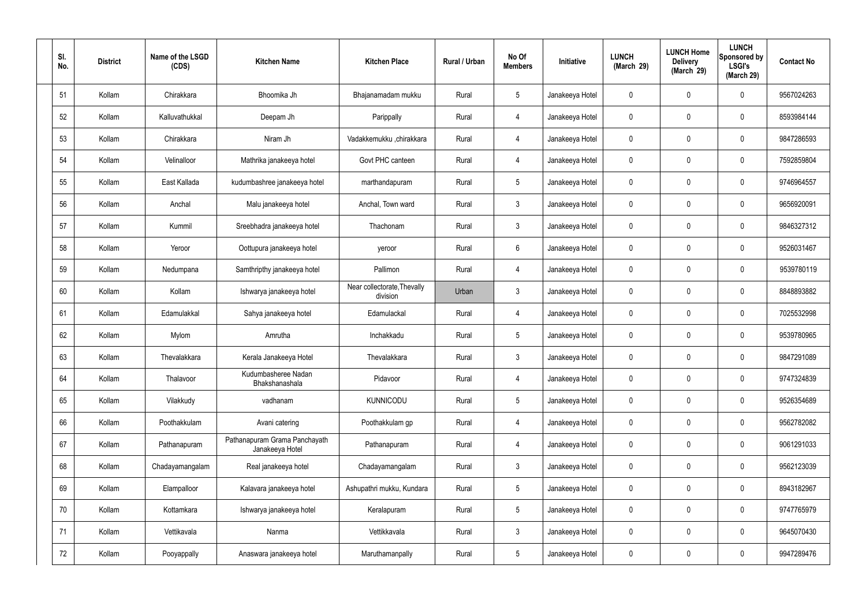| SI.<br>No. | <b>District</b> | Name of the LSGD<br>(CDS) | <b>Kitchen Name</b>                              | <b>Kitchen Place</b>                    | Rural / Urban | No Of<br><b>Members</b> | <b>Initiative</b> | <b>LUNCH</b><br>(March 29) | <b>LUNCH Home</b><br><b>Delivery</b><br>(March 29) | <b>LUNCH</b><br>Sponsored by<br><b>LSGI's</b><br>(March 29) | <b>Contact No</b> |
|------------|-----------------|---------------------------|--------------------------------------------------|-----------------------------------------|---------------|-------------------------|-------------------|----------------------------|----------------------------------------------------|-------------------------------------------------------------|-------------------|
| 51         | Kollam          | Chirakkara                | Bhoomika Jh                                      | Bhajanamadam mukku                      | Rural         | $5\phantom{.0}$         | Janakeeya Hotel   | $\mathbf 0$                | 0                                                  | $\mathbf 0$                                                 | 9567024263        |
| 52         | Kollam          | Kalluvathukkal            | Deepam Jh                                        | Parippally                              | Rural         | $\overline{4}$          | Janakeeya Hotel   | $\mathbf 0$                | 0                                                  | $\mathbf 0$                                                 | 8593984144        |
| 53         | Kollam          | Chirakkara                | Niram Jh                                         | Vadakkemukku ,chirakkara                | Rural         | $\overline{4}$          | Janakeeya Hotel   | $\mathbf 0$                | 0                                                  | $\mathbf 0$                                                 | 9847286593        |
| 54         | Kollam          | Velinalloor               | Mathrika janakeeya hotel                         | Govt PHC canteen                        | Rural         | $\overline{4}$          | Janakeeya Hotel   | $\mathbf 0$                | 0                                                  | $\mathbf 0$                                                 | 7592859804        |
| 55         | Kollam          | East Kallada              | kudumbashree janakeeya hotel                     | marthandapuram                          | Rural         | $5\phantom{.0}$         | Janakeeya Hotel   | $\mathbf 0$                | $\mathbf 0$                                        | $\mathbf 0$                                                 | 9746964557        |
| 56         | Kollam          | Anchal                    | Malu janakeeya hotel                             | Anchal, Town ward                       | Rural         | $\mathbf{3}$            | Janakeeya Hotel   | $\mathbf 0$                | 0                                                  | $\mathbf 0$                                                 | 9656920091        |
| 57         | Kollam          | Kummil                    | Sreebhadra janakeeya hotel                       | Thachonam                               | Rural         | $\mathbf{3}$            | Janakeeya Hotel   | $\mathbf 0$                | $\mathbf 0$                                        | $\mathbf 0$                                                 | 9846327312        |
| 58         | Kollam          | Yeroor                    | Oottupura janakeeya hotel                        | yeroor                                  | Rural         | $6\phantom{.}6$         | Janakeeya Hotel   | $\mathbf 0$                | 0                                                  | $\mathbf 0$                                                 | 9526031467        |
| 59         | Kollam          | Nedumpana                 | Samthripthy janakeeya hotel                      | Pallimon                                | Rural         | $\overline{4}$          | Janakeeya Hotel   | $\mathbf 0$                | 0                                                  | $\mathbf 0$                                                 | 9539780119        |
| 60         | Kollam          | Kollam                    | Ishwarya janakeeya hotel                         | Near collectorate, Thevally<br>division | Urban         | $\mathbf{3}$            | Janakeeya Hotel   | $\mathbf 0$                | 0                                                  | $\mathbf 0$                                                 | 8848893882        |
| 61         | Kollam          | Edamulakkal               | Sahya janakeeya hotel                            | Edamulackal                             | Rural         | $\overline{4}$          | Janakeeya Hotel   | $\mathbf 0$                | 0                                                  | $\mathbf 0$                                                 | 7025532998        |
| 62         | Kollam          | Mylom                     | Amrutha                                          | Inchakkadu                              | Rural         | $5\phantom{.0}$         | Janakeeya Hotel   | $\mathbf 0$                | 0                                                  | $\mathbf 0$                                                 | 9539780965        |
| 63         | Kollam          | Thevalakkara              | Kerala Janakeeya Hotel                           | Thevalakkara                            | Rural         | $\mathbf{3}$            | Janakeeya Hotel   | $\mathbf 0$                | 0                                                  | $\mathbf 0$                                                 | 9847291089        |
| 64         | Kollam          | Thalavoor                 | Kudumbasheree Nadan<br>Bhakshanashala            | Pidavoor                                | Rural         | $\overline{4}$          | Janakeeya Hotel   | $\mathbf 0$                | $\mathbf 0$                                        | $\mathbf 0$                                                 | 9747324839        |
| 65         | Kollam          | Vilakkudy                 | vadhanam                                         | <b>KUNNICODU</b>                        | Rural         | $5\phantom{.0}$         | Janakeeya Hotel   | $\mathbf 0$                | $\mathbf 0$                                        | $\mathbf 0$                                                 | 9526354689        |
| 66         | Kollam          | Poothakkulam              | Avani catering                                   | Poothakkulam gp                         | Rural         | $\overline{4}$          | Janakeeya Hotel   | $\mathbf 0$                | $\mathbf 0$                                        | $\mathbf 0$                                                 | 9562782082        |
| 67         | Kollam          | Pathanapuram              | Pathanapuram Grama Panchayath<br>Janakeeya Hotel | Pathanapuram                            | Rural         | $\overline{4}$          | Janakeeya Hotel   | $\mathbf 0$                | $\mathbf 0$                                        | $\mathbf 0$                                                 | 9061291033        |
| 68         | Kollam          | Chadayamangalam           | Real janakeeya hotel                             | Chadayamangalam                         | Rural         | $\mathfrak{Z}$          | Janakeeya Hotel   | $\mathbf 0$                | 0                                                  | $\mathbf 0$                                                 | 9562123039        |
| 69         | Kollam          | Elampalloor               | Kalavara janakeeya hotel                         | Ashupathri mukku, Kundara               | Rural         | $5\phantom{.0}$         | Janakeeya Hotel   | $\mathbf 0$                | 0                                                  | $\mathbf 0$                                                 | 8943182967        |
| 70         | Kollam          | Kottamkara                | Ishwarya janakeeya hotel                         | Keralapuram                             | Rural         | $5\phantom{.0}$         | Janakeeya Hotel   | $\mathbf 0$                | $\boldsymbol{0}$                                   | $\mathbf 0$                                                 | 9747765979        |
| 71         | Kollam          | Vettikavala               | Nanma                                            | Vettikkavala                            | Rural         | $\mathfrak{Z}$          | Janakeeya Hotel   | $\mathbf 0$                | $\mathbf 0$                                        | $\mathbf 0$                                                 | 9645070430        |
| 72         | Kollam          | Pooyappally               | Anaswara janakeeya hotel                         | Maruthamanpally                         | Rural         | $5\,$                   | Janakeeya Hotel   | 0                          | 0                                                  | $\mathbf 0$                                                 | 9947289476        |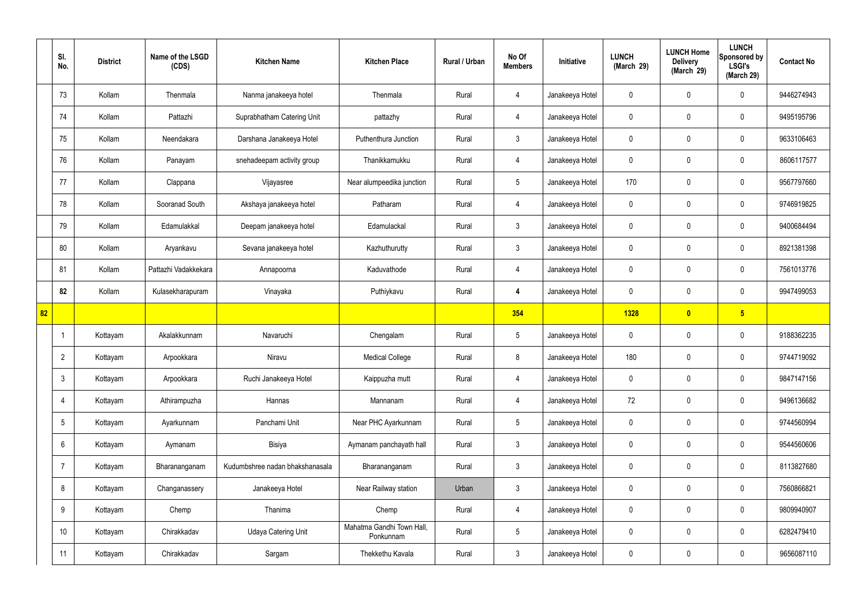|    | SI.<br>No.      | <b>District</b> | Name of the LSGD<br>(CDS) | <b>Kitchen Name</b>             | <b>Kitchen Place</b>                   | Rural / Urban | No Of<br><b>Members</b> | Initiative      | <b>LUNCH</b><br>(March 29) | <b>LUNCH Home</b><br><b>Delivery</b><br>(March 29) | <b>LUNCH</b><br>Sponsored by<br><b>LSGI's</b><br>(March 29) | <b>Contact No</b> |
|----|-----------------|-----------------|---------------------------|---------------------------------|----------------------------------------|---------------|-------------------------|-----------------|----------------------------|----------------------------------------------------|-------------------------------------------------------------|-------------------|
|    | 73              | Kollam          | Thenmala                  | Nanma janakeeya hotel           | Thenmala                               | Rural         | 4                       | Janakeeya Hotel | $\mathbf 0$                | $\mathbf 0$                                        | $\mathbf 0$                                                 | 9446274943        |
|    | 74              | Kollam          | Pattazhi                  | Suprabhatham Catering Unit      | pattazhy                               | Rural         | $\overline{4}$          | Janakeeya Hotel | $\mathbf 0$                | $\mathbf 0$                                        | $\mathbf 0$                                                 | 9495195796        |
|    | 75              | Kollam          | Neendakara                | Darshana Janakeeya Hotel        | Puthenthura Junction                   | Rural         | $\mathbf{3}$            | Janakeeya Hotel | $\mathbf 0$                | $\mathbf 0$                                        | $\mathbf 0$                                                 | 9633106463        |
|    | 76              | Kollam          | Panayam                   | snehadeepam activity group      | Thanikkamukku                          | Rural         | $\overline{4}$          | Janakeeya Hotel | $\mathbf 0$                | $\mathbf 0$                                        | $\mathbf 0$                                                 | 8606117577        |
|    | 77              | Kollam          | Clappana                  | Vijayasree                      | Near alumpeedika junction              | Rural         | $5\phantom{.0}$         | Janakeeya Hotel | 170                        | $\mathbf 0$                                        | $\mathbf 0$                                                 | 9567797660        |
|    | 78              | Kollam          | Sooranad South            | Akshaya janakeeya hotel         | Patharam                               | Rural         | $\overline{4}$          | Janakeeya Hotel | $\mathbf 0$                | $\mathbf 0$                                        | $\mathbf 0$                                                 | 9746919825        |
|    | 79              | Kollam          | Edamulakkal               | Deepam janakeeya hotel          | Edamulackal                            | Rural         | 3                       | Janakeeya Hotel | $\mathbf 0$                | $\mathbf 0$                                        | $\mathbf 0$                                                 | 9400684494        |
|    | 80              | Kollam          | Aryankavu                 | Sevana janakeeya hotel          | Kazhuthurutty                          | Rural         | $\mathbf{3}$            | Janakeeya Hotel | $\mathbf 0$                | $\mathbf 0$                                        | $\mathbf 0$                                                 | 8921381398        |
|    | 81              | Kollam          | Pattazhi Vadakkekara      | Annapoorna                      | Kaduvathode                            | Rural         | 4                       | Janakeeya Hotel | $\mathbf 0$                | $\mathbf 0$                                        | $\mathbf 0$                                                 | 7561013776        |
|    | 82              | Kollam          | Kulasekharapuram          | Vinayaka                        | Puthiykavu                             | Rural         | $\overline{4}$          | Janakeeya Hotel | $\mathbf 0$                | $\mathbf 0$                                        | $\mathbf 0$                                                 | 9947499053        |
| 82 |                 |                 |                           |                                 |                                        |               | 354                     |                 | <b>1328</b>                | $\mathbf{0}$                                       | $5\overline{)}$                                             |                   |
|    | -1              | Kottayam        | Akalakkunnam              | Navaruchi                       | Chengalam                              | Rural         | $5\phantom{.0}$         | Janakeeya Hotel | $\mathbf 0$                | $\mathbf 0$                                        | $\mathbf 0$                                                 | 9188362235        |
|    | $\overline{2}$  | Kottayam        | Arpookkara                | Niravu                          | <b>Medical College</b>                 | Rural         | 8                       | Janakeeya Hotel | 180                        | $\mathbf 0$                                        | $\mathbf 0$                                                 | 9744719092        |
|    | $\mathbf{3}$    | Kottayam        | Arpookkara                | Ruchi Janakeeya Hotel           | Kaippuzha mutt                         | Rural         | $\overline{4}$          | Janakeeya Hotel | $\mathbf 0$                | $\pmb{0}$                                          | $\mathbf 0$                                                 | 9847147156        |
|    | $\overline{4}$  | Kottayam        | Athirampuzha              | Hannas                          | Mannanam                               | Rural         | $\overline{4}$          | Janakeeya Hotel | 72                         | $\pmb{0}$                                          | $\mathbf 0$                                                 | 9496136682        |
|    | $5\overline{)}$ | Kottayam        | Ayarkunnam                | Panchami Unit                   | Near PHC Ayarkunnam                    | Rural         | $5\phantom{.0}$         | Janakeeya Hotel | $\mathbf 0$                | $\mathbf 0$                                        | $\mathbf 0$                                                 | 9744560994        |
|    | 6               | Kottayam        | Aymanam                   | Bisiya                          | Aymanam panchayath hall                | Rural         | $\mathbf{3}$            | Janakeeya Hotel | $\mathbf 0$                | 0                                                  | $\mathbf 0$                                                 | 9544560606        |
|    | 7               | Kottayam        | Bharananganam             | Kudumbshree nadan bhakshanasala | Bharananganam                          | Rural         | $3\phantom{a}$          | Janakeeya Hotel | $\mathbf 0$                | 0                                                  | $\mathbf 0$                                                 | 8113827680        |
|    | 8               | Kottayam        | Changanassery             | Janakeeya Hotel                 | Near Railway station                   | Urban         | $\mathbf{3}$            | Janakeeya Hotel | $\mathbf 0$                | 0                                                  | $\mathbf 0$                                                 | 7560866821        |
|    | 9               | Kottayam        | Chemp                     | Thanima                         | Chemp                                  | Rural         | $\overline{4}$          | Janakeeya Hotel | $\mathbf 0$                | 0                                                  | $\mathbf 0$                                                 | 9809940907        |
|    | 10              | Kottayam        | Chirakkadav               | <b>Udaya Catering Unit</b>      | Mahatma Gandhi Town Hall,<br>Ponkunnam | Rural         | $5\phantom{.0}$         | Janakeeya Hotel | $\mathbf 0$                | 0                                                  | $\mathbf 0$                                                 | 6282479410        |
|    | 11              | Kottayam        | Chirakkadav               | Sargam                          | Thekkethu Kavala                       | Rural         | $\mathbf{3}$            | Janakeeya Hotel | $\pmb{0}$                  | 0                                                  | $\boldsymbol{0}$                                            | 9656087110        |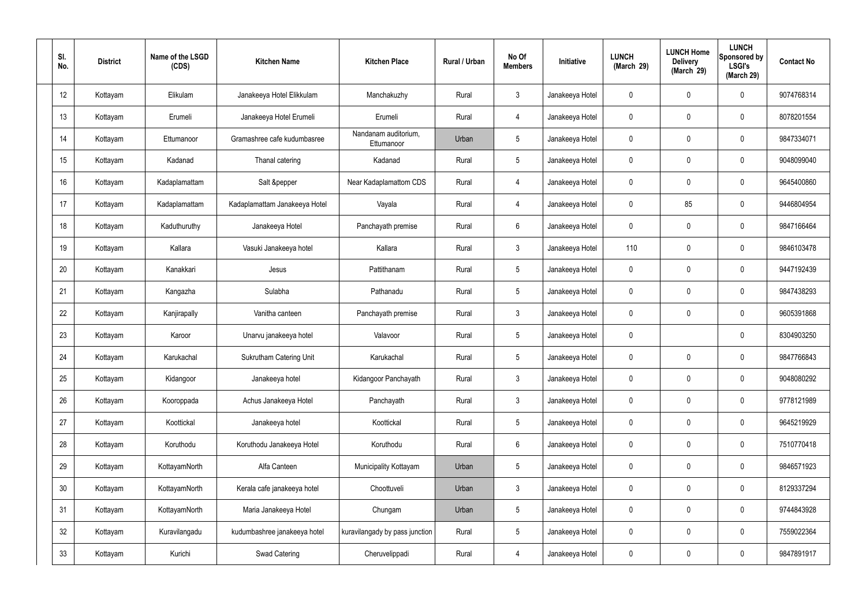| SI.<br>No.      | <b>District</b> | Name of the LSGD<br>(CDS) | <b>Kitchen Name</b>            | <b>Kitchen Place</b>               | Rural / Urban | No Of<br><b>Members</b> | Initiative      | <b>LUNCH</b><br>(March 29) | <b>LUNCH Home</b><br><b>Delivery</b><br>(March 29) | <b>LUNCH</b><br>Sponsored by<br><b>LSGI's</b><br>(March 29) | <b>Contact No</b> |
|-----------------|-----------------|---------------------------|--------------------------------|------------------------------------|---------------|-------------------------|-----------------|----------------------------|----------------------------------------------------|-------------------------------------------------------------|-------------------|
| 12              | Kottayam        | Elikulam                  | Janakeeya Hotel Elikkulam      | Manchakuzhy                        | Rural         | $\mathbf{3}$            | Janakeeya Hotel | $\mathbf{0}$               | $\mathbf 0$                                        | 0                                                           | 9074768314        |
| 13              | Kottayam        | Erumeli                   | Janakeeya Hotel Erumeli        | Erumeli                            | Rural         | $\overline{4}$          | Janakeeya Hotel | $\mathbf 0$                | $\mathbf 0$                                        | 0                                                           | 8078201554        |
| 14              | Kottayam        | Ettumanoor                | Gramashree cafe kudumbasree    | Nandanam auditorium,<br>Ettumanoor | Urban         | $5\phantom{.0}$         | Janakeeya Hotel | 0                          | $\mathbf 0$                                        | 0                                                           | 9847334071        |
| 15              | Kottayam        | Kadanad                   | Thanal catering                | Kadanad                            | Rural         | $5\phantom{.0}$         | Janakeeya Hotel | $\mathbf 0$                | $\mathbf 0$                                        | 0                                                           | 9048099040        |
| 16              | Kottayam        | Kadaplamattam             | Salt &pepper                   | Near Kadaplamattom CDS             | Rural         | $\overline{4}$          | Janakeeya Hotel | 0                          | $\mathbf 0$                                        | 0                                                           | 9645400860        |
| 17              | Kottayam        | Kadaplamattam             | Kadaplamattam Janakeeya Hotel  | Vayala                             | Rural         | $\overline{4}$          | Janakeeya Hotel | $\mathbf 0$                | 85                                                 | 0                                                           | 9446804954        |
| 18              | Kottayam        | Kaduthuruthy              | Janakeeya Hotel                | Panchayath premise                 | Rural         | 6                       | Janakeeya Hotel | 0                          | $\mathbf 0$                                        | 0                                                           | 9847166464        |
| 19              | Kottayam        | Kallara                   | Vasuki Janakeeya hotel         | Kallara                            | Rural         | $\mathbf{3}$            | Janakeeya Hotel | 110                        | $\mathbf 0$                                        | 0                                                           | 9846103478        |
| 20              | Kottayam        | Kanakkari                 | Jesus                          | Pattithanam                        | Rural         | $5\phantom{.0}$         | Janakeeya Hotel | $\mathbf 0$                | $\mathbf 0$                                        | 0                                                           | 9447192439        |
| 21              | Kottayam        | Kangazha                  | Sulabha                        | Pathanadu                          | Rural         | $5\phantom{.0}$         | Janakeeya Hotel | $\mathbf 0$                | $\mathbf 0$                                        | 0                                                           | 9847438293        |
| 22              | Kottayam        | Kanjirapally              | Vanitha canteen                | Panchayath premise                 | Rural         | $\mathbf{3}$            | Janakeeya Hotel | 0                          | 0                                                  | 0                                                           | 9605391868        |
| 23              | Kottayam        | Karoor                    | Unarvu janakeeya hotel         | Valavoor                           | Rural         | $5\phantom{.0}$         | Janakeeya Hotel | $\mathbf 0$                |                                                    | 0                                                           | 8304903250        |
| 24              | Kottayam        | Karukachal                | <b>Sukrutham Catering Unit</b> | Karukachal                         | Rural         | 5                       | Janakeeya Hotel | 0                          | 0                                                  | 0                                                           | 9847766843        |
| 25              | Kottayam        | Kidangoor                 | Janakeeya hotel                | Kidangoor Panchayath               | Rural         | $\mathbf{3}$            | Janakeeya Hotel | $\mathbf 0$                | $\mathbf 0$                                        | 0                                                           | 9048080292        |
| 26              | Kottayam        | Kooroppada                | Achus Janakeeya Hotel          | Panchayath                         | Rural         | $\mathbf{3}$            | Janakeeya Hotel | $\mathbf 0$                | $\pmb{0}$                                          | 0                                                           | 9778121989        |
| 27              | Kottayam        | Koottickal                | Janakeeya hotel                | Koottickal                         | Rural         | $5\phantom{.0}$         | Janakeeya Hotel | $\mathbf 0$                | $\mathbf 0$                                        | 0                                                           | 9645219929        |
| 28              | Kottayam        | Koruthodu                 | Koruthodu Janakeeya Hotel      | Koruthodu                          | Rural         | $6\overline{6}$         | Janakeeya Hotel | $\mathbf 0$                | $\pmb{0}$                                          | 0                                                           | 7510770418        |
| 29              | Kottayam        | KottayamNorth             | Alfa Canteen                   | Municipality Kottayam              | Urban         | $5\phantom{.0}$         | Janakeeya Hotel | $\mathbf 0$                | $\mathbf 0$                                        | 0                                                           | 9846571923        |
| 30 <sub>2</sub> | Kottayam        | KottayamNorth             | Kerala cafe janakeeya hotel    | Choottuveli                        | Urban         | $\mathbf{3}$            | Janakeeya Hotel | $\mathbf 0$                | $\pmb{0}$                                          | 0                                                           | 8129337294        |
| 31              | Kottayam        | KottayamNorth             | Maria Janakeeya Hotel          | Chungam                            | Urban         | $5\phantom{.0}$         | Janakeeya Hotel | $\mathbf 0$                | $\mathbf 0$                                        | 0                                                           | 9744843928        |
| 32              | Kottayam        | Kuravilangadu             | kudumbashree janakeeya hotel   | kuravilangady by pass junction     | Rural         | $5\phantom{.0}$         | Janakeeya Hotel | $\mathbf 0$                | $\mathbf 0$                                        | 0                                                           | 7559022364        |
| 33              | Kottayam        | Kurichi                   | Swad Catering                  | Cheruvelippadi                     | Rural         | $\overline{4}$          | Janakeeya Hotel | 0                          | $\boldsymbol{0}$                                   | 0                                                           | 9847891917        |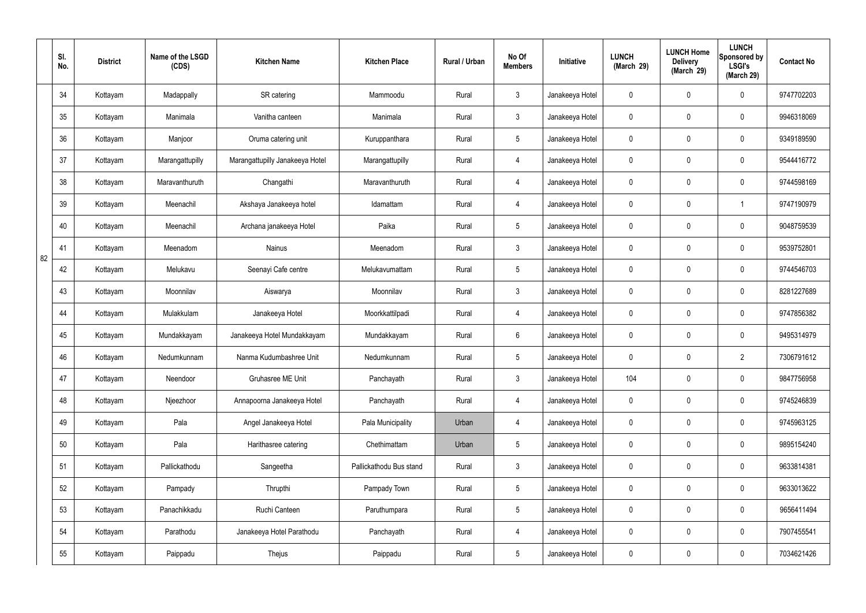|    | SI.<br>No. | <b>District</b> | Name of the LSGD<br>(CDS) | <b>Kitchen Name</b>             | <b>Kitchen Place</b>    | Rural / Urban | No Of<br><b>Members</b> | Initiative      | <b>LUNCH</b><br>(March 29) | <b>LUNCH Home</b><br><b>Delivery</b><br>(March 29) | <b>LUNCH</b><br>Sponsored by<br><b>LSGI's</b><br>(March 29) | <b>Contact No</b> |
|----|------------|-----------------|---------------------------|---------------------------------|-------------------------|---------------|-------------------------|-----------------|----------------------------|----------------------------------------------------|-------------------------------------------------------------|-------------------|
|    | 34         | Kottayam        | Madappally                | SR catering                     | Mammoodu                | Rural         | $\mathbf{3}$            | Janakeeya Hotel | 0                          | 0                                                  | $\mathbf 0$                                                 | 9747702203        |
|    | 35         | Kottayam        | Manimala                  | Vanitha canteen                 | Manimala                | Rural         | $\mathbf{3}$            | Janakeeya Hotel | $\mathbf 0$                | 0                                                  | $\mathbf 0$                                                 | 9946318069        |
|    | 36         | Kottayam        | Manjoor                   | Oruma catering unit             | Kuruppanthara           | Rural         | $5\phantom{.0}$         | Janakeeya Hotel | 0                          | 0                                                  | $\mathbf 0$                                                 | 9349189590        |
|    | 37         | Kottayam        | Marangattupilly           | Marangattupilly Janakeeya Hotel | Marangattupilly         | Rural         | $\overline{4}$          | Janakeeya Hotel | $\mathbf 0$                | 0                                                  | $\mathbf 0$                                                 | 9544416772        |
|    | 38         | Kottayam        | Maravanthuruth            | Changathi                       | Maravanthuruth          | Rural         | 4                       | Janakeeya Hotel | $\mathbf 0$                | 0                                                  | $\mathbf 0$                                                 | 9744598169        |
|    | 39         | Kottayam        | Meenachil                 | Akshaya Janakeeya hotel         | Idamattam               | Rural         | $\overline{4}$          | Janakeeya Hotel | $\mathbf 0$                | 0                                                  | -1                                                          | 9747190979        |
|    | 40         | Kottayam        | Meenachil                 | Archana janakeeya Hotel         | Paika                   | Rural         | $5\phantom{.0}$         | Janakeeya Hotel | $\mathbf 0$                | 0                                                  | $\mathbf 0$                                                 | 9048759539        |
| 82 | 41         | Kottayam        | Meenadom                  | Nainus                          | Meenadom                | Rural         | $\mathfrak{Z}$          | Janakeeya Hotel | $\mathbf 0$                | 0                                                  | $\mathbf 0$                                                 | 9539752801        |
|    | 42         | Kottayam        | Melukavu                  | Seenayi Cafe centre             | Melukavumattam          | Rural         | $5\phantom{.0}$         | Janakeeya Hotel | $\mathbf 0$                | $\boldsymbol{0}$                                   | $\mathbf 0$                                                 | 9744546703        |
|    | 43         | Kottayam        | Moonnilav                 | Aiswarya                        | Moonnilav               | Rural         | $\mathbf{3}$            | Janakeeya Hotel | $\mathbf 0$                | 0                                                  | $\mathbf 0$                                                 | 8281227689        |
|    | 44         | Kottayam        | Mulakkulam                | Janakeeya Hotel                 | Moorkkattilpadi         | Rural         | 4                       | Janakeeya Hotel | $\mathbf 0$                | 0                                                  | $\mathbf 0$                                                 | 9747856382        |
|    | 45         | Kottayam        | Mundakkayam               | Janakeeya Hotel Mundakkayam     | Mundakkayam             | Rural         | $6\phantom{.}6$         | Janakeeya Hotel | $\mathbf 0$                | 0                                                  | $\mathbf 0$                                                 | 9495314979        |
|    | 46         | Kottayam        | Nedumkunnam               | Nanma Kudumbashree Unit         | Nedumkunnam             | Rural         | $5\phantom{.0}$         | Janakeeya Hotel | $\mathbf 0$                | $\mathbf 0$                                        | $\overline{2}$                                              | 7306791612        |
|    | 47         | Kottayam        | Neendoor                  | Gruhasree ME Unit               | Panchayath              | Rural         | $\mathfrak{Z}$          | Janakeeya Hotel | 104                        | 0                                                  | $\mathbf 0$                                                 | 9847756958        |
|    | 48         | Kottayam        | Njeezhoor                 | Annapoorna Janakeeya Hotel      | Panchayath              | Rural         | $\overline{4}$          | Janakeeya Hotel | $\pmb{0}$                  | 0                                                  | $\mathbf 0$                                                 | 9745246839        |
|    | 49         | Kottayam        | Pala                      | Angel Janakeeya Hotel           | Pala Municipality       | Urban         | $\overline{4}$          | Janakeeya Hotel | $\pmb{0}$                  | 0                                                  | $\mathbf 0$                                                 | 9745963125        |
|    | 50         | Kottayam        | Pala                      | Harithasree catering            | Chethimattam            | Urban         | $5\overline{)}$         | Janakeeya Hotel | $\pmb{0}$                  | 0                                                  | $\mathbf 0$                                                 | 9895154240        |
|    | 51         | Kottayam        | Pallickathodu             | Sangeetha                       | Pallickathodu Bus stand | Rural         | $\mathbf{3}$            | Janakeeya Hotel | 0                          | 0                                                  | $\mathbf 0$                                                 | 9633814381        |
|    | 52         | Kottayam        | Pampady                   | Thrupthi                        | Pampady Town            | Rural         | $5\overline{)}$         | Janakeeya Hotel | $\mathbf 0$                | 0                                                  | $\mathbf 0$                                                 | 9633013622        |
|    | 53         | Kottayam        | Panachikkadu              | Ruchi Canteen                   | Paruthumpara            | Rural         | $5\overline{)}$         | Janakeeya Hotel | $\mathbf 0$                | 0                                                  | $\mathbf 0$                                                 | 9656411494        |
|    | 54         | Kottayam        | Parathodu                 | Janakeeya Hotel Parathodu       | Panchayath              | Rural         | $\overline{4}$          | Janakeeya Hotel | $\pmb{0}$                  | 0                                                  | $\mathbf 0$                                                 | 7907455541        |
|    | 55         | Kottayam        | Paippadu                  | Thejus                          | Paippadu                | Rural         | $\sqrt{5}$              | Janakeeya Hotel | 0                          | 0                                                  | $\boldsymbol{0}$                                            | 7034621426        |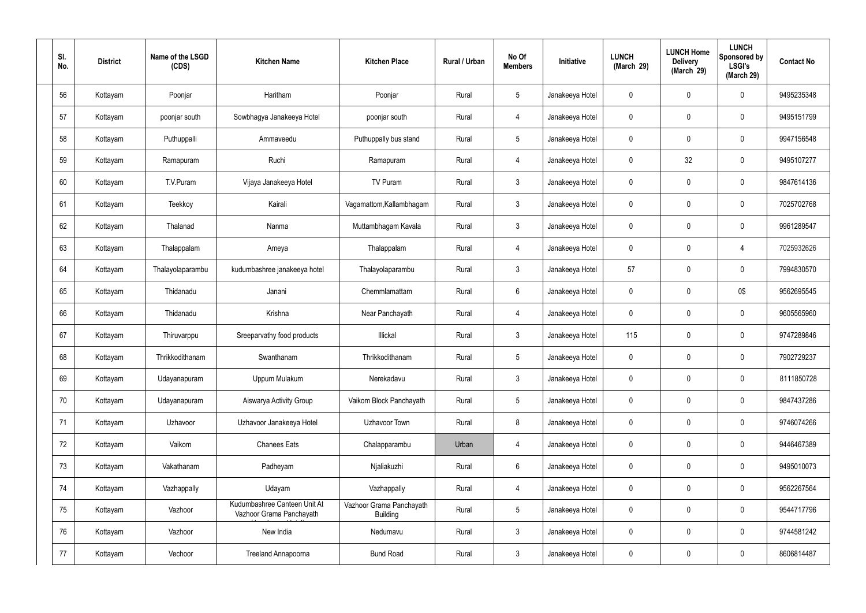| SI.<br>No. | <b>District</b> | Name of the LSGD<br>(CDS) | <b>Kitchen Name</b>                                      | <b>Kitchen Place</b>                        | Rural / Urban | No Of<br><b>Members</b> | Initiative      | <b>LUNCH</b><br>(March 29) | <b>LUNCH Home</b><br><b>Delivery</b><br>(March 29) | <b>LUNCH</b><br><b>Sponsored by</b><br><b>LSGI's</b><br>(March 29) | <b>Contact No</b> |
|------------|-----------------|---------------------------|----------------------------------------------------------|---------------------------------------------|---------------|-------------------------|-----------------|----------------------------|----------------------------------------------------|--------------------------------------------------------------------|-------------------|
| 56         | Kottayam        | Poonjar                   | Haritham                                                 | Poonjar                                     | Rural         | $5\phantom{.0}$         | Janakeeya Hotel | $\mathbf 0$                | $\mathbf 0$                                        | 0                                                                  | 9495235348        |
| 57         | Kottayam        | poonjar south             | Sowbhagya Janakeeya Hotel                                | poonjar south                               | Rural         | $\overline{4}$          | Janakeeya Hotel | $\mathbf 0$                | $\mathbf 0$                                        | 0                                                                  | 9495151799        |
| 58         | Kottayam        | Puthuppalli               | Ammaveedu                                                | Puthuppally bus stand                       | Rural         | $5\overline{)}$         | Janakeeya Hotel | 0                          | $\mathbf 0$                                        | 0                                                                  | 9947156548        |
| 59         | Kottayam        | Ramapuram                 | Ruchi                                                    | Ramapuram                                   | Rural         | $\overline{4}$          | Janakeeya Hotel | $\mathbf 0$                | 32                                                 | 0                                                                  | 9495107277        |
| 60         | Kottayam        | T.V.Puram                 | Vijaya Janakeeya Hotel                                   | TV Puram                                    | Rural         | $\mathbf{3}$            | Janakeeya Hotel | 0                          | $\mathbf 0$                                        | 0                                                                  | 9847614136        |
| 61         | Kottayam        | Teekkoy                   | Kairali                                                  | Vagamattom, Kallambhagam                    | Rural         | $\mathbf{3}$            | Janakeeya Hotel | $\mathbf 0$                | $\mathbf 0$                                        | 0                                                                  | 7025702768        |
| 62         | Kottayam        | Thalanad                  | Nanma                                                    | Muttambhagam Kavala                         | Rural         | $\mathbf{3}$            | Janakeeya Hotel | 0                          | 0                                                  | 0                                                                  | 9961289547        |
| 63         | Kottayam        | Thalappalam               | Ameya                                                    | Thalappalam                                 | Rural         | $\overline{4}$          | Janakeeya Hotel | $\mathbf 0$                | $\mathbf 0$                                        | 4                                                                  | 7025932626        |
| 64         | Kottayam        | Thalayolaparambu          | kudumbashree janakeeya hotel                             | Thalayolaparambu                            | Rural         | $\mathbf{3}$            | Janakeeya Hotel | 57                         | 0                                                  | 0                                                                  | 7994830570        |
| 65         | Kottayam        | Thidanadu                 | Janani                                                   | Chemmlamattam                               | Rural         | $6\phantom{.}6$         | Janakeeya Hotel | $\mathbf 0$                | 0                                                  | 0\$                                                                | 9562695545        |
| 66         | Kottayam        | Thidanadu                 | Krishna                                                  | Near Panchayath                             | Rural         | $\overline{4}$          | Janakeeya Hotel | 0                          | 0                                                  | 0                                                                  | 9605565960        |
| 67         | Kottayam        | Thiruvarppu               | Sreeparvathy food products                               | Illickal                                    | Rural         | $\mathbf{3}$            | Janakeeya Hotel | 115                        | 0                                                  | 0                                                                  | 9747289846        |
| 68         | Kottayam        | Thrikkodithanam           | Swanthanam                                               | Thrikkodithanam                             | Rural         | 5                       | Janakeeya Hotel | 0                          | 0                                                  | 0                                                                  | 7902729237        |
| 69         | Kottayam        | Udayanapuram              | Uppum Mulakum                                            | Nerekadavu                                  | Rural         | $\mathbf{3}$            | Janakeeya Hotel | $\mathbf 0$                | $\mathbf 0$                                        | 0                                                                  | 8111850728        |
| 70         | Kottayam        | Udayanapuram              | Aiswarya Activity Group                                  | Vaikom Block Panchayath                     | Rural         | $5\phantom{.0}$         | Janakeeya Hotel | $\mathbf 0$                | $\pmb{0}$                                          | $\mathbf 0$                                                        | 9847437286        |
| 71         | Kottayam        | Uzhavoor                  | Uzhavoor Janakeeya Hotel                                 | Uzhavoor Town                               | Rural         | 8                       | Janakeeya Hotel | $\mathbf 0$                | $\mathbf 0$                                        | 0                                                                  | 9746074266        |
| 72         | Kottayam        | Vaikom                    | <b>Chanees Eats</b>                                      | Chalapparambu                               | Urban         | $\overline{4}$          | Janakeeya Hotel | $\mathbf 0$                | $\pmb{0}$                                          | 0                                                                  | 9446467389        |
| 73         | Kottayam        | Vakathanam                | Padheyam                                                 | Njaliakuzhi                                 | Rural         | $6\phantom{.}6$         | Janakeeya Hotel | 0                          | $\mathbf 0$                                        | 0                                                                  | 9495010073        |
| 74         | Kottayam        | Vazhappally               | Udayam                                                   | Vazhappally                                 | Rural         | $\overline{4}$          | Janakeeya Hotel | $\mathbf 0$                | $\pmb{0}$                                          | 0                                                                  | 9562267564        |
| 75         | Kottayam        | Vazhoor                   | Kudumbashree Canteen Unit At<br>Vazhoor Grama Panchayath | Vazhoor Grama Panchayath<br><b>Building</b> | Rural         | $5\phantom{.0}$         | Janakeeya Hotel | $\mathbf 0$                | $\mathbf 0$                                        | 0                                                                  | 9544717796        |
| 76         | Kottayam        | Vazhoor                   | New India                                                | Nedumavu                                    | Rural         | $\mathbf{3}$            | Janakeeya Hotel | $\mathbf 0$                | $\mathbf 0$                                        | 0                                                                  | 9744581242        |
| 77         | Kottayam        | Vechoor                   | Treeland Annapoorna                                      | <b>Bund Road</b>                            | Rural         | $\mathbf{3}$            | Janakeeya Hotel | $\pmb{0}$                  | $\boldsymbol{0}$                                   | 0                                                                  | 8606814487        |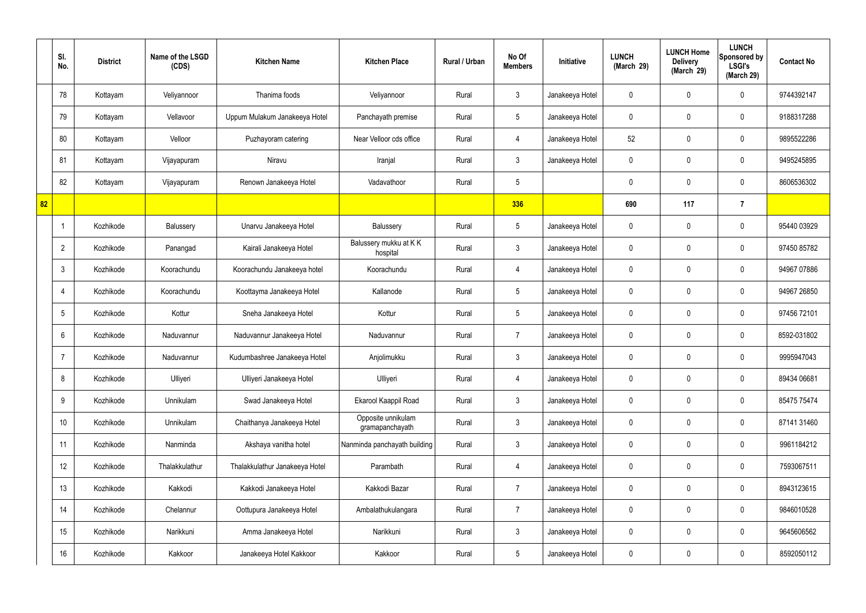|    | SI.<br>No.      | <b>District</b> | Name of the LSGD<br>(CDS) | <b>Kitchen Name</b>            | <b>Kitchen Place</b>                  | Rural / Urban | No Of<br><b>Members</b> | <b>Initiative</b> | <b>LUNCH</b><br>(March 29) | <b>LUNCH Home</b><br><b>Delivery</b><br>(March 29) | <b>LUNCH</b><br>Sponsored by<br><b>LSGI's</b><br>(March 29) | <b>Contact No</b> |
|----|-----------------|-----------------|---------------------------|--------------------------------|---------------------------------------|---------------|-------------------------|-------------------|----------------------------|----------------------------------------------------|-------------------------------------------------------------|-------------------|
|    | 78              | Kottayam        | Veliyannoor               | Thanima foods                  | Veliyannoor                           | Rural         | $\mathbf{3}$            | Janakeeya Hotel   | $\mathbf 0$                | 0                                                  | $\mathbf 0$                                                 | 9744392147        |
|    | 79              | Kottayam        | Vellavoor                 | Uppum Mulakum Janakeeya Hotel  | Panchayath premise                    | Rural         | $5\phantom{.0}$         | Janakeeya Hotel   | $\mathbf 0$                | 0                                                  | $\mathbf 0$                                                 | 9188317288        |
|    | 80              | Kottayam        | Velloor                   | Puzhayoram catering            | Near Velloor cds office               | Rural         | $\overline{4}$          | Janakeeya Hotel   | 52                         | $\mathbf 0$                                        | $\mathbf 0$                                                 | 9895522286        |
|    | 81              | Kottayam        | Vijayapuram               | Niravu                         | Iranjal                               | Rural         | $\mathbf{3}$            | Janakeeya Hotel   | $\mathbf 0$                | 0                                                  | $\mathbf 0$                                                 | 9495245895        |
|    | 82              | Kottayam        | Vijayapuram               | Renown Janakeeya Hotel         | Vadavathoor                           | Rural         | $5\phantom{.0}$         |                   | 0                          | $\mathbf 0$                                        | $\mathbf 0$                                                 | 8606536302        |
| 82 |                 |                 |                           |                                |                                       |               | 336                     |                   | 690                        | 117                                                | $\overline{7}$                                              |                   |
|    | -1              | Kozhikode       | Balussery                 | Unarvu Janakeeya Hotel         | Balussery                             | Rural         | $5\phantom{.0}$         | Janakeeya Hotel   | $\mathbf 0$                | $\mathbf 0$                                        | $\mathbf 0$                                                 | 95440 03929       |
|    | $\overline{2}$  | Kozhikode       | Panangad                  | Kairali Janakeeya Hotel        | Balussery mukku at KK<br>hospital     | Rural         | $\mathbf{3}$            | Janakeeya Hotel   | $\mathbf 0$                | 0                                                  | $\mathbf 0$                                                 | 97450 85782       |
|    | $\mathbf{3}$    | Kozhikode       | Koorachundu               | Koorachundu Janakeeya hotel    | Koorachundu                           | Rural         | $\overline{4}$          | Janakeeya Hotel   | $\mathbf 0$                | $\mathbf 0$                                        | $\mathbf 0$                                                 | 94967 07886       |
|    | $\overline{4}$  | Kozhikode       | Koorachundu               | Koottayma Janakeeya Hotel      | Kallanode                             | Rural         | $5\phantom{.0}$         | Janakeeya Hotel   | $\mathbf 0$                | 0                                                  | $\mathbf 0$                                                 | 94967 26850       |
|    | $5\overline{)}$ | Kozhikode       | Kottur                    | Sneha Janakeeya Hotel          | Kottur                                | Rural         | $5\phantom{.0}$         | Janakeeya Hotel   | $\mathbf 0$                | 0                                                  | $\mathbf 0$                                                 | 97456 72101       |
|    | 6               | Kozhikode       | Naduvannur                | Naduvannur Janakeeya Hotel     | Naduvannur                            | Rural         | $\overline{7}$          | Janakeeya Hotel   | $\mathbf 0$                | 0                                                  | $\mathbf 0$                                                 | 8592-031802       |
|    | $\overline{7}$  | Kozhikode       | Naduvannur                | Kudumbashree Janakeeya Hotel   | Anjolimukku                           | Rural         | $\mathbf{3}$            | Janakeeya Hotel   | $\mathbf 0$                | 0                                                  | $\mathbf 0$                                                 | 9995947043        |
|    | 8               | Kozhikode       | Ulliyeri                  | Ulliyeri Janakeeya Hotel       | Ulliyeri                              | Rural         | $\overline{4}$          | Janakeeya Hotel   | $\mathbf 0$                | $\mathbf 0$                                        | $\mathbf 0$                                                 | 89434 06681       |
|    | 9               | Kozhikode       | Unnikulam                 | Swad Janakeeya Hotel           | Ekarool Kaappil Road                  | Rural         | $\mathbf{3}$            | Janakeeya Hotel   | $\mathbf 0$                | $\mathbf 0$                                        | $\mathbf 0$                                                 | 85475 75474       |
|    | 10              | Kozhikode       | Unnikulam                 | Chaithanya Janakeeya Hotel     | Opposite unnikulam<br>gramapanchayath | Rural         | $\mathfrak{Z}$          | Janakeeya Hotel   | $\mathbf 0$                | $\mathbf 0$                                        | $\mathbf 0$                                                 | 87141 31460       |
|    | 11              | Kozhikode       | Nanminda                  | Akshaya vanitha hotel          | Nanminda panchayath building          | Rural         | $\mathbf{3}$            | Janakeeya Hotel   | $\mathbf 0$                | $\mathbf 0$                                        | $\mathbf 0$                                                 | 9961184212        |
|    | 12              | Kozhikode       | Thalakkulathur            | Thalakkulathur Janakeeya Hotel | Parambath                             | Rural         | $\overline{4}$          | Janakeeya Hotel   | $\mathbf 0$                | 0                                                  | $\mathbf 0$                                                 | 7593067511        |
|    | 13              | Kozhikode       | Kakkodi                   | Kakkodi Janakeeya Hotel        | Kakkodi Bazar                         | Rural         | $\overline{7}$          | Janakeeya Hotel   | $\mathbf 0$                | 0                                                  | $\mathbf 0$                                                 | 8943123615        |
|    | 14              | Kozhikode       | Chelannur                 | Oottupura Janakeeya Hotel      | Ambalathukulangara                    | Rural         | $\overline{7}$          | Janakeeya Hotel   | $\mathbf 0$                | 0                                                  | $\mathbf 0$                                                 | 9846010528        |
|    | 15              | Kozhikode       | Narikkuni                 | Amma Janakeeya Hotel           | Narikkuni                             | Rural         | $\mathfrak{Z}$          | Janakeeya Hotel   | $\mathbf 0$                | 0                                                  | $\mathbf 0$                                                 | 9645606562        |
|    | 16              | Kozhikode       | Kakkoor                   | Janakeeya Hotel Kakkoor        | Kakkoor                               | Rural         | $5\phantom{.0}$         | Janakeeya Hotel   | 0                          | 0                                                  | $\mathbf 0$                                                 | 8592050112        |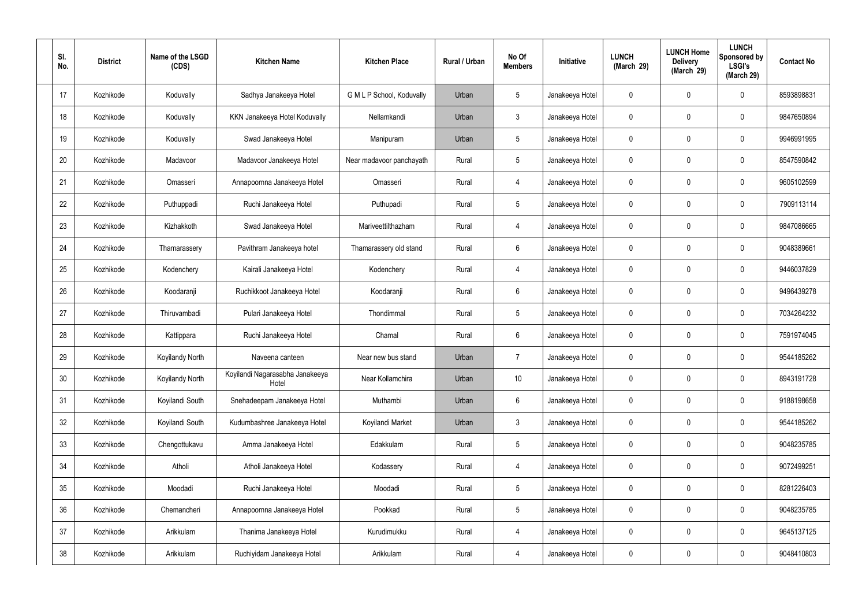| SI.<br>No. | <b>District</b> | Name of the LSGD<br>(CDS) | <b>Kitchen Name</b>                      | <b>Kitchen Place</b>      | Rural / Urban | No Of<br><b>Members</b> | <b>Initiative</b> | <b>LUNCH</b><br>(March 29) | <b>LUNCH Home</b><br><b>Delivery</b><br>(March 29) | <b>LUNCH</b><br>Sponsored by<br><b>LSGI's</b><br>(March 29) | <b>Contact No</b> |
|------------|-----------------|---------------------------|------------------------------------------|---------------------------|---------------|-------------------------|-------------------|----------------------------|----------------------------------------------------|-------------------------------------------------------------|-------------------|
| 17         | Kozhikode       | Koduvally                 | Sadhya Janakeeya Hotel                   | G M L P School, Koduvally | Urban         | $5\phantom{.0}$         | Janakeeya Hotel   | 0                          | 0                                                  | $\mathbf 0$                                                 | 8593898831        |
| 18         | Kozhikode       | Koduvally                 | KKN Janakeeya Hotel Koduvally            | Nellamkandi               | Urban         | $\mathbf{3}$            | Janakeeya Hotel   | $\mathbf 0$                | 0                                                  | $\mathbf 0$                                                 | 9847650894        |
| 19         | Kozhikode       | Koduvally                 | Swad Janakeeya Hotel                     | Manipuram                 | Urban         | $5\phantom{.0}$         | Janakeeya Hotel   | $\mathbf 0$                | 0                                                  | $\mathbf 0$                                                 | 9946991995        |
| 20         | Kozhikode       | Madavoor                  | Madavoor Janakeeya Hotel                 | Near madavoor panchayath  | Rural         | $5\phantom{.0}$         | Janakeeya Hotel   | $\mathbf 0$                | 0                                                  | $\mathbf 0$                                                 | 8547590842        |
| 21         | Kozhikode       | Omasseri                  | Annapoornna Janakeeya Hotel              | Omasseri                  | Rural         | $\overline{4}$          | Janakeeya Hotel   | $\mathbf 0$                | 0                                                  | $\mathbf 0$                                                 | 9605102599        |
| 22         | Kozhikode       | Puthuppadi                | Ruchi Janakeeya Hotel                    | Puthupadi                 | Rural         | $5\phantom{.0}$         | Janakeeya Hotel   | $\mathbf 0$                | 0                                                  | $\mathbf 0$                                                 | 7909113114        |
| 23         | Kozhikode       | Kizhakkoth                | Swad Janakeeya Hotel                     | Mariveettilthazham        | Rural         | $\overline{4}$          | Janakeeya Hotel   | $\mathbf 0$                | 0                                                  | $\mathbf 0$                                                 | 9847086665        |
| 24         | Kozhikode       | Thamarassery              | Pavithram Janakeeya hotel                | Thamarassery old stand    | Rural         | $6\phantom{.}6$         | Janakeeya Hotel   | $\mathbf 0$                | 0                                                  | $\mathbf 0$                                                 | 9048389661        |
| 25         | Kozhikode       | Kodenchery                | Kairali Janakeeya Hotel                  | Kodenchery                | Rural         | 4                       | Janakeeya Hotel   | $\mathbf 0$                | 0                                                  | $\mathbf 0$                                                 | 9446037829        |
| 26         | Kozhikode       | Koodaranji                | Ruchikkoot Janakeeya Hotel               | Koodaranji                | Rural         | $6\phantom{.}6$         | Janakeeya Hotel   | $\mathbf 0$                | 0                                                  | $\mathbf 0$                                                 | 9496439278        |
| 27         | Kozhikode       | Thiruvambadi              | Pulari Janakeeya Hotel                   | Thondimmal                | Rural         | $5\phantom{.0}$         | Janakeeya Hotel   | $\mathbf 0$                | 0                                                  | $\mathbf 0$                                                 | 7034264232        |
| 28         | Kozhikode       | Kattippara                | Ruchi Janakeeya Hotel                    | Chamal                    | Rural         | $6\phantom{.}6$         | Janakeeya Hotel   | $\mathbf 0$                | 0                                                  | $\mathbf 0$                                                 | 7591974045        |
| 29         | Kozhikode       | Koyilandy North           | Naveena canteen                          | Near new bus stand        | Urban         | $\overline{7}$          | Janakeeya Hotel   | $\mathbf 0$                | 0                                                  | 0                                                           | 9544185262        |
| 30         | Kozhikode       | Koyilandy North           | Koyilandi Nagarasabha Janakeeya<br>Hotel | Near Kollamchira          | Urban         | 10 <sup>°</sup>         | Janakeeya Hotel   | $\mathbf 0$                | $\mathbf 0$                                        | $\mathbf 0$                                                 | 8943191728        |
| 31         | Kozhikode       | Koyilandi South           | Snehadeepam Janakeeya Hotel              | Muthambi                  | Urban         | $6\overline{6}$         | Janakeeya Hotel   | $\mathbf 0$                | $\mathbf 0$                                        | $\mathbf 0$                                                 | 9188198658        |
| 32         | Kozhikode       | Koyilandi South           | Kudumbashree Janakeeya Hotel             | Koyilandi Market          | Urban         | $\mathbf{3}$            | Janakeeya Hotel   | $\mathbf 0$                | $\mathbf 0$                                        | $\mathbf 0$                                                 | 9544185262        |
| 33         | Kozhikode       | Chengottukavu             | Amma Janakeeya Hotel                     | Edakkulam                 | Rural         | $5\phantom{.0}$         | Janakeeya Hotel   | $\mathbf 0$                | 0                                                  | $\mathbf 0$                                                 | 9048235785        |
| 34         | Kozhikode       | Atholi                    | Atholi Janakeeya Hotel                   | Kodassery                 | Rural         | $\overline{4}$          | Janakeeya Hotel   | $\mathbf 0$                | 0                                                  | $\mathbf 0$                                                 | 9072499251        |
| 35         | Kozhikode       | Moodadi                   | Ruchi Janakeeya Hotel                    | Moodadi                   | Rural         | $5\phantom{.0}$         | Janakeeya Hotel   | $\mathbf 0$                | 0                                                  | $\mathbf 0$                                                 | 8281226403        |
| 36         | Kozhikode       | Chemancheri               | Annapoornna Janakeeya Hotel              | Pookkad                   | Rural         | $5\phantom{.0}$         | Janakeeya Hotel   | $\pmb{0}$                  | 0                                                  | $\mathbf 0$                                                 | 9048235785        |
| 37         | Kozhikode       | Arikkulam                 | Thanima Janakeeya Hotel                  | Kurudimukku               | Rural         | $\overline{4}$          | Janakeeya Hotel   | $\mathbf 0$                | 0                                                  | $\mathbf 0$                                                 | 9645137125        |
| 38         | Kozhikode       | Arikkulam                 | Ruchiyidam Janakeeya Hotel               | Arikkulam                 | Rural         | 4                       | Janakeeya Hotel   | 0                          | 0                                                  | $\mathbf 0$                                                 | 9048410803        |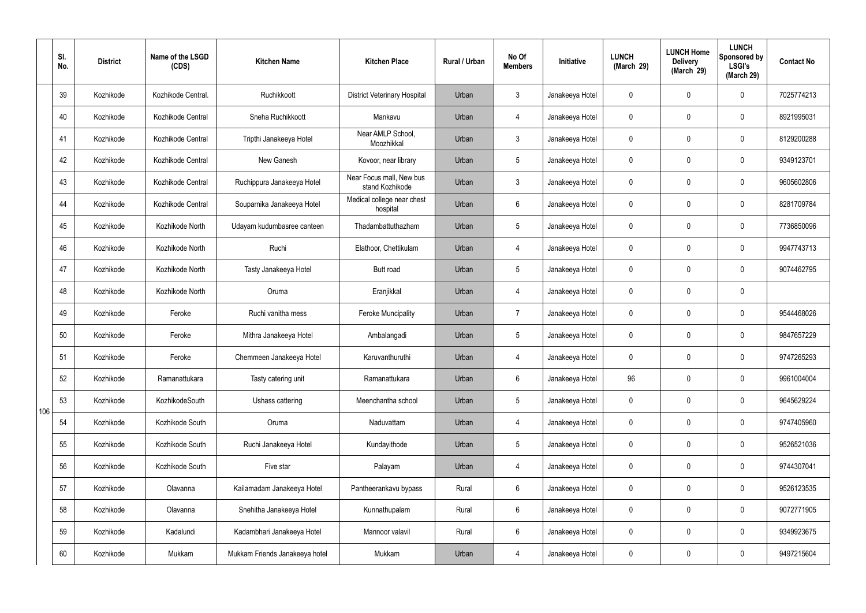|     | SI.<br>No. | <b>District</b> | Name of the LSGD<br>(CDS) | <b>Kitchen Name</b>            | <b>Kitchen Place</b>                        | <b>Rural / Urban</b> | No Of<br><b>Members</b> | Initiative      | <b>LUNCH</b><br>(March 29) | <b>LUNCH Home</b><br><b>Delivery</b><br>(March 29) | <b>LUNCH</b><br>Sponsored by<br><b>LSGI's</b><br>(March 29) | <b>Contact No</b> |
|-----|------------|-----------------|---------------------------|--------------------------------|---------------------------------------------|----------------------|-------------------------|-----------------|----------------------------|----------------------------------------------------|-------------------------------------------------------------|-------------------|
|     | 39         | Kozhikode       | Kozhikode Central.        | Ruchikkoott                    | <b>District Veterinary Hospital</b>         | Urban                | $\mathbf{3}$            | Janakeeya Hotel | $\mathbf 0$                | $\mathbf 0$                                        | $\mathbf 0$                                                 | 7025774213        |
|     | 40         | Kozhikode       | Kozhikode Central         | Sneha Ruchikkoott              | Mankavu                                     | Urban                | 4                       | Janakeeya Hotel | $\mathbf 0$                | $\mathbf 0$                                        | $\mathbf 0$                                                 | 8921995031        |
|     | 41         | Kozhikode       | Kozhikode Central         | Tripthi Janakeeya Hotel        | Near AMLP School,<br>Moozhikkal             | Urban                | $\mathbf{3}$            | Janakeeya Hotel | $\mathbf 0$                | $\mathbf 0$                                        | $\mathbf 0$                                                 | 8129200288        |
|     | 42         | Kozhikode       | Kozhikode Central         | New Ganesh                     | Kovoor, near library                        | Urban                | $5\phantom{.0}$         | Janakeeya Hotel | $\mathbf 0$                | $\mathbf 0$                                        | $\mathbf 0$                                                 | 9349123701        |
|     | 43         | Kozhikode       | Kozhikode Central         | Ruchippura Janakeeya Hotel     | Near Focus mall, New bus<br>stand Kozhikode | Urban                | $\mathbf{3}$            | Janakeeya Hotel | $\mathbf 0$                | $\mathbf 0$                                        | $\mathbf 0$                                                 | 9605602806        |
|     | 44         | Kozhikode       | Kozhikode Central         | Souparnika Janakeeya Hotel     | Medical college near chest<br>hospital      | Urban                | $6\phantom{.}6$         | Janakeeya Hotel | $\mathbf 0$                | $\mathbf 0$                                        | $\mathbf 0$                                                 | 8281709784        |
|     | 45         | Kozhikode       | Kozhikode North           | Udayam kudumbasree canteen     | Thadambattuthazham                          | Urban                | $5\overline{)}$         | Janakeeya Hotel | $\mathbf 0$                | $\mathbf 0$                                        | $\mathbf 0$                                                 | 7736850096        |
|     | 46         | Kozhikode       | Kozhikode North           | Ruchi                          | Elathoor, Chettikulam                       | Urban                | 4                       | Janakeeya Hotel | $\mathbf 0$                | $\mathbf 0$                                        | $\mathbf 0$                                                 | 9947743713        |
|     | 47         | Kozhikode       | Kozhikode North           | Tasty Janakeeya Hotel          | <b>Butt road</b>                            | Urban                | $5\overline{)}$         | Janakeeya Hotel | $\mathbf 0$                | $\mathbf 0$                                        | $\mathbf 0$                                                 | 9074462795        |
|     | 48         | Kozhikode       | Kozhikode North           | Oruma                          | Eranjikkal                                  | Urban                | 4                       | Janakeeya Hotel | $\mathbf 0$                | $\mathbf 0$                                        | $\mathbf 0$                                                 |                   |
|     | 49         | Kozhikode       | Feroke                    | Ruchi vanitha mess             | <b>Feroke Muncipality</b>                   | Urban                | $\overline{7}$          | Janakeeya Hotel | $\mathbf 0$                | $\mathbf 0$                                        | $\mathbf 0$                                                 | 9544468026        |
|     | 50         | Kozhikode       | Feroke                    | Mithra Janakeeya Hotel         | Ambalangadi                                 | Urban                | $5\phantom{.0}$         | Janakeeya Hotel | $\mathbf 0$                | $\mathbf 0$                                        | $\mathbf 0$                                                 | 9847657229        |
|     | 51         | Kozhikode       | Feroke                    | Chemmeen Janakeeya Hotel       | Karuvanthuruthi                             | Urban                | 4                       | Janakeeya Hotel | $\mathbf 0$                | 0                                                  | $\mathbf 0$                                                 | 9747265293        |
|     | 52         | Kozhikode       | Ramanattukara             | Tasty catering unit            | Ramanattukara                               | Urban                | $6\phantom{.}6$         | Janakeeya Hotel | 96                         | $\mathbf 0$                                        | $\mathbf 0$                                                 | 9961004004        |
| 106 | 53         | Kozhikode       | KozhikodeSouth            | Ushass cattering               | Meenchantha school                          | Urban                | $5\phantom{.0}$         | Janakeeya Hotel | $\mathbf 0$                | $\mathbf 0$                                        | $\mathbf 0$                                                 | 9645629224        |
|     | 54         | Kozhikode       | Kozhikode South           | Oruma                          | Naduvattam                                  | Urban                | 4                       | Janakeeya Hotel | $\mathbf 0$                | $\mathbf 0$                                        | $\mathbf 0$                                                 | 9747405960        |
|     | 55         | Kozhikode       | Kozhikode South           | Ruchi Janakeeya Hotel          | Kundayithode                                | Urban                | $5\phantom{.0}$         | Janakeeya Hotel | $\mathbf 0$                | 0                                                  | $\mathbf 0$                                                 | 9526521036        |
|     | 56         | Kozhikode       | Kozhikode South           | Five star                      | Palayam                                     | Urban                | 4                       | Janakeeya Hotel | $\mathbf 0$                | 0                                                  | $\mathbf 0$                                                 | 9744307041        |
|     | 57         | Kozhikode       | Olavanna                  | Kailamadam Janakeeya Hotel     | Pantheerankavu bypass                       | Rural                | $6\overline{6}$         | Janakeeya Hotel | $\mathbf 0$                | 0                                                  | $\mathbf 0$                                                 | 9526123535        |
|     | 58         | Kozhikode       | Olavanna                  | Snehitha Janakeeya Hotel       | Kunnathupalam                               | Rural                | $6\overline{6}$         | Janakeeya Hotel | $\pmb{0}$                  | 0                                                  | $\mathbf 0$                                                 | 9072771905        |
|     | 59         | Kozhikode       | Kadalundi                 | Kadambhari Janakeeya Hotel     | Mannoor valavil                             | Rural                | $6\overline{6}$         | Janakeeya Hotel | $\mathbf 0$                | 0                                                  | $\mathbf 0$                                                 | 9349923675        |
|     | 60         | Kozhikode       | Mukkam                    | Mukkam Friends Janakeeya hotel | Mukkam                                      | Urban                | 4                       | Janakeeya Hotel | $\mathbf 0$                | 0                                                  | $\overline{0}$                                              | 9497215604        |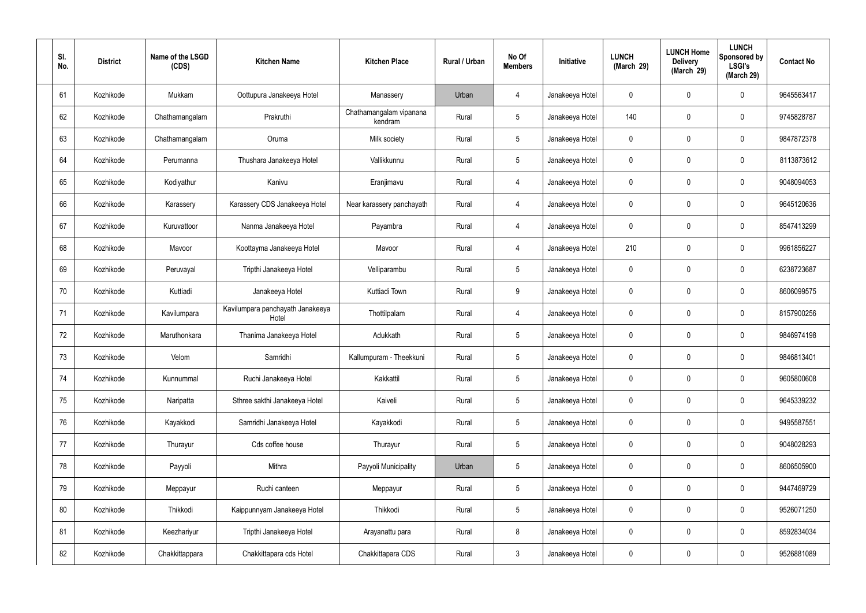| SI.<br>No. | <b>District</b> | Name of the LSGD<br>(CDS) | <b>Kitchen Name</b>                       | <b>Kitchen Place</b>               | Rural / Urban | No Of<br><b>Members</b> | Initiative      | <b>LUNCH</b><br>(March 29) | <b>LUNCH Home</b><br><b>Delivery</b><br>(March 29) | <b>LUNCH</b><br>Sponsored by<br><b>LSGI's</b><br>(March 29) | <b>Contact No</b> |
|------------|-----------------|---------------------------|-------------------------------------------|------------------------------------|---------------|-------------------------|-----------------|----------------------------|----------------------------------------------------|-------------------------------------------------------------|-------------------|
| 61         | Kozhikode       | Mukkam                    | Oottupura Janakeeya Hotel                 | Manassery                          | Urban         | 4                       | Janakeeya Hotel | $\mathbf 0$                | $\mathbf 0$                                        | 0                                                           | 9645563417        |
| 62         | Kozhikode       | Chathamangalam            | Prakruthi                                 | Chathamangalam vipanana<br>kendram | Rural         | $5\phantom{.0}$         | Janakeeya Hotel | 140                        | $\mathbf 0$                                        | 0                                                           | 9745828787        |
| 63         | Kozhikode       | Chathamangalam            | Oruma                                     | Milk society                       | Rural         | $5\phantom{.0}$         | Janakeeya Hotel | $\mathbf{0}$               | $\mathbf 0$                                        | 0                                                           | 9847872378        |
| 64         | Kozhikode       | Perumanna                 | Thushara Janakeeya Hotel                  | Vallikkunnu                        | Rural         | $5\phantom{.0}$         | Janakeeya Hotel | $\mathbf 0$                | $\mathbf 0$                                        | 0                                                           | 8113873612        |
| 65         | Kozhikode       | Kodiyathur                | Kanivu                                    | Eranjimavu                         | Rural         | $\overline{4}$          | Janakeeya Hotel | 0                          | $\mathbf 0$                                        | 0                                                           | 9048094053        |
| 66         | Kozhikode       | Karassery                 | Karassery CDS Janakeeya Hotel             | Near karassery panchayath          | Rural         | $\overline{4}$          | Janakeeya Hotel | $\mathbf 0$                | $\mathbf 0$                                        | 0                                                           | 9645120636        |
| 67         | Kozhikode       | Kuruvattoor               | Nanma Janakeeya Hotel                     | Payambra                           | Rural         | $\overline{4}$          | Janakeeya Hotel | 0                          | $\mathbf 0$                                        | 0                                                           | 8547413299        |
| 68         | Kozhikode       | Mavoor                    | Koottayma Janakeeya Hotel                 | Mavoor                             | Rural         | $\overline{4}$          | Janakeeya Hotel | 210                        | $\mathbf 0$                                        | 0                                                           | 9961856227        |
| 69         | Kozhikode       | Peruvayal                 | Tripthi Janakeeya Hotel                   | Velliparambu                       | Rural         | $5\phantom{.0}$         | Janakeeya Hotel | $\mathbf 0$                | $\mathbf 0$                                        | 0                                                           | 6238723687        |
| 70         | Kozhikode       | Kuttiadi                  | Janakeeya Hotel                           | Kuttiadi Town                      | Rural         | 9                       | Janakeeya Hotel | $\mathbf 0$                | $\mathbf 0$                                        | 0                                                           | 8606099575        |
| 71         | Kozhikode       | Kavilumpara               | Kavilumpara panchayath Janakeeya<br>Hotel | Thottilpalam                       | Rural         | $\overline{4}$          | Janakeeya Hotel | $\mathbf 0$                | $\mathbf 0$                                        | 0                                                           | 8157900256        |
| 72         | Kozhikode       | Maruthonkara              | Thanima Janakeeya Hotel                   | Adukkath                           | Rural         | $5\phantom{.0}$         | Janakeeya Hotel | $\mathbf 0$                | 0                                                  | 0                                                           | 9846974198        |
| 73         | Kozhikode       | Velom                     | Samridhi                                  | Kallumpuram - Theekkuni            | Rural         | 5                       | Janakeeya Hotel | $\mathbf 0$                | $\mathbf 0$                                        | 0                                                           | 9846813401        |
| 74         | Kozhikode       | Kunnummal                 | Ruchi Janakeeya Hotel                     | Kakkattil                          | Rural         | $5\phantom{.0}$         | Janakeeya Hotel | $\mathbf 0$                | $\mathbf 0$                                        | 0                                                           | 9605800608        |
| 75         | Kozhikode       | Naripatta                 | Sthree sakthi Janakeeya Hotel             | Kaiveli                            | Rural         | $5\phantom{.0}$         | Janakeeya Hotel | $\mathbf 0$                | $\mathbf 0$                                        | 0                                                           | 9645339232        |
| 76         | Kozhikode       | Kayakkodi                 | Samridhi Janakeeya Hotel                  | Kayakkodi                          | Rural         | $5\phantom{.0}$         | Janakeeya Hotel | $\mathbf 0$                | $\boldsymbol{0}$                                   | 0                                                           | 9495587551        |
| 77         | Kozhikode       | Thurayur                  | Cds coffee house                          | Thurayur                           | Rural         | $5\phantom{.0}$         | Janakeeya Hotel | $\mathbf 0$                | $\boldsymbol{0}$                                   | 0                                                           | 9048028293        |
| 78         | Kozhikode       | Payyoli                   | Mithra                                    | Payyoli Municipality               | Urban         | $5\phantom{.0}$         | Janakeeya Hotel | $\mathbf 0$                | $\boldsymbol{0}$                                   | 0                                                           | 8606505900        |
| 79         | Kozhikode       | Meppayur                  | Ruchi canteen                             | Meppayur                           | Rural         | $5\phantom{.0}$         | Janakeeya Hotel | $\mathbf 0$                | $\boldsymbol{0}$                                   | 0                                                           | 9447469729        |
| 80         | Kozhikode       | Thikkodi                  | Kaippunnyam Janakeeya Hotel               | Thikkodi                           | Rural         | $5\phantom{.0}$         | Janakeeya Hotel | $\mathbf 0$                | $\boldsymbol{0}$                                   | 0                                                           | 9526071250        |
| 81         | Kozhikode       | Keezhariyur               | Tripthi Janakeeya Hotel                   | Arayanattu para                    | Rural         | 8                       | Janakeeya Hotel | $\mathbf 0$                | $\boldsymbol{0}$                                   | 0                                                           | 8592834034        |
| 82         | Kozhikode       | Chakkittappara            | Chakkittapara cds Hotel                   | Chakkittapara CDS                  | Rural         | $\mathbf{3}$            | Janakeeya Hotel | $\pmb{0}$                  | $\boldsymbol{0}$                                   | 0                                                           | 9526881089        |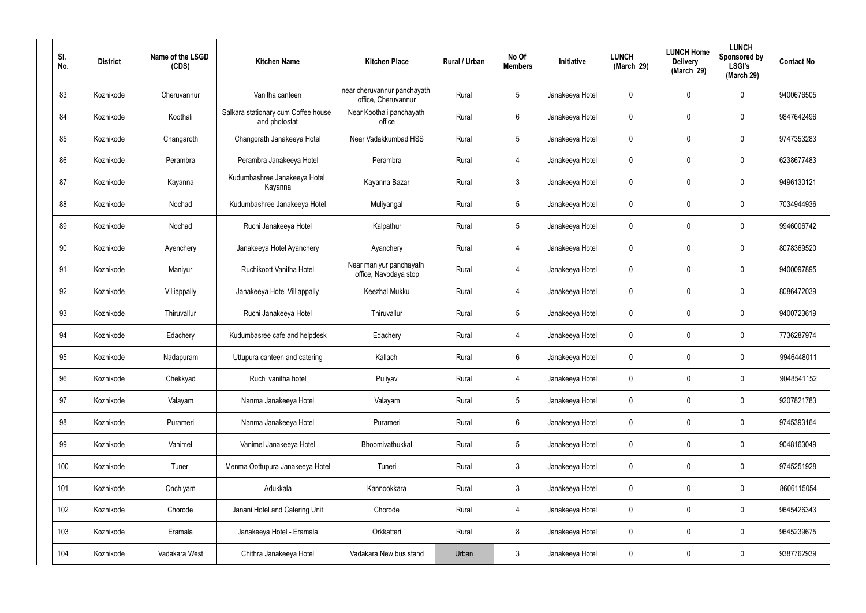| SI.<br>No. | <b>District</b> | Name of the LSGD<br>(CDS) | <b>Kitchen Name</b>                                  | <b>Kitchen Place</b>                               | Rural / Urban | No Of<br><b>Members</b> | Initiative      | <b>LUNCH</b><br>(March 29) | <b>LUNCH Home</b><br><b>Delivery</b><br>(March 29) | <b>LUNCH</b><br>Sponsored by<br><b>LSGI's</b><br>(March 29) | <b>Contact No</b> |
|------------|-----------------|---------------------------|------------------------------------------------------|----------------------------------------------------|---------------|-------------------------|-----------------|----------------------------|----------------------------------------------------|-------------------------------------------------------------|-------------------|
| 83         | Kozhikode       | Cheruvannur               | Vanitha canteen                                      | near cheruvannur panchayath<br>office, Cheruvannur | Rural         | $5\phantom{.0}$         | Janakeeya Hotel | $\mathbf 0$                | 0                                                  | $\mathbf 0$                                                 | 9400676505        |
| 84         | Kozhikode       | Koothali                  | Salkara stationary cum Coffee house<br>and photostat | Near Koothali panchayath<br>office                 | Rural         | 6                       | Janakeeya Hotel | $\mathbf 0$                | 0                                                  | $\mathbf 0$                                                 | 9847642496        |
| 85         | Kozhikode       | Changaroth                | Changorath Janakeeya Hotel                           | Near Vadakkumbad HSS                               | Rural         | $5\phantom{.0}$         | Janakeeya Hotel | $\mathbf 0$                | 0                                                  | $\boldsymbol{0}$                                            | 9747353283        |
| 86         | Kozhikode       | Perambra                  | Perambra Janakeeya Hotel                             | Perambra                                           | Rural         | 4                       | Janakeeya Hotel | $\mathbf 0$                | 0                                                  | $\mathbf 0$                                                 | 6238677483        |
| 87         | Kozhikode       | Kayanna                   | Kudumbashree Janakeeya Hotel<br>Kayanna              | Kayanna Bazar                                      | Rural         | $\mathfrak{Z}$          | Janakeeya Hotel | $\mathbf 0$                | 0                                                  | $\mathbf 0$                                                 | 9496130121        |
| 88         | Kozhikode       | Nochad                    | Kudumbashree Janakeeya Hotel                         | Muliyangal                                         | Rural         | $5\phantom{.0}$         | Janakeeya Hotel | $\mathbf 0$                | 0                                                  | $\mathbf 0$                                                 | 7034944936        |
| 89         | Kozhikode       | Nochad                    | Ruchi Janakeeya Hotel                                | Kalpathur                                          | Rural         | $5\phantom{.0}$         | Janakeeya Hotel | $\mathbf 0$                | 0                                                  | $\mathbf 0$                                                 | 9946006742        |
| 90         | Kozhikode       | Ayenchery                 | Janakeeya Hotel Ayanchery                            | Ayanchery                                          | Rural         | 4                       | Janakeeya Hotel | $\mathbf 0$                | 0                                                  | $\mathbf 0$                                                 | 8078369520        |
| 91         | Kozhikode       | Maniyur                   | Ruchikoott Vanitha Hotel                             | Near maniyur panchayath<br>office, Navodaya stop   | Rural         | 4                       | Janakeeya Hotel | $\mathbf 0$                | 0                                                  | $\mathbf 0$                                                 | 9400097895        |
| 92         | Kozhikode       | Villiappally              | Janakeeya Hotel Villiappally                         | Keezhal Mukku                                      | Rural         | 4                       | Janakeeya Hotel | $\mathbf 0$                | 0                                                  | $\mathbf 0$                                                 | 8086472039        |
| 93         | Kozhikode       | Thiruvallur               | Ruchi Janakeeya Hotel                                | Thiruvallur                                        | Rural         | $5\,$                   | Janakeeya Hotel | 0                          | 0                                                  | $\boldsymbol{0}$                                            | 9400723619        |
| 94         | Kozhikode       | Edachery                  | Kudumbasree cafe and helpdesk                        | Edachery                                           | Rural         | 4                       | Janakeeya Hotel | $\mathbf 0$                | 0                                                  | $\boldsymbol{0}$                                            | 7736287974        |
| 95         | Kozhikode       | Nadapuram                 | Uttupura canteen and catering                        | Kallachi                                           | Rural         | 6                       | Janakeeya Hotel | 0                          | 0                                                  | 0                                                           | 9946448011        |
| 96         | Kozhikode       | Chekkyad                  | Ruchi vanitha hotel                                  | Puliyav                                            | Rural         | $\overline{4}$          | Janakeeya Hotel | $\mathbf 0$                | 0                                                  | $\mathbf 0$                                                 | 9048541152        |
| 97         | Kozhikode       | Valayam                   | Nanma Janakeeya Hotel                                | Valayam                                            | Rural         | $5\phantom{.0}$         | Janakeeya Hotel | $\mathbf 0$                | 0                                                  | $\mathbf 0$                                                 | 9207821783        |
| 98         | Kozhikode       | Purameri                  | Nanma Janakeeya Hotel                                | Purameri                                           | Rural         | $6\overline{6}$         | Janakeeya Hotel | $\mathbf 0$                | 0                                                  | $\mathbf 0$                                                 | 9745393164        |
| 99         | Kozhikode       | Vanimel                   | Vanimel Janakeeya Hotel                              | Bhoomivathukkal                                    | Rural         | $5\phantom{.0}$         | Janakeeya Hotel | $\mathbf 0$                | 0                                                  | $\mathbf 0$                                                 | 9048163049        |
| 100        | Kozhikode       | Tuneri                    | Menma Oottupura Janakeeya Hotel                      | Tuneri                                             | Rural         | $\mathbf{3}$            | Janakeeya Hotel | $\mathbf 0$                | $\mathbf 0$                                        | $\mathbf 0$                                                 | 9745251928        |
| 101        | Kozhikode       | Onchiyam                  | Adukkala                                             | Kannookkara                                        | Rural         | $\mathbf{3}$            | Janakeeya Hotel | $\mathbf 0$                | $\mathbf 0$                                        | $\mathbf 0$                                                 | 8606115054        |
| 102        | Kozhikode       | Chorode                   | Janani Hotel and Catering Unit                       | Chorode                                            | Rural         | $\overline{4}$          | Janakeeya Hotel | $\mathbf 0$                | $\mathbf 0$                                        | $\mathbf 0$                                                 | 9645426343        |
| 103        | Kozhikode       | Eramala                   | Janakeeya Hotel - Eramala                            | Orkkatteri                                         | Rural         | 8                       | Janakeeya Hotel | $\pmb{0}$                  | 0                                                  | $\mathbf 0$                                                 | 9645239675        |
| 104        | Kozhikode       | Vadakara West             | Chithra Janakeeya Hotel                              | Vadakara New bus stand                             | Urban         | $\mathbf{3}$            | Janakeeya Hotel | 0                          | $\pmb{0}$                                          | $\pmb{0}$                                                   | 9387762939        |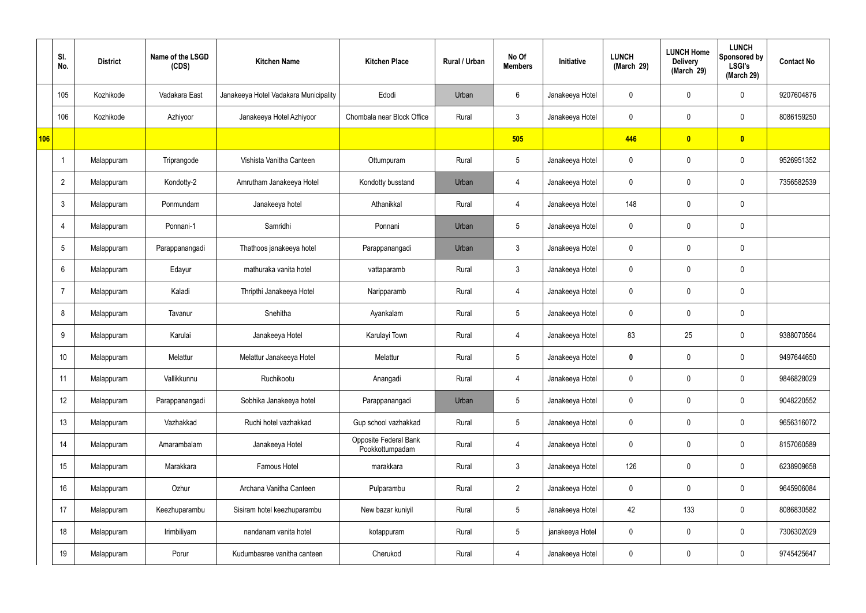|     | SI.<br>No.     | <b>District</b> | Name of the LSGD<br>(CDS) | <b>Kitchen Name</b>                   | <b>Kitchen Place</b>                     | Rural / Urban | No Of<br><b>Members</b> | Initiative      | <b>LUNCH</b><br>(March 29) | <b>LUNCH Home</b><br><b>Delivery</b><br>(March 29) | <b>LUNCH</b><br>Sponsored by<br><b>LSGI's</b><br>(March 29) | <b>Contact No</b> |
|-----|----------------|-----------------|---------------------------|---------------------------------------|------------------------------------------|---------------|-------------------------|-----------------|----------------------------|----------------------------------------------------|-------------------------------------------------------------|-------------------|
|     | 105            | Kozhikode       | Vadakara East             | Janakeeya Hotel Vadakara Municipality | Edodi                                    | Urban         | 6                       | Janakeeya Hotel | $\mathbf 0$                | $\mathbf 0$                                        | $\mathbf 0$                                                 | 9207604876        |
|     | 106            | Kozhikode       | Azhiyoor                  | Janakeeya Hotel Azhiyoor              | Chombala near Block Office               | Rural         | $\mathbf{3}$            | Janakeeya Hotel | $\mathbf 0$                | $\mathbf 0$                                        | $\mathbf 0$                                                 | 8086159250        |
| 106 |                |                 |                           |                                       |                                          |               | 505                     |                 | 446                        | $\overline{\mathbf{0}}$                            | $\overline{\mathbf{0}}$                                     |                   |
|     | -1             | Malappuram      | Triprangode               | Vishista Vanitha Canteen              | Ottumpuram                               | Rural         | $5\phantom{.0}$         | Janakeeya Hotel | $\mathbf 0$                | $\mathbf 0$                                        | $\mathbf 0$                                                 | 9526951352        |
|     | $\overline{2}$ | Malappuram      | Kondotty-2                | Amrutham Janakeeya Hotel              | Kondotty busstand                        | Urban         | 4                       | Janakeeya Hotel | $\mathbf 0$                | $\mathbf 0$                                        | $\mathbf 0$                                                 | 7356582539        |
|     | 3              | Malappuram      | Ponmundam                 | Janakeeya hotel                       | Athanikkal                               | Rural         | $\overline{4}$          | Janakeeya Hotel | 148                        | $\mathbf 0$                                        | $\mathbf 0$                                                 |                   |
|     | $\overline{4}$ | Malappuram      | Ponnani-1                 | Samridhi                              | Ponnani                                  | Urban         | $5\overline{)}$         | Janakeeya Hotel | $\mathbf 0$                | $\mathbf 0$                                        | $\mathbf 0$                                                 |                   |
|     | 5              | Malappuram      | Parappanangadi            | Thathoos janakeeya hotel              | Parappanangadi                           | Urban         | $\mathbf{3}$            | Janakeeya Hotel | $\mathbf 0$                | $\mathbf 0$                                        | $\mathbf 0$                                                 |                   |
|     | 6              | Malappuram      | Edayur                    | mathuraka vanita hotel                | vattaparamb                              | Rural         | $\mathbf{3}$            | Janakeeya Hotel | $\mathbf 0$                | $\mathbf 0$                                        | $\mathbf 0$                                                 |                   |
|     | $\overline{7}$ | Malappuram      | Kaladi                    | Thripthi Janakeeya Hotel              | Naripparamb                              | Rural         | 4                       | Janakeeya Hotel | $\mathbf 0$                | $\mathbf 0$                                        | $\mathbf 0$                                                 |                   |
|     | 8              | Malappuram      | Tavanur                   | Snehitha                              | Ayankalam                                | Rural         | $5\phantom{.0}$         | Janakeeya Hotel | $\mathbf 0$                | $\mathbf 0$                                        | $\mathbf 0$                                                 |                   |
|     | 9              | Malappuram      | Karulai                   | Janakeeya Hotel                       | Karulayi Town                            | Rural         | 4                       | Janakeeya Hotel | 83                         | 25                                                 | $\mathbf 0$                                                 | 9388070564        |
|     | 10             | Malappuram      | Melattur                  | Melattur Janakeeya Hotel              | Melattur                                 | Rural         | $5\overline{)}$         | Janakeeya Hotel | $\mathbf 0$                | $\mathbf 0$                                        | $\mathbf 0$                                                 | 9497644650        |
|     | 11             | Malappuram      | Vallikkunnu               | Ruchikootu                            | Anangadi                                 | Rural         | $\overline{4}$          | Janakeeya Hotel | $\mathbf 0$                | $\mathbf 0$                                        | $\mathbf 0$                                                 | 9846828029        |
|     | 12             | Malappuram      | Parappanangadi            | Sobhika Janakeeya hotel               | Parappanangadi                           | Urban         | $5\overline{)}$         | Janakeeya Hotel | $\mathbf 0$                | $\mathbf 0$                                        | $\mathbf 0$                                                 | 9048220552        |
|     | 13             | Malappuram      | Vazhakkad                 | Ruchi hotel vazhakkad                 | Gup school vazhakkad                     | Rural         | $5\phantom{.0}$         | Janakeeya Hotel | $\mathbf 0$                | $\mathbf 0$                                        | $\mathbf 0$                                                 | 9656316072        |
|     | 14             | Malappuram      | Amarambalam               | Janakeeya Hotel                       | Opposite Federal Bank<br>Pookkottumpadam | Rural         | $\overline{4}$          | Janakeeya Hotel | $\mathbf 0$                | $\mathbf 0$                                        | $\mathbf 0$                                                 | 8157060589        |
|     | 15             | Malappuram      | Marakkara                 | Famous Hotel                          | marakkara                                | Rural         | $\mathbf{3}$            | Janakeeya Hotel | 126                        | 0                                                  | $\mathbf 0$                                                 | 6238909658        |
|     | 16             | Malappuram      | Ozhur                     | Archana Vanitha Canteen               | Pulparambu                               | Rural         | $\overline{2}$          | Janakeeya Hotel | $\mathbf 0$                | 0                                                  | $\mathbf 0$                                                 | 9645906084        |
|     | 17             | Malappuram      | Keezhuparambu             | Sisiram hotel keezhuparambu           | New bazar kuniyil                        | Rural         | $5\phantom{.0}$         | Janakeeya Hotel | 42                         | 133                                                | $\mathbf 0$                                                 | 8086830582        |
|     | 18             | Malappuram      | Irimbiliyam               | nandanam vanita hotel                 | kotappuram                               | Rural         | $5\phantom{.0}$         | janakeeya Hotel | $\mathbf 0$                | $\mathbf 0$                                        | $\mathbf 0$                                                 | 7306302029        |
|     | 19             | Malappuram      | Porur                     | Kudumbasree vanitha canteen           | Cherukod                                 | Rural         | 4                       | Janakeeya Hotel | $\mathbf 0$                | 0                                                  | $\overline{0}$                                              | 9745425647        |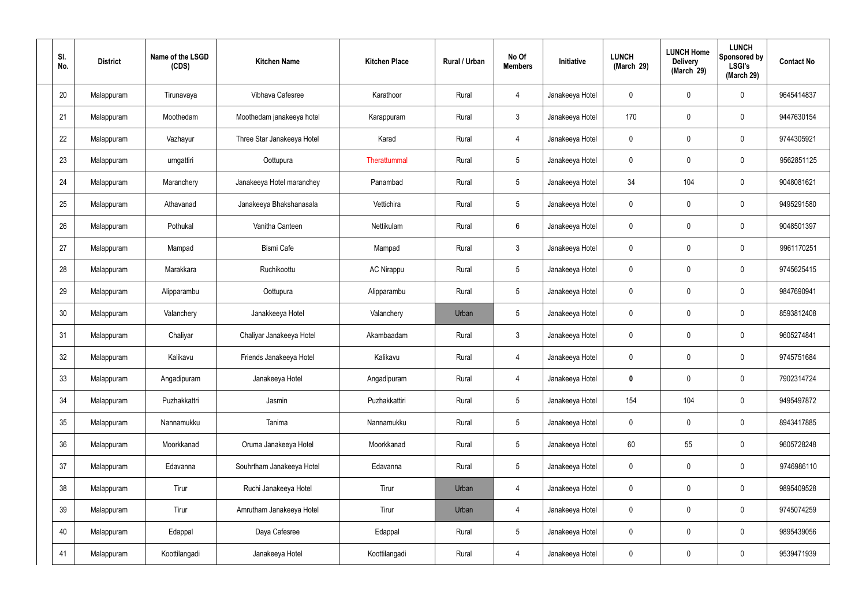| SI.<br>No. | <b>District</b> | Name of the LSGD<br>(CDS) | <b>Kitchen Name</b>        | <b>Kitchen Place</b> | Rural / Urban | No Of<br><b>Members</b> | Initiative      | <b>LUNCH</b><br>(March 29) | <b>LUNCH Home</b><br><b>Delivery</b><br>(March 29) | <b>LUNCH</b><br>Sponsored by<br><b>LSGI's</b><br>(March 29) | <b>Contact No</b> |
|------------|-----------------|---------------------------|----------------------------|----------------------|---------------|-------------------------|-----------------|----------------------------|----------------------------------------------------|-------------------------------------------------------------|-------------------|
| 20         | Malappuram      | Tirunavaya                | Vibhava Cafesree           | Karathoor            | Rural         | $\overline{4}$          | Janakeeya Hotel | 0                          | 0                                                  | $\mathbf 0$                                                 | 9645414837        |
| 21         | Malappuram      | Moothedam                 | Moothedam janakeeya hotel  | Karappuram           | Rural         | $\mathbf{3}$            | Janakeeya Hotel | 170                        | $\mathbf 0$                                        | $\mathbf 0$                                                 | 9447630154        |
| 22         | Malappuram      | Vazhayur                  | Three Star Janakeeya Hotel | Karad                | Rural         | 4                       | Janakeeya Hotel | $\mathbf 0$                | 0                                                  | $\mathbf 0$                                                 | 9744305921        |
| 23         | Malappuram      | urngattiri                | Oottupura                  | Therattummal         | Rural         | $\sqrt{5}$              | Janakeeya Hotel | $\mathbf 0$                | 0                                                  | $\mathbf 0$                                                 | 9562851125        |
| 24         | Malappuram      | Maranchery                | Janakeeya Hotel maranchey  | Panambad             | Rural         | $5\phantom{.0}$         | Janakeeya Hotel | 34                         | 104                                                | $\mathbf 0$                                                 | 9048081621        |
| 25         | Malappuram      | Athavanad                 | Janakeeya Bhakshanasala    | Vettichira           | Rural         | $\sqrt{5}$              | Janakeeya Hotel | $\mathbf 0$                | 0                                                  | $\mathbf 0$                                                 | 9495291580        |
| 26         | Malappuram      | Pothukal                  | Vanitha Canteen            | Nettikulam           | Rural         | $6\phantom{.}6$         | Janakeeya Hotel | $\mathbf 0$                | $\boldsymbol{0}$                                   | $\mathbf 0$                                                 | 9048501397        |
| 27         | Malappuram      | Mampad                    | Bismi Cafe                 | Mampad               | Rural         | $\mathbf{3}$            | Janakeeya Hotel | $\mathbf 0$                | $\mathbf 0$                                        | $\mathbf 0$                                                 | 9961170251        |
| 28         | Malappuram      | Marakkara                 | Ruchikoottu                | <b>AC Nirappu</b>    | Rural         | $5\phantom{.0}$         | Janakeeya Hotel | $\mathbf 0$                | $\boldsymbol{0}$                                   | $\mathbf 0$                                                 | 9745625415        |
| 29         | Malappuram      | Alipparambu               | Oottupura                  | Alipparambu          | Rural         | $\sqrt{5}$              | Janakeeya Hotel | $\mathbf 0$                | 0                                                  | $\mathbf 0$                                                 | 9847690941        |
| 30         | Malappuram      | Valanchery                | Janakkeeya Hotel           | Valanchery           | Urban         | $\sqrt{5}$              | Janakeeya Hotel | $\mathbf 0$                | 0                                                  | $\mathbf 0$                                                 | 8593812408        |
| 31         | Malappuram      | Chaliyar                  | Chaliyar Janakeeya Hotel   | Akambaadam           | Rural         | $\mathbf{3}$            | Janakeeya Hotel | $\mathbf 0$                | 0                                                  | $\boldsymbol{0}$                                            | 9605274841        |
| 32         | Malappuram      | Kalikavu                  | Friends Janakeeya Hotel    | Kalikavu             | Rural         | $\overline{4}$          | Janakeeya Hotel | 0                          | 0                                                  | $\boldsymbol{0}$                                            | 9745751684        |
| 33         | Malappuram      | Angadipuram               | Janakeeya Hotel            | Angadipuram          | Rural         | $\overline{4}$          | Janakeeya Hotel | $\mathbf 0$                | $\mathsf{0}$                                       | $\mathbf 0$                                                 | 7902314724        |
| 34         | Malappuram      | Puzhakkattri              | Jasmin                     | Puzhakkattiri        | Rural         | $5\phantom{.0}$         | Janakeeya Hotel | 154                        | 104                                                | $\mathbf 0$                                                 | 9495497872        |
| 35         | Malappuram      | Nannamukku                | Tanima                     | Nannamukku           | Rural         | $5\phantom{.0}$         | Janakeeya Hotel | $\mathbf 0$                | $\mathbf 0$                                        | $\mathbf 0$                                                 | 8943417885        |
| 36         | Malappuram      | Moorkkanad                | Oruma Janakeeya Hotel      | Moorkkanad           | Rural         | $5\phantom{.0}$         | Janakeeya Hotel | 60                         | 55                                                 | $\mathbf 0$                                                 | 9605728248        |
| 37         | Malappuram      | Edavanna                  | Souhrtham Janakeeya Hotel  | Edavanna             | Rural         | $5\phantom{.0}$         | Janakeeya Hotel | $\mathbf 0$                | $\mathbf 0$                                        | $\mathbf 0$                                                 | 9746986110        |
| 38         | Malappuram      | Tirur                     | Ruchi Janakeeya Hotel      | Tirur                | Urban         | $\overline{4}$          | Janakeeya Hotel | $\mathbf 0$                | $\mathsf{0}$                                       | $\mathbf 0$                                                 | 9895409528        |
| 39         | Malappuram      | Tirur                     | Amrutham Janakeeya Hotel   | Tirur                | Urban         | $\overline{4}$          | Janakeeya Hotel | $\mathbf 0$                | $\mathbf 0$                                        | $\mathbf 0$                                                 | 9745074259        |
| 40         | Malappuram      | Edappal                   | Daya Cafesree              | Edappal              | Rural         | $5\,$                   | Janakeeya Hotel | $\mathbf 0$                | 0                                                  | $\mathbf 0$                                                 | 9895439056        |
| 41         | Malappuram      | Koottilangadi             | Janakeeya Hotel            | Koottilangadi        | Rural         | 4                       | Janakeeya Hotel | 0                          | $\pmb{0}$                                          | $\boldsymbol{0}$                                            | 9539471939        |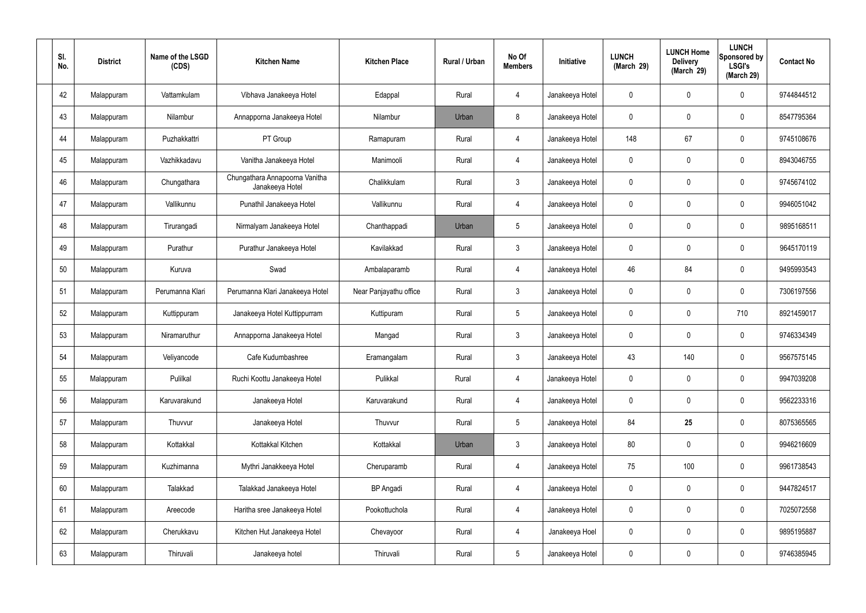| SI. | No. | <b>District</b> | Name of the LSGD<br>(CDS) | <b>Kitchen Name</b>                               | <b>Kitchen Place</b>   | Rural / Urban | No Of<br><b>Members</b> | Initiative      | <b>LUNCH</b><br>(March 29) | <b>LUNCH Home</b><br><b>Delivery</b><br>(March 29) | <b>LUNCH</b><br><b>Sponsored by</b><br><b>LSGI's</b><br>(March 29) | <b>Contact No</b> |
|-----|-----|-----------------|---------------------------|---------------------------------------------------|------------------------|---------------|-------------------------|-----------------|----------------------------|----------------------------------------------------|--------------------------------------------------------------------|-------------------|
|     | 42  | Malappuram      | Vattamkulam               | Vibhava Janakeeya Hotel                           | Edappal                | Rural         | 4                       | Janakeeya Hotel | 0                          | $\mathbf 0$                                        | 0                                                                  | 9744844512        |
|     | 43  | Malappuram      | Nilambur                  | Annapporna Janakeeya Hotel                        | Nilambur               | Urban         | 8                       | Janakeeya Hotel | $\mathbf 0$                | $\mathbf 0$                                        | 0                                                                  | 8547795364        |
|     | 44  | Malappuram      | Puzhakkattri              | PT Group                                          | Ramapuram              | Rural         | $\overline{4}$          | Janakeeya Hotel | 148                        | 67                                                 | 0                                                                  | 9745108676        |
|     | 45  | Malappuram      | Vazhikkadavu              | Vanitha Janakeeya Hotel                           | Manimooli              | Rural         | $\overline{4}$          | Janakeeya Hotel | $\mathbf 0$                | $\mathbf 0$                                        | 0                                                                  | 8943046755        |
|     | 46  | Malappuram      | Chungathara               | Chungathara Annapoorna Vanitha<br>Janakeeya Hotel | Chalikkulam            | Rural         | $\mathbf{3}$            | Janakeeya Hotel | 0                          | 0                                                  | 0                                                                  | 9745674102        |
|     | 47  | Malappuram      | Vallikunnu                | Punathil Janakeeya Hotel                          | Vallikunnu             | Rural         | $\overline{4}$          | Janakeeya Hotel | $\mathbf 0$                | $\mathbf 0$                                        | 0                                                                  | 9946051042        |
|     | 48  | Malappuram      | Tirurangadi               | Nirmalyam Janakeeya Hotel                         | Chanthappadi           | Urban         | $5\phantom{.0}$         | Janakeeya Hotel | 0                          | 0                                                  | 0                                                                  | 9895168511        |
|     | 49  | Malappuram      | Purathur                  | Purathur Janakeeya Hotel                          | Kavilakkad             | Rural         | $\mathbf{3}$            | Janakeeya Hotel | $\mathbf 0$                | 0                                                  | 0                                                                  | 9645170119        |
|     | 50  | Malappuram      | Kuruva                    | Swad                                              | Ambalaparamb           | Rural         | $\overline{4}$          | Janakeeya Hotel | 46                         | 84                                                 | 0                                                                  | 9495993543        |
|     | 51  | Malappuram      | Perumanna Klari           | Perumanna Klari Janakeeya Hotel                   | Near Panjayathu office | Rural         | $\mathbf{3}$            | Janakeeya Hotel | $\mathbf 0$                | 0                                                  | 0                                                                  | 7306197556        |
|     | 52  | Malappuram      | Kuttippuram               | Janakeeya Hotel Kuttippurram                      | Kuttipuram             | Rural         | $5\phantom{.0}$         | Janakeeya Hotel | $\mathbf 0$                | 0                                                  | 710                                                                | 8921459017        |
|     | 53  | Malappuram      | Niramaruthur              | Annapporna Janakeeya Hotel                        | Mangad                 | Rural         | $\mathbf{3}$            | Janakeeya Hotel | $\mathbf 0$                | 0                                                  | 0                                                                  | 9746334349        |
|     | 54  | Malappuram      | Veliyancode               | Cafe Kudumbashree                                 | Eramangalam            | Rural         | $\mathfrak{Z}$          | Janakeeya Hotel | 43                         | 140                                                | 0                                                                  | 9567575145        |
|     | 55  | Malappuram      | Pulilkal                  | Ruchi Koottu Janakeeya Hotel                      | Pulikkal               | Rural         | $\overline{4}$          | Janakeeya Hotel | $\mathbf 0$                | $\mathbf 0$                                        | 0                                                                  | 9947039208        |
|     | 56  | Malappuram      | Karuvarakund              | Janakeeya Hotel                                   | Karuvarakund           | Rural         | $\overline{4}$          | Janakeeya Hotel | $\mathbf 0$                | $\pmb{0}$                                          | 0                                                                  | 9562233316        |
|     | 57  | Malappuram      | Thuvvur                   | Janakeeya Hotel                                   | Thuvvur                | Rural         | $5\phantom{.0}$         | Janakeeya Hotel | 84                         | 25                                                 | 0                                                                  | 8075365565        |
|     | 58  | Malappuram      | Kottakkal                 | Kottakkal Kitchen                                 | Kottakkal              | Urban         | $\mathbf{3}$            | Janakeeya Hotel | 80                         | $\mathbf 0$                                        | 0                                                                  | 9946216609        |
|     | 59  | Malappuram      | Kuzhimanna                | Mythri Janakkeeya Hotel                           | Cheruparamb            | Rural         | $\overline{4}$          | Janakeeya Hotel | 75                         | 100                                                | 0                                                                  | 9961738543        |
|     | 60  | Malappuram      | Talakkad                  | Talakkad Janakeeya Hotel                          | <b>BP</b> Angadi       | Rural         | $\overline{4}$          | Janakeeya Hotel | $\mathbf 0$                | $\pmb{0}$                                          | $\mathbf 0$                                                        | 9447824517        |
|     | 61  | Malappuram      | Areecode                  | Haritha sree Janakeeya Hotel                      | Pookottuchola          | Rural         | $\overline{4}$          | Janakeeya Hotel | $\mathbf 0$                | $\mathbf 0$                                        | 0                                                                  | 7025072558        |
|     | 62  | Malappuram      | Cherukkavu                | Kitchen Hut Janakeeya Hotel                       | Chevayoor              | Rural         | $\overline{4}$          | Janakeeya Hoel  | $\mathbf 0$                | $\mathbf 0$                                        | 0                                                                  | 9895195887        |
|     | 63  | Malappuram      | Thiruvali                 | Janakeeya hotel                                   | Thiruvali              | Rural         | $5\overline{)}$         | Janakeeya Hotel | $\pmb{0}$                  | $\boldsymbol{0}$                                   | 0                                                                  | 9746385945        |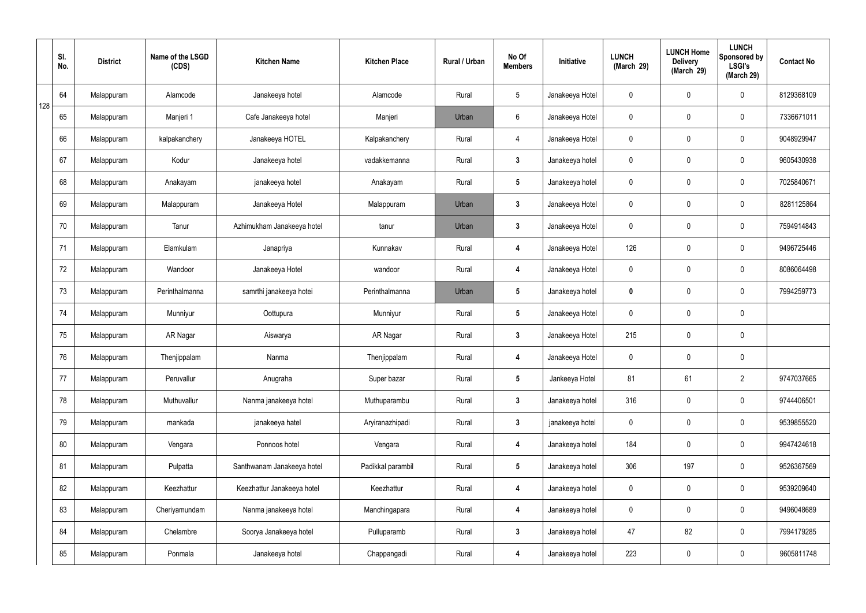|     | SI.<br>No. | <b>District</b> | Name of the LSGD<br>(CDS) | <b>Kitchen Name</b>        | <b>Kitchen Place</b> | Rural / Urban | No Of<br><b>Members</b> | Initiative      | <b>LUNCH</b><br>(March 29) | <b>LUNCH Home</b><br><b>Delivery</b><br>(March 29) | <b>LUNCH</b><br>Sponsored by<br><b>LSGI's</b><br>(March 29) | <b>Contact No</b> |
|-----|------------|-----------------|---------------------------|----------------------------|----------------------|---------------|-------------------------|-----------------|----------------------------|----------------------------------------------------|-------------------------------------------------------------|-------------------|
| 128 | 64         | Malappuram      | Alamcode                  | Janakeeya hotel            | Alamcode             | Rural         | $5\phantom{.0}$         | Janakeeya Hotel | $\mathbf 0$                | $\boldsymbol{0}$                                   | $\mathbf 0$                                                 | 8129368109        |
|     | 65         | Malappuram      | Manjeri 1                 | Cafe Janakeeya hotel       | Manjeri              | Urban         | $6\phantom{.}6$         | Janakeeya Hotel | $\mathbf 0$                | 0                                                  | $\mathbf 0$                                                 | 7336671011        |
|     | 66         | Malappuram      | kalpakanchery             | Janakeeya HOTEL            | Kalpakanchery        | Rural         | $\overline{4}$          | Janakeeya Hotel | $\mathbf 0$                | $\boldsymbol{0}$                                   | $\mathbf 0$                                                 | 9048929947        |
|     | 67         | Malappuram      | Kodur                     | Janakeeya hotel            | vadakkemanna         | Rural         | $\mathbf{3}$            | Janakeeya hotel | $\mathbf 0$                | $\mathbf 0$                                        | $\mathbf 0$                                                 | 9605430938        |
|     | 68         | Malappuram      | Anakayam                  | janakeeya hotel            | Anakayam             | Rural         | $5\phantom{.0}$         | Janakeeya hotel | $\mathbf 0$                | $\mathbf 0$                                        | $\mathbf 0$                                                 | 7025840671        |
|     | 69         | Malappuram      | Malappuram                | Janakeeya Hotel            | Malappuram           | Urban         | $\mathbf{3}$            | Janakeeya Hotel | $\mathbf 0$                | 0                                                  | $\mathbf 0$                                                 | 8281125864        |
|     | 70         | Malappuram      | Tanur                     | Azhimukham Janakeeya hotel | tanur                | Urban         | $\mathbf{3}$            | Janakeeya Hotel | $\mathbf 0$                | $\mathbf 0$                                        | $\mathbf 0$                                                 | 7594914843        |
|     | 71         | Malappuram      | Elamkulam                 | Janapriya                  | Kunnakav             | Rural         | 4                       | Janakeeya Hotel | 126                        | 0                                                  | $\mathbf 0$                                                 | 9496725446        |
|     | 72         | Malappuram      | Wandoor                   | Janakeeya Hotel            | wandoor              | Rural         | 4                       | Janakeeya Hotel | $\mathbf 0$                | $\mathbf 0$                                        | $\mathbf 0$                                                 | 8086064498        |
|     | 73         | Malappuram      | Perinthalmanna            | samrthi janakeeya hotei    | Perinthalmanna       | Urban         | $5\phantom{.0}$         | Janakeeya hotel | $\mathbf 0$                | 0                                                  | $\mathbf 0$                                                 | 7994259773        |
|     | 74         | Malappuram      | Munniyur                  | Oottupura                  | Munniyur             | Rural         | $5\phantom{.0}$         | Janakeeya Hotel | $\mathbf 0$                | $\boldsymbol{0}$                                   | $\mathbf 0$                                                 |                   |
|     | 75         | Malappuram      | AR Nagar                  | Aiswarya                   | AR Nagar             | Rural         | $\mathbf{3}$            | Janakeeya Hotel | 215                        | 0                                                  | $\mathbf 0$                                                 |                   |
|     | 76         | Malappuram      | Thenjippalam              | Nanma                      | Thenjippalam         | Rural         | 4                       | Janakeeya Hotel | $\mathbf 0$                | 0                                                  | $\mathbf 0$                                                 |                   |
|     | 77         | Malappuram      | Peruvallur                | Anugraha                   | Super bazar          | Rural         | $5\phantom{.0}$         | Jankeeya Hotel  | 81                         | 61                                                 | $\overline{2}$                                              | 9747037665        |
|     | 78         | Malappuram      | Muthuvallur               | Nanma janakeeya hotel      | Muthuparambu         | Rural         | $3\phantom{a}$          | Janakeeya hotel | 316                        | $\mathsf{0}$                                       | $\mathbf 0$                                                 | 9744406501        |
|     | 79         | Malappuram      | mankada                   | janakeeya hatel            | Aryiranazhipadi      | Rural         | $\mathbf{3}$            | janakeeya hotel | $\mathbf 0$                | $\mathbf 0$                                        | $\mathbf 0$                                                 | 9539855520        |
|     | 80         | Malappuram      | Vengara                   | Ponnoos hotel              | Vengara              | Rural         | 4                       | Janakeeya hotel | 184                        | 0                                                  | $\mathbf 0$                                                 | 9947424618        |
|     | 81         | Malappuram      | Pulpatta                  | Santhwanam Janakeeya hotel | Padikkal parambil    | Rural         | $5\phantom{.0}$         | Janakeeya hotel | 306                        | 197                                                | $\mathbf 0$                                                 | 9526367569        |
|     | 82         | Malappuram      | Keezhattur                | Keezhattur Janakeeya hotel | Keezhattur           | Rural         | 4                       | Janakeeya hotel | $\mathbf 0$                | 0                                                  | $\mathbf 0$                                                 | 9539209640        |
|     | 83         | Malappuram      | Cheriyamundam             | Nanma janakeeya hotel      | Manchingapara        | Rural         | 4                       | Janakeeya hotel | $\pmb{0}$                  | 0                                                  | $\mathbf 0$                                                 | 9496048689        |
|     | 84         | Malappuram      | Chelambre                 | Soorya Janakeeya hotel     | Pulluparamb          | Rural         | $\mathbf{3}$            | Janakeeya hotel | 47                         | 82                                                 | $\mathbf 0$                                                 | 7994179285        |
|     | 85         | Malappuram      | Ponmala                   | Janakeeya hotel            | Chappangadi          | Rural         | 4                       | Janakeeya hotel | 223                        | 0                                                  | $\mathbf 0$                                                 | 9605811748        |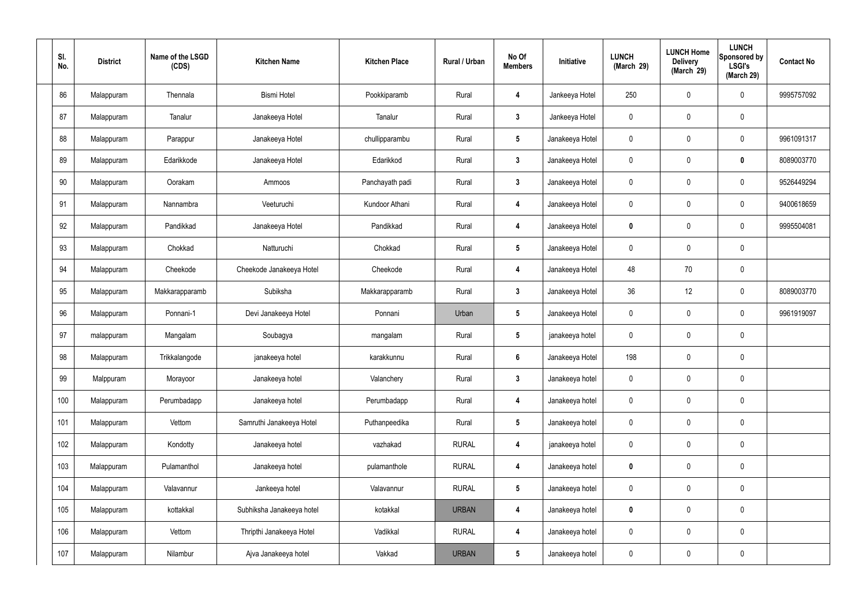| SI.<br>No. | <b>District</b> | Name of the LSGD<br>(CDS) | <b>Kitchen Name</b>       | <b>Kitchen Place</b> | Rural / Urban | No Of<br><b>Members</b> | Initiative      | <b>LUNCH</b><br>(March 29) | <b>LUNCH Home</b><br><b>Delivery</b><br>(March 29) | <b>LUNCH</b><br>Sponsored by<br><b>LSGI's</b><br>(March 29) | <b>Contact No</b> |
|------------|-----------------|---------------------------|---------------------------|----------------------|---------------|-------------------------|-----------------|----------------------------|----------------------------------------------------|-------------------------------------------------------------|-------------------|
| 86         | Malappuram      | Thennala                  | <b>Bismi Hotel</b>        | Pookkiparamb         | Rural         | 4                       | Jankeeya Hotel  | 250                        | $\boldsymbol{0}$                                   | $\mathbf 0$                                                 | 9995757092        |
| 87         | Malappuram      | Tanalur                   | Janakeeya Hotel           | Tanalur              | Rural         | $\mathbf{3}$            | Jankeeya Hotel  | $\mathbf 0$                | $\mathbf 0$                                        | $\pmb{0}$                                                   |                   |
| 88         | Malappuram      | Parappur                  | Janakeeya Hotel           | chullipparambu       | Rural         | $5\phantom{.0}$         | Janakeeya Hotel | 0                          | $\boldsymbol{0}$                                   | $\pmb{0}$                                                   | 9961091317        |
| 89         | Malappuram      | Edarikkode                | Janakeeya Hotel           | Edarikkod            | Rural         | $\mathbf{3}$            | Janakeeya Hotel | $\mathbf 0$                | $\boldsymbol{0}$                                   | $\mathbf 0$                                                 | 8089003770        |
| 90         | Malappuram      | Oorakam                   | Ammoos                    | Panchayath padi      | Rural         | $\mathbf{3}$            | Janakeeya Hotel | $\mathbf 0$                | $\boldsymbol{0}$                                   | $\mathbf 0$                                                 | 9526449294        |
| 91         | Malappuram      | Nannambra                 | Veeturuchi                | Kundoor Athani       | Rural         | 4                       | Janakeeya Hotel | $\mathbf 0$                | $\boldsymbol{0}$                                   | $\mathbf 0$                                                 | 9400618659        |
| 92         | Malappuram      | Pandikkad                 | Janakeeya Hotel           | Pandikkad            | Rural         | $\boldsymbol{4}$        | Janakeeya Hotel | 0                          | $\boldsymbol{0}$                                   | $\mathbf 0$                                                 | 9995504081        |
| 93         | Malappuram      | Chokkad                   | Natturuchi                | Chokkad              | Rural         | $5\phantom{.0}$         | Janakeeya Hotel | $\mathbf 0$                | $\mathbf 0$                                        | $\pmb{0}$                                                   |                   |
| 94         | Malappuram      | Cheekode                  | Cheekode Janakeeya Hotel  | Cheekode             | Rural         | $\boldsymbol{4}$        | Janakeeya Hotel | 48                         | 70                                                 | $\pmb{0}$                                                   |                   |
| 95         | Malappuram      | Makkarapparamb            | Subiksha                  | Makkarapparamb       | Rural         | $\mathbf{3}$            | Janakeeya Hotel | 36                         | 12                                                 | $\mathbf 0$                                                 | 8089003770        |
| 96         | Malappuram      | Ponnani-1                 | Devi Janakeeya Hotel      | Ponnani              | Urban         | $5\phantom{.0}$         | Janakeeya Hotel | $\mathbf 0$                | $\boldsymbol{0}$                                   | $\mathbf 0$                                                 | 9961919097        |
| 97         | malappuram      | Mangalam                  | Soubagya                  | mangalam             | Rural         | $5\phantom{.0}$         | janakeeya hotel | $\mathbf 0$                | 0                                                  | $\mathbf 0$                                                 |                   |
| 98         | Malappuram      | Trikkalangode             | janakeeya hotel           | karakkunnu           | Rural         | $6\phantom{1}$          | Janakeeya Hotel | 198                        | $\mathbf 0$                                        | $\mathbf 0$                                                 |                   |
| 99         | Malppuram       | Morayoor                  | Janakeeya hotel           | Valanchery           | Rural         | $3\phantom{a}$          | Janakeeya hotel | $\mathbf 0$                | $\mathsf{0}$                                       | $\mathbf 0$                                                 |                   |
| 100        | Malappuram      | Perumbadapp               | Janakeeya hotel           | Perumbadapp          | Rural         | $\boldsymbol{4}$        | Janakeeya hotel | $\mathbf 0$                | $\mathsf{0}$                                       | $\mathbf 0$                                                 |                   |
| 101        | Malappuram      | Vettom                    | Samruthi Janakeeya Hotel  | Puthanpeedika        | Rural         | $5\phantom{.0}$         | Janakeeya hotel | $\mathbf 0$                | $\mathsf{0}$                                       | $\mathbf 0$                                                 |                   |
| 102        | Malappuram      | Kondotty                  | Janakeeya hotel           | vazhakad             | <b>RURAL</b>  | $\boldsymbol{4}$        | janakeeya hotel | $\mathbf 0$                | $\mathsf{0}$                                       | $\mathbf 0$                                                 |                   |
| 103        | Malappuram      | Pulamanthol               | Janakeeya hotel           | pulamanthole         | <b>RURAL</b>  | 4                       | Janakeeya hotel | $\mathbf 0$                | $\mathbf 0$                                        | $\mathbf 0$                                                 |                   |
| 104        | Malappuram      | Valavannur                | Jankeeya hotel            | Valavannur           | <b>RURAL</b>  | $5\phantom{.0}$         | Janakeeya hotel | $\mathbf 0$                | $\mathsf{0}$                                       | $\mathbf 0$                                                 |                   |
| 105        | Malappuram      | kottakkal                 | Subhiksha Janakeeya hotel | kotakkal             | <b>URBAN</b>  | 4                       | Janakeeya hotel | $\mathbf 0$                | $\mathbf 0$                                        | $\mathbf 0$                                                 |                   |
| 106        | Malappuram      | Vettom                    | Thripthi Janakeeya Hotel  | Vadikkal             | <b>RURAL</b>  | 4                       | Janakeeya hotel | $\pmb{0}$                  | 0                                                  | $\mathbf 0$                                                 |                   |
| 107        | Malappuram      | Nilambur                  | Ajva Janakeeya hotel      | Vakkad               | <b>URBAN</b>  | $5\phantom{.0}$         | Janakeeya hotel | 0                          | $\pmb{0}$                                          | $\pmb{0}$                                                   |                   |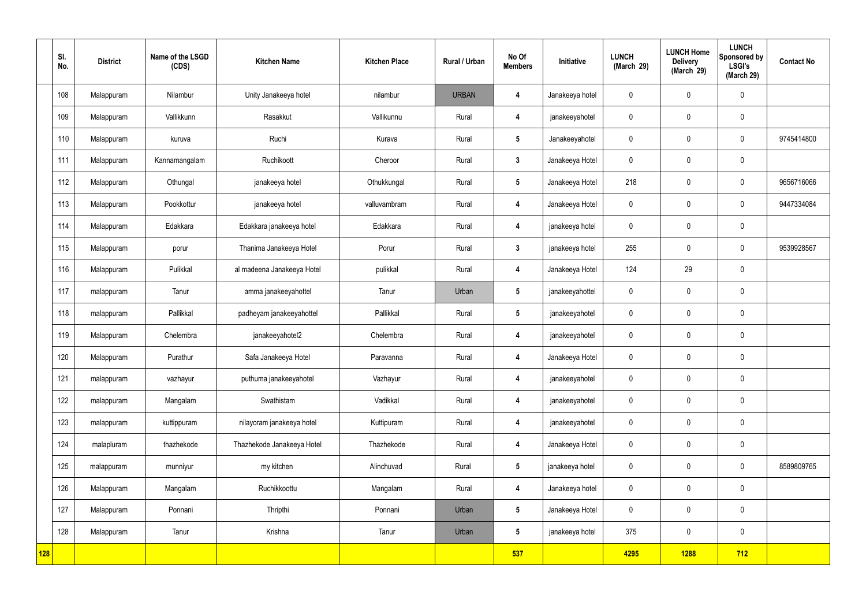|            | SI.<br>No. | <b>District</b> | Name of the LSGD<br>(CDS) | <b>Kitchen Name</b>        | <b>Kitchen Place</b> | Rural / Urban | No Of<br><b>Members</b> | Initiative      | <b>LUNCH</b><br>(March 29) | <b>LUNCH Home</b><br><b>Delivery</b><br>(March 29) | <b>LUNCH</b><br>Sponsored by<br><b>LSGI's</b><br>(March 29) | <b>Contact No</b> |
|------------|------------|-----------------|---------------------------|----------------------------|----------------------|---------------|-------------------------|-----------------|----------------------------|----------------------------------------------------|-------------------------------------------------------------|-------------------|
|            | 108        | Malappuram      | Nilambur                  | Unity Janakeeya hotel      | nilambur             | <b>URBAN</b>  | $\overline{4}$          | Janakeeya hotel | $\mathbf 0$                | $\mathbf 0$                                        | $\mathbf 0$                                                 |                   |
|            | 109        | Malappuram      | Vallikkunn                | Rasakkut                   | Vallikunnu           | Rural         | 4                       | janakeeyahotel  | $\mathbf 0$                | $\mathbf 0$                                        | $\mathbf 0$                                                 |                   |
|            | 110        | Malappuram      | kuruva                    | Ruchi                      | Kurava               | Rural         | $5\overline{)}$         | Janakeeyahotel  | $\mathbf 0$                | $\mathbf 0$                                        | $\mathbf 0$                                                 | 9745414800        |
|            | 111        | Malappuram      | Kannamangalam             | Ruchikoott                 | Cheroor              | Rural         | $\mathbf{3}$            | Janakeeya Hotel | $\mathbf 0$                | $\mathbf 0$                                        | $\mathbf 0$                                                 |                   |
|            | 112        | Malappuram      | Othungal                  | janakeeya hotel            | Othukkungal          | Rural         | $5\overline{)}$         | Janakeeya Hotel | 218                        | $\mathbf 0$                                        | $\mathbf 0$                                                 | 9656716066        |
|            | 113        | Malappuram      | Pookkottur                | janakeeya hotel            | valluvambram         | Rural         | 4                       | Janakeeya Hotel | $\mathbf 0$                | $\mathbf 0$                                        | $\mathbf 0$                                                 | 9447334084        |
|            | 114        | Malappuram      | Edakkara                  | Edakkara janakeeya hotel   | Edakkara             | Rural         | $\overline{\mathbf{4}}$ | janakeeya hotel | $\mathbf 0$                | $\mathbf 0$                                        | $\mathbf 0$                                                 |                   |
|            | 115        | Malappuram      | porur                     | Thanima Janakeeya Hotel    | Porur                | Rural         | $\mathbf{3}$            | janakeeya hotel | 255                        | $\mathbf 0$                                        | $\mathbf 0$                                                 | 9539928567        |
|            | 116        | Malappuram      | Pulikkal                  | al madeena Janakeeya Hotel | pulikkal             | Rural         | $\overline{\mathbf{4}}$ | Janakeeya Hotel | 124                        | 29                                                 | $\mathbf 0$                                                 |                   |
|            | 117        | malappuram      | Tanur                     | amma janakeeyahottel       | Tanur                | Urban         | $5\phantom{.0}$         | janakeeyahottel | $\mathbf 0$                | $\pmb{0}$                                          | $\mathbf 0$                                                 |                   |
|            | 118        | malappuram      | Pallikkal                 | padheyam janakeeyahottel   | Pallikkal            | Rural         | $5\overline{)}$         | janakeeyahotel  | $\mathbf 0$                | $\pmb{0}$                                          | $\mathbf 0$                                                 |                   |
|            | 119        | Malappuram      | Chelembra                 | janakeeyahotel2            | Chelembra            | Rural         | 4                       | janakeeyahotel  | $\mathbf 0$                | $\mathbf 0$                                        | $\mathbf 0$                                                 |                   |
|            | 120        | Malappuram      | Purathur                  | Safa Janakeeya Hotel       | Paravanna            | Rural         | 4                       | Janakeeya Hotel | $\mathbf 0$                | $\mathbf 0$                                        | $\mathbf 0$                                                 |                   |
|            | 121        | malappuram      | vazhayur                  | puthuma janakeeyahotel     | Vazhayur             | Rural         | $\overline{\mathbf{4}}$ | janakeeyahotel  | $\pmb{0}$                  | $\pmb{0}$                                          | $\mathbf 0$                                                 |                   |
|            | 122        | malappuram      | Mangalam                  | Swathistam                 | Vadikkal             | Rural         | $\overline{\mathbf{4}}$ | janakeeyahotel  | $\mathbf 0$                | $\mathbf 0$                                        | $\mathbf 0$                                                 |                   |
|            | 123        | malappuram      | kuttippuram               | nilayoram janakeeya hotel  | Kuttipuram           | Rural         | $\overline{\mathbf{4}}$ | janakeeyahotel  | $\pmb{0}$                  | $\mathbf 0$                                        | $\mathbf 0$                                                 |                   |
|            | 124        | malapluram      | thazhekode                | Thazhekode Janakeeya Hotel | Thazhekode           | Rural         | $\overline{\mathbf{4}}$ | Janakeeya Hotel | $\mathbf 0$                | $\mathbf 0$                                        | $\pmb{0}$                                                   |                   |
|            | 125        | malappuram      | munniyur                  | my kitchen                 | Alinchuvad           | Rural         | $5\phantom{.0}$         | janakeeya hotel | $\mathbf 0$                | $\mathbf 0$                                        | $\mathbf 0$                                                 | 8589809765        |
|            | 126        | Malappuram      | Mangalam                  | Ruchikkoottu               | Mangalam             | Rural         | $\overline{\mathbf{4}}$ | Janakeeya hotel | $\mathbf 0$                | $\mathbf 0$                                        | $\mathbf 0$                                                 |                   |
|            | 127        | Malappuram      | Ponnani                   | Thripthi                   | Ponnani              | Urban         | $5\overline{)}$         | Janakeeya Hotel | $\mathbf 0$                | $\mathbf 0$                                        | $\mathbf 0$                                                 |                   |
|            | 128        | Malappuram      | Tanur                     | Krishna                    | Tanur                | Urban         | $5\overline{)}$         | janakeeya hotel | 375                        | $\pmb{0}$                                          | $\mathbf 0$                                                 |                   |
| <b>128</b> |            |                 |                           |                            |                      |               | 537                     |                 | 4295                       | 1288                                               | 712                                                         |                   |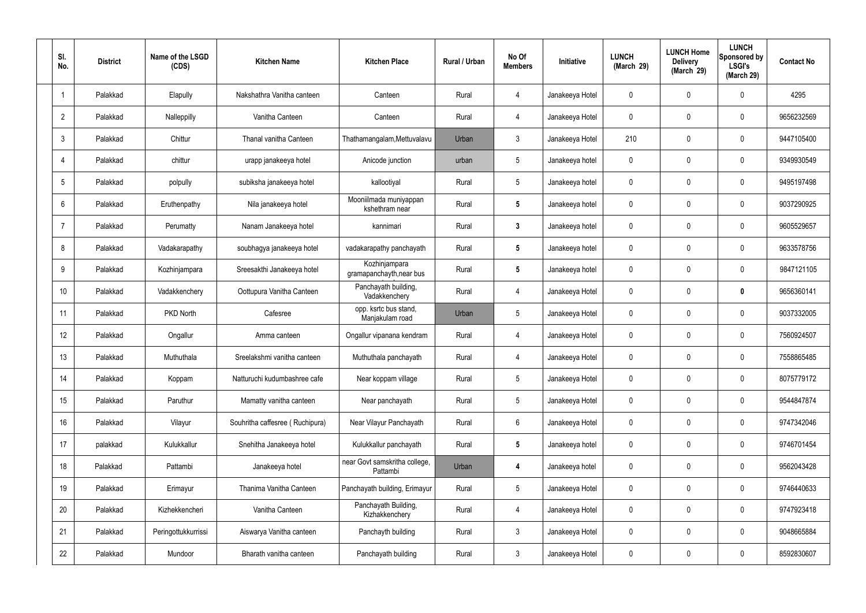| SI.<br>No.      | <b>District</b> | Name of the LSGD<br>(CDS) | <b>Kitchen Name</b>             | <b>Kitchen Place</b>                      | Rural / Urban | No Of<br><b>Members</b> | Initiative      | <b>LUNCH</b><br>(March 29) | <b>LUNCH Home</b><br><b>Delivery</b><br>(March 29) | <b>LUNCH</b><br>Sponsored by<br><b>LSGI's</b><br>(March 29) | <b>Contact No</b> |
|-----------------|-----------------|---------------------------|---------------------------------|-------------------------------------------|---------------|-------------------------|-----------------|----------------------------|----------------------------------------------------|-------------------------------------------------------------|-------------------|
|                 | Palakkad        | Elapully                  | Nakshathra Vanitha canteen      | Canteen                                   | Rural         | 4                       | Janakeeya Hotel | 0                          | 0                                                  | $\mathbf 0$                                                 | 4295              |
| $\overline{2}$  | Palakkad        | Nalleppilly               | Vanitha Canteen                 | Canteen                                   | Rural         | $\overline{4}$          | Janakeeya Hotel | $\mathbf 0$                | 0                                                  | $\mathbf 0$                                                 | 9656232569        |
| 3               | Palakkad        | Chittur                   | Thanal vanitha Canteen          | Thathamangalam, Mettuvalavu               | Urban         | $\mathbf{3}$            | Janakeeya Hotel | 210                        | 0                                                  | $\mathbf 0$                                                 | 9447105400        |
| 4               | Palakkad        | chittur                   | urapp janakeeya hotel           | Anicode junction                          | urban         | $5\phantom{.0}$         | Janakeeya hotel | $\mathbf 0$                | 0                                                  | $\mathbf 0$                                                 | 9349930549        |
| 5               | Palakkad        | polpully                  | subiksha janakeeya hotel        | kallootiyal                               | Rural         | $\sqrt{5}$              | Janakeeya hotel | 0                          | 0                                                  | $\mathbf 0$                                                 | 9495197498        |
| 6               | Palakkad        | Eruthenpathy              | Nila janakeeya hotel            | Mooniilmada muniyappan<br>kshethram near  | Rural         | $5\phantom{.0}$         | Janakeeya hotel | 0                          | 0                                                  | $\mathbf 0$                                                 | 9037290925        |
| $\overline{7}$  | Palakkad        | Perumatty                 | Nanam Janakeeya hotel           | kannimari                                 | Rural         | $\mathbf{3}$            | Janakeeya hotel | 0                          | 0                                                  | $\mathbf 0$                                                 | 9605529657        |
| 8               | Palakkad        | Vadakarapathy             | soubhagya janakeeya hotel       | vadakarapathy panchayath                  | Rural         | $5\phantom{.0}$         | Janakeeya hotel | 0                          | 0                                                  | $\mathbf 0$                                                 | 9633578756        |
| 9               | Palakkad        | Kozhinjampara             | Sreesakthi Janakeeya hotel      | Kozhinjampara<br>gramapanchayth, near bus | Rural         | $5\phantom{.0}$         | Janakeeya hotel | 0                          | 0                                                  | $\mathbf 0$                                                 | 9847121105        |
| 10 <sup>°</sup> | Palakkad        | Vadakkenchery             | Oottupura Vanitha Canteen       | Panchayath building,<br>Vadakkenchery     | Rural         | 4                       | Janakeeya Hotel | 0                          | 0                                                  | $\mathbf 0$                                                 | 9656360141        |
| 11              | Palakkad        | PKD North                 | Cafesree                        | opp. ksrtc bus stand,<br>Manjakulam road  | Urban         | $5\phantom{.0}$         | Janakeeya Hotel | 0                          | 0                                                  | $\mathbf 0$                                                 | 9037332005        |
| 12              | Palakkad        | Ongallur                  | Amma canteen                    | Ongallur vipanana kendram                 | Rural         | 4                       | Janakeeya Hotel | 0                          | 0                                                  | $\boldsymbol{0}$                                            | 7560924507        |
| 13              | Palakkad        | Muthuthala                | Sreelakshmi vanitha canteen     | Muthuthala panchayath                     | Rural         | 4                       | Janakeeya Hotel | 0                          | 0                                                  | 0                                                           | 7558865485        |
| 14              | Palakkad        | Koppam                    | Natturuchi kudumbashree cafe    | Near koppam village                       | Rural         | $5\phantom{.0}$         | Janakeeya Hotel | $\mathbf 0$                | $\mathbf{0}$                                       | $\mathbf 0$                                                 | 8075779172        |
| 15              | Palakkad        | Paruthur                  | Mamatty vanitha canteen         | Near panchayath                           | Rural         | $5\phantom{.0}$         | Janakeeya Hotel | $\mathbf 0$                | $\mathbf 0$                                        | $\mathbf 0$                                                 | 9544847874        |
| 16              | Palakkad        | Vilayur                   | Souhritha caffesree (Ruchipura) | Near Vilayur Panchayath                   | Rural         | $6\phantom{.}$          | Janakeeya Hotel | $\mathbf 0$                | 0                                                  | $\mathbf 0$                                                 | 9747342046        |
| 17              | palakkad        | Kulukkallur               | Snehitha Janakeeya hotel        | Kulukkallur panchayath                    | Rural         | $5\phantom{.0}$         | Janakeeya hotel | $\mathbf 0$                | $\mathbf 0$                                        | $\mathbf 0$                                                 | 9746701454        |
| 18              | Palakkad        | Pattambi                  | Janakeeya hotel                 | near Govt samskritha college,<br>Pattambi | Urban         | 4                       | Janakeeya hotel | $\mathbf 0$                | 0                                                  | $\mathbf 0$                                                 | 9562043428        |
| 19              | Palakkad        | Erimayur                  | Thanima Vanitha Canteen         | Panchayath building, Erimayur             | Rural         | $5\phantom{.0}$         | Janakeeya Hotel | $\mathbf 0$                | $\mathbf 0$                                        | $\mathbf 0$                                                 | 9746440633        |
| 20              | Palakkad        | Kizhekkencheri            | Vanitha Canteen                 | Panchayath Building,<br>Kizhakkenchery    | Rural         | $\overline{4}$          | Janakeeya Hotel | $\mathbf 0$                | 0                                                  | $\mathbf 0$                                                 | 9747923418        |
| 21              | Palakkad        | Peringottukkurrissi       | Aiswarya Vanitha canteen        | Panchayth building                        | Rural         | $\mathfrak{Z}$          | Janakeeya Hotel | $\mathbf 0$                | 0                                                  | $\mathbf 0$                                                 | 9048665884        |
| 22              | Palakkad        | Mundoor                   | Bharath vanitha canteen         | Panchayath building                       | Rural         | $\mathbf{3}$            | Janakeeya Hotel | 0                          | 0                                                  | $\boldsymbol{0}$                                            | 8592830607        |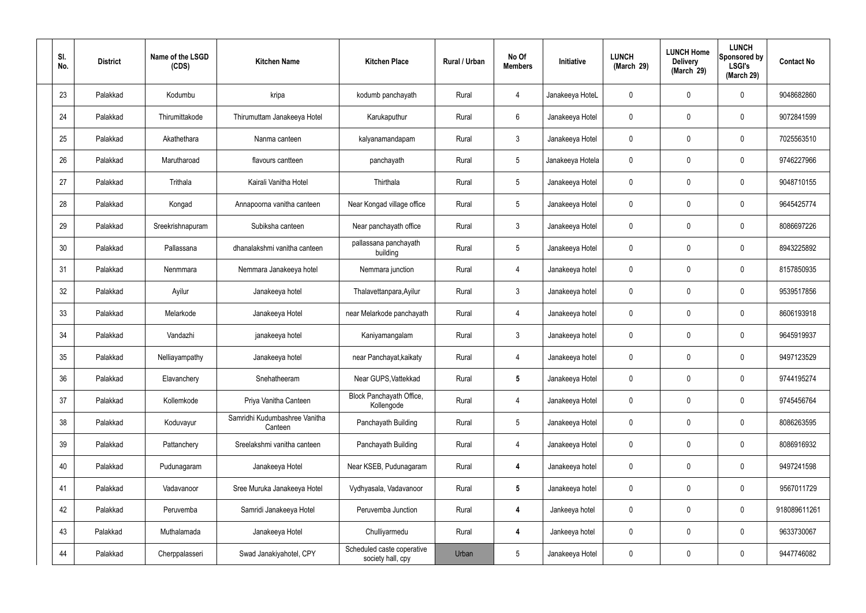| SI.<br>No. | <b>District</b> | Name of the LSGD<br>(CDS) | <b>Kitchen Name</b>                      | <b>Kitchen Place</b>                            | Rural / Urban | No Of<br><b>Members</b> | Initiative       | <b>LUNCH</b><br>(March 29) | <b>LUNCH Home</b><br><b>Delivery</b><br>(March 29) | <b>LUNCH</b><br>Sponsored by<br><b>LSGI's</b><br>(March 29) | <b>Contact No</b> |
|------------|-----------------|---------------------------|------------------------------------------|-------------------------------------------------|---------------|-------------------------|------------------|----------------------------|----------------------------------------------------|-------------------------------------------------------------|-------------------|
| 23         | Palakkad        | Kodumbu                   | kripa                                    | kodumb panchayath                               | Rural         | 4                       | Janakeeya HoteL  | $\mathbf{0}$               | $\mathbf 0$                                        | 0                                                           | 9048682860        |
| 24         | Palakkad        | Thirumittakode            | Thirumuttam Janakeeya Hotel              | Karukaputhur                                    | Rural         | 6                       | Janakeeya Hotel  | $\mathbf 0$                | $\mathbf 0$                                        | 0                                                           | 9072841599        |
| 25         | Palakkad        | Akathethara               | Nanma canteen                            | kalyanamandapam                                 | Rural         | $\mathbf{3}$            | Janakeeya Hotel  | $\mathbf{0}$               | 0                                                  | 0                                                           | 7025563510        |
| 26         | Palakkad        | Marutharoad               | flavours cantteen                        | panchayath                                      | Rural         | $5\phantom{.0}$         | Janakeeya Hotela | $\mathbf 0$                | $\mathbf 0$                                        | 0                                                           | 9746227966        |
| 27         | Palakkad        | Trithala                  | Kairali Vanitha Hotel                    | Thirthala                                       | Rural         | $5\phantom{.0}$         | Janakeeya Hotel  | 0                          | 0                                                  | 0                                                           | 9048710155        |
| 28         | Palakkad        | Kongad                    | Annapoorna vanitha canteen               | Near Kongad village office                      | Rural         | $5\phantom{.0}$         | Janakeeya Hotel  | $\mathbf 0$                | $\mathbf 0$                                        | 0                                                           | 9645425774        |
| 29         | Palakkad        | Sreekrishnapuram          | Subiksha canteen                         | Near panchayath office                          | Rural         | $\mathbf{3}$            | Janakeeya Hotel  | 0                          | $\mathbf 0$                                        | 0                                                           | 8086697226        |
| 30         | Palakkad        | Pallassana                | dhanalakshmi vanitha canteen             | pallassana panchayath<br>building               | Rural         | $5\phantom{.0}$         | Janakeeya Hotel  | $\mathbf 0$                | $\mathbf 0$                                        | 0                                                           | 8943225892        |
| 31         | Palakkad        | Nenmmara                  | Nemmara Janakeeya hotel                  | Nemmara junction                                | Rural         | 4                       | Janakeeya hotel  | 0                          | $\mathbf 0$                                        | 0                                                           | 8157850935        |
| 32         | Palakkad        | Ayilur                    | Janakeeya hotel                          | Thalavettanpara, Ayilur                         | Rural         | $\mathbf{3}$            | Janakeeya hotel  | $\mathbf 0$                | $\mathbf 0$                                        | 0                                                           | 9539517856        |
| 33         | Palakkad        | Melarkode                 | Janakeeya Hotel                          | near Melarkode panchayath                       | Rural         | $\overline{4}$          | Janakeeya hotel  | $\mathbf 0$                | 0                                                  | 0                                                           | 8606193918        |
| 34         | Palakkad        | Vandazhi                  | janakeeya hotel                          | Kaniyamangalam                                  | Rural         | $\mathbf{3}$            | Janakeeya hotel  | $\mathbf 0$                | 0                                                  | 0                                                           | 9645919937        |
| 35         | Palakkad        | Nelliayampathy            | Janakeeya hotel                          | near Panchayat, kaikaty                         | Rural         | 4                       | Janakeeya hotel  | 0                          | 0                                                  | 0                                                           | 9497123529        |
| 36         | Palakkad        | Elavanchery               | Snehatheeram                             | Near GUPS, Vattekkad                            | Rural         | $5\phantom{1}$          | Janakeeya Hotel  | $\mathbf 0$                | $\mathbf 0$                                        | 0                                                           | 9744195274        |
| 37         | Palakkad        | Kollemkode                | Priya Vanitha Canteen                    | Block Panchayath Office,<br>Kollengode          | Rural         | $\overline{4}$          | Janakeeya Hotel  | $\mathbf 0$                | $\mathbf 0$                                        | 0                                                           | 9745456764        |
| 38         | Palakkad        | Koduvayur                 | Samridhi Kudumbashree Vanitha<br>Canteen | Panchayath Building                             | Rural         | $5\phantom{.0}$         | Janakeeya Hotel  | 0                          | $\mathbf 0$                                        | 0                                                           | 8086263595        |
| 39         | Palakkad        | Pattanchery               | Sreelakshmi vanitha canteen              | Panchayath Building                             | Rural         | $\overline{4}$          | Janakeeya Hotel  | $\mathbf 0$                | $\mathbf 0$                                        | 0                                                           | 8086916932        |
| 40         | Palakkad        | Pudunagaram               | Janakeeya Hotel                          | Near KSEB, Pudunagaram                          | Rural         | $\overline{4}$          | Janakeeya hotel  | $\mathbf 0$                | $\mathbf 0$                                        | 0                                                           | 9497241598        |
| 41         | Palakkad        | Vadavanoor                | Sree Muruka Janakeeya Hotel              | Vydhyasala, Vadavanoor                          | Rural         | $5\phantom{.0}$         | Janakeeya hotel  | $\mathbf 0$                | $\mathbf 0$                                        | 0                                                           | 9567011729        |
| 42         | Palakkad        | Peruvemba                 | Samridi Janakeeya Hotel                  | Peruvemba Junction                              | Rural         | 4                       | Jankeeya hotel   | $\mathbf 0$                | $\mathbf 0$                                        | 0                                                           | 918089611261      |
| 43         | Palakkad        | Muthalamada               | Janakeeya Hotel                          | Chulliyarmedu                                   | Rural         | 4                       | Jankeeya hotel   | $\mathbf 0$                | $\mathbf 0$                                        | 0                                                           | 9633730067        |
| 44         | Palakkad        | Cherppalasseri            | Swad Janakiyahotel, CPY                  | Scheduled caste coperative<br>society hall, cpy | Urban         | $5\phantom{.0}$         | Janakeeya Hotel  | $\mathbf 0$                | 0                                                  | 0                                                           | 9447746082        |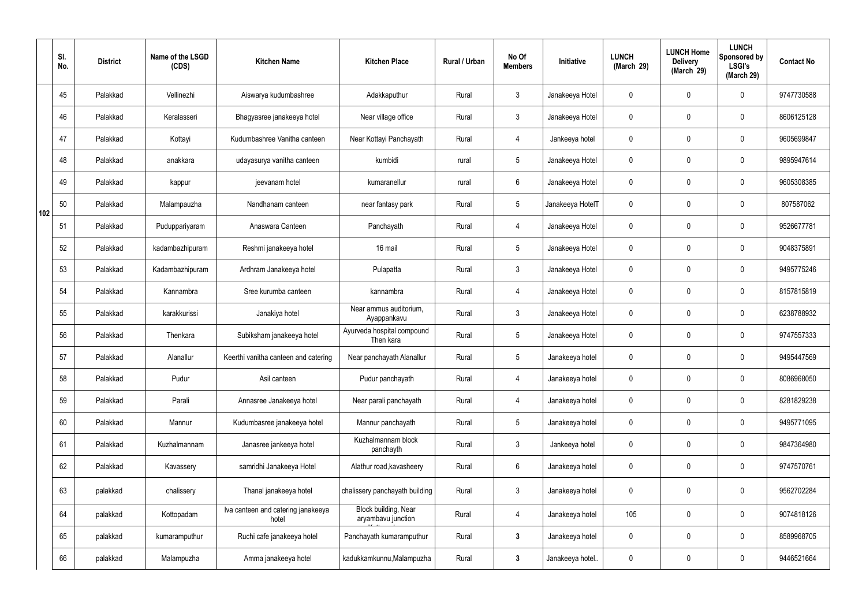|     | SI.<br>No. | <b>District</b> | Name of the LSGD<br>(CDS) | <b>Kitchen Name</b>                         | <b>Kitchen Place</b>                       | Rural / Urban | No Of<br><b>Members</b> | Initiative       | <b>LUNCH</b><br>(March 29) | <b>LUNCH Home</b><br><b>Delivery</b><br>(March 29) | <b>LUNCH</b><br>Sponsored by<br><b>LSGI's</b><br>(March 29) | <b>Contact No</b> |
|-----|------------|-----------------|---------------------------|---------------------------------------------|--------------------------------------------|---------------|-------------------------|------------------|----------------------------|----------------------------------------------------|-------------------------------------------------------------|-------------------|
|     | 45         | Palakkad        | Vellinezhi                | Aiswarya kudumbashree                       | Adakkaputhur                               | Rural         | $\mathbf{3}$            | Janakeeya Hotel  | 0                          | 0                                                  | $\mathbf 0$                                                 | 9747730588        |
|     | 46         | Palakkad        | Keralasseri               | Bhagyasree janakeeya hotel                  | Near village office                        | Rural         | $\mathbf{3}$            | Janakeeya Hotel  | 0                          | $\mathbf 0$                                        | $\mathbf 0$                                                 | 8606125128        |
|     | 47         | Palakkad        | Kottayi                   | Kudumbashree Vanitha canteen                | Near Kottayi Panchayath                    | Rural         | 4                       | Jankeeya hotel   | 0                          | 0                                                  | $\mathbf 0$                                                 | 9605699847        |
|     | 48         | Palakkad        | anakkara                  | udayasurya vanitha canteen                  | kumbidi                                    | rural         | $5\phantom{.0}$         | Janakeeya Hotel  | 0                          | $\mathbf 0$                                        | $\mathbf 0$                                                 | 9895947614        |
|     | 49         | Palakkad        | kappur                    | jeevanam hotel                              | kumaranellur                               | rural         | $6\phantom{.}6$         | Janakeeya Hotel  | 0                          | 0                                                  | $\mathbf 0$                                                 | 9605308385        |
| 102 | 50         | Palakkad        | Malampauzha               | Nandhanam canteen                           | near fantasy park                          | Rural         | $5\phantom{.0}$         | Janakeeya HotelT | 0                          | $\mathbf{0}$                                       | $\mathbf 0$                                                 | 807587062         |
|     | 51         | Palakkad        | Puduppariyaram            | Anaswara Canteen                            | Panchayath                                 | Rural         | $\overline{4}$          | Janakeeya Hotel  | 0                          | $\mathbf 0$                                        | $\mathbf 0$                                                 | 9526677781        |
|     | 52         | Palakkad        | kadambazhipuram           | Reshmi janakeeya hotel                      | 16 mail                                    | Rural         | $5\phantom{.0}$         | Janakeeya Hotel  | 0                          | 0                                                  | $\mathbf 0$                                                 | 9048375891        |
|     | 53         | Palakkad        | Kadambazhipuram           | Ardhram Janakeeya hotel                     | Pulapatta                                  | Rural         | $\mathbf{3}$            | Janakeeya Hotel  | 0                          | $\mathbf 0$                                        | $\mathbf 0$                                                 | 9495775246        |
|     | 54         | Palakkad        | Kannambra                 | Sree kurumba canteen                        | kannambra                                  | Rural         | $\overline{4}$          | Janakeeya Hotel  | 0                          | 0                                                  | $\mathbf 0$                                                 | 8157815819        |
|     | 55         | Palakkad        | karakkurissi              | Janakiya hotel                              | Near ammus auditorium,<br>Ayappankavu      | Rural         | $\mathbf{3}$            | Janakeeya Hotel  | 0                          | 0                                                  | $\mathbf 0$                                                 | 6238788932        |
|     | 56         | Palakkad        | Thenkara                  | Subiksham janakeeya hotel                   | Ayurveda hospital compound<br>Then kara    | Rural         | $5\phantom{.0}$         | Janakeeya Hotel  | 0                          | 0                                                  | $\mathbf 0$                                                 | 9747557333        |
|     | 57         | Palakkad        | Alanallur                 | Keerthi vanitha canteen and catering        | Near panchayath Alanallur                  | Rural         | $5\phantom{.0}$         | Janakeeya hotel  | 0                          | 0                                                  | $\mathbf 0$                                                 | 9495447569        |
|     | 58         | Palakkad        | Pudur                     | Asil canteen                                | Pudur panchayath                           | Rural         | $\overline{4}$          | Janakeeya hotel  | 0                          | $\mathbf 0$                                        | $\mathbf 0$                                                 | 8086968050        |
|     | 59         | Palakkad        | Parali                    | Annasree Janakeeya hotel                    | Near parali panchayath                     | Rural         | $\overline{4}$          | Janakeeya hotel  | 0                          | $\mathbf 0$                                        | $\mathbf 0$                                                 | 8281829238        |
|     | 60         | Palakkad        | Mannur                    | Kudumbasree janakeeya hotel                 | Mannur panchayath                          | Rural         | $5\phantom{.0}$         | Janakeeya hotel  | 0                          | $\mathbf 0$                                        | $\mathbf 0$                                                 | 9495771095        |
|     | 61         | Palakkad        | Kuzhalmannam              | Janasree jankeeya hotel                     | Kuzhalmannam block<br>panchayth            | Rural         | $\mathbf{3}$            | Jankeeya hotel   | 0                          | $\mathbf 0$                                        | $\mathbf 0$                                                 | 9847364980        |
|     | 62         | Palakkad        | Kavassery                 | samridhi Janakeeya Hotel                    | Alathur road, kavasheery                   | Rural         | $6\overline{6}$         | Janakeeya hotel  | 0                          | 0                                                  | $\mathbf 0$                                                 | 9747570761        |
|     | 63         | palakkad        | chalissery                | Thanal janakeeya hotel                      | chalissery panchayath building             | Rural         | $\mathfrak{Z}$          | Janakeeya hotel  | 0                          | 0                                                  | $\mathbf 0$                                                 | 9562702284        |
|     | 64         | palakkad        | Kottopadam                | Iva canteen and catering janakeeya<br>hotel | Block building, Near<br>aryambavu junction | Rural         | $\overline{4}$          | Janakeeya hotel  | 105                        | 0                                                  | $\mathbf 0$                                                 | 9074818126        |
|     | 65         | palakkad        | kumaramputhur             | Ruchi cafe janakeeya hotel                  | Panchayath kumaramputhur                   | Rural         | $\mathbf{3}$            | Janakeeya hotel  | 0                          | 0                                                  | $\mathbf 0$                                                 | 8589968705        |
|     | 66         | palakkad        | Malampuzha                | Amma janakeeya hotel                        | kadukkamkunnu, Malampuzha                  | Rural         | $\mathbf{3}$            | Janakeeya hotel. | 0                          | 0                                                  | $\boldsymbol{0}$                                            | 9446521664        |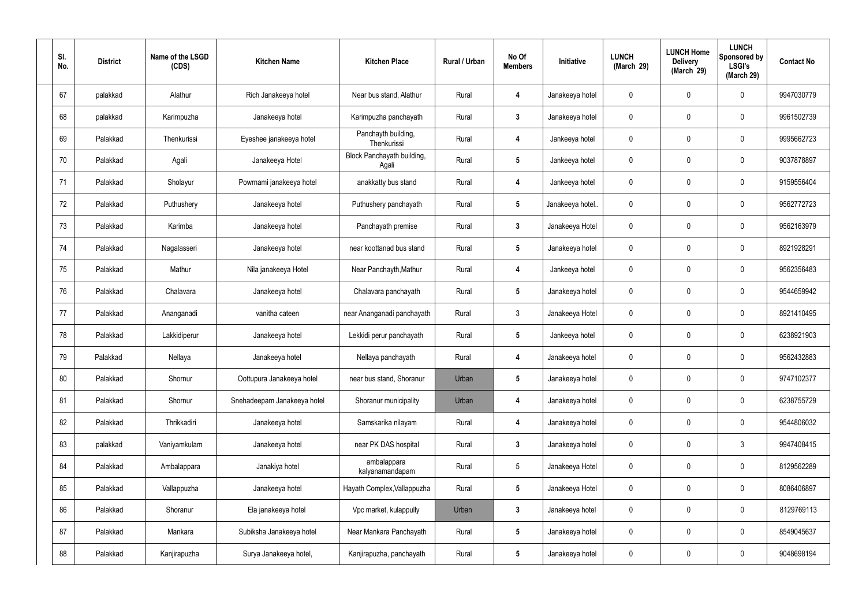| SI.<br>No. | <b>District</b> | Name of the LSGD<br>(CDS) | <b>Kitchen Name</b>         | <b>Kitchen Place</b>                | Rural / Urban | No Of<br><b>Members</b> | Initiative       | <b>LUNCH</b><br>(March 29) | <b>LUNCH Home</b><br><b>Delivery</b><br>(March 29) | <b>LUNCH</b><br>Sponsored by<br><b>LSGI's</b><br>(March 29) | <b>Contact No</b> |
|------------|-----------------|---------------------------|-----------------------------|-------------------------------------|---------------|-------------------------|------------------|----------------------------|----------------------------------------------------|-------------------------------------------------------------|-------------------|
| 67         | palakkad        | Alathur                   | Rich Janakeeya hotel        | Near bus stand, Alathur             | Rural         | 4                       | Janakeeya hotel  | 0                          | 0                                                  | $\mathbf 0$                                                 | 9947030779        |
| 68         | palakkad        | Karimpuzha                | Janakeeya hotel             | Karimpuzha panchayath               | Rural         | $\mathbf{3}$            | Janakeeya hotel  | 0                          | $\mathbf 0$                                        | $\mathbf 0$                                                 | 9961502739        |
| 69         | Palakkad        | Thenkurissi               | Eyeshee janakeeya hotel     | Panchayth building,<br>Thenkurissi  | Rural         | 4                       | Jankeeya hotel   | 0                          | 0                                                  | $\mathbf 0$                                                 | 9995662723        |
| 70         | Palakkad        | Agali                     | Janakeeya Hotel             | Block Panchayath building,<br>Agali | Rural         | $5\phantom{.0}$         | Jankeeya hotel   | 0                          | $\mathbf 0$                                        | $\mathbf 0$                                                 | 9037878897        |
| 71         | Palakkad        | Sholayur                  | Powrnami janakeeya hotel    | anakkatty bus stand                 | Rural         | 4                       | Jankeeya hotel   | 0                          | $\mathbf 0$                                        | $\mathbf 0$                                                 | 9159556404        |
| 72         | Palakkad        | Puthushery                | Janakeeya hotel             | Puthushery panchayath               | Rural         | $5\phantom{.0}$         | Janakeeya hotel. | 0                          | $\mathbf 0$                                        | $\mathbf 0$                                                 | 9562772723        |
| 73         | Palakkad        | Karimba                   | Janakeeya hotel             | Panchayath premise                  | Rural         | $\mathbf{3}$            | Janakeeya Hotel  | 0                          | $\mathbf 0$                                        | $\mathbf 0$                                                 | 9562163979        |
| 74         | Palakkad        | Nagalasseri               | Janakeeya hotel             | near koottanad bus stand            | Rural         | $5\phantom{.0}$         | Janakeeya hotel  | 0                          | 0                                                  | $\mathbf 0$                                                 | 8921928291        |
| 75         | Palakkad        | Mathur                    | Nila janakeeya Hotel        | Near Panchayth, Mathur              | Rural         | 4                       | Jankeeya hotel   | 0                          | $\mathbf 0$                                        | $\mathbf 0$                                                 | 9562356483        |
| 76         | Palakkad        | Chalavara                 | Janakeeya hotel             | Chalavara panchayath                | Rural         | $5\phantom{.0}$         | Janakeeya hotel  | 0                          | 0                                                  | $\mathbf 0$                                                 | 9544659942        |
| 77         | Palakkad        | Ananganadi                | vanitha cateen              | near Ananganadi panchayath          | Rural         | $\mathbf{3}$            | Janakeeya Hotel  | 0                          | 0                                                  | $\mathbf 0$                                                 | 8921410495        |
| 78         | Palakkad        | Lakkidiperur              | Janakeeya hotel             | Lekkidi perur panchayath            | Rural         | $5\phantom{.0}$         | Jankeeya hotel   | 0                          | 0                                                  | $\mathbf 0$                                                 | 6238921903        |
| 79         | Palakkad        | Nellaya                   | Janakeeya hotel             | Nellaya panchayath                  | Rural         | 4                       | Janakeeya hotel  | 0                          | 0                                                  | $\mathbf 0$                                                 | 9562432883        |
| 80         | Palakkad        | Shornur                   | Oottupura Janakeeya hotel   | near bus stand, Shoranur            | Urban         | $5\phantom{.0}$         | Janakeeya hotel  | 0                          | $\mathbf 0$                                        | $\mathbf 0$                                                 | 9747102377        |
| 81         | Palakkad        | Shornur                   | Snehadeepam Janakeeya hotel | Shoranur municipality               | Urban         | $\overline{4}$          | Janakeeya hotel  | 0                          | $\mathbf 0$                                        | $\mathbf 0$                                                 | 6238755729        |
| 82         | Palakkad        | Thrikkadiri               | Janakeeya hotel             | Samskarika nilayam                  | Rural         | 4                       | Janakeeya hotel  | 0                          | $\mathbf 0$                                        | $\mathbf 0$                                                 | 9544806032        |
| 83         | palakkad        | Vaniyamkulam              | Janakeeya hotel             | near PK DAS hospital                | Rural         | $\mathbf{3}$            | Janakeeya hotel  | 0                          | 0                                                  | $\mathbf{3}$                                                | 9947408415        |
| 84         | Palakkad        | Ambalappara               | Janakiya hotel              | ambalappara<br>kalyanamandapam      | Rural         | $5\phantom{.0}$         | Janakeeya Hotel  | 0                          | 0                                                  | $\mathbf 0$                                                 | 8129562289        |
| 85         | Palakkad        | Vallappuzha               | Janakeeya hotel             | Hayath Complex, Vallappuzha         | Rural         | $5\phantom{.0}$         | Janakeeya Hotel  | 0                          | 0                                                  | $\mathbf 0$                                                 | 8086406897        |
| 86         | Palakkad        | Shoranur                  | Ela janakeeya hotel         | Vpc market, kulappully              | Urban         | $\mathbf{3}$            | Janakeeya hotel  | 0                          | 0                                                  | $\mathbf 0$                                                 | 8129769113        |
| 87         | Palakkad        | Mankara                   | Subiksha Janakeeya hotel    | Near Mankara Panchayath             | Rural         | $5\phantom{.0}$         | Janakeeya hotel  | 0                          | 0                                                  | $\mathbf 0$                                                 | 8549045637        |
| 88         | Palakkad        | Kanjirapuzha              | Surya Janakeeya hotel,      | Kanjirapuzha, panchayath            | Rural         | $5\overline{)}$         | Janakeeya hotel  | 0                          | 0                                                  | $\overline{0}$                                              | 9048698194        |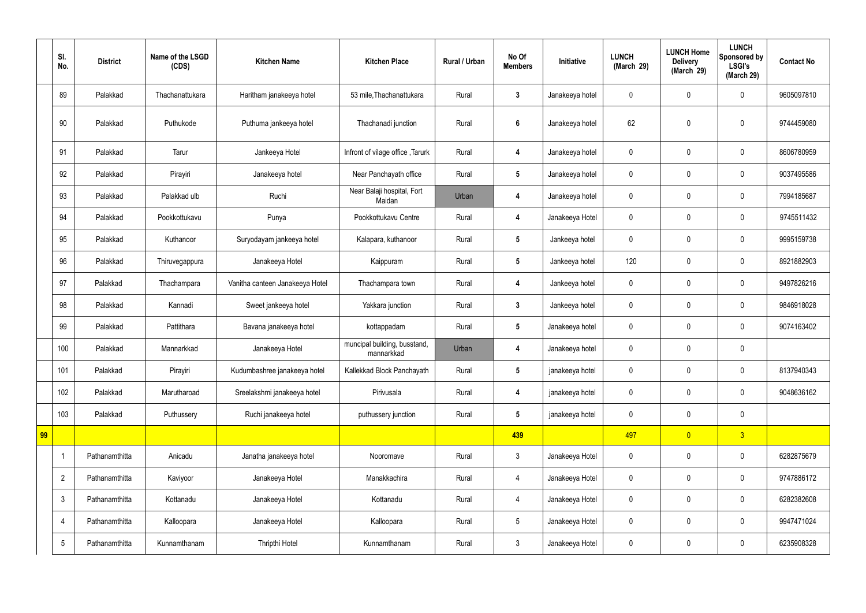|    | SI.<br>No.              | <b>District</b> | Name of the LSGD<br>(CDS) | <b>Kitchen Name</b>             | <b>Kitchen Place</b>                       | Rural / Urban | No Of<br><b>Members</b> | Initiative      | <b>LUNCH</b><br>(March 29) | <b>LUNCH Home</b><br><b>Delivery</b><br>(March 29) | <b>LUNCH</b><br>Sponsored by<br><b>LSGI's</b><br>(March 29) | <b>Contact No</b> |
|----|-------------------------|-----------------|---------------------------|---------------------------------|--------------------------------------------|---------------|-------------------------|-----------------|----------------------------|----------------------------------------------------|-------------------------------------------------------------|-------------------|
|    | 89                      | Palakkad        | Thachanattukara           | Haritham janakeeya hotel        | 53 mile, Thachanattukara                   | Rural         | $\mathbf{3}$            | Janakeeya hotel | $\mathbf 0$                | $\mathbf 0$                                        | $\mathbf 0$                                                 | 9605097810        |
|    | 90                      | Palakkad        | Puthukode                 | Puthuma jankeeya hotel          | Thachanadi junction                        | Rural         | $\boldsymbol{6}$        | Janakeeya hotel | 62                         | $\mathbf 0$                                        | $\mathbf 0$                                                 | 9744459080        |
|    | 91                      | Palakkad        | Tarur                     | Jankeeya Hotel                  | Infront of vilage office, Tarurk           | Rural         | $\overline{\mathbf{4}}$ | Janakeeya hotel | $\mathbf 0$                | $\mathbf 0$                                        | $\mathbf 0$                                                 | 8606780959        |
|    | 92                      | Palakkad        | Pirayiri                  | Janakeeya hotel                 | Near Panchayath office                     | Rural         | $5\phantom{.0}$         | Janakeeya hotel | $\mathbf 0$                | $\pmb{0}$                                          | $\mathbf 0$                                                 | 9037495586        |
|    | 93                      | Palakkad        | Palakkad ulb              | Ruchi                           | Near Balaji hospital, Fort<br>Maidan       | Urban         | 4                       | Janakeeya hotel | $\mathbf 0$                | $\mathbf 0$                                        | $\mathbf 0$                                                 | 7994185687        |
|    | 94                      | Palakkad        | Pookkottukavu             | Punya                           | Pookkottukavu Centre                       | Rural         | 4                       | Janakeeya Hotel | $\mathbf 0$                | $\mathbf 0$                                        | $\mathbf 0$                                                 | 9745511432        |
|    | 95                      | Palakkad        | Kuthanoor                 | Suryodayam jankeeya hotel       | Kalapara, kuthanoor                        | Rural         | $5\phantom{.0}$         | Jankeeya hotel  | $\mathbf 0$                | $\mathbf 0$                                        | $\mathbf 0$                                                 | 9995159738        |
|    | 96                      | Palakkad        | Thiruvegappura            | Janakeeya Hotel                 | Kaippuram                                  | Rural         | $5\phantom{.0}$         | Jankeeya hotel  | 120                        | $\pmb{0}$                                          | $\mathbf 0$                                                 | 8921882903        |
|    | 97                      | Palakkad        | Thachampara               | Vanitha canteen Janakeeya Hotel | Thachampara town                           | Rural         | 4                       | Jankeeya hotel  | $\mathbf 0$                | $\mathbf 0$                                        | $\mathbf 0$                                                 | 9497826216        |
|    | 98                      | Palakkad        | Kannadi                   | Sweet jankeeya hotel            | Yakkara junction                           | Rural         | $\mathbf{3}$            | Jankeeya hotel  | $\pmb{0}$                  | $\pmb{0}$                                          | $\mathbf 0$                                                 | 9846918028        |
|    | 99                      | Palakkad        | Pattithara                | Bavana janakeeya hotel          | kottappadam                                | Rural         | $5\phantom{.0}$         | Janakeeya hotel | $\mathbf 0$                | $\mathbf 0$                                        | $\mathbf 0$                                                 | 9074163402        |
|    | 100                     | Palakkad        | Mannarkkad                | Janakeeya Hotel                 | muncipal building, busstand,<br>mannarkkad | Urban         | 4                       | Janakeeya hotel | $\mathbf 0$                | $\pmb{0}$                                          | $\mathbf 0$                                                 |                   |
|    | 101                     | Palakkad        | Pirayiri                  | Kudumbashree janakeeya hotel    | Kallekkad Block Panchayath                 | Rural         | $5\phantom{.0}$         | janakeeya hotel | $\mathbf 0$                | $\pmb{0}$                                          | $\mathbf 0$                                                 | 8137940343        |
|    | 102                     | Palakkad        | Marutharoad               | Sreelakshmi janakeeya hotel     | Pirivusala                                 | Rural         | $\overline{\mathbf{4}}$ | janakeeya hotel | $\pmb{0}$                  | $\pmb{0}$                                          | $\mathbf 0$                                                 | 9048636162        |
|    | 103                     | Palakkad        | Puthussery                | Ruchi janakeeya hotel           | puthussery junction                        | Rural         | $5\phantom{.0}$         | janakeeya hotel | $\pmb{0}$                  | $\pmb{0}$                                          | $\mathbf 0$                                                 |                   |
| 99 |                         |                 |                           |                                 |                                            |               | 439                     |                 | 497                        | $\overline{0}$                                     | 3 <sup>°</sup>                                              |                   |
|    | $\overline{\mathbf{1}}$ | Pathanamthitta  | Anicadu                   | Janatha janakeeya hotel         | Nooromave                                  | Rural         | $\mathbf{3}$            | Janakeeya Hotel | $\pmb{0}$                  | $\pmb{0}$                                          | $\mathbf 0$                                                 | 6282875679        |
|    | $\overline{2}$          | Pathanamthitta  | Kaviyoor                  | Janakeeya Hotel                 | Manakkachira                               | Rural         | $\overline{4}$          | Janakeeya Hotel | $\pmb{0}$                  | $\pmb{0}$                                          | $\pmb{0}$                                                   | 9747886172        |
|    | $\mathfrak{Z}$          | Pathanamthitta  | Kottanadu                 | Janakeeya Hotel                 | Kottanadu                                  | Rural         | $\overline{4}$          | Janakeeya Hotel | $\pmb{0}$                  | $\pmb{0}$                                          | $\mathbf 0$                                                 | 6282382608        |
|    | $\overline{4}$          | Pathanamthitta  | Kalloopara                | Janakeeya Hotel                 | Kalloopara                                 | Rural         | $5\phantom{.0}$         | Janakeeya Hotel | $\pmb{0}$                  | $\pmb{0}$                                          | $\mathbf 0$                                                 | 9947471024        |
|    | $5\phantom{.0}$         | Pathanamthitta  | Kunnamthanam              | Thripthi Hotel                  | Kunnamthanam                               | Rural         | $\mathbf{3}$            | Janakeeya Hotel | 0                          | $\pmb{0}$                                          | $\boldsymbol{0}$                                            | 6235908328        |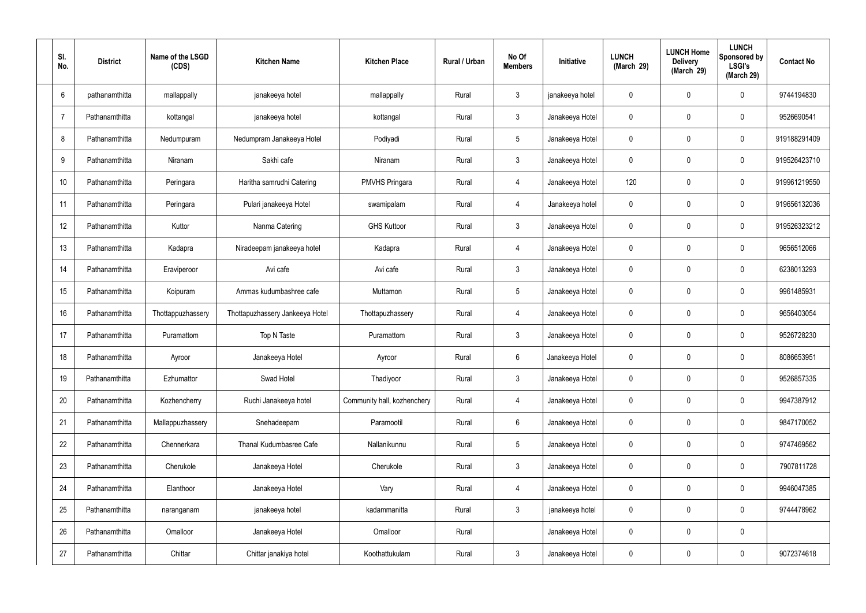| SI.<br>No.     | <b>District</b>      | Name of the LSGD<br>(CDS) | <b>Kitchen Name</b>             | <b>Kitchen Place</b>        | Rural / Urban | No Of<br><b>Members</b> | Initiative      | <b>LUNCH</b><br>(March 29) | <b>LUNCH Home</b><br><b>Delivery</b><br>(March 29) | <b>LUNCH</b><br>Sponsored by<br><b>LSGI's</b><br>(March 29) | <b>Contact No</b> |
|----------------|----------------------|---------------------------|---------------------------------|-----------------------------|---------------|-------------------------|-----------------|----------------------------|----------------------------------------------------|-------------------------------------------------------------|-------------------|
| 6              | pathanamthitta       | mallappally               | janakeeya hotel                 | mallappally                 | Rural         | $\mathbf{3}$            | janakeeya hotel | 0                          | 0                                                  | $\mathbf 0$                                                 | 9744194830        |
| $\overline{7}$ | Pathanamthitta       | kottangal                 | janakeeya hotel                 | kottangal                   | Rural         | $\mathbf{3}$            | Janakeeya Hotel | 0                          | 0                                                  | $\pmb{0}$                                                   | 9526690541        |
| 8              | Pathanamthitta       | Nedumpuram                | Nedumpram Janakeeya Hotel       | Podiyadi                    | Rural         | $5\phantom{.0}$         | Janakeeya Hotel | 0                          | 0                                                  | $\mathbf 0$                                                 | 919188291409      |
| 9              | Pathanamthitta       | Niranam                   | Sakhi cafe                      | Niranam                     | Rural         | $\mathbf{3}$            | Janakeeya Hotel | 0                          | 0                                                  | $\mathbf 0$                                                 | 919526423710      |
| 10             | Pathanamthitta       | Peringara                 | Haritha samrudhi Catering       | <b>PMVHS Pringara</b>       | Rural         | 4                       | Janakeeya Hotel | 120                        | 0                                                  | $\mathbf 0$                                                 | 919961219550      |
| 11             | Pathanamthitta       | Peringara                 | Pulari janakeeya Hotel          | swamipalam                  | Rural         | 4                       | Janakeeya hotel | 0                          | 0                                                  | $\mathbf 0$                                                 | 919656132036      |
|                | 12<br>Pathanamthitta | Kuttor                    | Nanma Catering                  | <b>GHS Kuttoor</b>          | Rural         | $\mathbf{3}$            | Janakeeya Hotel | 0                          | 0                                                  | $\mathbf 0$                                                 | 919526323212      |
|                | 13<br>Pathanamthitta | Kadapra                   | Niradeepam janakeeya hotel      | Kadapra                     | Rural         | 4                       | Janakeeya Hotel | 0                          | 0                                                  | $\mathbf 0$                                                 | 9656512066        |
| 14             | Pathanamthitta       | Eraviperoor               | Avi cafe                        | Avi cafe                    | Rural         | $\mathbf{3}$            | Janakeeya Hotel | 0                          | 0                                                  | $\mathbf 0$                                                 | 6238013293        |
|                | 15<br>Pathanamthitta | Koipuram                  | Ammas kudumbashree cafe         | Muttamon                    | Rural         | $5\phantom{.0}$         | Janakeeya Hotel | 0                          | 0                                                  | $\boldsymbol{0}$                                            | 9961485931        |
|                | 16<br>Pathanamthitta | Thottappuzhassery         | Thottapuzhassery Jankeeya Hotel | Thottapuzhassery            | Rural         | 4                       | Janakeeya Hotel | 0                          | 0                                                  | $\boldsymbol{0}$                                            | 9656403054        |
| 17             | Pathanamthitta       | Puramattom                | Top N Taste                     | Puramattom                  | Rural         | $\mathbf{3}$            | Janakeeya Hotel | 0                          | 0                                                  | $\boldsymbol{0}$                                            | 9526728230        |
|                | 18<br>Pathanamthitta | Ayroor                    | Janakeeya Hotel                 | Ayroor                      | Rural         | 6                       | Janakeeya Hotel | 0                          | 0                                                  | $\boldsymbol{0}$                                            | 8086653951        |
|                | 19<br>Pathanamthitta | Ezhumattor                | Swad Hotel                      | Thadiyoor                   | Rural         | $\mathfrak{Z}$          | Janakeeya Hotel | 0                          | 0                                                  | $\mathbf 0$                                                 | 9526857335        |
|                | 20<br>Pathanamthitta | Kozhencherry              | Ruchi Janakeeya hotel           | Community hall, kozhenchery | Rural         | 4                       | Janakeeya Hotel | 0                          | 0                                                  | $\mathbf 0$                                                 | 9947387912        |
| 21             | Pathanamthitta       | Mallappuzhassery          | Snehadeepam                     | Paramootil                  | Rural         | $6\phantom{.}$          | Janakeeya Hotel | 0                          | 0                                                  | $\mathbf 0$                                                 | 9847170052        |
|                | 22<br>Pathanamthitta | Chennerkara               | Thanal Kudumbasree Cafe         | Nallanikunnu                | Rural         | $5\phantom{.0}$         | Janakeeya Hotel | 0                          | 0                                                  | $\mathbf 0$                                                 | 9747469562        |
|                | 23<br>Pathanamthitta | Cherukole                 | Janakeeya Hotel                 | Cherukole                   | Rural         | $\mathfrak{Z}$          | Janakeeya Hotel | 0                          | 0                                                  | $\mathbf 0$                                                 | 7907811728        |
| 24             | Pathanamthitta       | Elanthoor                 | Janakeeya Hotel                 | Vary                        | Rural         | 4                       | Janakeeya Hotel | 0                          | 0                                                  | $\mathbf 0$                                                 | 9946047385        |
|                | 25<br>Pathanamthitta | naranganam                | janakeeya hotel                 | kadammanitta                | Rural         | $\mathbf{3}$            | janakeeya hotel | 0                          | 0                                                  | $\mathbf 0$                                                 | 9744478962        |
|                | 26<br>Pathanamthitta | Omalloor                  | Janakeeya Hotel                 | Omalloor                    | Rural         |                         | Janakeeya Hotel | 0                          | 0                                                  | $\pmb{0}$                                                   |                   |
| 27             | Pathanamthitta       | Chittar                   | Chittar janakiya hotel          | Koothattukulam              | Rural         | $\mathfrak{Z}$          | Janakeeya Hotel | 0                          | 0                                                  | $\boldsymbol{0}$                                            | 9072374618        |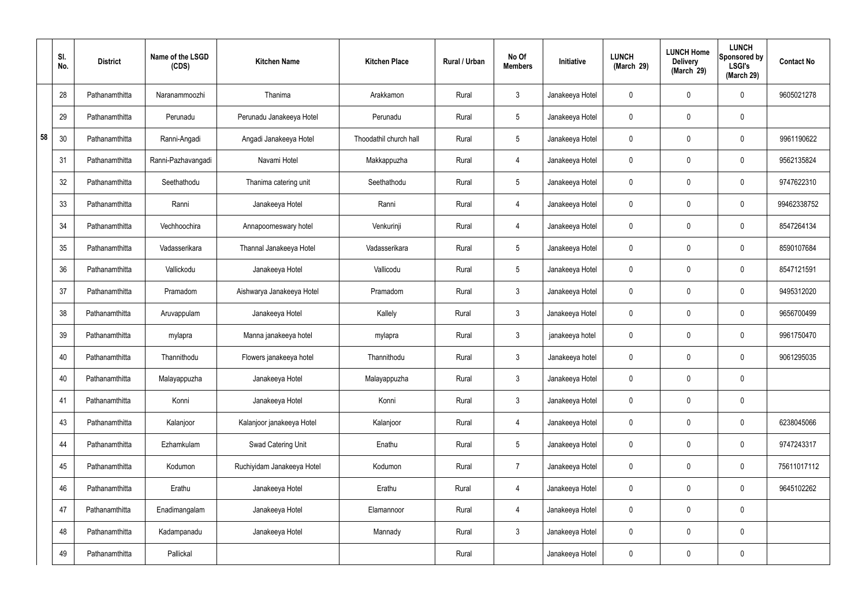|    | SI.<br>No. | <b>District</b> | Name of the LSGD<br>(CDS) | <b>Kitchen Name</b>        | <b>Kitchen Place</b>   | Rural / Urban | No Of<br><b>Members</b> | Initiative      | <b>LUNCH</b><br>(March 29) | <b>LUNCH Home</b><br><b>Delivery</b><br>(March 29) | <b>LUNCH</b><br>Sponsored by<br><b>LSGI's</b><br>(March 29) | <b>Contact No</b> |
|----|------------|-----------------|---------------------------|----------------------------|------------------------|---------------|-------------------------|-----------------|----------------------------|----------------------------------------------------|-------------------------------------------------------------|-------------------|
|    | 28         | Pathanamthitta  | Naranammoozhi             | Thanima                    | Arakkamon              | Rural         | $\mathbf{3}$            | Janakeeya Hotel | $\mathbf 0$                | $\mathbf 0$                                        | $\mathbf 0$                                                 | 9605021278        |
|    | 29         | Pathanamthitta  | Perunadu                  | Perunadu Janakeeya Hotel   | Perunadu               | Rural         | $5\phantom{.0}$         | Janakeeya Hotel | $\mathbf 0$                | $\mathbf 0$                                        | $\mathbf 0$                                                 |                   |
| 58 | 30         | Pathanamthitta  | Ranni-Angadi              | Angadi Janakeeya Hotel     | Thoodathil church hall | Rural         | $5\phantom{.0}$         | Janakeeya Hotel | $\mathbf 0$                | $\mathbf 0$                                        | $\mathbf 0$                                                 | 9961190622        |
|    | 31         | Pathanamthitta  | Ranni-Pazhavangadi        | Navami Hotel               | Makkappuzha            | Rural         | 4                       | Janakeeya Hotel | $\mathbf 0$                | $\mathbf 0$                                        | $\mathbf 0$                                                 | 9562135824        |
|    | 32         | Pathanamthitta  | Seethathodu               | Thanima catering unit      | Seethathodu            | Rural         | $5\overline{)}$         | Janakeeya Hotel | $\mathbf 0$                | $\mathbf 0$                                        | $\mathbf 0$                                                 | 9747622310        |
|    | 33         | Pathanamthitta  | Ranni                     | Janakeeya Hotel            | Ranni                  | Rural         | 4                       | Janakeeya Hotel | $\mathbf 0$                | $\mathbf 0$                                        | $\mathbf 0$                                                 | 99462338752       |
|    | 34         | Pathanamthitta  | Vechhoochira              | Annapoorneswary hotel      | Venkurinji             | Rural         | 4                       | Janakeeya Hotel | $\mathbf 0$                | $\mathbf 0$                                        | $\mathbf 0$                                                 | 8547264134        |
|    | 35         | Pathanamthitta  | Vadasserikara             | Thannal Janakeeya Hotel    | Vadasserikara          | Rural         | $5\overline{)}$         | Janakeeya Hotel | $\mathbf 0$                | $\mathbf 0$                                        | $\mathbf 0$                                                 | 8590107684        |
|    | 36         | Pathanamthitta  | Vallickodu                | Janakeeya Hotel            | Vallicodu              | Rural         | $5\overline{)}$         | Janakeeya Hotel | $\mathbf 0$                | $\mathbf 0$                                        | $\mathbf 0$                                                 | 8547121591        |
|    | 37         | Pathanamthitta  | Pramadom                  | Aishwarya Janakeeya Hotel  | Pramadom               | Rural         | $\mathbf{3}$            | Janakeeya Hotel | $\mathbf 0$                | $\mathbf 0$                                        | $\mathbf 0$                                                 | 9495312020        |
|    | 38         | Pathanamthitta  | Aruvappulam               | Janakeeya Hotel            | Kallely                | Rural         | $\mathbf{3}$            | Janakeeya Hotel | $\mathbf 0$                | $\mathbf 0$                                        | $\mathbf 0$                                                 | 9656700499        |
|    | 39         | Pathanamthitta  | mylapra                   | Manna janakeeya hotel      | mylapra                | Rural         | $\mathbf{3}$            | janakeeya hotel | $\mathbf 0$                | $\mathbf 0$                                        | $\mathbf 0$                                                 | 9961750470        |
|    | 40         | Pathanamthitta  | Thannithodu               | Flowers janakeeya hotel    | Thannithodu            | Rural         | $\mathbf{3}$            | Janakeeya hotel | $\mathbf 0$                | $\mathbf 0$                                        | $\mathbf 0$                                                 | 9061295035        |
|    | 40         | Pathanamthitta  | Malayappuzha              | Janakeeya Hotel            | Malayappuzha           | Rural         | $\mathbf{3}$            | Janakeeya Hotel | $\mathbf 0$                | $\pmb{0}$                                          | $\mathbf 0$                                                 |                   |
|    | 41         | Pathanamthitta  | Konni                     | Janakeeya Hotel            | Konni                  | Rural         | $\mathbf{3}$            | Janakeeya Hotel | $\mathbf 0$                | $\pmb{0}$                                          | $\mathbf 0$                                                 |                   |
|    | 43         | Pathanamthitta  | Kalanjoor                 | Kalanjoor janakeeya Hotel  | Kalanjoor              | Rural         | $\overline{4}$          | Janakeeya Hotel | $\mathbf 0$                | $\pmb{0}$                                          | $\mathbf 0$                                                 | 6238045066        |
|    | 44         | Pathanamthitta  | Ezhamkulam                | Swad Catering Unit         | Enathu                 | Rural         | $5\overline{)}$         | Janakeeya Hotel | $\mathbf 0$                | $\pmb{0}$                                          | $\mathbf 0$                                                 | 9747243317        |
|    | 45         | Pathanamthitta  | Kodumon                   | Ruchiyidam Janakeeya Hotel | Kodumon                | Rural         | $\overline{7}$          | Janakeeya Hotel | $\mathbf 0$                | 0                                                  | $\mathbf 0$                                                 | 75611017112       |
|    | 46         | Pathanamthitta  | Erathu                    | Janakeeya Hotel            | Erathu                 | Rural         | $\overline{4}$          | Janakeeya Hotel | $\mathbf 0$                | $\pmb{0}$                                          | $\mathbf 0$                                                 | 9645102262        |
|    | 47         | Pathanamthitta  | Enadimangalam             | Janakeeya Hotel            | Elamannoor             | Rural         | $\overline{4}$          | Janakeeya Hotel | $\mathbf 0$                | $\pmb{0}$                                          | $\mathbf 0$                                                 |                   |
|    | 48         | Pathanamthitta  | Kadampanadu               | Janakeeya Hotel            | Mannady                | Rural         | $\mathbf{3}$            | Janakeeya Hotel | $\mathbf 0$                | $\pmb{0}$                                          | $\mathbf 0$                                                 |                   |
|    | 49         | Pathanamthitta  | Pallickal                 |                            |                        | Rural         |                         | Janakeeya Hotel | $\pmb{0}$                  | 0                                                  | $\boldsymbol{0}$                                            |                   |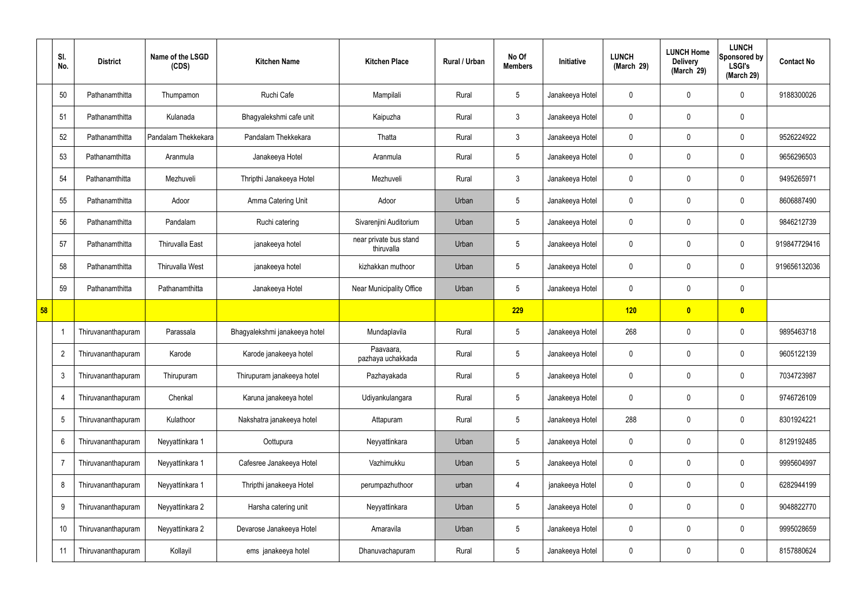|    | SI.<br>No.     | <b>District</b>    | Name of the LSGD<br>(CDS) | <b>Kitchen Name</b>           | <b>Kitchen Place</b>                 | Rural / Urban | No Of<br><b>Members</b> | Initiative      | <b>LUNCH</b><br>(March 29) | <b>LUNCH Home</b><br><b>Delivery</b><br>(March 29) | <b>LUNCH</b><br>Sponsored by<br><b>LSGI's</b><br>(March 29) | <b>Contact No</b> |
|----|----------------|--------------------|---------------------------|-------------------------------|--------------------------------------|---------------|-------------------------|-----------------|----------------------------|----------------------------------------------------|-------------------------------------------------------------|-------------------|
|    | 50             | Pathanamthitta     | Thumpamon                 | Ruchi Cafe                    | Mampilali                            | Rural         | $5\overline{)}$         | Janakeeya Hotel | $\mathbf 0$                | $\mathbf 0$                                        | $\mathbf 0$                                                 | 9188300026        |
|    | 51             | Pathanamthitta     | Kulanada                  | Bhagyalekshmi cafe unit       | Kaipuzha                             | Rural         | $\mathbf{3}$            | Janakeeya Hotel | $\mathbf 0$                | $\mathbf 0$                                        | $\mathbf 0$                                                 |                   |
|    | 52             | Pathanamthitta     | Pandalam Thekkekara       | Pandalam Thekkekara           | Thatta                               | Rural         | $\mathbf{3}$            | Janakeeya Hotel | $\mathbf 0$                | $\mathbf 0$                                        | $\mathbf 0$                                                 | 9526224922        |
|    | 53             | Pathanamthitta     | Aranmula                  | Janakeeya Hotel               | Aranmula                             | Rural         | $5\phantom{.0}$         | Janakeeya Hotel | $\mathbf 0$                | 0                                                  | $\mathbf 0$                                                 | 9656296503        |
|    | 54             | Pathanamthitta     | Mezhuveli                 | Thripthi Janakeeya Hotel      | Mezhuveli                            | Rural         | $\mathbf{3}$            | Janakeeya Hotel | $\mathbf 0$                | $\mathbf 0$                                        | $\mathbf 0$                                                 | 9495265971        |
|    | 55             | Pathanamthitta     | Adoor                     | Amma Catering Unit            | Adoor                                | Urban         | $5\overline{)}$         | Janakeeya Hotel | $\mathbf 0$                | 0                                                  | $\mathbf 0$                                                 | 8606887490        |
|    | 56             | Pathanamthitta     | Pandalam                  | Ruchi catering                | Sivarenjini Auditorium               | Urban         | $5\phantom{.0}$         | Janakeeya Hotel | $\mathbf 0$                | $\mathbf 0$                                        | $\mathbf 0$                                                 | 9846212739        |
|    | 57             | Pathanamthitta     | <b>Thiruvalla East</b>    | janakeeya hotel               | near private bus stand<br>thiruvalla | Urban         | $5\phantom{.0}$         | Janakeeya Hotel | $\mathbf 0$                | 0                                                  | $\mathbf 0$                                                 | 919847729416      |
|    | 58             | Pathanamthitta     | Thiruvalla West           | janakeeya hotel               | kizhakkan muthoor                    | Urban         | 5                       | Janakeeya Hotel | $\mathbf 0$                | 0                                                  | $\mathbf 0$                                                 | 919656132036      |
|    | 59             | Pathanamthitta     | Pathanamthitta            | Janakeeya Hotel               | Near Municipality Office             | Urban         | $5\phantom{.0}$         | Janakeeya Hotel | $\mathbf 0$                | 0                                                  | $\pmb{0}$                                                   |                   |
| 58 |                |                    |                           |                               |                                      |               | 229                     |                 | 120                        | $\boldsymbol{0}$                                   | $\bullet$                                                   |                   |
|    |                | Thiruvananthapuram | Parassala                 | Bhagyalekshmi janakeeya hotel | Mundaplavila                         | Rural         | $5\overline{)}$         | Janakeeya Hotel | 268                        | 0                                                  | $\overline{0}$                                              | 9895463718        |
|    | $\overline{2}$ | Thiruvananthapuram | Karode                    | Karode janakeeya hotel        | Paavaara,<br>pazhaya uchakkada       | Rural         | $5\phantom{.0}$         | Janakeeya Hotel | $\mathbf 0$                | $\mathbf 0$                                        | $\mathbf 0$                                                 | 9605122139        |
|    | 3              | Thiruvananthapuram | Thirupuram                | Thirupuram janakeeya hotel    | Pazhayakada                          | Rural         | $5\phantom{.0}$         | Janakeeya Hotel | $\mathbf 0$                | $\mathbf 0$                                        | $\overline{0}$                                              | 7034723987        |
|    | $\overline{4}$ | Thiruvananthapuram | Chenkal                   | Karuna janakeeya hotel        | Udiyankulangara                      | Rural         | $5\phantom{.0}$         | Janakeeya Hotel | $\pmb{0}$                  | 0                                                  | $\mathbf 0$                                                 | 9746726109        |
|    | 5              | Thiruvananthapuram | Kulathoor                 | Nakshatra janakeeya hotel     | Attapuram                            | Rural         | $5\phantom{.0}$         | Janakeeya Hotel | 288                        | 0                                                  | $\overline{0}$                                              | 8301924221        |
|    | 6              | Thiruvananthapuram | Neyyattinkara 1           | Oottupura                     | Neyyattinkara                        | Urban         | $\overline{5}$          | Janakeeya Hotel | $\pmb{0}$                  | 0                                                  | $\mathbf 0$                                                 | 8129192485        |
|    | -7             | Thiruvananthapuram | Neyyattinkara 1           | Cafesree Janakeeya Hotel      | Vazhimukku                           | Urban         | $5\phantom{.0}$         | Janakeeya Hotel | $\pmb{0}$                  | 0                                                  | $\overline{0}$                                              | 9995604997        |
|    | 8              | Thiruvananthapuram | Neyyattinkara 1           | Thripthi janakeeya Hotel      | perumpazhuthoor                      | urban         | 4                       | janakeeya Hotel | $\mathbf 0$                | 0                                                  | $\overline{0}$                                              | 6282944199        |
|    | 9              | Thiruvananthapuram | Neyyattinkara 2           | Harsha catering unit          | Neyyattinkara                        | Urban         | 5                       | Janakeeya Hotel | $\mathbf 0$                | 0                                                  | $\overline{0}$                                              | 9048822770        |
|    | 10             | Thiruvananthapuram | Neyyattinkara 2           | Devarose Janakeeya Hotel      | Amaravila                            | Urban         | $5\phantom{.0}$         | Janakeeya Hotel | $\mathbf 0$                | 0                                                  | $\overline{0}$                                              | 9995028659        |
|    | 11             | Thiruvananthapuram | Kollayil                  | ems janakeeya hotel           | Dhanuvachapuram                      | Rural         | $5\phantom{.0}$         | Janakeeya Hotel | $\mathbf 0$                | 0                                                  | $\boldsymbol{0}$                                            | 8157880624        |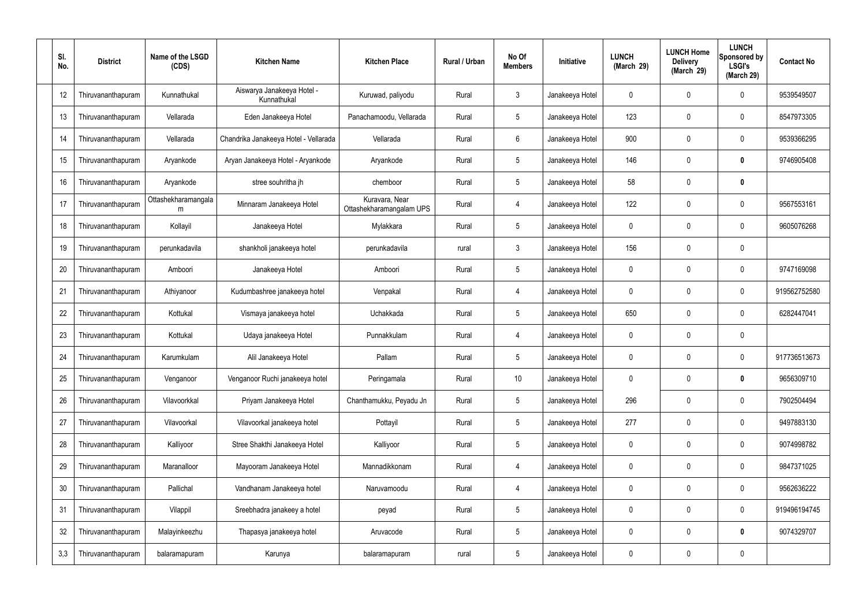| SI.<br>No. | <b>District</b>    | Name of the LSGD<br>(CDS) | <b>Kitchen Name</b>                       | <b>Kitchen Place</b>                       | Rural / Urban | No Of<br><b>Members</b> | Initiative      | <b>LUNCH</b><br>(March 29) | <b>LUNCH Home</b><br><b>Delivery</b><br>(March 29) | <b>LUNCH</b><br>Sponsored by<br><b>LSGI's</b><br>(March 29) | <b>Contact No</b> |
|------------|--------------------|---------------------------|-------------------------------------------|--------------------------------------------|---------------|-------------------------|-----------------|----------------------------|----------------------------------------------------|-------------------------------------------------------------|-------------------|
| 12         | Thiruvananthapuram | Kunnathukal               | Aiswarya Janakeeya Hotel -<br>Kunnathukal | Kuruwad, paliyodu                          | Rural         | $\mathbf{3}$            | Janakeeya Hotel | 0                          | 0                                                  | $\mathbf 0$                                                 | 9539549507        |
| 13         | Thiruvananthapuram | Vellarada                 | Eden Janakeeya Hotel                      | Panachamoodu, Vellarada                    | Rural         | $5\phantom{.0}$         | Janakeeya Hotel | 123                        | $\mathbf 0$                                        | $\mathbf 0$                                                 | 8547973305        |
| 14         | Thiruvananthapuram | Vellarada                 | Chandrika Janakeeya Hotel - Vellarada     | Vellarada                                  | Rural         | 6                       | Janakeeya Hotel | 900                        | 0                                                  | $\mathbf 0$                                                 | 9539366295        |
| 15         | Thiruvananthapuram | Aryankode                 | Aryan Janakeeya Hotel - Aryankode         | Aryankode                                  | Rural         | $5\phantom{.0}$         | Janakeeya Hotel | 146                        | $\mathbf 0$                                        | $\mathbf 0$                                                 | 9746905408        |
| 16         | Thiruvananthapuram | Aryankode                 | stree souhritha jh                        | chemboor                                   | Rural         | $5\phantom{.0}$         | Janakeeya Hotel | 58                         | $\mathbf 0$                                        | $\mathbf 0$                                                 |                   |
| 17         | Thiruvananthapuram | Ottashekharamangala<br>m  | Minnaram Janakeeya Hotel                  | Kuravara, Near<br>Ottashekharamangalam UPS | Rural         | 4                       | Janakeeya Hotel | 122                        | $\mathbf 0$                                        | $\mathbf 0$                                                 | 9567553161        |
| 18         | Thiruvananthapuram | Kollayil                  | Janakeeya Hotel                           | Mylakkara                                  | Rural         | $5\overline{)}$         | Janakeeya Hotel | $\mathbf 0$                | 0                                                  | $\mathbf 0$                                                 | 9605076268        |
| 19         | Thiruvananthapuram | perunkadavila             | shankholi janakeeya hotel                 | perunkadavila                              | rural         | $\mathbf{3}$            | Janakeeya Hotel | 156                        | $\mathbf 0$                                        | $\mathbf 0$                                                 |                   |
| 20         | Thiruvananthapuram | Amboori                   | Janakeeya Hotel                           | Amboori                                    | Rural         | $5\phantom{.0}$         | Janakeeya Hotel | 0                          | 0                                                  | $\mathbf 0$                                                 | 9747169098        |
| 21         | Thiruvananthapuram | Athiyanoor                | Kudumbashree janakeeya hotel              | Venpakal                                   | Rural         | -4                      | Janakeeya Hotel | $\mathbf 0$                | $\mathbf 0$                                        | $\mathbf 0$                                                 | 919562752580      |
| 22         | Thiruvananthapuram | Kottukal                  | Vismaya janakeeya hotel                   | Uchakkada                                  | Rural         | $5\phantom{.0}$         | Janakeeya Hotel | 650                        | 0                                                  | $\mathbf 0$                                                 | 6282447041        |
| 23         | Thiruvananthapuram | Kottukal                  | Udaya janakeeya Hotel                     | Punnakkulam                                | Rural         | $\overline{4}$          | Janakeeya Hotel | $\mathbf 0$                | $\mathbf 0$                                        | $\mathbf 0$                                                 |                   |
| 24         | Thiruvananthapuram | Karumkulam                | Alil Janakeeya Hotel                      | Pallam                                     | Rural         | $5\phantom{.0}$         | Janakeeya Hotel | 0                          | $\mathbf 0$                                        | $\mathbf 0$                                                 | 917736513673      |
| 25         | Thiruvananthapuram | Venganoor                 | Venganoor Ruchi janakeeya hotel           | Peringamala                                | Rural         | $10\,$                  | Janakeeya Hotel | $\mathbf 0$                | $\mathbf 0$                                        | $\mathbf 0$                                                 | 9656309710        |
| 26         | Thiruvananthapuram | Vilavoorkkal              | Priyam Janakeeya Hotel                    | Chanthamukku, Peyadu Jn                    | Rural         | $5\phantom{.0}$         | Janakeeya Hotel | 296                        | $\mathbf 0$                                        | $\mathbf 0$                                                 | 7902504494        |
| 27         | Thiruvananthapuram | Vilavoorkal               | Vilavoorkal janakeeya hotel               | Pottayil                                   | Rural         | $5\phantom{.0}$         | Janakeeya Hotel | 277                        | $\mathbf 0$                                        | $\mathbf 0$                                                 | 9497883130        |
| 28         | Thiruvananthapuram | Kalliyoor                 | Stree Shakthi Janakeeya Hotel             | Kalliyoor                                  | Rural         | $5\phantom{.0}$         | Janakeeya Hotel | $\mathbf 0$                | $\mathbf 0$                                        | $\mathbf 0$                                                 | 9074998782        |
| 29         | Thiruvananthapuram | Maranalloor               | Mayooram Janakeeya Hotel                  | Mannadikkonam                              | Rural         | $\overline{4}$          | Janakeeya Hotel | $\mathbf 0$                | 0                                                  | $\mathbf 0$                                                 | 9847371025        |
| 30         | Thiruvananthapuram | Pallichal                 | Vandhanam Janakeeya hotel                 | Naruvamoodu                                | Rural         | $\overline{4}$          | Janakeeya Hotel | $\mathbf 0$                | $\mathbf 0$                                        | $\pmb{0}$                                                   | 9562636222        |
| 31         | Thiruvananthapuram | Vilappil                  | Sreebhadra janakeey a hotel               | peyad                                      | Rural         | $5\phantom{.0}$         | Janakeeya Hotel | $\mathbf 0$                | 0                                                  | $\pmb{0}$                                                   | 919496194745      |
| 32         | Thiruvananthapuram | Malayinkeezhu             | Thapasya janakeeya hotel                  | Aruvacode                                  | Rural         | $5\phantom{.0}$         | Janakeeya Hotel | $\mathbf 0$                | $\boldsymbol{0}$                                   | $\pmb{0}$                                                   | 9074329707        |
| 3,3        | Thiruvananthapuram | balaramapuram             | Karunya                                   | balaramapuram                              | rural         | $\overline{5}$          | Janakeeya Hotel | $\boldsymbol{0}$           | $\boldsymbol{0}$                                   | $\pmb{0}$                                                   |                   |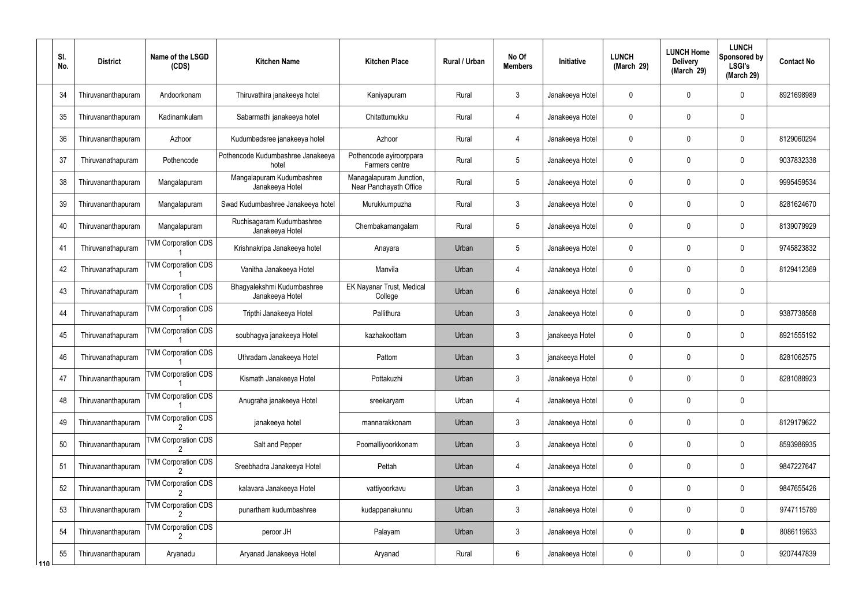|       | SI.<br>No. | <b>District</b>    | Name of the LSGD<br>(CDS)  | <b>Kitchen Name</b>                           | <b>Kitchen Place</b>                              | <b>Rural / Urban</b> | No Of<br><b>Members</b> | Initiative      | <b>LUNCH</b><br>(March 29) | <b>LUNCH Home</b><br><b>Delivery</b><br>(March 29) | <b>LUNCH</b><br>Sponsored by<br><b>LSGI's</b><br>(March 29) | <b>Contact No</b> |
|-------|------------|--------------------|----------------------------|-----------------------------------------------|---------------------------------------------------|----------------------|-------------------------|-----------------|----------------------------|----------------------------------------------------|-------------------------------------------------------------|-------------------|
|       | 34         | Thiruvananthapuram | Andoorkonam                | Thiruvathira janakeeya hotel                  | Kaniyapuram                                       | Rural                | $\mathbf{3}$            | Janakeeya Hotel | $\mathbf 0$                | 0                                                  | $\mathbf{0}$                                                | 8921698989        |
|       | 35         | Thiruvananthapuram | Kadinamkulam               | Sabarmathi janakeeya hotel                    | Chitattumukku                                     | Rural                | 4                       | Janakeeya Hotel | $\mathbf 0$                | 0                                                  | $\mathbf 0$                                                 |                   |
|       | 36         | Thiruvananthapuram | Azhoor                     | Kudumbadsree janakeeya hotel                  | Azhoor                                            | Rural                | 4                       | Janakeeya Hotel | $\mathbf 0$                | 0                                                  | $\mathbf{0}$                                                | 8129060294        |
|       | 37         | Thiruvanathapuram  | Pothencode                 | Pothencode Kudumbashree Janakeeya<br>hotel    | Pothencode ayiroorppara<br>Farmers centre         | Rural                | $5\phantom{.0}$         | Janakeeya Hotel | $\mathbf 0$                | 0                                                  | $\mathbf 0$                                                 | 9037832338        |
|       | 38         | Thiruvananthapuram | Mangalapuram               | Mangalapuram Kudumbashree<br>Janakeeya Hotel  | Managalapuram Junction,<br>Near Panchayath Office | Rural                | $5\phantom{.0}$         | Janakeeya Hotel | $\mathbf 0$                | 0                                                  | $\mathbf{0}$                                                | 9995459534        |
|       | 39         | Thiruvananthapuram | Mangalapuram               | Swad Kudumbashree Janakeeya hotel             | Murukkumpuzha                                     | Rural                | $\mathbf{3}$            | Janakeeya Hotel | $\mathbf 0$                | 0                                                  | $\mathbf 0$                                                 | 8281624670        |
|       | 40         | Thiruvananthapuram | Mangalapuram               | Ruchisagaram Kudumbashree<br>Janakeeya Hotel  | Chembakamangalam                                  | Rural                | $5\overline{)}$         | Janakeeya Hotel | $\mathbf 0$                | 0                                                  | $\mathbf{0}$                                                | 8139079929        |
|       | 41         | Thiruvanathapuram  | <b>TVM Corporation CDS</b> | Krishnakripa Janakeeya hotel                  | Anayara                                           | Urban                | $5\phantom{.0}$         | Janakeeya Hotel | $\mathbf 0$                | $\mathbf 0$                                        | $\mathbf 0$                                                 | 9745823832        |
|       | 42         | Thiruvanathapuram  | <b>TVM Corporation CDS</b> | Vanitha Janakeeya Hotel                       | Manvila                                           | Urban                | 4                       | Janakeeya Hotel | $\mathbf 0$                | 0                                                  | $\mathbf 0$                                                 | 8129412369        |
|       | 43         | Thiruvanathapuram  | <b>TVM Corporation CDS</b> | Bhagyalekshmi Kudumbashree<br>Janakeeya Hotel | EK Nayanar Trust, Medical<br>College              | Urban                | 6                       | Janakeeya Hotel | $\mathbf 0$                | 0                                                  | $\mathbf 0$                                                 |                   |
|       | 44         | Thiruvanathapuram  | <b>TVM Corporation CDS</b> | Tripthi Janakeeya Hotel                       | Pallithura                                        | Urban                | $\mathbf{3}$            | Janakeeya Hotel | $\mathbf 0$                | 0                                                  | $\mathbf 0$                                                 | 9387738568        |
|       | 45         | Thiruvanathapuram  | <b>TVM Corporation CDS</b> | soubhagya janakeeya Hotel                     | kazhakoottam                                      | Urban                | $\mathbf{3}$            | janakeeya Hotel | $\mathbf 0$                | 0                                                  | $\mathbf 0$                                                 | 8921555192        |
|       | 46         | Thiruvanathapuram  | <b>TVM Corporation CDS</b> | Uthradam Janakeeya Hotel                      | Pattom                                            | Urban                | $\mathbf{3}$            | janakeeya Hotel | $\mathbf 0$                | 0                                                  | 0                                                           | 8281062575        |
|       | 47         | Thiruvananthapuram | <b>TVM Corporation CDS</b> | Kismath Janakeeya Hotel                       | Pottakuzhi                                        | Urban                | $\mathfrak{Z}$          | Janakeeya Hotel | $\mathbf 0$                | $\mathbf 0$                                        | $\mathbf 0$                                                 | 8281088923        |
|       | 48         | Thiruvananthapuram | <b>TVM Corporation CDS</b> | Anugraha janakeeya Hotel                      | sreekaryam                                        | Urban                | $\overline{4}$          | Janakeeya Hotel | $\mathbf 0$                | $\mathbf 0$                                        | $\mathbf 0$                                                 |                   |
|       | 49         | Thiruvananthapuram | <b>TVM Corporation CDS</b> | janakeeya hotel                               | mannarakkonam                                     | Urban                | $\mathbf{3}$            | Janakeeya Hotel | $\mathbf 0$                | 0                                                  | $\mathbf 0$                                                 | 8129179622        |
|       | 50         | Thiruvananthapuram | <b>TVM Corporation CDS</b> | Salt and Pepper                               | Poomalliyoorkkonam                                | Urban                | $\mathbf{3}$            | Janakeeya Hotel | $\mathbf 0$                | $\mathbf 0$                                        | $\mathbf 0$                                                 | 8593986935        |
|       | 51         | Thiruvananthapuram | <b>TVM Corporation CDS</b> | Sreebhadra Janakeeya Hotel                    | Pettah                                            | Urban                | 4                       | Janakeeya Hotel | $\mathbf 0$                | 0                                                  | $\mathbf 0$                                                 | 9847227647        |
|       | 52         | Thiruvananthapuram | <b>TVM Corporation CDS</b> | kalavara Janakeeya Hotel                      | vattiyoorkavu                                     | Urban                | $\mathbf{3}$            | Janakeeya Hotel | $\mathbf 0$                | 0                                                  | $\mathbf 0$                                                 | 9847655426        |
|       | 53         | Thiruvananthapuram | <b>TVM Corporation CDS</b> | punartham kudumbashree                        | kudappanakunnu                                    | Urban                | $\mathbf{3}$            | Janakeeya Hotel | $\mathbf 0$                | 0                                                  | $\mathbf 0$                                                 | 9747115789        |
|       | 54         | Thiruvananthapuram | <b>TVM Corporation CDS</b> | peroor JH                                     | Palayam                                           | Urban                | $\mathbf{3}$            | Janakeeya Hotel | $\mathbf 0$                | $\mathbf 0$                                        | $\bf{0}$                                                    | 8086119633        |
| l 110 | 55         | Thiruvananthapuram | Aryanadu                   | Aryanad Janakeeya Hotel                       | Aryanad                                           | Rural                | $6\overline{6}$         | Janakeeya Hotel | $\mathbf 0$                | 0                                                  | $\overline{0}$                                              | 9207447839        |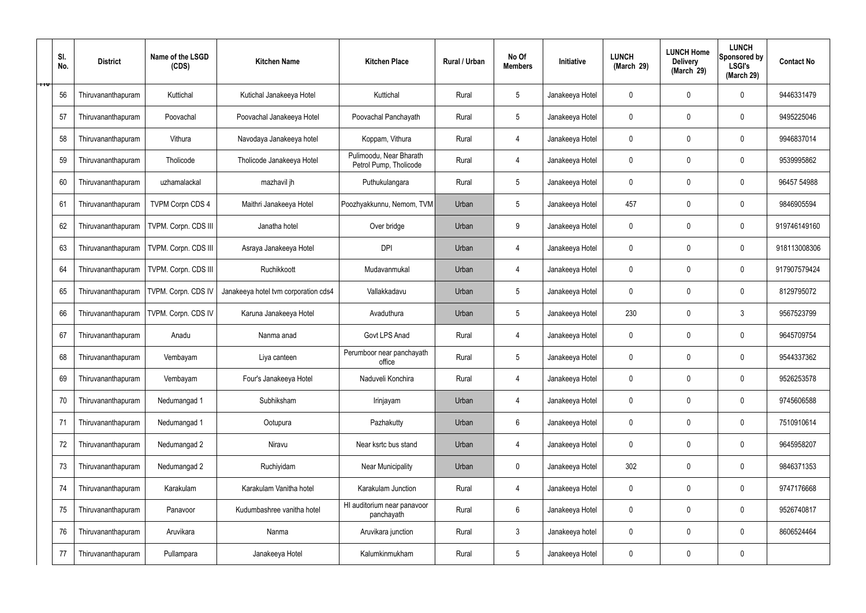|                | SI.<br>No. | <b>District</b>    | Name of the LSGD<br>(CDS) | <b>Kitchen Name</b>                  | <b>Kitchen Place</b>                              | Rural / Urban | No Of<br><b>Members</b> | Initiative      | <b>LUNCH</b><br>(March 29) | <b>LUNCH Home</b><br><b>Delivery</b><br>(March 29) | <b>LUNCH</b><br>Sponsored by<br><b>LSGI's</b><br>(March 29) | <b>Contact No</b> |
|----------------|------------|--------------------|---------------------------|--------------------------------------|---------------------------------------------------|---------------|-------------------------|-----------------|----------------------------|----------------------------------------------------|-------------------------------------------------------------|-------------------|
| <del>ווד</del> | 56         | Thiruvananthapuram | Kuttichal                 | Kutichal Janakeeya Hotel             | Kuttichal                                         | Rural         | 5                       | Janakeeya Hotel | $\mathbf 0$                | 0                                                  | $\mathbf 0$                                                 | 9446331479        |
|                | 57         | Thiruvananthapuram | Poovachal                 | Poovachal Janakeeya Hotel            | Poovachal Panchayath                              | Rural         | 5                       | Janakeeya Hotel | $\mathbf 0$                | 0                                                  | $\mathbf 0$                                                 | 9495225046        |
|                | 58         | Thiruvananthapuram | Vithura                   | Navodaya Janakeeya hotel             | Koppam, Vithura                                   | Rural         | 4                       | Janakeeya Hotel | $\mathbf 0$                | 0                                                  | $\mathbf 0$                                                 | 9946837014        |
|                | 59         | Thiruvananthapuram | Tholicode                 | Tholicode Janakeeya Hotel            | Pulimoodu, Near Bharath<br>Petrol Pump, Tholicode | Rural         | $\overline{4}$          | Janakeeya Hotel | $\mathbf 0$                | 0                                                  | $\mathbf 0$                                                 | 9539995862        |
|                | 60         | Thiruvananthapuram | uzhamalackal              | mazhavil jh                          | Puthukulangara                                    | Rural         | $5\phantom{.0}$         | Janakeeya Hotel | $\mathbf 0$                | 0                                                  | $\mathbf 0$                                                 | 96457 54988       |
|                | 61         | Thiruvananthapuram | <b>TVPM Corpn CDS 4</b>   | Maithri Janakeeya Hotel              | Poozhyakkunnu, Nemom, TVM                         | Urban         | $5\phantom{.0}$         | Janakeeya Hotel | 457                        | 0                                                  | $\mathbf 0$                                                 | 9846905594        |
|                | 62         | Thiruvananthapuram | TVPM. Corpn. CDS III      | Janatha hotel                        | Over bridge                                       | Urban         | 9                       | Janakeeya Hotel | $\mathbf 0$                | 0                                                  | $\mathbf 0$                                                 | 919746149160      |
|                | 63         | Thiruvananthapuram | TVPM. Corpn. CDS III      | Asraya Janakeeya Hotel               | <b>DPI</b>                                        | Urban         | $\overline{4}$          | Janakeeya Hotel | $\mathbf 0$                | 0                                                  | $\mathbf 0$                                                 | 918113008306      |
|                | 64         | Thiruvananthapuram | TVPM. Corpn. CDS III      | Ruchikkoott                          | Mudavanmukal                                      | Urban         | 4                       | Janakeeya Hotel | $\mathbf 0$                | 0                                                  | $\mathbf 0$                                                 | 917907579424      |
|                | 65         | Thiruvananthapuram | TVPM. Corpn. CDS IV       | Janakeeya hotel tvm corporation cds4 | Vallakkadavu                                      | Urban         | 5                       | Janakeeya Hotel | $\mathbf 0$                | 0                                                  | $\mathbf 0$                                                 | 8129795072        |
|                | 66         | Thiruvananthapuram | TVPM. Corpn. CDS IV       | Karuna Janakeeya Hotel               | Avaduthura                                        | Urban         | $5\phantom{.0}$         | Janakeeya Hotel | 230                        | 0                                                  | $\mathbf{3}$                                                | 9567523799        |
|                | 67         | Thiruvananthapuram | Anadu                     | Nanma anad                           | Govt LPS Anad                                     | Rural         | $\overline{4}$          | Janakeeya Hotel | $\mathbf 0$                | 0                                                  | $\mathbf 0$                                                 | 9645709754        |
|                | 68         | Thiruvananthapuram | Vembayam                  | Liya canteen                         | Perumboor near panchayath<br>office               | Rural         | $5\overline{)}$         | Janakeeya Hotel | $\mathbf 0$                | 0                                                  | $\mathbf 0$                                                 | 9544337362        |
|                | 69         | Thiruvananthapuram | Vembayam                  | Four's Janakeeya Hotel               | Naduveli Konchira                                 | Rural         | 4                       | Janakeeya Hotel | $\mathbf 0$                | $\mathbf 0$                                        | $\mathbf 0$                                                 | 9526253578        |
|                | 70         | Thiruvananthapuram | Nedumangad 1              | Subhiksham                           | Irinjayam                                         | Urban         | 4                       | Janakeeya Hotel | $\mathbf 0$                | $\mathbf 0$                                        | $\mathbf 0$                                                 | 9745606588        |
|                | 71         | Thiruvananthapuram | Nedumangad 1              | Ootupura                             | Pazhakutty                                        | Urban         | $6\phantom{.}6$         | Janakeeya Hotel | $\mathbf 0$                | 0                                                  | $\mathbf 0$                                                 | 7510910614        |
|                | 72         | Thiruvananthapuram | Nedumangad 2              | Niravu                               | Near ksrtc bus stand                              | Urban         | $\overline{4}$          | Janakeeya Hotel | $\pmb{0}$                  | $\mathbf 0$                                        | $\mathbf 0$                                                 | 9645958207        |
|                | 73         | Thiruvananthapuram | Nedumangad 2              | Ruchiyidam                           | <b>Near Municipality</b>                          | Urban         | $\pmb{0}$               | Janakeeya Hotel | 302                        | 0                                                  | $\mathbf 0$                                                 | 9846371353        |
|                | 74         | Thiruvananthapuram | Karakulam                 | Karakulam Vanitha hotel              | Karakulam Junction                                | Rural         | 4                       | Janakeeya Hotel | $\mathbf 0$                | $\mathbf 0$                                        | $\mathbf 0$                                                 | 9747176668        |
|                | 75         | Thiruvananthapuram | Panavoor                  | Kudumbashree vanitha hotel           | HI auditorium near panavoor<br>panchayath         | Rural         | $6\phantom{.}6$         | Janakeeya Hotel | $\mathbf 0$                | 0                                                  | $\mathbf 0$                                                 | 9526740817        |
|                | 76         | Thiruvananthapuram | Aruvikara                 | Nanma                                | Aruvikara junction                                | Rural         | $\mathfrak{Z}$          | Janakeeya hotel | $\mathbf 0$                | $\mathbf 0$                                        | $\mathbf 0$                                                 | 8606524464        |
|                | 77         | Thiruvananthapuram | Pullampara                | Janakeeya Hotel                      | Kalumkinmukham                                    | Rural         | $5\phantom{.0}$         | Janakeeya Hotel | 0                          | 0                                                  | $\mathbf 0$                                                 |                   |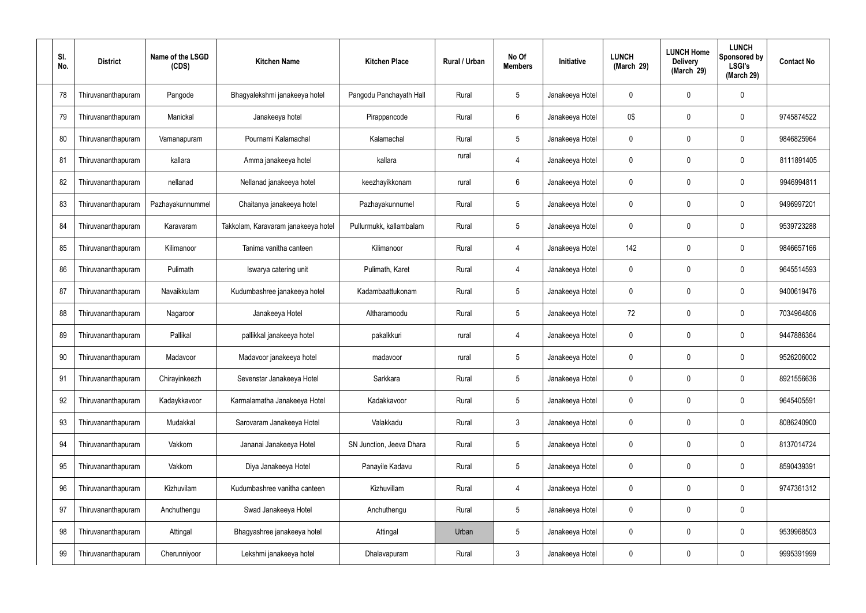| SI.<br>No. | <b>District</b>    | Name of the LSGD<br>(CDS) | <b>Kitchen Name</b>                 | <b>Kitchen Place</b>     | Rural / Urban | No Of<br><b>Members</b> | Initiative      | <b>LUNCH</b><br>(March 29) | <b>LUNCH Home</b><br><b>Delivery</b><br>(March 29) | <b>LUNCH</b><br>Sponsored by<br><b>LSGI's</b><br>(March 29) | <b>Contact No</b> |
|------------|--------------------|---------------------------|-------------------------------------|--------------------------|---------------|-------------------------|-----------------|----------------------------|----------------------------------------------------|-------------------------------------------------------------|-------------------|
| 78         | Thiruvananthapuram | Pangode                   | Bhagyalekshmi janakeeya hotel       | Pangodu Panchayath Hall  | Rural         | $5\phantom{.0}$         | Janakeeya Hotel | 0                          | 0                                                  | $\mathbf 0$                                                 |                   |
| 79         | Thiruvananthapuram | Manickal                  | Janakeeya hotel                     | Pirappancode             | Rural         | $6\phantom{.}$          | Janakeeya Hotel | 0\$                        | 0                                                  | $\pmb{0}$                                                   | 9745874522        |
| 80         | Thiruvananthapuram | Vamanapuram               | Pournami Kalamachal                 | Kalamachal               | Rural         | $5\phantom{.0}$         | Janakeeya Hotel | 0                          | 0                                                  | $\mathbf 0$                                                 | 9846825964        |
| 81         | Thiruvananthapuram | kallara                   | Amma janakeeya hotel                | kallara                  | rural         | $\overline{4}$          | Janakeeya Hotel | 0                          | 0                                                  | $\mathbf 0$                                                 | 8111891405        |
| 82         | Thiruvananthapuram | nellanad                  | Nellanad janakeeya hotel            | keezhayikkonam           | rural         | 6                       | Janakeeya Hotel | 0                          | 0                                                  | $\mathbf 0$                                                 | 9946994811        |
| 83         | Thiruvananthapuram | Pazhayakunnummel          | Chaitanya janakeeya hotel           | Pazhayakunnumel          | Rural         | $5\phantom{.0}$         | Janakeeya Hotel | 0                          | 0                                                  | $\mathbf 0$                                                 | 9496997201        |
| 84         | Thiruvananthapuram | Karavaram                 | Takkolam, Karavaram janakeeya hotel | Pullurmukk, kallambalam  | Rural         | $5\phantom{.0}$         | Janakeeya Hotel | 0                          | 0                                                  | $\mathbf 0$                                                 | 9539723288        |
| 85         | Thiruvananthapuram | Kilimanoor                | Tanima vanitha canteen              | Kilimanoor               | Rural         | $\overline{4}$          | Janakeeya Hotel | 142                        | 0                                                  | $\mathbf 0$                                                 | 9846657166        |
| 86         | Thiruvananthapuram | Pulimath                  | Iswarya catering unit               | Pulimath, Karet          | Rural         | $\overline{4}$          | Janakeeya Hotel | 0                          | 0                                                  | $\mathbf 0$                                                 | 9645514593        |
| 87         | Thiruvananthapuram | Navaikkulam               | Kudumbashree janakeeya hotel        | Kadambaattukonam         | Rural         | $5\phantom{.0}$         | Janakeeya Hotel | 0                          | $\mathbf 0$                                        | $\boldsymbol{0}$                                            | 9400619476        |
| 88         | Thiruvananthapuram | Nagaroor                  | Janakeeya Hotel                     | Altharamoodu             | Rural         | $5\phantom{.0}$         | Janakeeya Hotel | 72                         | 0                                                  | 0                                                           | 7034964806        |
| 89         | Thiruvananthapuram | Pallikal                  | pallikkal janakeeya hotel           | pakalkkuri               | rural         | 4                       | Janakeeya Hotel | 0                          | 0                                                  | $\boldsymbol{0}$                                            | 9447886364        |
| 90         | Thiruvananthapuram | Madavoor                  | Madavoor janakeeya hotel            | madavoor                 | rural         | $5\phantom{.0}$         | Janakeeya Hotel | 0                          | 0                                                  | 0                                                           | 9526206002        |
| 91         | Thiruvananthapuram | Chirayinkeezh             | Sevenstar Janakeeya Hotel           | Sarkkara                 | Rural         | $5\phantom{.0}$         | Janakeeya Hotel | $\mathbf 0$                | 0                                                  | $\mathbf 0$                                                 | 8921556636        |
| 92         | Thiruvananthapuram | Kadaykkavoor              | Karmalamatha Janakeeya Hotel        | Kadakkavoor              | Rural         | $5\phantom{.0}$         | Janakeeya Hotel | $\mathbf 0$                | $\mathbf 0$                                        | $\mathbf 0$                                                 | 9645405591        |
| 93         | Thiruvananthapuram | Mudakkal                  | Sarovaram Janakeeya Hotel           | Valakkadu                | Rural         | $\mathfrak{Z}$          | Janakeeya Hotel | $\mathbf 0$                | 0                                                  | $\mathbf 0$                                                 | 8086240900        |
| 94         | Thiruvananthapuram | Vakkom                    | Jananai Janakeeya Hotel             | SN Junction, Jeeva Dhara | Rural         | $5\phantom{.0}$         | Janakeeya Hotel | $\mathbf 0$                | 0                                                  | $\mathbf 0$                                                 | 8137014724        |
| 95         | Thiruvananthapuram | Vakkom                    | Diya Janakeeya Hotel                | Panayile Kadavu          | Rural         | $5\phantom{.0}$         | Janakeeya Hotel | $\mathbf 0$                | 0                                                  | $\mathbf 0$                                                 | 8590439391        |
| 96         | Thiruvananthapuram | Kizhuvilam                | Kudumbashree vanitha canteen        | Kizhuvillam              | Rural         | $\overline{4}$          | Janakeeya Hotel | $\mathbf 0$                | 0                                                  | $\mathbf 0$                                                 | 9747361312        |
| 97         | Thiruvananthapuram | Anchuthengu               | Swad Janakeeya Hotel                | Anchuthengu              | Rural         | $5\phantom{.0}$         | Janakeeya Hotel | $\mathbf 0$                | 0                                                  | $\mathbf 0$                                                 |                   |
| 98         | Thiruvananthapuram | Attingal                  | Bhagyashree janakeeya hotel         | Attingal                 | Urban         | $5\phantom{.0}$         | Janakeeya Hotel | 0                          | $\boldsymbol{0}$                                   | $\mathbf 0$                                                 | 9539968503        |
| 99         | Thiruvananthapuram | Cherunniyoor              | Lekshmi janakeeya hotel             | Dhalavapuram             | Rural         | $\mathfrak{Z}$          | Janakeeya Hotel | 0                          | 0                                                  | $\boldsymbol{0}$                                            | 9995391999        |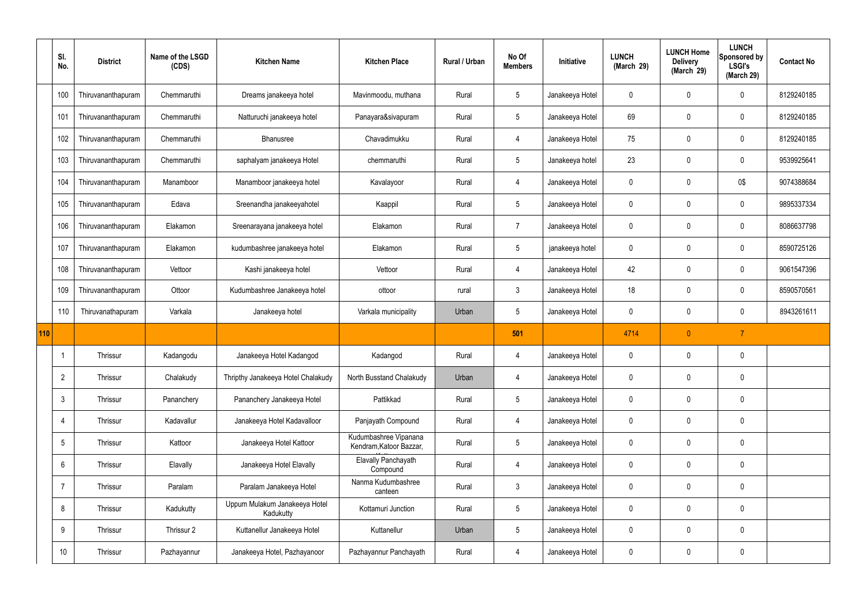|     | SI.<br>No.      | <b>District</b>    | Name of the LSGD<br>(CDS) | <b>Kitchen Name</b>                        | <b>Kitchen Place</b>                             | <b>Rural / Urban</b> | No Of<br><b>Members</b> | Initiative      | <b>LUNCH</b><br>(March 29) | <b>LUNCH Home</b><br><b>Delivery</b><br>(March 29) | <b>LUNCH</b><br>Sponsored by<br><b>LSGI's</b><br>(March 29) | <b>Contact No</b> |
|-----|-----------------|--------------------|---------------------------|--------------------------------------------|--------------------------------------------------|----------------------|-------------------------|-----------------|----------------------------|----------------------------------------------------|-------------------------------------------------------------|-------------------|
|     | 100             | Thiruvananthapuram | Chemmaruthi               | Dreams janakeeya hotel                     | Mavinmoodu, muthana                              | Rural                | $5\phantom{.0}$         | Janakeeya Hotel | $\mathbf 0$                | $\mathbf 0$                                        | $\mathbf 0$                                                 | 8129240185        |
|     | 101             | Thiruvananthapuram | Chemmaruthi               | Natturuchi janakeeya hotel                 | Panayara&sivapuram                               | Rural                | $5\phantom{.0}$         | Janakeeya Hotel | 69                         | $\mathbf 0$                                        | $\mathbf 0$                                                 | 8129240185        |
|     | 102             | Thiruvananthapuram | Chemmaruthi               | Bhanusree                                  | Chavadimukku                                     | Rural                | 4                       | Janakeeya Hotel | 75                         | $\mathbf 0$                                        | $\mathbf 0$                                                 | 8129240185        |
|     | 103             | Thiruvananthapuram | Chemmaruthi               | saphalyam janakeeya Hotel                  | chemmaruthi                                      | Rural                | $5\overline{)}$         | Janakeeya hotel | 23                         | $\mathbf 0$                                        | $\mathbf 0$                                                 | 9539925641        |
|     | 104             | Thiruvananthapuram | Manamboor                 | Manamboor janakeeya hotel                  | Kavalayoor                                       | Rural                | 4                       | Janakeeya Hotel | $\mathbf 0$                | 0                                                  | 0\$                                                         | 9074388684        |
|     | 105             | Thiruvananthapuram | Edava                     | Sreenandha janakeeyahotel                  | Kaappil                                          | Rural                | $5\phantom{.0}$         | Janakeeya Hotel | $\mathbf 0$                | 0                                                  | $\mathbf 0$                                                 | 9895337334        |
|     | 106             | Thiruvananthapuram | Elakamon                  | Sreenarayana janakeeya hotel               | Elakamon                                         | Rural                | $\overline{7}$          | Janakeeya Hotel | $\mathbf 0$                | $\mathbf 0$                                        | $\mathbf 0$                                                 | 8086637798        |
|     | 107             | Thiruvananthapuram | Elakamon                  | kudumbashree janakeeya hotel               | Elakamon                                         | Rural                | $5\phantom{.0}$         | janakeeya hotel | $\mathbf 0$                | $\mathbf 0$                                        | $\mathbf 0$                                                 | 8590725126        |
|     | 108             | Thiruvananthapuram | Vettoor                   | Kashi janakeeya hotel                      | Vettoor                                          | Rural                | $\overline{4}$          | Janakeeya Hotel | 42                         | 0                                                  | $\mathbf 0$                                                 | 9061547396        |
|     | 109             | Thiruvananthapuram | Ottoor                    | Kudumbashree Janakeeya hotel               | ottoor                                           | rural                | $\mathbf{3}$            | Janakeeya Hotel | 18                         | $\mathbf 0$                                        | $\mathbf 0$                                                 | 8590570561        |
|     | 110             | Thiruvanathapuram  | Varkala                   | Janakeeya hotel                            | Varkala municipality                             | Urban                | $5\overline{)}$         | Janakeeya Hotel | $\mathbf 0$                | 0                                                  | $\mathbf 0$                                                 | 8943261611        |
| 110 |                 |                    |                           |                                            |                                                  |                      | 501                     |                 | 4714                       | $\pmb{0}$                                          | $\overline{7}$                                              |                   |
|     |                 | Thrissur           | Kadangodu                 | Janakeeya Hotel Kadangod                   | Kadangod                                         | Rural                | 4                       | Janakeeya Hotel | 0                          | $\mathbf 0$                                        | 0                                                           |                   |
|     | $\overline{2}$  | Thrissur           | Chalakudy                 | Thripthy Janakeeya Hotel Chalakudy         | North Busstand Chalakudy                         | Urban                | 4                       | Janakeeya Hotel | $\pmb{0}$                  | $\pmb{0}$                                          | $\mathbf 0$                                                 |                   |
|     | $\mathbf{3}$    | Thrissur           | Pananchery                | Pananchery Janakeeya Hotel                 | Pattikkad                                        | Rural                | $5\overline{)}$         | Janakeeya Hotel | $\mathbf 0$                | $\pmb{0}$                                          | $\pmb{0}$                                                   |                   |
|     | $\overline{4}$  | Thrissur           | Kadavallur                | Janakeeya Hotel Kadavalloor                | Panjayath Compound                               | Rural                | $\overline{4}$          | Janakeeya Hotel | $\mathbf 0$                | $\mathbf 0$                                        | $\pmb{0}$                                                   |                   |
|     | $5\phantom{.0}$ | Thrissur           | Kattoor                   | Janakeeya Hotel Kattoor                    | Kudumbashree Vipanana<br>Kendram, Katoor Bazzar, | Rural                | $5\overline{)}$         | Janakeeya Hotel | $\pmb{0}$                  | $\pmb{0}$                                          | $\pmb{0}$                                                   |                   |
|     | $6\overline{6}$ | Thrissur           | Elavally                  | Janakeeya Hotel Elavally                   | Elavally Panchayath<br>Compound                  | Rural                | $\overline{4}$          | Janakeeya Hotel | $\mathbf 0$                | $\mathbf 0$                                        | $\mathbf 0$                                                 |                   |
|     | $\overline{7}$  | Thrissur           | Paralam                   | Paralam Janakeeya Hotel                    | Nanma Kudumbashree<br>canteen                    | Rural                | $\mathbf{3}$            | Janakeeya Hotel | $\pmb{0}$                  | $\pmb{0}$                                          | $\mathbf 0$                                                 |                   |
|     | 8               | Thrissur           | Kadukutty                 | Uppum Mulakum Janakeeya Hotel<br>Kadukutty | Kottamuri Junction                               | Rural                | $5\overline{)}$         | Janakeeya Hotel | $\pmb{0}$                  | $\mathbf 0$                                        | $\pmb{0}$                                                   |                   |
|     | 9               | Thrissur           | Thrissur 2                | Kuttanellur Janakeeya Hotel                | Kuttanellur                                      | Urban                | $5\overline{)}$         | Janakeeya Hotel | $\pmb{0}$                  | $\pmb{0}$                                          | $\pmb{0}$                                                   |                   |
|     | 10              | Thrissur           | Pazhayannur               | Janakeeya Hotel, Pazhayanoor               | Pazhayannur Panchayath                           | Rural                | 4                       | Janakeeya Hotel | $\pmb{0}$                  | $\pmb{0}$                                          | $\pmb{0}$                                                   |                   |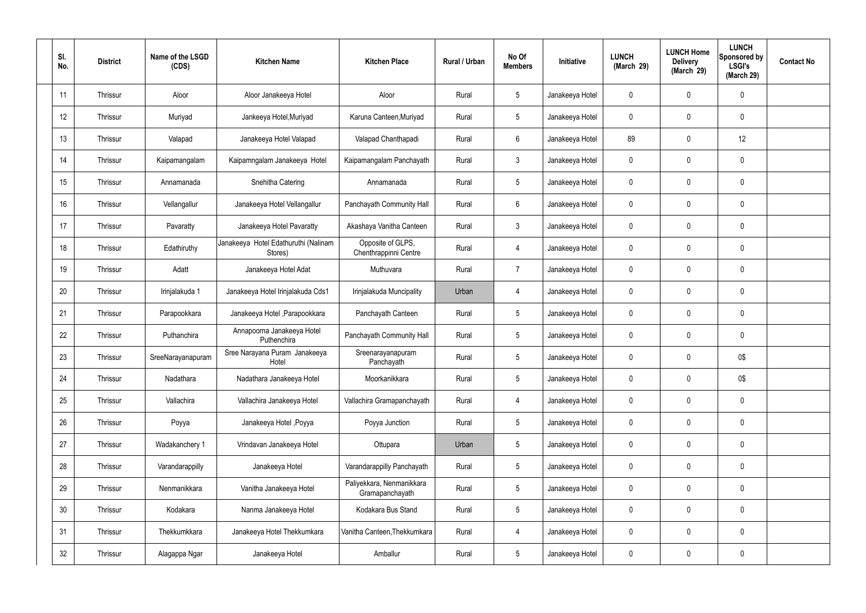| SI.<br>No. | <b>District</b> | Name of the LSGD<br>(CDS) | <b>Kitchen Name</b>                             | <b>Kitchen Place</b>                         | Rural / Urban | No Of<br><b>Members</b> | Initiative      | <b>LUNCH</b><br>(March 29) | <b>LUNCH Home</b><br><b>Delivery</b><br>(March 29) | <b>LUNCH</b><br>Sponsored by<br><b>LSGI's</b><br>(March 29) | <b>Contact No</b> |
|------------|-----------------|---------------------------|-------------------------------------------------|----------------------------------------------|---------------|-------------------------|-----------------|----------------------------|----------------------------------------------------|-------------------------------------------------------------|-------------------|
| 11         | Thrissur        | Aloor                     | Aloor Janakeeya Hotel                           | Aloor                                        | Rural         | $5\phantom{.0}$         | Janakeeya Hotel | 0                          | 0                                                  | $\mathbf 0$                                                 |                   |
| 12         | Thrissur        | Muriyad                   | Jankeeya Hotel, Muriyad                         | Karuna Canteen, Muriyad                      | Rural         | $5\overline{)}$         | Janakeeya Hotel | $\mathbf 0$                | 0                                                  | $\pmb{0}$                                                   |                   |
| 13         | Thrissur        | Valapad                   | Janakeeya Hotel Valapad                         | Valapad Chanthapadi                          | Rural         | $6\overline{6}$         | Janakeeya Hotel | 89                         | 0                                                  | 12                                                          |                   |
| 14         | Thrissur        | Kaipamangalam             | Kaipamngalam Janakeeya Hotel                    | Kaipamangalam Panchayath                     | Rural         | $\mathbf{3}$            | Janakeeya Hotel | $\mathbf 0$                | 0                                                  | $\pmb{0}$                                                   |                   |
| 15         | Thrissur        | Annamanada                | Snehitha Catering                               | Annamanada                                   | Rural         | $5\overline{)}$         | Janakeeya Hotel | $\mathbf 0$                | 0                                                  | $\mathbf 0$                                                 |                   |
| 16         | Thrissur        | Vellangallur              | Janakeeya Hotel Vellangallur                    | Panchayath Community Hall                    | Rural         | $6\overline{6}$         | Janakeeya Hotel | $\mathbf 0$                | 0                                                  | $\mathbf 0$                                                 |                   |
| 17         | Thrissur        | Pavaratty                 | Janakeeya Hotel Pavaratty                       | Akashaya Vanitha Canteen                     | Rural         | $\mathbf{3}$            | Janakeeya Hotel | $\mathbf 0$                | 0                                                  | $\mathbf 0$                                                 |                   |
| 18         | Thrissur        | Edathiruthy               | Janakeeya Hotel Edathuruthi (Nalinam<br>Stores) | Opposite of GLPS,<br>Chenthrappinni Centre   | Rural         | $\overline{4}$          | Janakeeya Hotel | $\mathbf 0$                | 0                                                  | $\mathbf 0$                                                 |                   |
| 19         | Thrissur        | Adatt                     | Janakeeya Hotel Adat                            | Muthuvara                                    | Rural         | $\overline{7}$          | Janakeeya Hotel | $\mathbf 0$                | 0                                                  | $\mathbf 0$                                                 |                   |
| 20         | Thrissur        | Irinjalakuda 1            | Janakeeya Hotel Irinjalakuda Cds1               | Irinjalakuda Muncipality                     | Urban         | 4                       | Janakeeya Hotel | $\mathbf 0$                | 0                                                  | $\pmb{0}$                                                   |                   |
| 21         | Thrissur        | Parapookkara              | Janakeeya Hotel , Parapookkara                  | Panchayath Canteen                           | Rural         | $5\phantom{.0}$         | Janakeeya Hotel | $\mathbf 0$                | 0                                                  | $\pmb{0}$                                                   |                   |
| 22         | Thrissur        | Puthanchira               | Annapoorna Janakeeya Hotel<br>Puthenchira       | Panchayath Community Hall                    | Rural         | $5\phantom{.0}$         | Janakeeya Hotel | $\mathbf 0$                | 0                                                  | $\mathbf 0$                                                 |                   |
| 23         | Thrissur        | SreeNarayanapuram         | Sree Narayana Puram Janakeeya<br>Hotel          | Sreenarayanapuram<br>Panchayath              | Rural         | $5\phantom{.0}$         | Janakeeya Hotel | 0                          | 0                                                  | 0\$                                                         |                   |
| 24         | Thrissur        | Nadathara                 | Nadathara Janakeeya Hotel                       | Moorkanikkara                                | Rural         | $5\phantom{.0}$         | Janakeeya Hotel | $\mathbf 0$                | 0                                                  | 0\$                                                         |                   |
| 25         | Thrissur        | Vallachira                | Vallachira Janakeeya Hotel                      | Vallachira Gramapanchayath                   | Rural         | $\overline{4}$          | Janakeeya Hotel | $\mathbf 0$                | 0                                                  | $\pmb{0}$                                                   |                   |
| 26         | Thrissur        | Poyya                     | Janakeeya Hotel , Poyya                         | Poyya Junction                               | Rural         | $5\phantom{.0}$         | Janakeeya Hotel | $\mathbf 0$                | 0                                                  | $\pmb{0}$                                                   |                   |
| 27         | Thrissur        | Wadakanchery 1            | Vrindavan Janakeeya Hotel                       | Ottupara                                     | Urban         | $5\,$                   | Janakeeya Hotel | $\mathbf 0$                | 0                                                  | $\pmb{0}$                                                   |                   |
| 28         | Thrissur        | Varandarappilly           | Janakeeya Hotel                                 | Varandarappilly Panchayath                   | Rural         | $5\phantom{.0}$         | Janakeeya Hotel | 0                          | 0                                                  | $\pmb{0}$                                                   |                   |
| 29         | Thrissur        | Nenmanikkara              | Vanitha Janakeeya Hotel                         | Paliyekkara, Nenmanikkara<br>Gramapanchayath | Rural         | $5\phantom{.0}$         | Janakeeya Hotel | $\pmb{0}$                  | 0                                                  | $\pmb{0}$                                                   |                   |
| 30         | Thrissur        | Kodakara                  | Nanma Janakeeya Hotel                           | Kodakara Bus Stand                           | Rural         | $5\phantom{.0}$         | Janakeeya Hotel | 0                          | 0                                                  | $\pmb{0}$                                                   |                   |
| 31         | Thrissur        | Thekkumkkara              | Janakeeya Hotel Thekkumkara                     | Vanitha Canteen, Thekkumkara                 | Rural         | 4                       | Janakeeya Hotel | $\mathbf 0$                | 0                                                  | $\mathbf 0$                                                 |                   |
| 32         | Thrissur        | Alagappa Ngar             | Janakeeya Hotel                                 | Amballur                                     | Rural         | $5\,$                   | Janakeeya Hotel | 0                          | 0                                                  | $\pmb{0}$                                                   |                   |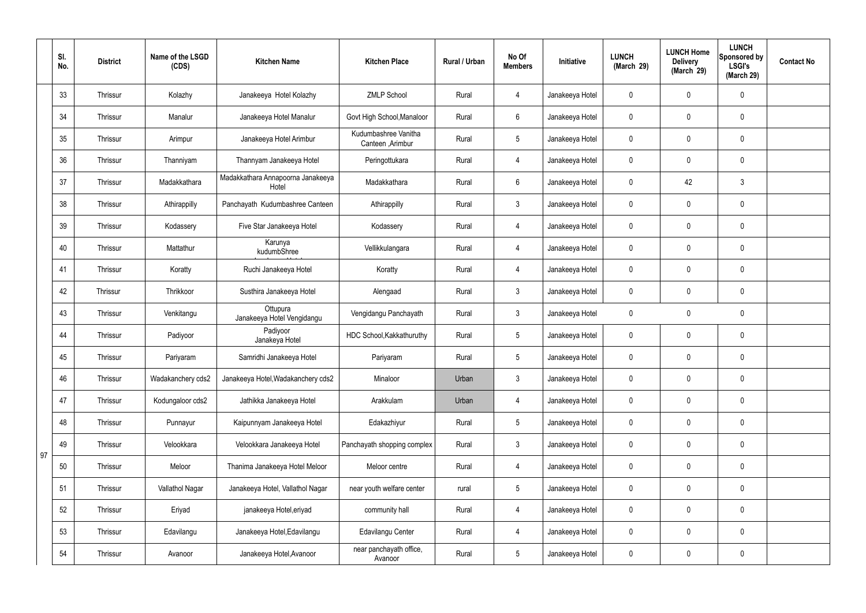|    | SI.<br>No. | <b>District</b> | Name of the LSGD<br>(CDS) | <b>Kitchen Name</b>                        | <b>Kitchen Place</b>                      | Rural / Urban | No Of<br><b>Members</b> | Initiative      | <b>LUNCH</b><br>(March 29) | <b>LUNCH Home</b><br><b>Delivery</b><br>(March 29) | <b>LUNCH</b><br>Sponsored by<br><b>LSGI's</b><br>(March 29) | <b>Contact No</b> |
|----|------------|-----------------|---------------------------|--------------------------------------------|-------------------------------------------|---------------|-------------------------|-----------------|----------------------------|----------------------------------------------------|-------------------------------------------------------------|-------------------|
|    | 33         | <b>Thrissur</b> | Kolazhy                   | Janakeeya Hotel Kolazhy                    | <b>ZMLP School</b>                        | Rural         | $\overline{4}$          | Janakeeya Hotel | $\mathbf 0$                | 0                                                  | $\mathbf 0$                                                 |                   |
|    | 34         | Thrissur        | Manalur                   | Janakeeya Hotel Manalur                    | Govt High School, Manaloor                | Rural         | $6\phantom{.}6$         | Janakeeya Hotel | $\mathbf 0$                | 0                                                  | $\mathbf 0$                                                 |                   |
|    | 35         | <b>Thrissur</b> | Arimpur                   | Janakeeya Hotel Arimbur                    | Kudumbashree Vanitha<br>Canteen , Arimbur | Rural         | $5\overline{)}$         | Janakeeya Hotel | $\mathbf 0$                | 0                                                  | $\mathbf 0$                                                 |                   |
|    | 36         | Thrissur        | Thanniyam                 | Thannyam Janakeeya Hotel                   | Peringottukara                            | Rural         | $\overline{4}$          | Janakeeya Hotel | $\mathbf 0$                | 0                                                  | $\mathbf 0$                                                 |                   |
|    | 37         | <b>Thrissur</b> | Madakkathara              | Madakkathara Annapoorna Janakeeya<br>Hotel | Madakkathara                              | Rural         | $6\phantom{.}6$         | Janakeeya Hotel | $\mathbf 0$                | 42                                                 | $\mathbf{3}$                                                |                   |
|    | 38         | Thrissur        | Athirappilly              | Panchayath Kudumbashree Canteen            | Athirappilly                              | Rural         | $\mathbf{3}$            | Janakeeya Hotel | $\mathbf 0$                | 0                                                  | $\mathbf 0$                                                 |                   |
|    | 39         | <b>Thrissur</b> | Kodassery                 | Five Star Janakeeya Hotel                  | Kodassery                                 | Rural         | $\overline{4}$          | Janakeeya Hotel | $\mathbf 0$                | 0                                                  | $\mathbf 0$                                                 |                   |
|    | 40         | Thrissur        | Mattathur                 | Karunya<br>kudumbShree                     | Vellikkulangara                           | Rural         | $\overline{4}$          | Janakeeya Hotel | $\mathbf 0$                | $\mathbf 0$                                        | $\mathbf 0$                                                 |                   |
|    | 41         | <b>Thrissur</b> | Koratty                   | Ruchi Janakeeya Hotel                      | Koratty                                   | Rural         | $\overline{4}$          | Janakeeya Hotel | $\mathbf 0$                | 0                                                  | $\mathbf 0$                                                 |                   |
|    | 42         | Thrissur        | Thrikkoor                 | Susthira Janakeeya Hotel                   | Alengaad                                  | Rural         | $\mathbf{3}$            | Janakeeya Hotel | $\mathbf 0$                | 0                                                  | $\mathbf 0$                                                 |                   |
|    | 43         | Thrissur        | Venkitangu                | Ottupura<br>Janakeeya Hotel Vengidangu     | Vengidangu Panchayath                     | Rural         | $\mathbf{3}$            | Janakeeya Hotel | $\mathbf 0$                | 0                                                  | $\pmb{0}$                                                   |                   |
|    | 44         | Thrissur        | Padiyoor                  | Padiyoor<br>Janakeya Hotel                 | HDC School, Kakkathuruthy                 | Rural         | $5\overline{)}$         | Janakeeya Hotel | $\mathbf 0$                | 0                                                  | $\mathbf 0$                                                 |                   |
|    | 45         | <b>Thrissur</b> | Pariyaram                 | Samridhi Janakeeya Hotel                   | Pariyaram                                 | Rural         | $5\phantom{.0}$         | Janakeeya Hotel | $\mathbf 0$                | 0                                                  | $\mathbf 0$                                                 |                   |
|    | 46         | Thrissur        | Wadakanchery cds2         | Janakeeya Hotel, Wadakanchery cds2         | Minaloor                                  | Urban         | $\mathbf{3}$            | Janakeeya Hotel | $\mathbf 0$                | 0                                                  | $\pmb{0}$                                                   |                   |
|    | 47         | Thrissur        | Kodungaloor cds2          | Jathikka Janakeeya Hotel                   | Arakkulam                                 | Urban         | $\overline{4}$          | Janakeeya Hotel | $\pmb{0}$                  | 0                                                  | $\mathbf 0$                                                 |                   |
|    | 48         | Thrissur        | Punnayur                  | Kaipunnyam Janakeeya Hotel                 | Edakazhiyur                               | Rural         | $5\overline{)}$         | Janakeeya Hotel | 0                          | 0                                                  | $\mathbf 0$                                                 |                   |
| 97 | 49         | Thrissur        | Velookkara                | Velookkara Janakeeya Hotel                 | Panchayath shopping complex               | Rural         | $\mathbf{3}$            | Janakeeya Hotel | $\pmb{0}$                  | 0                                                  | $\mathbf 0$                                                 |                   |
|    | 50         | Thrissur        | Meloor                    | Thanima Janakeeya Hotel Meloor             | Meloor centre                             | Rural         | $\overline{4}$          | Janakeeya Hotel | 0                          | 0                                                  | $\mathbf 0$                                                 |                   |
|    | 51         | Thrissur        | Vallathol Nagar           | Janakeeya Hotel, Vallathol Nagar           | near youth welfare center                 | rural         | $5\overline{)}$         | Janakeeya Hotel | $\pmb{0}$                  | 0                                                  | $\mathbf 0$                                                 |                   |
|    | 52         | Thrissur        | Eriyad                    | janakeeya Hotel, eriyad                    | community hall                            | Rural         | $\overline{4}$          | Janakeeya Hotel | 0                          | 0                                                  | $\mathbf 0$                                                 |                   |
|    | 53         | Thrissur        | Edavilangu                | Janakeeya Hotel, Edavilangu                | <b>Edavilangu Center</b>                  | Rural         | $\overline{4}$          | Janakeeya Hotel | $\pmb{0}$                  | 0                                                  | $\mathbf 0$                                                 |                   |
|    | 54         | Thrissur        | Avanoor                   | Janakeeya Hotel, Avanoor                   | near panchayath office,<br>Avanoor        | Rural         | $5\phantom{.0}$         | Janakeeya Hotel | 0                          | 0                                                  | $\pmb{0}$                                                   |                   |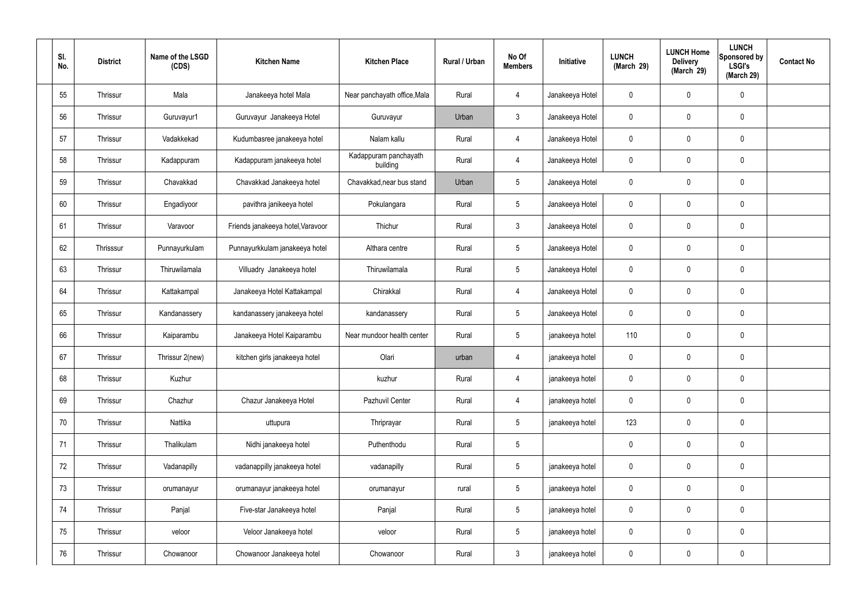| SI.<br>No. | <b>District</b> | Name of the LSGD<br>(CDS) | <b>Kitchen Name</b>               | <b>Kitchen Place</b>              | Rural / Urban | No Of<br><b>Members</b> | Initiative      | <b>LUNCH</b><br>(March 29) | <b>LUNCH Home</b><br><b>Delivery</b><br>(March 29) | <b>LUNCH</b><br><b>Sponsored by</b><br><b>LSGI's</b><br>(March 29) | <b>Contact No</b> |
|------------|-----------------|---------------------------|-----------------------------------|-----------------------------------|---------------|-------------------------|-----------------|----------------------------|----------------------------------------------------|--------------------------------------------------------------------|-------------------|
| 55         | Thrissur        | Mala                      | Janakeeya hotel Mala              | Near panchayath office, Mala      | Rural         | $\overline{4}$          | Janakeeya Hotel | 0                          | 0                                                  | $\mathbf 0$                                                        |                   |
| 56         | Thrissur        | Guruvayur1                | Guruvayur Janakeeya Hotel         | Guruvayur                         | Urban         | $\mathbf{3}$            | Janakeeya Hotel | 0                          | $\mathbf 0$                                        | $\pmb{0}$                                                          |                   |
| 57         | Thrissur        | Vadakkekad                | Kudumbasree janakeeya hotel       | Nalam kallu                       | Rural         | $\overline{4}$          | Janakeeya Hotel | 0                          | 0                                                  | $\mathbf 0$                                                        |                   |
| 58         | Thrissur        | Kadappuram                | Kadappuram janakeeya hotel        | Kadappuram panchayath<br>building | Rural         | $\overline{4}$          | Janakeeya Hotel | 0                          | $\mathbf 0$                                        | $\pmb{0}$                                                          |                   |
| 59         | Thrissur        | Chavakkad                 | Chavakkad Janakeeya hotel         | Chavakkad, near bus stand         | Urban         | $5\phantom{.0}$         | Janakeeya Hotel | 0                          | 0                                                  | $\mathbf 0$                                                        |                   |
| 60         | Thrissur        | Engadiyoor                | pavithra janikeeya hotel          | Pokulangara                       | Rural         | $5\phantom{.0}$         | Janakeeya Hotel | 0                          | 0                                                  | $\mathbf 0$                                                        |                   |
| 61         | Thrissur        | Varavoor                  | Friends janakeeya hotel, Varavoor | Thichur                           | Rural         | $\mathbf{3}$            | Janakeeya Hotel | 0                          | 0                                                  | $\mathbf 0$                                                        |                   |
| 62         | Thrisssur       | Punnayurkulam             | Punnayurkkulam janakeeya hotel    | Althara centre                    | Rural         | $5\phantom{.0}$         | Janakeeya Hotel | 0                          | $\mathbf 0$                                        | $\mathbf 0$                                                        |                   |
| 63         | Thrissur        | Thiruwilamala             | Villuadry Janakeeya hotel         | Thiruwilamala                     | Rural         | $5\phantom{.0}$         | Janakeeya Hotel | 0                          | 0                                                  | $\mathbf 0$                                                        |                   |
| 64         | Thrissur        | Kattakampal               | Janakeeya Hotel Kattakampal       | Chirakkal                         | Rural         | $\overline{4}$          | Janakeeya Hotel | 0                          | $\mathbf 0$                                        | $\pmb{0}$                                                          |                   |
| 65         | Thrissur        | Kandanassery              | kandanassery janakeeya hotel      | kandanassery                      | Rural         | $5\phantom{.0}$         | Janakeeya Hotel | 0                          | 0                                                  | $\pmb{0}$                                                          |                   |
| 66         | Thrissur        | Kaiparambu                | Janakeeya Hotel Kaiparambu        | Near mundoor health center        | Rural         | $5\overline{)}$         | janakeeya hotel | 110                        | 0                                                  | $\pmb{0}$                                                          |                   |
| 67         | Thrissur        | Thrissur 2(new)           | kitchen girls janakeeya hotel     | Olari                             | urban         | 4                       | janakeeya hotel | 0                          | 0                                                  | $\mathbf 0$                                                        |                   |
| 68         | Thrissur        | Kuzhur                    |                                   | kuzhur                            | Rural         | $\overline{4}$          | janakeeya hotel | 0                          | $\mathbf 0$                                        | $\mathbf 0$                                                        |                   |
| 69         | Thrissur        | Chazhur                   | Chazur Janakeeya Hotel            | Pazhuvil Center                   | Rural         | $\overline{4}$          | janakeeya hotel | 0                          | 0                                                  | $\mathbf 0$                                                        |                   |
| 70         | Thrissur        | Nattika                   | uttupura                          | Thriprayar                        | Rural         | $5\overline{)}$         | janakeeya hotel | 123                        | 0                                                  | $\mathbf 0$                                                        |                   |
| 71         | Thrissur        | Thalikulam                | Nidhi janakeeya hotel             | Puthenthodu                       | Rural         | $5\phantom{.0}$         |                 | 0                          | 0                                                  | $\mathbf 0$                                                        |                   |
| 72         | Thrissur        | Vadanapilly               | vadanappilly janakeeya hotel      | vadanapilly                       | Rural         | $5\phantom{.0}$         | janakeeya hotel | 0                          | 0                                                  | $\mathbf 0$                                                        |                   |
| 73         | Thrissur        | orumanayur                | orumanayur janakeeya hotel        | orumanayur                        | rural         | $5\phantom{.0}$         | janakeeya hotel | 0                          | 0                                                  | $\mathbf 0$                                                        |                   |
| 74         | Thrissur        | Panjal                    | Five-star Janakeeya hotel         | Panjal                            | Rural         | $5\phantom{.0}$         | janakeeya hotel | 0                          | 0                                                  | $\mathbf 0$                                                        |                   |
| 75         | Thrissur        | veloor                    | Veloor Janakeeya hotel            | veloor                            | Rural         | $5\overline{)}$         | janakeeya hotel | 0                          | 0                                                  | $\mathbf 0$                                                        |                   |
| 76         | Thrissur        | Chowanoor                 | Chowanoor Janakeeya hotel         | Chowanoor                         | Rural         | $3\phantom{.0}$         | janakeeya hotel | 0                          | 0                                                  | $\pmb{0}$                                                          |                   |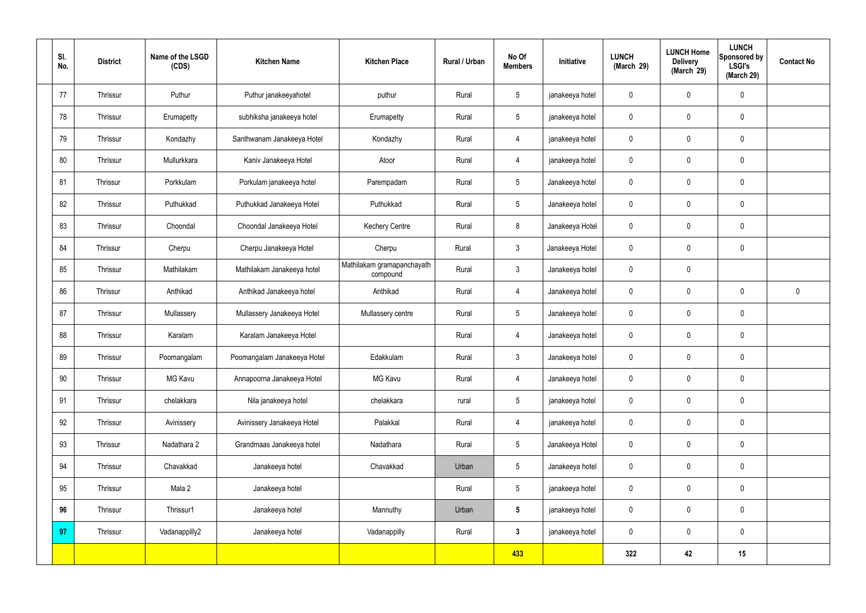| SI.<br>No. | <b>District</b> | Name of the LSGD<br>(CDS) | <b>Kitchen Name</b>         | <b>Kitchen Place</b>                   | Rural / Urban | No Of<br><b>Members</b> | Initiative      | <b>LUNCH</b><br>(March 29) | <b>LUNCH Home</b><br><b>Delivery</b><br>(March 29) | <b>LUNCH</b><br>Sponsored by<br><b>LSGI's</b><br>(March 29) | <b>Contact No</b> |
|------------|-----------------|---------------------------|-----------------------------|----------------------------------------|---------------|-------------------------|-----------------|----------------------------|----------------------------------------------------|-------------------------------------------------------------|-------------------|
| 77         | Thrissur        | Puthur                    | Puthur janakeeyahotel       | puthur                                 | Rural         | $5\overline{)}$         | janakeeya hotel | $\mathbf 0$                | 0                                                  | $\mathbf 0$                                                 |                   |
| 78         | Thrissur        | Erumapetty                | subhiksha janakeeya hotel   | Erumapetty                             | Rural         | $5\overline{)}$         | janakeeya hotel | $\mathbf 0$                | $\mathbf 0$                                        | $\mathbf 0$                                                 |                   |
| 79         | Thrissur        | Kondazhy                  | Santhwanam Janakeeya Hotel  | Kondazhy                               | Rural         | $\overline{4}$          | janakeeya hotel | $\mathbf 0$                | 0                                                  | $\mathbf 0$                                                 |                   |
| 80         | Thrissur        | Mullurkkara               | Kaniv Janakeeya Hotel       | Atoor                                  | Rural         | $\overline{4}$          | janakeeya hotel | $\mathbf 0$                | $\mathbf 0$                                        | $\mathbf 0$                                                 |                   |
| 81         | Thrissur        | Porkkulam                 | Porkulam janakeeya hotel    | Parempadam                             | Rural         | $5\overline{)}$         | Janakeeya hotel | $\mathbf 0$                | 0                                                  | $\mathbf 0$                                                 |                   |
| 82         | Thrissur        | Puthukkad                 | Puthukkad Janakeeya Hotel   | Puthukkad                              | Rural         | $5\overline{)}$         | Janakeeya hotel | $\mathbf 0$                | $\mathbf 0$                                        | $\pmb{0}$                                                   |                   |
| 83         | Thrissur        | Choondal                  | Choondal Janakeeya Hotel    | <b>Kechery Centre</b>                  | Rural         | 8                       | Janakeeya Hotel | $\mathbf 0$                | $\boldsymbol{0}$                                   | $\mathbf 0$                                                 |                   |
| 84         | Thrissur        | Cherpu                    | Cherpu Janakeeya Hotel      | Cherpu                                 | Rural         | $\mathbf{3}$            | Janakeeya Hotel | $\mathbf 0$                | 0                                                  | $\pmb{0}$                                                   |                   |
| 85         | Thrissur        | Mathilakam                | Mathilakam Janakeeya hotel  | Mathilakam gramapanchayath<br>compound | Rural         | $\mathbf{3}$            | Janakeeya hotel | $\mathbf 0$                | $\mathbf 0$                                        |                                                             |                   |
| 86         | Thrissur        | Anthikad                  | Anthikad Janakeeya hotel    | Anthikad                               | Rural         | $\overline{4}$          | Janakeeya hotel | $\mathbf 0$                | 0                                                  | $\mathbf 0$                                                 | $\mathbf 0$       |
| 87         | Thrissur        | Mullassery                | Mullassery Janakeeya Hotel  | Mullassery centre                      | Rural         | $5\overline{)}$         | Janakeeya hotel | $\mathbf 0$                | $\boldsymbol{0}$                                   | $\pmb{0}$                                                   |                   |
| 88         | Thrissur        | Karalam                   | Karalam Janakeeya Hotel     |                                        | Rural         | $\overline{4}$          | Janakeeya hotel | $\mathbf 0$                | 0                                                  | $\pmb{0}$                                                   |                   |
| 89         | Thrissur        | Poomangalam               | Poomangalam Janakeeya Hotel | Edakkulam                              | Rural         | $\mathbf{3}$            | Janakeeya hotel | $\mathbf 0$                | 0                                                  | $\mathbf 0$                                                 |                   |
| 90         | Thrissur        | <b>MG Kavu</b>            | Annapoorna Janakeeya Hotel  | MG Kavu                                | Rural         | $\overline{4}$          | Janakeeya hotel | $\mathbf 0$                | $\mathbf 0$                                        | $\mathbf 0$                                                 |                   |
| 91         | Thrissur        | chelakkara                | Nila janakeeya hotel        | chelakkara                             | rural         | 5 <sub>5</sub>          | janakeeya hotel | $\mathbf 0$                | 0                                                  | $\mathbf 0$                                                 |                   |
| 92         | Thrissur        | Avinissery                | Avinissery Janakeeya Hotel  | Palakkal                               | Rural         | $\overline{4}$          | janakeeya hotel | $\pmb{0}$                  | 0                                                  | $\mathbf 0$                                                 |                   |
| 93         | Thrissur        | Nadathara 2               | Grandmaas Janakeeya hotel   | Nadathara                              | Rural         | 5 <sub>5</sub>          | Janakeeya Hotel | $\mathbf 0$                | 0                                                  | $\pmb{0}$                                                   |                   |
| 94         | Thrissur        | Chavakkad                 | Janakeeya hotel             | Chavakkad                              | Urban         | $5\phantom{.0}$         | Janakeeya hotel | $\pmb{0}$                  | 0                                                  | $\pmb{0}$                                                   |                   |
| 95         | Thrissur        | Mala 2                    | Janakeeya hotel             |                                        | Rural         | 5 <sub>5</sub>          | janakeeya hotel | $\mathbf 0$                | 0                                                  | $\mathbf 0$                                                 |                   |
| 96         | Thrissur        | Thrissur1                 | Janakeeya hotel             | Mannuthy                               | Urban         | $5\phantom{.0}$         | janakeeya hotel | $\pmb{0}$                  | 0                                                  | $\mathbf 0$                                                 |                   |
| 97         | Thrissur        | Vadanappilly2             | Janakeeya hotel             | Vadanappilly                           | Rural         | 3 <sup>1</sup>          | janakeeya hotel | $\mathbf 0$                | $\pmb{0}$                                          | $\mathbf 0$                                                 |                   |
|            |                 |                           |                             |                                        |               | 433                     |                 | 322                        | 42                                                 | 15                                                          |                   |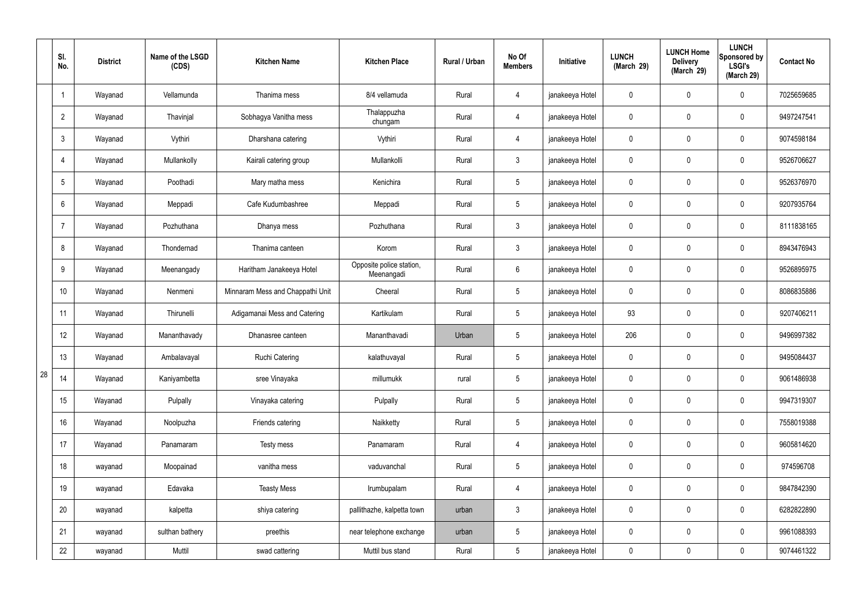|    | SI.<br>No.     | <b>District</b> | Name of the LSGD<br>(CDS) | <b>Kitchen Name</b>              | <b>Kitchen Place</b>                   | Rural / Urban | No Of<br><b>Members</b> | Initiative      | <b>LUNCH</b><br>(March 29) | <b>LUNCH Home</b><br><b>Delivery</b><br>(March 29) | <b>LUNCH</b><br>Sponsored by<br><b>LSGI's</b><br>(March 29) | <b>Contact No</b> |
|----|----------------|-----------------|---------------------------|----------------------------------|----------------------------------------|---------------|-------------------------|-----------------|----------------------------|----------------------------------------------------|-------------------------------------------------------------|-------------------|
|    |                | Wayanad         | Vellamunda                | Thanima mess                     | 8/4 vellamuda                          | Rural         | 4                       | janakeeya Hotel | $\mathbf 0$                | $\mathbf 0$                                        | $\mathbf 0$                                                 | 7025659685        |
|    | $\overline{2}$ | Wayanad         | Thavinjal                 | Sobhagya Vanitha mess            | Thalappuzha<br>chungam                 | Rural         | $\overline{4}$          | janakeeya Hotel | $\mathbf 0$                | $\mathbf 0$                                        | $\mathbf 0$                                                 | 9497247541        |
|    | 3              | Wayanad         | Vythiri                   | Dharshana catering               | Vythiri                                | Rural         | 4                       | janakeeya Hotel | $\mathbf 0$                | $\mathbf 0$                                        | $\mathbf 0$                                                 | 9074598184        |
|    | $\overline{4}$ | Wayanad         | Mullankolly               | Kairali catering group           | Mullankolli                            | Rural         | $\mathbf{3}$            | janakeeya Hotel | $\mathbf 0$                | $\mathbf 0$                                        | $\mathbf 0$                                                 | 9526706627        |
|    | 5              | Wayanad         | Poothadi                  | Mary matha mess                  | Kenichira                              | Rural         | $5\overline{)}$         | janakeeya Hotel | $\mathbf 0$                | $\mathbf 0$                                        | $\mathbf 0$                                                 | 9526376970        |
|    | 6              | Wayanad         | Meppadi                   | Cafe Kudumbashree                | Meppadi                                | Rural         | $5\overline{)}$         | janakeeya Hotel | $\mathbf 0$                | $\mathbf 0$                                        | $\mathbf 0$                                                 | 9207935764        |
|    | 7              | Wayanad         | Pozhuthana                | Dhanya mess                      | Pozhuthana                             | Rural         | $\mathbf{3}$            | janakeeya Hotel | $\mathbf 0$                | $\mathbf 0$                                        | $\mathbf 0$                                                 | 8111838165        |
|    | 8              | Wayanad         | Thondernad                | Thanima canteen                  | Korom                                  | Rural         | $\mathbf{3}$            | janakeeya Hotel | $\mathbf 0$                | $\mathbf 0$                                        | $\mathbf 0$                                                 | 8943476943        |
|    | 9              | Wayanad         | Meenangady                | Haritham Janakeeya Hotel         | Opposite police station,<br>Meenangadi | Rural         | $6\overline{6}$         | janakeeya Hotel | $\mathbf 0$                | $\mathbf 0$                                        | $\mathbf 0$                                                 | 9526895975        |
|    | 10             | Wayanad         | Nenmeni                   | Minnaram Mess and Chappathi Unit | Cheeral                                | Rural         | $5\overline{)}$         | janakeeya Hotel | $\mathbf 0$                | $\mathbf 0$                                        | $\mathbf 0$                                                 | 8086835886        |
|    | 11             | Wayanad         | Thirunelli                | Adigamanai Mess and Catering     | Kartikulam                             | Rural         | $5\phantom{.0}$         | janakeeya Hotel | 93                         | $\mathbf 0$                                        | $\mathbf 0$                                                 | 9207406211        |
|    | 12             | Wayanad         | Mananthavady              | Dhanasree canteen                | Mananthavadi                           | Urban         | $5\phantom{.0}$         | janakeeya Hotel | 206                        | $\mathbf 0$                                        | $\mathbf 0$                                                 | 9496997382        |
|    | 13             | Wayanad         | Ambalavayal               | <b>Ruchi Catering</b>            | kalathuvayal                           | Rural         | $5\overline{)}$         | janakeeya Hotel | $\mathbf 0$                | $\mathbf 0$                                        | $\mathbf 0$                                                 | 9495084437        |
| 28 | 14             | Wayanad         | Kaniyambetta              | sree Vinayaka                    | millumukk                              | rural         | $5\phantom{.0}$         | janakeeya Hotel | $\mathbf 0$                | $\pmb{0}$                                          | $\mathbf 0$                                                 | 9061486938        |
|    | 15             | Wayanad         | Pulpally                  | Vinayaka catering                | Pulpally                               | Rural         | $5\overline{)}$         | janakeeya Hotel | $\mathbf 0$                | $\pmb{0}$                                          | $\mathbf 0$                                                 | 9947319307        |
|    | 16             | Wayanad         | Noolpuzha                 | Friends catering                 | Naikketty                              | Rural         | $5\overline{)}$         | janakeeya Hotel | $\mathbf 0$                | 0                                                  | $\mathbf 0$                                                 | 7558019388        |
|    | 17             | Wayanad         | Panamaram                 | Testy mess                       | Panamaram                              | Rural         | $\overline{4}$          | janakeeya Hotel | $\mathbf 0$                | 0                                                  | $\mathbf 0$                                                 | 9605814620        |
|    | 18             | wayanad         | Moopainad                 | vanitha mess                     | vaduvanchal                            | Rural         | $5\phantom{.0}$         | janakeeya Hotel | $\pmb{0}$                  | 0                                                  | $\mathbf 0$                                                 | 974596708         |
|    | 19             | wayanad         | Edavaka                   | <b>Teasty Mess</b>               | Irumbupalam                            | Rural         | $\overline{4}$          | janakeeya Hotel | $\mathbf 0$                | $\pmb{0}$                                          | $\pmb{0}$                                                   | 9847842390        |
|    | 20             | wayanad         | kalpetta                  | shiya catering                   | pallithazhe, kalpetta town             | urban         | $\mathbf{3}$            | janakeeya Hotel | $\mathbf 0$                | 0                                                  | $\mathbf 0$                                                 | 6282822890        |
|    | 21             | wayanad         | sulthan bathery           | preethis                         | near telephone exchange                | urban         | $5\phantom{.0}$         | janakeeya Hotel | $\pmb{0}$                  | 0                                                  | $\mathbf 0$                                                 | 9961088393        |
|    | 22             | wayanad         | Muttil                    | swad cattering                   | Muttil bus stand                       | Rural         | $5\overline{)}$         | janakeeya Hotel | $\pmb{0}$                  | 0                                                  | $\mathbf 0$                                                 | 9074461322        |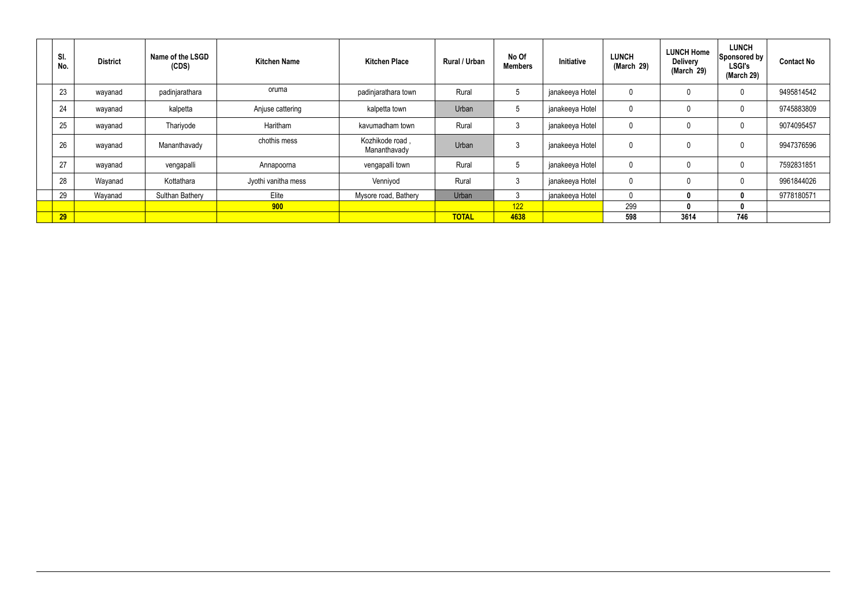| SI.<br>No. | <b>District</b> | Name of the LSGD<br>(CDS) | <b>Kitchen Name</b> | <b>Kitchen Place</b>            | <b>Rural / Urban</b> | No Of<br><b>Members</b> | Initiative      | <b>LUNCH</b><br>(March 29) | <b>LUNCH Home</b><br><b>Delivery</b><br>(March 29) | <b>LUNCH</b><br>Sponsored by<br><b>LSGI's</b><br>(March 29) | <b>Contact No</b> |
|------------|-----------------|---------------------------|---------------------|---------------------------------|----------------------|-------------------------|-----------------|----------------------------|----------------------------------------------------|-------------------------------------------------------------|-------------------|
| 23         | wayanad         | padinjarathara            | oruma               | padinjarathara town             | Rural                | $5\phantom{.0}$         | janakeeya Hotel |                            | 0                                                  | $\mathbf 0$                                                 | 9495814542        |
| 24         | wayanad         | kalpetta                  | Anjuse cattering    | kalpetta town                   | Urban                | $5^{\circ}$             | janakeeya Hotel |                            | 0                                                  | 0                                                           | 9745883809        |
| 25         | wayanad         | Thariyode                 | Haritham            | kavumadham town                 | Rural                | - 3                     | janakeeya Hotel |                            | 0                                                  | $\mathbf{0}$                                                | 9074095457        |
| 26         | wayanad         | Mananthavady              | chothis mess        | Kozhikode road,<br>Mananthavady | Urban                | -3                      | janakeeya Hotel |                            | 0                                                  | $\mathbf{0}$                                                | 9947376596        |
| 27         | wayanad         | vengapalli                | Annapoorna          | vengapalli town                 | Rural                | $5\phantom{.0}$         | janakeeya Hotel |                            | 0                                                  | $\mathbf{0}$                                                | 7592831851        |
| 28         | Wayanad         | Kottathara                | Jyothi vanitha mess | Venniyod                        | Rural                | $\mathbf{3}$            | janakeeya Hotel | υ                          | 0                                                  | $\mathbf{0}$                                                | 9961844026        |
| 29         | Wayanad         | <b>Sulthan Bathery</b>    | Elite               | Mysore road, Bathery            | Urban                | $\sim$                  | janakeeya Hotel |                            | $\bf{0}$                                           | $\mathbf{0}$                                                | 9778180571        |
|            |                 |                           | 900                 |                                 |                      | 122                     |                 | 299                        | 0                                                  | $\mathbf{0}$                                                |                   |
| 29         |                 |                           |                     |                                 | <b>TOTAL</b>         | 4638                    |                 | 598                        | 3614                                               | 746                                                         |                   |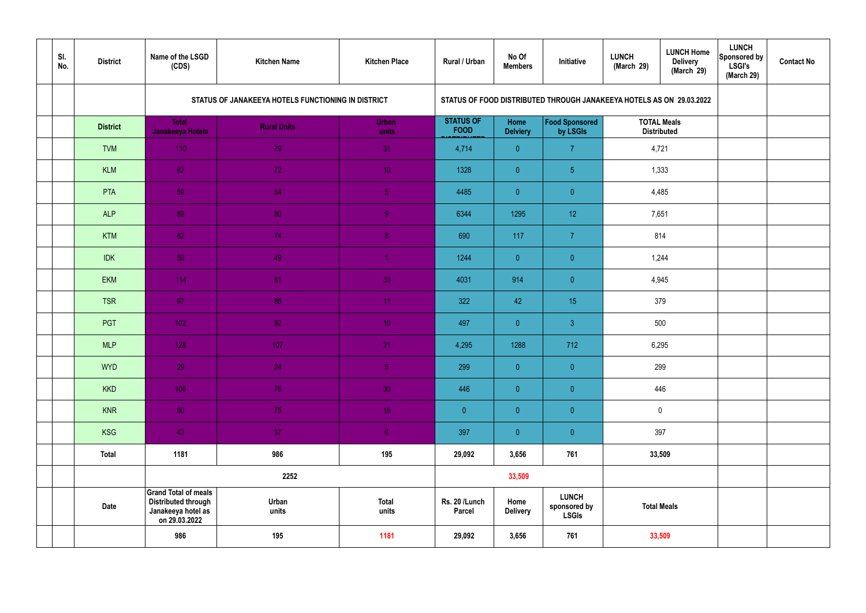| SI.<br>No. | <b>District</b> | Name of the LSGD<br>(CDS)                                                                        | <b>Kitchen Name</b>                                | <b>Kitchen Place</b>  | Rural / Urban                   | No Of<br><b>Members</b> | Initiative                                                           | <b>LUNCH</b><br>(March 29) | <b>LUNCH Home</b><br><b>Delivery</b><br>(March 29) | <b>LUNCH</b><br>Sponsored by<br><b>LSGI's</b><br>(March 29) | <b>Contact No</b> |
|------------|-----------------|--------------------------------------------------------------------------------------------------|----------------------------------------------------|-----------------------|---------------------------------|-------------------------|----------------------------------------------------------------------|----------------------------|----------------------------------------------------|-------------------------------------------------------------|-------------------|
|            |                 |                                                                                                  | STATUS OF JANAKEEYA HOTELS FUNCTIONING IN DISTRICT |                       |                                 |                         | STATUS OF FOOD DISTRIBUTED THROUGH JANAKEEYA HOTELS AS ON 29.03.2022 |                            |                                                    |                                                             |                   |
|            | <b>District</b> | <b>Total</b><br>Janakeeya Hotels                                                                 | <b>Rural Units</b>                                 | <b>Urban</b><br>units | <b>STATUS OF</b><br><b>FOOD</b> | Home<br><b>Delviery</b> | Food Sponsored<br>by LSGIs                                           | <b>TOTAL Meals</b>         | <b>Distributed</b>                                 |                                                             |                   |
|            | <b>TVM</b>      | 110                                                                                              | 79                                                 | 31                    | 4,714                           | $\overline{0}$          | $\overline{7}$                                                       | 4,721                      |                                                    |                                                             |                   |
|            | <b>KLM</b>      | 82                                                                                               | 72                                                 | 10 <sub>1</sub>       | 1328                            | $\overline{0}$          | 5 <sub>5</sub>                                                       |                            | 1,333                                              |                                                             |                   |
|            | PTA             | 59                                                                                               | 54                                                 | 5 <sub>5</sub>        | 4485                            | $\overline{0}$          | $\overline{0}$                                                       |                            | 4,485                                              |                                                             |                   |
|            | <b>ALP</b>      | 89                                                                                               | 80                                                 | $\overline{9}$        | 6344                            | 1295                    | 12 <sup>°</sup>                                                      | 7,651                      |                                                    |                                                             |                   |
|            | <b>KTM</b>      | 82                                                                                               | 74                                                 | 8 <sup>°</sup>        | 690                             | 117                     | $\overline{7}$                                                       | 814                        |                                                    |                                                             |                   |
|            | <b>IDK</b>      | 50                                                                                               | 49                                                 | $\blacktriangleleft$  | 1244                            | $\overline{0}$          | $\overline{0}$                                                       |                            | 1,244                                              |                                                             |                   |
|            | <b>EKM</b>      | 114                                                                                              | 81                                                 | 33                    | 4031                            | 914                     | $\overline{0}$                                                       |                            | 4,945                                              |                                                             |                   |
|            | <b>TSR</b>      | 97                                                                                               | 86                                                 | 11                    | 322                             | 42                      | 15 <sub>15</sub>                                                     | 379                        |                                                    |                                                             |                   |
|            | PGT             | $102$                                                                                            | 92                                                 | 10 <sup>°</sup>       | 497                             | $\overline{0}$          | $\mathbf{3}$                                                         |                            | 500                                                |                                                             |                   |
|            | <b>MLP</b>      | 128                                                                                              | 107                                                | 21                    | 4,295                           | 1288                    | 712                                                                  | 6,295                      |                                                    |                                                             |                   |
|            | <b>WYD</b>      | 29                                                                                               | 24                                                 | 5 <sub>1</sub>        | 299                             | $\mathbf{0}$            | $\overline{0}$                                                       |                            | 299                                                |                                                             |                   |
|            | <b>KKD</b>      | 106                                                                                              | 76                                                 | 30                    | 446                             | $\overline{0}$          | $\pmb{0}$                                                            |                            | 446                                                |                                                             |                   |
|            | <b>KNR</b>      | 90 <sub>1</sub>                                                                                  | 75                                                 | 15 <sub>1</sub>       | $\overline{0}$                  | $\overline{0}$          | $\overline{0}$                                                       |                            | $\overline{0}$                                     |                                                             |                   |
|            | <b>KSG</b>      | 43                                                                                               | 37 <sub>2</sub>                                    | 6 <sup>1</sup>        | 397                             | $\overline{0}$          | $\pmb{0}$                                                            |                            | 397                                                |                                                             |                   |
|            | <b>Total</b>    | 1181                                                                                             | 986                                                | 195                   | 29,092                          | 3,656                   | 761                                                                  |                            | 33,509                                             |                                                             |                   |
|            |                 |                                                                                                  | 2252                                               |                       |                                 | 33,509                  |                                                                      |                            |                                                    |                                                             |                   |
|            | <b>Date</b>     | <b>Grand Total of meals</b><br><b>Distributed through</b><br>Janakeeya hotel as<br>on 29.03.2022 | Urban<br>units                                     | <b>Total</b><br>units | Rs. 20 /Lunch<br><b>Parcel</b>  | Home<br><b>Delivery</b> | <b>LUNCH</b><br>sponsored by<br><b>LSGIs</b>                         |                            | <b>Total Meals</b>                                 |                                                             |                   |
|            |                 | 986                                                                                              | 195                                                | 1181                  | 29,092                          | 3,656                   | 761                                                                  |                            | 33,509                                             |                                                             |                   |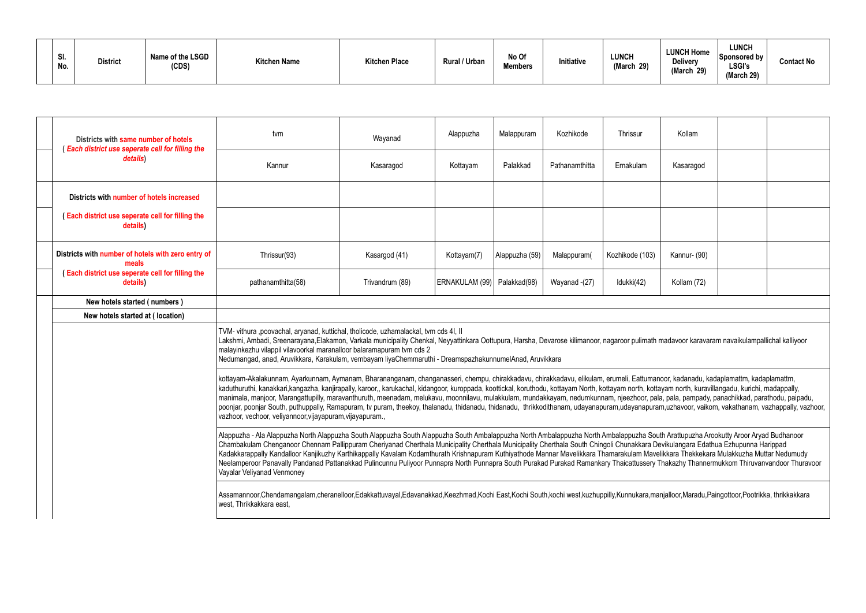| SI.<br>No. | <b>District</b> | Name of the LSGD<br>(CDS) | <b>Kitchen Name</b> | <b>Kitchen Place</b> | Rural / Urban | No Of<br><b>Members</b> | Initiative | <b>LUNCH</b><br>(March<br>20'<br><b>LJ</b> | <b>LUNCH Home</b><br><b>Delivery</b><br>(March 29) | <b>LUNCH</b><br>Sponsored by<br><b>LSGI's</b><br>(March 29) | <b>Contact No</b> |
|------------|-----------------|---------------------------|---------------------|----------------------|---------------|-------------------------|------------|--------------------------------------------|----------------------------------------------------|-------------------------------------------------------------|-------------------|
|------------|-----------------|---------------------------|---------------------|----------------------|---------------|-------------------------|------------|--------------------------------------------|----------------------------------------------------|-------------------------------------------------------------|-------------------|

| Districts with same number of hotels<br>(Each district use seperate cell for filling the                                                                                                                                                                                                                                                                                                                                                                                                                                                                                                                                                                                                                                                                                                                                                                                                                                                                                                         | tvm                                                                                                                                                                                                                                                                                                                                                                                                                                                                                                                                                                                                                                                                                                                                                                                                                                                              | Wayanad         | Alappuzha                     | Malappuram     | Kozhikode      | Thrissur        | Kollam       |  |  |
|--------------------------------------------------------------------------------------------------------------------------------------------------------------------------------------------------------------------------------------------------------------------------------------------------------------------------------------------------------------------------------------------------------------------------------------------------------------------------------------------------------------------------------------------------------------------------------------------------------------------------------------------------------------------------------------------------------------------------------------------------------------------------------------------------------------------------------------------------------------------------------------------------------------------------------------------------------------------------------------------------|------------------------------------------------------------------------------------------------------------------------------------------------------------------------------------------------------------------------------------------------------------------------------------------------------------------------------------------------------------------------------------------------------------------------------------------------------------------------------------------------------------------------------------------------------------------------------------------------------------------------------------------------------------------------------------------------------------------------------------------------------------------------------------------------------------------------------------------------------------------|-----------------|-------------------------------|----------------|----------------|-----------------|--------------|--|--|
| details)                                                                                                                                                                                                                                                                                                                                                                                                                                                                                                                                                                                                                                                                                                                                                                                                                                                                                                                                                                                         | Kannur                                                                                                                                                                                                                                                                                                                                                                                                                                                                                                                                                                                                                                                                                                                                                                                                                                                           | Kasaragod       | Kottayam                      | Palakkad       | Pathanamthitta | Ernakulam       | Kasaragod    |  |  |
| Districts with number of hotels increased                                                                                                                                                                                                                                                                                                                                                                                                                                                                                                                                                                                                                                                                                                                                                                                                                                                                                                                                                        |                                                                                                                                                                                                                                                                                                                                                                                                                                                                                                                                                                                                                                                                                                                                                                                                                                                                  |                 |                               |                |                |                 |              |  |  |
| (Each district use seperate cell for filling the<br>details)                                                                                                                                                                                                                                                                                                                                                                                                                                                                                                                                                                                                                                                                                                                                                                                                                                                                                                                                     |                                                                                                                                                                                                                                                                                                                                                                                                                                                                                                                                                                                                                                                                                                                                                                                                                                                                  |                 |                               |                |                |                 |              |  |  |
| Districts with number of hotels with zero entry of<br>meals                                                                                                                                                                                                                                                                                                                                                                                                                                                                                                                                                                                                                                                                                                                                                                                                                                                                                                                                      | Thrissur(93)                                                                                                                                                                                                                                                                                                                                                                                                                                                                                                                                                                                                                                                                                                                                                                                                                                                     | Kasargod (41)   | Kottayam(7)                   | Alappuzha (59) | Malappuram(    | Kozhikode (103) | Kannur- (90) |  |  |
| (Each district use seperate cell for filling the<br>details)                                                                                                                                                                                                                                                                                                                                                                                                                                                                                                                                                                                                                                                                                                                                                                                                                                                                                                                                     | pathanamthitta(58)                                                                                                                                                                                                                                                                                                                                                                                                                                                                                                                                                                                                                                                                                                                                                                                                                                               | Trivandrum (89) | ERNAKULAM (99)   Palakkad(98) |                | Wayanad -(27)  | Idukki(42)      | Kollam (72)  |  |  |
| New hotels started (numbers)                                                                                                                                                                                                                                                                                                                                                                                                                                                                                                                                                                                                                                                                                                                                                                                                                                                                                                                                                                     |                                                                                                                                                                                                                                                                                                                                                                                                                                                                                                                                                                                                                                                                                                                                                                                                                                                                  |                 |                               |                |                |                 |              |  |  |
| New hotels started at (location)                                                                                                                                                                                                                                                                                                                                                                                                                                                                                                                                                                                                                                                                                                                                                                                                                                                                                                                                                                 |                                                                                                                                                                                                                                                                                                                                                                                                                                                                                                                                                                                                                                                                                                                                                                                                                                                                  |                 |                               |                |                |                 |              |  |  |
|                                                                                                                                                                                                                                                                                                                                                                                                                                                                                                                                                                                                                                                                                                                                                                                                                                                                                                                                                                                                  | TVM-vithura ,poovachal, aryanad, kuttichal, tholicode, uzhamalackal, tvm cds 4I, II<br>Lakshmi, Ambadi, Sreenarayana,Elakamon, Varkala municipality Chenkal, Neyyattinkara Oottupura, Harsha, Devarose kilimanoor, nagaroor pulimath madavoor karavaram navaikulampallichal kalliyoor<br>malayinkezhu vilappil vilavoorkal maranalloor balaramapuram tvm cds 2<br>Nedumangad, anad, Aruvikkara, Karakulam, vembayam liyaChemmaruthi - DreamspazhakunnumelAnad, Aruvikkara                                                                                                                                                                                                                                                                                                                                                                                        |                 |                               |                |                |                 |              |  |  |
|                                                                                                                                                                                                                                                                                                                                                                                                                                                                                                                                                                                                                                                                                                                                                                                                                                                                                                                                                                                                  | Kottayam-Akalakunnam, Ayarkunnam, Aymanam, Bharananganam, changanasseri, chempu, chirakkadavu, chirakkadavu, elikulam, erumeli, Eattumanoor, kadanadu, kadaplamattm, kadaplamattm, kadaplamattm,<br>kaduthuruthi, kanakkari,kangazha, kanjirapally, karoor,, karukachal, kidangoor, kuroppada, koottickal, koruthodu, kottayam North, kottayam north, kottayam north, kuravillangadu, kurichi, madappally,<br>manimala, manjoor, Marangattupilly, maravanthuruth, meenadam, melukavu, moonnilavu, mulakkulam, mundakkayam, nedumkunnam, njeezhoor, pala, pala, pampady, panachikkad, parathodu, paipadu,<br>poonjar, poonjar South, puthuppally, Ramapuram, tv puram, theekoy, thalanadu, thidanadu, thrikkodithanam, udayanapuram,udayanapuram,uzhavoor, vaikom, vakathanam, vazhappally, vazhoor,<br>vazhoor, vechoor, veliyannoor, vijayapuram, vijayapuram., |                 |                               |                |                |                 |              |  |  |
| Alappuzha - Ala Alappuzha North Alappuzha South Alappuzha South Alappuzha South Ambalappuzha North Ambalappuzha South Arattupuzha Arookutty Aroor Aryad Budhanoor<br>Chambakulam Chenganoor Chennam Pallippuram Cheriyanad Cherthala Municipality Cherthala Municipality Cherthala South Chingoli Chunakkara Devikulangara Edathua Ezhupunna Harippad<br>Kadakkarappally Kandalloor Kanjikuzhy Karthikappally Kavalam Kodamthurath Krishnapuram Kuthiyathode Mannar Mavelikkara Thamarakulam Mavelikkara Thekkekara Mulakkuzha Muttar Nedumudy<br>Neelamperoor Panavally Pandanad Pattanakkad Pulincunnu Puliyoor Punnapra North Punnapra South Purakad Purakad Ramankary Thaicattussery Thakazhy Thannermukkom Thiruvanvandoor Thuravoor<br>Vayalar Veliyanad Venmoney<br>Assamannoor,Chendamangalam,cheranelloor,Edakkattuvayal,Edavanakkad,Keezhmad,Kochi East,Kochi South,kochi west,kuzhuppilly,Kunnukara,manjalloor,Maradu,Paingottoor,Pootrikka, thrikkakkara<br>west, Thrikkakkara east, |                                                                                                                                                                                                                                                                                                                                                                                                                                                                                                                                                                                                                                                                                                                                                                                                                                                                  |                 |                               |                |                |                 |              |  |  |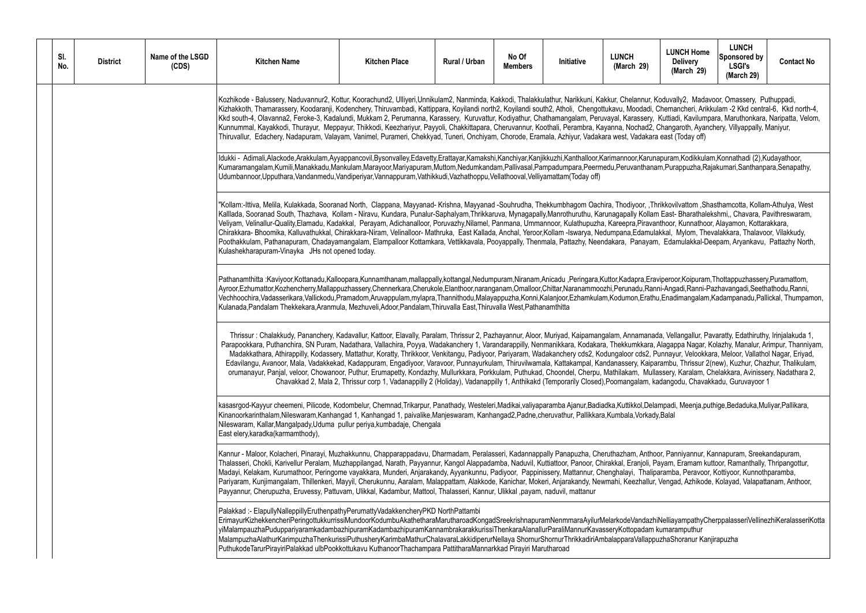Koduvally2, Madavoor, Omassery, Puthuppadi, Koduvally2, Madavoor, Omassery, Puthuppadi, Khemancheri, Arikkulam -2 Kkd central-6, Kkd north-4, Kowinghadi, Chemancheri, Arikkulam -2 Kkd central-6, Kkd north-4, Kuttiadi, Kavilumpara, Maruthonkara, Naripatta, Velom, Kunnumal, Thangaroth, Ayanchery, Villyappally, Maniyur, Payyoni, Changaroth, Ayanchery, Changaroth, Perambra, ra east (Today off)

Inapuram,Kodikkulam,Konnathadi (2),Kudayathoor, nam,Purappuzha,Rajakumari,Santhanpara,Senapathy,

Thrikkovilvattom, Shasthamcotta, Kollam-Athulya, West am East- Bharathalekshmi,, Chavara, Pavithreswaram, vanthoor, Kunnathoor, Alayamon, Kottarakkara, Chirakkara- Bhoomika, Kalluvathukkal, Chirakkara-Niram, Velinalloor- Mathruka, East Kallada, Anchal, Yeroor,Kollam -Iswarya, Nedumpana,Edamulakkal, Mylom, Thevalakkara, Thalavoor, Vilakkudy, am, Edamulakkal-Deepam, Aryankavu, Pattazhy North,

raviperoor,Koipuram,Thottappuzhassery,Puramattom, anni-Angadi,Ranni-Pazhavangadi,Seethathodu,Ranni, thu,Enadimangalam,Kadampanadu,Pallickal, Thumpamon,

ada, Vellangallur, Pavaratty, Edathiruthy, Irinjalakuda 1, , Alagappa Nagar, Kolazhy, Manalur, Arimpur, Thanniyam, Punnayur, Velookkara, Meloor, Vallathol Nagar, Eriyad, .<br>parambu, Thrissur 2(new), Kuzhur, Chazhur, Thalikulam, duanayur, Panalam, Chelakkara, Avinissery, Nadathara 2, Cherpu, Mullassery, Karalam, Chelakkara, Ch kadangodu, Chavakkadu, Guruvayoor 1

kampadi, Meenja, puthige, Bedaduka, Muliyar, Pallikara,

noor, Panniyannur, Kannapuram, Sreekandapuram, Panniyannur, Kannapuram, Panniyannur, Panniyannur, Rannapuram, Payam, Eramam kuttoor, Ramanthally, Thripangottur, iparamba, Peravoor, Kottiyoor, Kunnothparamba, Pariyaram, Kunjimangalam, Thillenkeri, Mayyil, Cherukunnu, Aaralam, Malappattam, Alakkode, Kanichar, Mokeri, Anjarakandy, Newmahi, Keezhallur, Vengad, Azhikode, Kolayad, Valapattanam, Anthoor,

:hiNelliayampathyCherppalasseriVellinezhiKeralasseriKotta<br>n kumaramputhur mpuzhaShoranur Kaniirapuzha

| SI.<br>No. | <b>District</b> | Name of the LSGD<br>(CDS) | <b>Kitchen Name</b>                                                                                                                                                                                                                                                                                                                                                                                                                                                                                                                                                                                                                                                                                                                                                                                                                                                                                                                                                                                                                                                                                                                                                                                                                                                                | <b>Kitchen Place</b>                                                                                                                         | Rural / Urban | No Of<br><b>Members</b> | Initiative | <b>LUNCH</b><br>(March 29) | <b>LUNCH Hom</b><br><b>Delivery</b><br>(March 29 |
|------------|-----------------|---------------------------|------------------------------------------------------------------------------------------------------------------------------------------------------------------------------------------------------------------------------------------------------------------------------------------------------------------------------------------------------------------------------------------------------------------------------------------------------------------------------------------------------------------------------------------------------------------------------------------------------------------------------------------------------------------------------------------------------------------------------------------------------------------------------------------------------------------------------------------------------------------------------------------------------------------------------------------------------------------------------------------------------------------------------------------------------------------------------------------------------------------------------------------------------------------------------------------------------------------------------------------------------------------------------------|----------------------------------------------------------------------------------------------------------------------------------------------|---------------|-------------------------|------------|----------------------------|--------------------------------------------------|
|            |                 |                           | Kozhikode - Balussery, Naduvannur2, Kottur, Koorachund2, Ulliyeri,Unnikulam2, Nanminda, Kakkodi, Thalakkulathur, Narikkuni, Kakkur, Chelannur, Koduvally2, Mad<br>Kizhakkoth, Thamarassery, Koodaranji, Kodenchery, Thiruvambadi, Kattippara, Koyilandi north2, Koyilandi south2, Atholi, Chengottukavu, Moodadi, Chemancheri, Ar<br>Kkd south-4, Olavanna2, Feroke-3, Kadalundi, Mukkam 2, Perumanna, Karassery, Kuruvattur, Kodiyathur, Chathamangalam, Peruvayal, Karassery, Kuttiadi, Kavilur<br>Kunnummal, Kayakkodi, Thurayur, Meppayur, Thikkodi, Keezhariyur, Payyoli, Chakkittapara, Cheruvannur, Koothali, Perambra, Kayanna, Nochad2, Changaroth, Aya<br>Thiruvallur, Edachery, Nadapuram, Valayam, Vanimel, Purameri, Chekkyad, Tuneri, Onchiyam, Chorode, Eramala, Azhiyur, Vadakara west, Vadakara east (Today off<br>Idukki - Adimali,Alackode,Arakkulam,Ayyappancovil,Bysonvalley,Edavetty,Erattayar,Kamakshi,Kanchiyar,Kanjikkuzhi,Kanthalloor,Karimannoor,Karunapuram,Kodikku<br>Kumaramangalam,Kumili,Manakkadu,Mankulam,Marayoor,Mariyapuram,Muttom,Nedumkandam,Pallivasal,Pampadumpara,Peermedu,Peruvanthanam,Purappuzha,F<br>Udumbannoor, Upputhara, Vandanmedu, Vandiperiyar, Vannappuram, Vathikkudi, Vazhathoppu, Vellathooval, Velliyamattam (Today off) |                                                                                                                                              |               |                         |            |                            |                                                  |
|            |                 |                           | "Kollam:-Ittiva, Melila, Kulakkada, Sooranad North, Clappana, Mayyanad-Krishna, Mayyanad -Souhrudha, Thekkumbhagom Oachira, Thodiyoor, ,Thrikkovilvattom ,S<br>Kalllada, Sooranad South, Thazhava, Kollam - Niravu, Kundara, Punalur-Saphalyam, Thrikkaruva, Mynagapally, Manrothuruthu, Karunagapally Kollam East-Bharatha<br>Veliyam, Velinallur-Quality,Elamadu, Kadakkal, Perayam, Adichanalloor, Poruvazhy,Nilamel, Panmana, Ummannoor, Kulathupuzha, Kareepra,Piravanthoor, Kunnatho<br>Chirakkara- Bhoomika, Kalluvathukkal, Chirakkara-Niram, Velinalloor- Mathruka, East Kallada, Anchal, Yeroor, Kollam -Iswarya, Nedumpana, Edamulakkal, Mylom, Tl<br>Poothakkulam, Pathanapuram, Chadayamangalam, Elampalloor Kottamkara, Vettikkavala, Pooyappally, Thenmala, Pattazhy, Neendakara, Panayam, Edamulakkal-<br>Kulashekharapuram-Vinayka JHs not opened today.                                                                                                                                                                                                                                                                                                                                                                                                          |                                                                                                                                              |               |                         |            |                            |                                                  |
|            |                 |                           | Pathanamthitta :Kaviyoor,Kottanadu,Kalloopara,Kunnamthanam,mallappally,kottangal,Nedumpuram,Niranam,Anicadu,Peringara,Kuttor,Kadapra,Eraviperoor,Koipura<br>Ayroor, Ezhumattor, Kozhencherry, Mallappuzhassery, Chennerkara, Cherukole, Elanthoor, naranganam, Omalloor, Chittar, Naranammoozhi, Perunadu, Ranni-Angadi, Ranni<br>Vechhoochira, Vadasserikara, Vallickodu, Pramadom, Aruvappulam, mylapra, Thannithodu, Malayappuzha, Konni, Kalanjoor, Ezhamkulam, Kodumon, Erathu, Enadimangala<br>Kulanada, Pandalam Thekkekara, Aranmula, Mezhuveli, Adoor, Pandalam, Thiruvalla East, Thiruvalla West, Pathanamthitta                                                                                                                                                                                                                                                                                                                                                                                                                                                                                                                                                                                                                                                         |                                                                                                                                              |               |                         |            |                            |                                                  |
|            |                 |                           | Thrissur: Chalakkudy, Pananchery, Kadavallur, Kattoor, Elavally, Paralam, Thrissur 2, Pazhayannur, Aloor, Muriyad, Kaipamangalam, Annamanada, Vellangallur,<br>Parapookkara, Puthanchira, SN Puram, Nadathara, Vallachira, Poyya, Wadakanchery 1, Varandarappilly, Nenmanikkara, Kodakara, Thekkumkkara, Alagappa Nagar<br>Madakkathara, Athirappilly, Kodassery, Mattathur, Koratty, Thrikkoor, Venkitangu, Padiyoor, Pariyaram, Wadakanchery cds2, Kodungaloor cds2, Punnayur, Velook<br>Edavilangu, Avanoor, Mala, Vadakkekad, Kadappuram, Engadiyoor, Varavoor, Punnayurkulam, Thiruvilwamala, Kattakampal, Kandanassery, Kaiparambu, Thrissur<br>orumanayur, Panjal, veloor, Chowanoor, Puthur, Erumapetty, Kondazhy, Mullurkkara, Porkkulam, Puthukad, Choondel, Cherpu, Mathilakam, Mullassery, Karalam,                                                                                                                                                                                                                                                                                                                                                                                                                                                                    | Chavakkad 2, Mala 2, Thrissur corp 1, Vadanappilly 2 (Holiday), Vadanappilly 1, Anthikakd (Temporarily Closed), Poomangalam, kadangodu, Chav |               |                         |            |                            |                                                  |
|            |                 |                           | kasasrgod-Kayyur cheemeni, Pilicode, Kodombelur, Chemnad,Trikarpur, Panathady, Westeleri,Madikai,valiyaparamba Ajanur,Badiadka,Kuttikkol,Delampadi, Meenja,<br>Kinanoorkarinthalam,Nileswaram,Kanhangad 1, Kanhangad 1, paivalike,Manjeswaram, Kanhangad2,Padne,cheruvathur, Pallikkara,Kumbala,Vorkady,Balal<br>Nileswaram, Kallar, Mangalpady, Uduma pullur periya, kumbadaje, Chengala<br>East elery, karadka (karmamthody),                                                                                                                                                                                                                                                                                                                                                                                                                                                                                                                                                                                                                                                                                                                                                                                                                                                    |                                                                                                                                              |               |                         |            |                            |                                                  |
|            |                 |                           | Kannur - Maloor, Kolacheri, Pinarayi, Muzhakkunnu, Chapparappadavu, Dharmadam, Peralasseri, Kadannappally Panapuzha, Cheruthazham, Anthoor, Panniyannur,<br>Thalasseri, Chokli, Karivellur Peralam, Muzhappilangad, Narath, Payyannur, Kangol Alappadamba, Naduvil, Kuttiattoor, Panoor, Chirakkal, Eranjoli, Payam, Eramam<br>Madayi, Kelakam, Kurumathoor, Peringome vayakkara, Munderi, Anjarakandy, Ayyankunnu, Padiyoor, Pappinissery, Mattannur, Chenghalayi, Thaliparamba, Peravo<br>Pariyaram, Kunjimangalam, Thillenkeri, Mayyil, Cherukunnu, Aaralam, Malappattam, Alakkode, Kanichar, Mokeri, Anjarakandy, Newmahi, Keezhallur, Vengad, Azhiko<br>Payyannur, Cherupuzha, Eruvessy, Pattuvam, Ulikkal, Kadambur, Mattool, Thalasseri, Kannur, Ulikkal ,payam, naduvil, mattanur                                                                                                                                                                                                                                                                                                                                                                                                                                                                                          |                                                                                                                                              |               |                         |            |                            |                                                  |
|            |                 |                           | Palakkad:- ElapullyNalleppillyEruthenpathyPerumattyVadakkencheryPKD NorthPattambi<br>ErimayurKizhekkencheriPeringottukkurrissiMundoorKodumbuAkathetharaMarutharoadKongadSreekrishnapuramNenmmaraAyilurMelarkodeVandazhiNelliayampathy<br>yiMalampauzhaPuduppariyaramkadambazhipuramKadambazhipuramKannambrakarakkurissiThenkaraAlanallurParaliMannurKavasseryKottopadam kumaramputhur<br>MalampuzhaAlathurKarimpuzhaThenkurissiPuthusheryKarimbaMathurChalavaraLakkidiperurNellaya ShornurShornurThrikkadiriAmbalapparaVallappuzhaShoranur K<br>PuthukodeTarurPirayiriPalakkad ulbPookkottukavu KuthanoorThachampara PattitharaMannarkkad Pirayiri Marutharoad                                                                                                                                                                                                                                                                                                                                                                                                                                                                                                                                                                                                                     |                                                                                                                                              |               |                         |            |                            |                                                  |